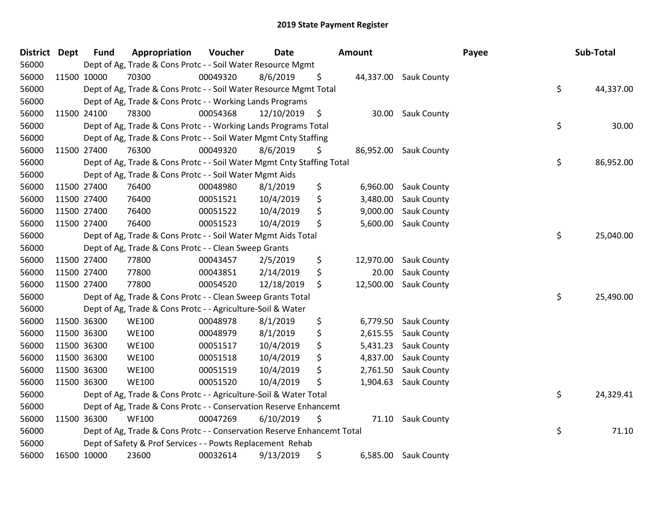| <b>District</b> | <b>Dept</b> | <b>Fund</b> | Appropriation                                                           | Voucher  | <b>Date</b> |    | Amount    |                       | Payee |    | Sub-Total |  |
|-----------------|-------------|-------------|-------------------------------------------------------------------------|----------|-------------|----|-----------|-----------------------|-------|----|-----------|--|
| 56000           |             |             | Dept of Ag, Trade & Cons Protc - - Soil Water Resource Mgmt             |          |             |    |           |                       |       |    |           |  |
| 56000           |             | 11500 10000 | 70300                                                                   | 00049320 | 8/6/2019    | \$ |           | 44,337.00 Sauk County |       |    |           |  |
| 56000           |             |             | Dept of Ag, Trade & Cons Protc - - Soil Water Resource Mgmt Total       |          |             |    |           |                       |       | \$ | 44,337.00 |  |
| 56000           |             |             | Dept of Ag, Trade & Cons Protc - - Working Lands Programs               |          |             |    |           |                       |       |    |           |  |
| 56000           |             | 11500 24100 | 78300                                                                   | 00054368 | 12/10/2019  | \$ | 30.00     | Sauk County           |       |    |           |  |
| 56000           |             |             | Dept of Ag, Trade & Cons Protc - - Working Lands Programs Total         |          |             |    |           |                       |       | \$ | 30.00     |  |
| 56000           |             |             | Dept of Ag, Trade & Cons Protc - - Soil Water Mgmt Cnty Staffing        |          |             |    |           |                       |       |    |           |  |
| 56000           |             | 11500 27400 | 76300                                                                   | 00049320 | 8/6/2019    | \$ |           | 86,952.00 Sauk County |       |    |           |  |
| 56000           |             |             | Dept of Ag, Trade & Cons Protc - - Soil Water Mgmt Cnty Staffing Total  |          |             |    |           |                       |       | \$ | 86,952.00 |  |
| 56000           |             |             | Dept of Ag, Trade & Cons Protc - - Soil Water Mgmt Aids                 |          |             |    |           |                       |       |    |           |  |
| 56000           |             | 11500 27400 | 76400                                                                   | 00048980 | 8/1/2019    | \$ | 6,960.00  | Sauk County           |       |    |           |  |
| 56000           |             | 11500 27400 | 76400                                                                   | 00051521 | 10/4/2019   | \$ | 3,480.00  | Sauk County           |       |    |           |  |
| 56000           |             | 11500 27400 | 76400                                                                   | 00051522 | 10/4/2019   | \$ | 9,000.00  | Sauk County           |       |    |           |  |
| 56000           |             | 11500 27400 | 76400                                                                   | 00051523 | 10/4/2019   | \$ | 5,600.00  | Sauk County           |       |    |           |  |
| 56000           |             |             | Dept of Ag, Trade & Cons Protc - - Soil Water Mgmt Aids Total           |          |             |    |           |                       |       | \$ | 25,040.00 |  |
| 56000           |             |             | Dept of Ag, Trade & Cons Protc - - Clean Sweep Grants                   |          |             |    |           |                       |       |    |           |  |
| 56000           |             | 11500 27400 | 77800                                                                   | 00043457 | 2/5/2019    | \$ | 12,970.00 | Sauk County           |       |    |           |  |
| 56000           |             | 11500 27400 | 77800                                                                   | 00043851 | 2/14/2019   | \$ | 20.00     | Sauk County           |       |    |           |  |
| 56000           |             | 11500 27400 | 77800                                                                   | 00054520 | 12/18/2019  | \$ | 12,500.00 | Sauk County           |       |    |           |  |
| 56000           |             |             | Dept of Ag, Trade & Cons Protc - - Clean Sweep Grants Total             |          |             |    |           |                       |       | \$ | 25,490.00 |  |
| 56000           |             |             | Dept of Ag, Trade & Cons Protc - - Agriculture-Soil & Water             |          |             |    |           |                       |       |    |           |  |
| 56000           |             | 11500 36300 | <b>WE100</b>                                                            | 00048978 | 8/1/2019    | \$ | 6,779.50  | <b>Sauk County</b>    |       |    |           |  |
| 56000           |             | 11500 36300 | <b>WE100</b>                                                            | 00048979 | 8/1/2019    | \$ | 2,615.55  | Sauk County           |       |    |           |  |
| 56000           |             | 11500 36300 | <b>WE100</b>                                                            | 00051517 | 10/4/2019   | \$ | 5,431.23  | <b>Sauk County</b>    |       |    |           |  |
| 56000           |             | 11500 36300 | <b>WE100</b>                                                            | 00051518 | 10/4/2019   | \$ | 4,837.00  | Sauk County           |       |    |           |  |
| 56000           |             | 11500 36300 | <b>WE100</b>                                                            | 00051519 | 10/4/2019   | \$ | 2,761.50  | Sauk County           |       |    |           |  |
| 56000           |             | 11500 36300 | <b>WE100</b>                                                            | 00051520 | 10/4/2019   | \$ | 1,904.63  | Sauk County           |       |    |           |  |
| 56000           |             |             | Dept of Ag, Trade & Cons Protc - - Agriculture-Soil & Water Total       |          |             |    |           |                       |       | \$ | 24,329.41 |  |
| 56000           |             |             | Dept of Ag, Trade & Cons Protc - - Conservation Reserve Enhancemt       |          |             |    |           |                       |       |    |           |  |
| 56000           |             | 11500 36300 | <b>WF100</b>                                                            | 00047269 | 6/10/2019   | \$ | 71.10     | Sauk County           |       |    |           |  |
| 56000           |             |             | Dept of Ag, Trade & Cons Protc - - Conservation Reserve Enhancemt Total |          |             |    |           |                       |       | \$ | 71.10     |  |
| 56000           |             |             | Dept of Safety & Prof Services - - Powts Replacement Rehab              |          |             |    |           |                       |       |    |           |  |
| 56000           |             | 16500 10000 | 23600                                                                   | 00032614 | 9/13/2019   | \$ | 6,585.00  | <b>Sauk County</b>    |       |    |           |  |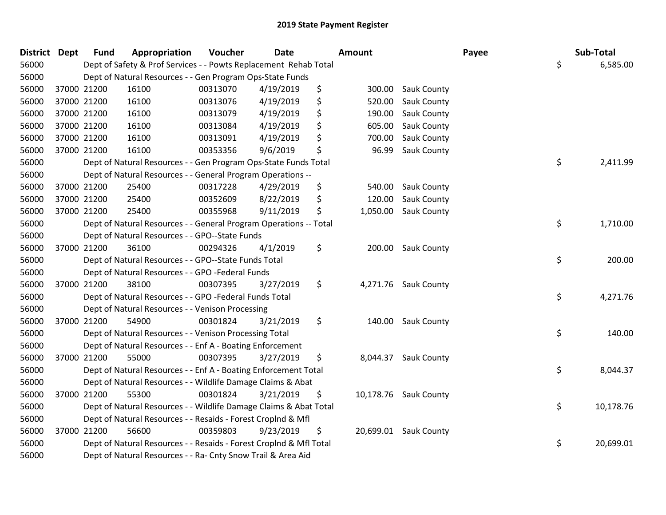| District Dept | <b>Fund</b> | Appropriation                                                      | Voucher  | <b>Date</b> |    | Amount |                       | Payee | Sub-Total       |
|---------------|-------------|--------------------------------------------------------------------|----------|-------------|----|--------|-----------------------|-------|-----------------|
| 56000         |             | Dept of Safety & Prof Services - - Powts Replacement Rehab Total   |          |             |    |        |                       |       | \$<br>6,585.00  |
| 56000         |             | Dept of Natural Resources - - Gen Program Ops-State Funds          |          |             |    |        |                       |       |                 |
| 56000         | 37000 21200 | 16100                                                              | 00313070 | 4/19/2019   | \$ |        | 300.00 Sauk County    |       |                 |
| 56000         | 37000 21200 | 16100                                                              | 00313076 | 4/19/2019   | \$ | 520.00 | Sauk County           |       |                 |
| 56000         | 37000 21200 | 16100                                                              | 00313079 | 4/19/2019   | \$ | 190.00 | Sauk County           |       |                 |
| 56000         | 37000 21200 | 16100                                                              | 00313084 | 4/19/2019   | \$ | 605.00 | Sauk County           |       |                 |
| 56000         | 37000 21200 | 16100                                                              | 00313091 | 4/19/2019   | \$ | 700.00 | Sauk County           |       |                 |
| 56000         | 37000 21200 | 16100                                                              | 00353356 | 9/6/2019    | \$ | 96.99  | Sauk County           |       |                 |
| 56000         |             | Dept of Natural Resources - - Gen Program Ops-State Funds Total    |          |             |    |        |                       |       | \$<br>2,411.99  |
| 56000         |             | Dept of Natural Resources - - General Program Operations --        |          |             |    |        |                       |       |                 |
| 56000         | 37000 21200 | 25400                                                              | 00317228 | 4/29/2019   | \$ | 540.00 | <b>Sauk County</b>    |       |                 |
| 56000         | 37000 21200 | 25400                                                              | 00352609 | 8/22/2019   | \$ | 120.00 | Sauk County           |       |                 |
| 56000         | 37000 21200 | 25400                                                              | 00355968 | 9/11/2019   | \$ |        | 1,050.00 Sauk County  |       |                 |
| 56000         |             | Dept of Natural Resources - - General Program Operations -- Total  |          |             |    |        |                       |       | \$<br>1,710.00  |
| 56000         |             | Dept of Natural Resources - - GPO--State Funds                     |          |             |    |        |                       |       |                 |
| 56000         | 37000 21200 | 36100                                                              | 00294326 | 4/1/2019    | \$ | 200.00 | <b>Sauk County</b>    |       |                 |
| 56000         |             | Dept of Natural Resources - - GPO--State Funds Total               |          |             |    |        |                       |       | \$<br>200.00    |
| 56000         |             | Dept of Natural Resources - - GPO -Federal Funds                   |          |             |    |        |                       |       |                 |
| 56000         | 37000 21200 | 38100                                                              | 00307395 | 3/27/2019   | \$ |        | 4,271.76 Sauk County  |       |                 |
| 56000         |             | Dept of Natural Resources - - GPO -Federal Funds Total             |          |             |    |        |                       |       | \$<br>4,271.76  |
| 56000         |             | Dept of Natural Resources - - Venison Processing                   |          |             |    |        |                       |       |                 |
| 56000         | 37000 21200 | 54900                                                              | 00301824 | 3/21/2019   | \$ |        | 140.00 Sauk County    |       |                 |
| 56000         |             | Dept of Natural Resources - - Venison Processing Total             |          |             |    |        |                       |       | \$<br>140.00    |
| 56000         |             | Dept of Natural Resources - - Enf A - Boating Enforcement          |          |             |    |        |                       |       |                 |
| 56000         | 37000 21200 | 55000                                                              | 00307395 | 3/27/2019   | \$ |        | 8,044.37 Sauk County  |       |                 |
| 56000         |             | Dept of Natural Resources - - Enf A - Boating Enforcement Total    |          |             |    |        |                       |       | \$<br>8,044.37  |
| 56000         |             | Dept of Natural Resources - - Wildlife Damage Claims & Abat        |          |             |    |        |                       |       |                 |
| 56000         | 37000 21200 | 55300                                                              | 00301824 | 3/21/2019   | \$ |        | 10,178.76 Sauk County |       |                 |
| 56000         |             | Dept of Natural Resources - - Wildlife Damage Claims & Abat Total  |          |             |    |        |                       |       | \$<br>10,178.76 |
| 56000         |             | Dept of Natural Resources - - Resaids - Forest Croplnd & Mfl       |          |             |    |        |                       |       |                 |
| 56000         | 37000 21200 | 56600                                                              | 00359803 | 9/23/2019   | \$ |        | 20,699.01 Sauk County |       |                 |
| 56000         |             | Dept of Natural Resources - - Resaids - Forest CropInd & Mfl Total |          |             |    |        |                       |       | \$<br>20,699.01 |
| 56000         |             | Dept of Natural Resources - - Ra- Cnty Snow Trail & Area Aid       |          |             |    |        |                       |       |                 |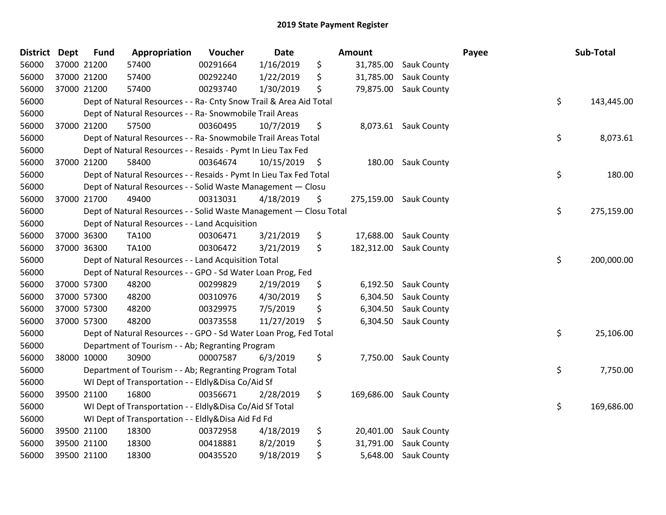| <b>District</b> | <b>Dept</b> | <b>Fund</b> | Appropriation                                                      | Voucher  | <b>Date</b>     | <b>Amount</b>    |                        | Payee | Sub-Total  |
|-----------------|-------------|-------------|--------------------------------------------------------------------|----------|-----------------|------------------|------------------------|-------|------------|
| 56000           | 37000 21200 |             | 57400                                                              | 00291664 | 1/16/2019       | \$<br>31,785.00  | Sauk County            |       |            |
| 56000           | 37000 21200 |             | 57400                                                              | 00292240 | 1/22/2019       | \$<br>31,785.00  | <b>Sauk County</b>     |       |            |
| 56000           | 37000 21200 |             | 57400                                                              | 00293740 | 1/30/2019       | \$<br>79,875.00  | Sauk County            |       |            |
| 56000           |             |             | Dept of Natural Resources - - Ra- Cnty Snow Trail & Area Aid Total |          |                 |                  |                        | \$    | 143,445.00 |
| 56000           |             |             | Dept of Natural Resources - - Ra- Snowmobile Trail Areas           |          |                 |                  |                        |       |            |
| 56000           |             | 37000 21200 | 57500                                                              | 00360495 | 10/7/2019       | \$<br>8,073.61   | <b>Sauk County</b>     |       |            |
| 56000           |             |             | Dept of Natural Resources - - Ra- Snowmobile Trail Areas Total     |          |                 |                  |                        | \$    | 8,073.61   |
| 56000           |             |             | Dept of Natural Resources - - Resaids - Pymt In Lieu Tax Fed       |          |                 |                  |                        |       |            |
| 56000           | 37000 21200 |             | 58400                                                              | 00364674 | $10/15/2019$ \$ | 180.00           | Sauk County            |       |            |
| 56000           |             |             | Dept of Natural Resources - - Resaids - Pymt In Lieu Tax Fed Total |          |                 |                  |                        | \$    | 180.00     |
| 56000           |             |             | Dept of Natural Resources - - Solid Waste Management - Closu       |          |                 |                  |                        |       |            |
| 56000           | 37000 21700 |             | 49400                                                              | 00313031 | 4/18/2019       | \$               | 275,159.00 Sauk County |       |            |
| 56000           |             |             | Dept of Natural Resources - - Solid Waste Management - Closu Total |          |                 |                  |                        | \$    | 275,159.00 |
| 56000           |             |             | Dept of Natural Resources - - Land Acquisition                     |          |                 |                  |                        |       |            |
| 56000           | 37000 36300 |             | <b>TA100</b>                                                       | 00306471 | 3/21/2019       | \$<br>17,688.00  | Sauk County            |       |            |
| 56000           | 37000 36300 |             | <b>TA100</b>                                                       | 00306472 | 3/21/2019       | \$<br>182,312.00 | Sauk County            |       |            |
| 56000           |             |             | Dept of Natural Resources - - Land Acquisition Total               |          |                 |                  |                        | \$    | 200,000.00 |
| 56000           |             |             | Dept of Natural Resources - - GPO - Sd Water Loan Prog, Fed        |          |                 |                  |                        |       |            |
| 56000           | 37000 57300 |             | 48200                                                              | 00299829 | 2/19/2019       | \$<br>6,192.50   | <b>Sauk County</b>     |       |            |
| 56000           | 37000 57300 |             | 48200                                                              | 00310976 | 4/30/2019       | \$<br>6,304.50   | Sauk County            |       |            |
| 56000           | 37000 57300 |             | 48200                                                              | 00329975 | 7/5/2019        | \$<br>6,304.50   | Sauk County            |       |            |
| 56000           | 37000 57300 |             | 48200                                                              | 00373558 | 11/27/2019      | \$<br>6,304.50   | Sauk County            |       |            |
| 56000           |             |             | Dept of Natural Resources - - GPO - Sd Water Loan Prog, Fed Total  |          |                 |                  |                        | \$    | 25,106.00  |
| 56000           |             |             | Department of Tourism - - Ab; Regranting Program                   |          |                 |                  |                        |       |            |
| 56000           | 38000 10000 |             | 30900                                                              | 00007587 | 6/3/2019        | \$<br>7,750.00   | Sauk County            |       |            |
| 56000           |             |             | Department of Tourism - - Ab; Regranting Program Total             |          |                 |                  |                        | \$    | 7,750.00   |
| 56000           |             |             | WI Dept of Transportation - - Eldly&Disa Co/Aid Sf                 |          |                 |                  |                        |       |            |
| 56000           | 39500 21100 |             | 16800                                                              | 00356671 | 2/28/2019       | \$<br>169,686.00 | Sauk County            |       |            |
| 56000           |             |             | WI Dept of Transportation - - Eldly&Disa Co/Aid Sf Total           |          |                 |                  |                        | \$    | 169,686.00 |
| 56000           |             |             | WI Dept of Transportation - - Eldly&Disa Aid Fd Fd                 |          |                 |                  |                        |       |            |
| 56000           | 39500 21100 |             | 18300                                                              | 00372958 | 4/18/2019       | \$<br>20,401.00  | <b>Sauk County</b>     |       |            |
| 56000           | 39500 21100 |             | 18300                                                              | 00418881 | 8/2/2019        | \$<br>31,791.00  | Sauk County            |       |            |
| 56000           | 39500 21100 |             | 18300                                                              | 00435520 | 9/18/2019       | \$<br>5,648.00   | Sauk County            |       |            |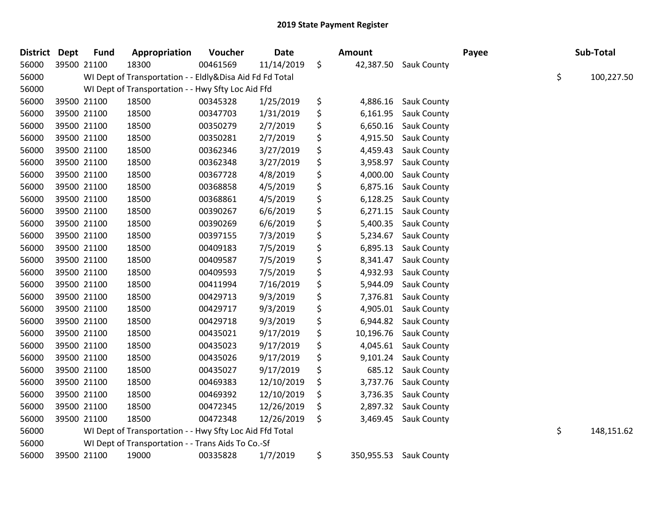| District Dept |             | <b>Fund</b> | Appropriation                                            | Voucher  | <b>Date</b> | Amount         |                        | Payee | Sub-Total        |
|---------------|-------------|-------------|----------------------------------------------------------|----------|-------------|----------------|------------------------|-------|------------------|
| 56000         | 39500 21100 |             | 18300                                                    | 00461569 | 11/14/2019  | \$             | 42,387.50 Sauk County  |       |                  |
| 56000         |             |             | WI Dept of Transportation - - Eldly&Disa Aid Fd Fd Total |          |             |                |                        |       | \$<br>100,227.50 |
| 56000         |             |             | WI Dept of Transportation - - Hwy Sfty Loc Aid Ffd       |          |             |                |                        |       |                  |
| 56000         | 39500 21100 |             | 18500                                                    | 00345328 | 1/25/2019   | \$<br>4,886.16 | Sauk County            |       |                  |
| 56000         | 39500 21100 |             | 18500                                                    | 00347703 | 1/31/2019   | \$<br>6,161.95 | Sauk County            |       |                  |
| 56000         | 39500 21100 |             | 18500                                                    | 00350279 | 2/7/2019    | \$<br>6,650.16 | Sauk County            |       |                  |
| 56000         | 39500 21100 |             | 18500                                                    | 00350281 | 2/7/2019    | \$<br>4,915.50 | Sauk County            |       |                  |
| 56000         | 39500 21100 |             | 18500                                                    | 00362346 | 3/27/2019   | \$<br>4,459.43 | Sauk County            |       |                  |
| 56000         | 39500 21100 |             | 18500                                                    | 00362348 | 3/27/2019   | \$<br>3,958.97 | Sauk County            |       |                  |
| 56000         | 39500 21100 |             | 18500                                                    | 00367728 | 4/8/2019    | \$<br>4,000.00 | Sauk County            |       |                  |
| 56000         | 39500 21100 |             | 18500                                                    | 00368858 | 4/5/2019    | \$<br>6,875.16 | Sauk County            |       |                  |
| 56000         | 39500 21100 |             | 18500                                                    | 00368861 | 4/5/2019    | \$<br>6,128.25 | <b>Sauk County</b>     |       |                  |
| 56000         | 39500 21100 |             | 18500                                                    | 00390267 | 6/6/2019    | \$<br>6,271.15 | <b>Sauk County</b>     |       |                  |
| 56000         | 39500 21100 |             | 18500                                                    | 00390269 | 6/6/2019    | \$<br>5,400.35 | <b>Sauk County</b>     |       |                  |
| 56000         | 39500 21100 |             | 18500                                                    | 00397155 | 7/3/2019    | \$<br>5,234.67 | <b>Sauk County</b>     |       |                  |
| 56000         | 39500 21100 |             | 18500                                                    | 00409183 | 7/5/2019    | \$<br>6,895.13 | Sauk County            |       |                  |
| 56000         | 39500 21100 |             | 18500                                                    | 00409587 | 7/5/2019    | \$<br>8,341.47 | Sauk County            |       |                  |
| 56000         | 39500 21100 |             | 18500                                                    | 00409593 | 7/5/2019    | \$<br>4,932.93 | Sauk County            |       |                  |
| 56000         | 39500 21100 |             | 18500                                                    | 00411994 | 7/16/2019   | \$<br>5,944.09 | Sauk County            |       |                  |
| 56000         | 39500 21100 |             | 18500                                                    | 00429713 | 9/3/2019    | \$<br>7,376.81 | Sauk County            |       |                  |
| 56000         | 39500 21100 |             | 18500                                                    | 00429717 | 9/3/2019    | \$             | 4,905.01 Sauk County   |       |                  |
| 56000         | 39500 21100 |             | 18500                                                    | 00429718 | 9/3/2019    | \$             | 6,944.82 Sauk County   |       |                  |
| 56000         | 39500 21100 |             | 18500                                                    | 00435021 | 9/17/2019   | \$             | 10,196.76 Sauk County  |       |                  |
| 56000         | 39500 21100 |             | 18500                                                    | 00435023 | 9/17/2019   | \$<br>4,045.61 | <b>Sauk County</b>     |       |                  |
| 56000         | 39500 21100 |             | 18500                                                    | 00435026 | 9/17/2019   | \$<br>9,101.24 | Sauk County            |       |                  |
| 56000         | 39500 21100 |             | 18500                                                    | 00435027 | 9/17/2019   | \$<br>685.12   | <b>Sauk County</b>     |       |                  |
| 56000         | 39500 21100 |             | 18500                                                    | 00469383 | 12/10/2019  | \$<br>3,737.76 | Sauk County            |       |                  |
| 56000         | 39500 21100 |             | 18500                                                    | 00469392 | 12/10/2019  | \$<br>3,736.35 | Sauk County            |       |                  |
| 56000         | 39500 21100 |             | 18500                                                    | 00472345 | 12/26/2019  | \$<br>2,897.32 | Sauk County            |       |                  |
| 56000         | 39500 21100 |             | 18500                                                    | 00472348 | 12/26/2019  | \$<br>3,469.45 | Sauk County            |       |                  |
| 56000         |             |             | WI Dept of Transportation - - Hwy Sfty Loc Aid Ffd Total |          |             |                |                        |       | \$<br>148,151.62 |
| 56000         |             |             | WI Dept of Transportation - - Trans Aids To Co.-Sf       |          |             |                |                        |       |                  |
| 56000         | 39500 21100 |             | 19000                                                    | 00335828 | 1/7/2019    | \$             | 350,955.53 Sauk County |       |                  |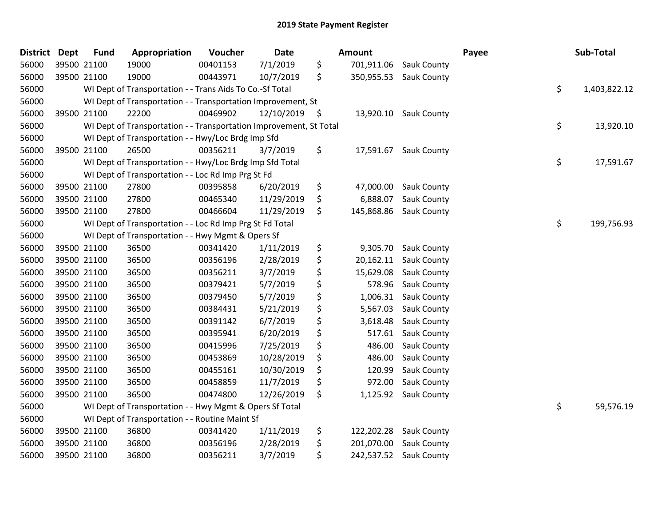| District Dept | <b>Fund</b> | Appropriation                                                      | Voucher  | <b>Date</b>   |     | Amount     |                        | Payee | Sub-Total          |
|---------------|-------------|--------------------------------------------------------------------|----------|---------------|-----|------------|------------------------|-------|--------------------|
| 56000         | 39500 21100 | 19000                                                              | 00401153 | 7/1/2019      | \$  | 701,911.06 | Sauk County            |       |                    |
| 56000         | 39500 21100 | 19000                                                              | 00443971 | 10/7/2019     | \$  |            | 350,955.53 Sauk County |       |                    |
| 56000         |             | WI Dept of Transportation - - Trans Aids To Co.-Sf Total           |          |               |     |            |                        |       | \$<br>1,403,822.12 |
| 56000         |             | WI Dept of Transportation - - Transportation Improvement, St       |          |               |     |            |                        |       |                    |
| 56000         | 39500 21100 | 22200                                                              | 00469902 | 12/10/2019 \$ |     | 13,920.10  | Sauk County            |       |                    |
| 56000         |             | WI Dept of Transportation - - Transportation Improvement, St Total |          |               |     |            |                        |       | \$<br>13,920.10    |
| 56000         |             | WI Dept of Transportation - - Hwy/Loc Brdg Imp Sfd                 |          |               |     |            |                        |       |                    |
| 56000         | 39500 21100 | 26500                                                              | 00356211 | 3/7/2019      | \$  | 17,591.67  | Sauk County            |       |                    |
| 56000         |             | WI Dept of Transportation - - Hwy/Loc Brdg Imp Sfd Total           |          |               |     |            |                        |       | \$<br>17,591.67    |
| 56000         |             | WI Dept of Transportation - - Loc Rd Imp Prg St Fd                 |          |               |     |            |                        |       |                    |
| 56000         | 39500 21100 | 27800                                                              | 00395858 | 6/20/2019     | \$  | 47,000.00  | Sauk County            |       |                    |
| 56000         | 39500 21100 | 27800                                                              | 00465340 | 11/29/2019    | \$  | 6,888.07   | Sauk County            |       |                    |
| 56000         | 39500 21100 | 27800                                                              | 00466604 | 11/29/2019    | \$. | 145,868.86 | Sauk County            |       |                    |
| 56000         |             | WI Dept of Transportation - - Loc Rd Imp Prg St Fd Total           |          |               |     |            |                        |       | \$<br>199,756.93   |
| 56000         |             | WI Dept of Transportation - - Hwy Mgmt & Opers Sf                  |          |               |     |            |                        |       |                    |
| 56000         | 39500 21100 | 36500                                                              | 00341420 | 1/11/2019     | \$  | 9,305.70   | Sauk County            |       |                    |
| 56000         | 39500 21100 | 36500                                                              | 00356196 | 2/28/2019     | \$  | 20,162.11  | Sauk County            |       |                    |
| 56000         | 39500 21100 | 36500                                                              | 00356211 | 3/7/2019      | \$  | 15,629.08  | Sauk County            |       |                    |
| 56000         | 39500 21100 | 36500                                                              | 00379421 | 5/7/2019      | \$  | 578.96     | Sauk County            |       |                    |
| 56000         | 39500 21100 | 36500                                                              | 00379450 | 5/7/2019      | \$  | 1,006.31   | Sauk County            |       |                    |
| 56000         | 39500 21100 | 36500                                                              | 00384431 | 5/21/2019     | \$  | 5,567.03   | Sauk County            |       |                    |
| 56000         | 39500 21100 | 36500                                                              | 00391142 | 6/7/2019      | \$  | 3,618.48   | Sauk County            |       |                    |
| 56000         | 39500 21100 | 36500                                                              | 00395941 | 6/20/2019     | \$  | 517.61     | Sauk County            |       |                    |
| 56000         | 39500 21100 | 36500                                                              | 00415996 | 7/25/2019     | \$  | 486.00     | Sauk County            |       |                    |
| 56000         | 39500 21100 | 36500                                                              | 00453869 | 10/28/2019    | \$  | 486.00     | Sauk County            |       |                    |
| 56000         | 39500 21100 | 36500                                                              | 00455161 | 10/30/2019    | \$  | 120.99     | Sauk County            |       |                    |
| 56000         | 39500 21100 | 36500                                                              | 00458859 | 11/7/2019     | \$  | 972.00     | Sauk County            |       |                    |
| 56000         | 39500 21100 | 36500                                                              | 00474800 | 12/26/2019    | \$  | 1,125.92   | Sauk County            |       |                    |
| 56000         |             | WI Dept of Transportation - - Hwy Mgmt & Opers Sf Total            |          |               |     |            |                        |       | \$<br>59,576.19    |
| 56000         |             | WI Dept of Transportation - - Routine Maint Sf                     |          |               |     |            |                        |       |                    |
| 56000         | 39500 21100 | 36800                                                              | 00341420 | 1/11/2019     | \$  | 122,202.28 | Sauk County            |       |                    |
| 56000         | 39500 21100 | 36800                                                              | 00356196 | 2/28/2019     | \$  | 201,070.00 | Sauk County            |       |                    |
| 56000         | 39500 21100 | 36800                                                              | 00356211 | 3/7/2019      | \$  | 242,537.52 | <b>Sauk County</b>     |       |                    |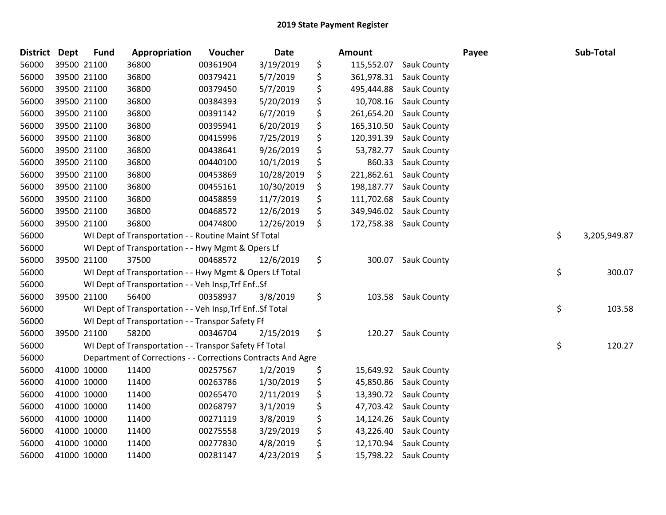| <b>District</b> | Dept        | <b>Fund</b> | Appropriation                                                | Voucher  | Date       | Amount           |                        | Payee | Sub-Total          |
|-----------------|-------------|-------------|--------------------------------------------------------------|----------|------------|------------------|------------------------|-------|--------------------|
| 56000           |             | 39500 21100 | 36800                                                        | 00361904 | 3/19/2019  | \$<br>115,552.07 | Sauk County            |       |                    |
| 56000           | 39500 21100 |             | 36800                                                        | 00379421 | 5/7/2019   | \$               | 361,978.31 Sauk County |       |                    |
| 56000           |             | 39500 21100 | 36800                                                        | 00379450 | 5/7/2019   | \$<br>495,444.88 | Sauk County            |       |                    |
| 56000           | 39500 21100 |             | 36800                                                        | 00384393 | 5/20/2019  | \$<br>10,708.16  | Sauk County            |       |                    |
| 56000           |             | 39500 21100 | 36800                                                        | 00391142 | 6/7/2019   | \$<br>261,654.20 | Sauk County            |       |                    |
| 56000           |             | 39500 21100 | 36800                                                        | 00395941 | 6/20/2019  | \$<br>165,310.50 | Sauk County            |       |                    |
| 56000           |             | 39500 21100 | 36800                                                        | 00415996 | 7/25/2019  | \$<br>120,391.39 | Sauk County            |       |                    |
| 56000           |             | 39500 21100 | 36800                                                        | 00438641 | 9/26/2019  | \$<br>53,782.77  | Sauk County            |       |                    |
| 56000           |             | 39500 21100 | 36800                                                        | 00440100 | 10/1/2019  | \$<br>860.33     | Sauk County            |       |                    |
| 56000           |             | 39500 21100 | 36800                                                        | 00453869 | 10/28/2019 | \$<br>221,862.61 | Sauk County            |       |                    |
| 56000           |             | 39500 21100 | 36800                                                        | 00455161 | 10/30/2019 | \$<br>198,187.77 | Sauk County            |       |                    |
| 56000           |             | 39500 21100 | 36800                                                        | 00458859 | 11/7/2019  | \$<br>111,702.68 | <b>Sauk County</b>     |       |                    |
| 56000           |             | 39500 21100 | 36800                                                        | 00468572 | 12/6/2019  | \$<br>349,946.02 | <b>Sauk County</b>     |       |                    |
| 56000           |             | 39500 21100 | 36800                                                        | 00474800 | 12/26/2019 | \$<br>172,758.38 | Sauk County            |       |                    |
| 56000           |             |             | WI Dept of Transportation - - Routine Maint Sf Total         |          |            |                  |                        |       | \$<br>3,205,949.87 |
| 56000           |             |             | WI Dept of Transportation - - Hwy Mgmt & Opers Lf            |          |            |                  |                        |       |                    |
| 56000           |             | 39500 21100 | 37500                                                        | 00468572 | 12/6/2019  | \$<br>300.07     | Sauk County            |       |                    |
| 56000           |             |             | WI Dept of Transportation - - Hwy Mgmt & Opers Lf Total      |          |            |                  |                        |       | \$<br>300.07       |
| 56000           |             |             | WI Dept of Transportation - - Veh Insp, Trf EnfSf            |          |            |                  |                        |       |                    |
| 56000           |             | 39500 21100 | 56400                                                        | 00358937 | 3/8/2019   | \$<br>103.58     | Sauk County            |       |                    |
| 56000           |             |             | WI Dept of Transportation - - Veh Insp, Trf Enf Sf Total     |          |            |                  |                        |       | \$<br>103.58       |
| 56000           |             |             | WI Dept of Transportation - - Transpor Safety Ff             |          |            |                  |                        |       |                    |
| 56000           |             | 39500 21100 | 58200                                                        | 00346704 | 2/15/2019  | \$<br>120.27     | <b>Sauk County</b>     |       |                    |
| 56000           |             |             | WI Dept of Transportation - - Transpor Safety Ff Total       |          |            |                  |                        |       | \$<br>120.27       |
| 56000           |             |             | Department of Corrections - - Corrections Contracts And Agre |          |            |                  |                        |       |                    |
| 56000           |             | 41000 10000 | 11400                                                        | 00257567 | 1/2/2019   | \$<br>15,649.92  | <b>Sauk County</b>     |       |                    |
| 56000           | 41000 10000 |             | 11400                                                        | 00263786 | 1/30/2019  | \$<br>45,850.86  | <b>Sauk County</b>     |       |                    |
| 56000           | 41000 10000 |             | 11400                                                        | 00265470 | 2/11/2019  | \$<br>13,390.72  | <b>Sauk County</b>     |       |                    |
| 56000           | 41000 10000 |             | 11400                                                        | 00268797 | 3/1/2019   | \$<br>47,703.42  | Sauk County            |       |                    |
| 56000           |             | 41000 10000 | 11400                                                        | 00271119 | 3/8/2019   | \$<br>14,124.26  | Sauk County            |       |                    |
| 56000           |             | 41000 10000 | 11400                                                        | 00275558 | 3/29/2019  | \$<br>43,226.40  | Sauk County            |       |                    |
| 56000           | 41000 10000 |             | 11400                                                        | 00277830 | 4/8/2019   | \$<br>12,170.94  | <b>Sauk County</b>     |       |                    |
| 56000           | 41000 10000 |             | 11400                                                        | 00281147 | 4/23/2019  | \$               | 15,798.22 Sauk County  |       |                    |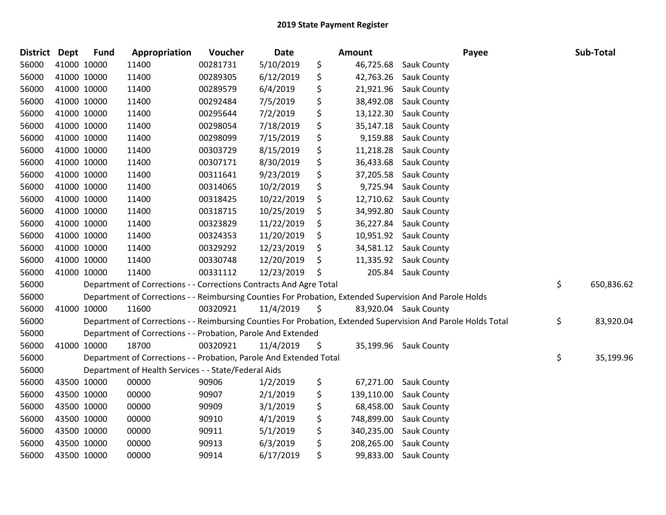| District | <b>Dept</b> | <b>Fund</b> | Appropriation                                                      | Voucher  | Date       | <b>Amount</b>    | Payee                                                                                                         | Sub-Total        |
|----------|-------------|-------------|--------------------------------------------------------------------|----------|------------|------------------|---------------------------------------------------------------------------------------------------------------|------------------|
| 56000    | 41000 10000 |             | 11400                                                              | 00281731 | 5/10/2019  | \$               | 46,725.68 Sauk County                                                                                         |                  |
| 56000    | 41000 10000 |             | 11400                                                              | 00289305 | 6/12/2019  | \$<br>42,763.26  | <b>Sauk County</b>                                                                                            |                  |
| 56000    | 41000 10000 |             | 11400                                                              | 00289579 | 6/4/2019   | \$               | 21,921.96 Sauk County                                                                                         |                  |
| 56000    | 41000 10000 |             | 11400                                                              | 00292484 | 7/5/2019   | \$<br>38,492.08  | <b>Sauk County</b>                                                                                            |                  |
| 56000    | 41000 10000 |             | 11400                                                              | 00295644 | 7/2/2019   | \$<br>13,122.30  | Sauk County                                                                                                   |                  |
| 56000    | 41000 10000 |             | 11400                                                              | 00298054 | 7/18/2019  | \$<br>35,147.18  | Sauk County                                                                                                   |                  |
| 56000    | 41000 10000 |             | 11400                                                              | 00298099 | 7/15/2019  | \$<br>9,159.88   | <b>Sauk County</b>                                                                                            |                  |
| 56000    | 41000 10000 |             | 11400                                                              | 00303729 | 8/15/2019  | \$<br>11,218.28  | <b>Sauk County</b>                                                                                            |                  |
| 56000    | 41000 10000 |             | 11400                                                              | 00307171 | 8/30/2019  | \$<br>36,433.68  | Sauk County                                                                                                   |                  |
| 56000    | 41000 10000 |             | 11400                                                              | 00311641 | 9/23/2019  | \$<br>37,205.58  | <b>Sauk County</b>                                                                                            |                  |
| 56000    | 41000 10000 |             | 11400                                                              | 00314065 | 10/2/2019  | \$<br>9,725.94   | Sauk County                                                                                                   |                  |
| 56000    | 41000 10000 |             | 11400                                                              | 00318425 | 10/22/2019 | \$               | 12,710.62 Sauk County                                                                                         |                  |
| 56000    | 41000 10000 |             | 11400                                                              | 00318715 | 10/25/2019 | \$               | 34,992.80 Sauk County                                                                                         |                  |
| 56000    | 41000 10000 |             | 11400                                                              | 00323829 | 11/22/2019 | \$<br>36,227.84  | <b>Sauk County</b>                                                                                            |                  |
| 56000    | 41000 10000 |             | 11400                                                              | 00324353 | 11/20/2019 | \$               | 10,951.92 Sauk County                                                                                         |                  |
| 56000    | 41000 10000 |             | 11400                                                              | 00329292 | 12/23/2019 | \$<br>34,581.12  | <b>Sauk County</b>                                                                                            |                  |
| 56000    | 41000 10000 |             | 11400                                                              | 00330748 | 12/20/2019 | \$               | 11,335.92 Sauk County                                                                                         |                  |
| 56000    | 41000 10000 |             | 11400                                                              | 00331112 | 12/23/2019 | \$               | 205.84 Sauk County                                                                                            |                  |
| 56000    |             |             | Department of Corrections - - Corrections Contracts And Agre Total |          |            |                  |                                                                                                               | \$<br>650,836.62 |
| 56000    |             |             |                                                                    |          |            |                  | Department of Corrections - - Reimbursing Counties For Probation, Extended Supervision And Parole Holds       |                  |
| 56000    | 41000 10000 |             | 11600                                                              | 00320921 | 11/4/2019  | \$               | 83,920.04 Sauk County                                                                                         |                  |
| 56000    |             |             |                                                                    |          |            |                  | Department of Corrections - - Reimbursing Counties For Probation, Extended Supervision And Parole Holds Total | \$<br>83,920.04  |
| 56000    |             |             | Department of Corrections - - Probation, Parole And Extended       |          |            |                  |                                                                                                               |                  |
| 56000    | 41000 10000 |             | 18700                                                              | 00320921 | 11/4/2019  | \$<br>35,199.96  | <b>Sauk County</b>                                                                                            |                  |
| 56000    |             |             | Department of Corrections - - Probation, Parole And Extended Total |          |            |                  |                                                                                                               | \$<br>35,199.96  |
| 56000    |             |             | Department of Health Services - - State/Federal Aids               |          |            |                  |                                                                                                               |                  |
| 56000    | 43500 10000 |             | 00000                                                              | 90906    | 1/2/2019   | \$<br>67,271.00  | <b>Sauk County</b>                                                                                            |                  |
| 56000    | 43500 10000 |             | 00000                                                              | 90907    | 2/1/2019   | \$<br>139,110.00 | <b>Sauk County</b>                                                                                            |                  |
| 56000    | 43500 10000 |             | 00000                                                              | 90909    | 3/1/2019   | \$<br>68,458.00  | Sauk County                                                                                                   |                  |
| 56000    | 43500 10000 |             | 00000                                                              | 90910    | 4/1/2019   | \$<br>748,899.00 | Sauk County                                                                                                   |                  |
| 56000    | 43500 10000 |             | 00000                                                              | 90911    | 5/1/2019   | \$<br>340,235.00 | Sauk County                                                                                                   |                  |
| 56000    | 43500 10000 |             | 00000                                                              | 90913    | 6/3/2019   | \$<br>208,265.00 | Sauk County                                                                                                   |                  |
| 56000    | 43500 10000 |             | 00000                                                              | 90914    | 6/17/2019  | \$<br>99,833.00  | <b>Sauk County</b>                                                                                            |                  |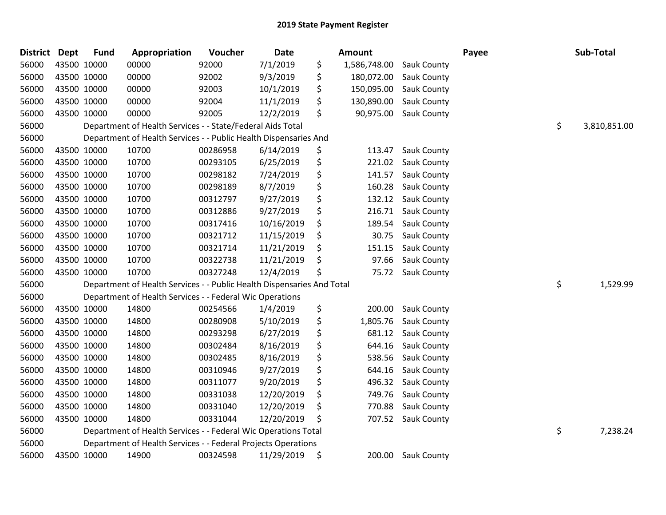| District Dept |             | <b>Fund</b> | Appropriation                                                          | <b>Voucher</b> | Date       | <b>Amount</b>      |                    | Payee | Sub-Total          |
|---------------|-------------|-------------|------------------------------------------------------------------------|----------------|------------|--------------------|--------------------|-------|--------------------|
| 56000         | 43500 10000 |             | 00000                                                                  | 92000          | 7/1/2019   | \$<br>1,586,748.00 | Sauk County        |       |                    |
| 56000         | 43500 10000 |             | 00000                                                                  | 92002          | 9/3/2019   | \$<br>180,072.00   | Sauk County        |       |                    |
| 56000         | 43500 10000 |             | 00000                                                                  | 92003          | 10/1/2019  | \$<br>150,095.00   | Sauk County        |       |                    |
| 56000         | 43500 10000 |             | 00000                                                                  | 92004          | 11/1/2019  | \$<br>130,890.00   | Sauk County        |       |                    |
| 56000         |             | 43500 10000 | 00000                                                                  | 92005          | 12/2/2019  | \$<br>90,975.00    | Sauk County        |       |                    |
| 56000         |             |             | Department of Health Services - - State/Federal Aids Total             |                |            |                    |                    |       | \$<br>3,810,851.00 |
| 56000         |             |             | Department of Health Services - - Public Health Dispensaries And       |                |            |                    |                    |       |                    |
| 56000         |             | 43500 10000 | 10700                                                                  | 00286958       | 6/14/2019  | \$<br>113.47       | Sauk County        |       |                    |
| 56000         | 43500 10000 |             | 10700                                                                  | 00293105       | 6/25/2019  | \$<br>221.02       | Sauk County        |       |                    |
| 56000         |             | 43500 10000 | 10700                                                                  | 00298182       | 7/24/2019  | \$<br>141.57       | Sauk County        |       |                    |
| 56000         | 43500 10000 |             | 10700                                                                  | 00298189       | 8/7/2019   | \$<br>160.28       | Sauk County        |       |                    |
| 56000         | 43500 10000 |             | 10700                                                                  | 00312797       | 9/27/2019  | \$<br>132.12       | <b>Sauk County</b> |       |                    |
| 56000         | 43500 10000 |             | 10700                                                                  | 00312886       | 9/27/2019  | \$<br>216.71       | Sauk County        |       |                    |
| 56000         | 43500 10000 |             | 10700                                                                  | 00317416       | 10/16/2019 | \$<br>189.54       | Sauk County        |       |                    |
| 56000         |             | 43500 10000 | 10700                                                                  | 00321712       | 11/15/2019 | \$<br>30.75        | Sauk County        |       |                    |
| 56000         | 43500 10000 |             | 10700                                                                  | 00321714       | 11/21/2019 | \$<br>151.15       | Sauk County        |       |                    |
| 56000         | 43500 10000 |             | 10700                                                                  | 00322738       | 11/21/2019 | \$<br>97.66        | <b>Sauk County</b> |       |                    |
| 56000         | 43500 10000 |             | 10700                                                                  | 00327248       | 12/4/2019  | \$<br>75.72        | Sauk County        |       |                    |
| 56000         |             |             | Department of Health Services - - Public Health Dispensaries And Total |                |            |                    |                    |       | \$<br>1,529.99     |
| 56000         |             |             | Department of Health Services - - Federal Wic Operations               |                |            |                    |                    |       |                    |
| 56000         |             | 43500 10000 | 14800                                                                  | 00254566       | 1/4/2019   | \$<br>200.00       | Sauk County        |       |                    |
| 56000         | 43500 10000 |             | 14800                                                                  | 00280908       | 5/10/2019  | \$<br>1,805.76     | <b>Sauk County</b> |       |                    |
| 56000         |             | 43500 10000 | 14800                                                                  | 00293298       | 6/27/2019  | \$<br>681.12       | Sauk County        |       |                    |
| 56000         | 43500 10000 |             | 14800                                                                  | 00302484       | 8/16/2019  | \$<br>644.16       | Sauk County        |       |                    |
| 56000         |             | 43500 10000 | 14800                                                                  | 00302485       | 8/16/2019  | \$<br>538.56       | Sauk County        |       |                    |
| 56000         | 43500 10000 |             | 14800                                                                  | 00310946       | 9/27/2019  | \$<br>644.16       | Sauk County        |       |                    |
| 56000         | 43500 10000 |             | 14800                                                                  | 00311077       | 9/20/2019  | \$<br>496.32       | <b>Sauk County</b> |       |                    |
| 56000         |             | 43500 10000 | 14800                                                                  | 00331038       | 12/20/2019 | \$<br>749.76       | Sauk County        |       |                    |
| 56000         | 43500 10000 |             | 14800                                                                  | 00331040       | 12/20/2019 | \$<br>770.88       | Sauk County        |       |                    |
| 56000         |             | 43500 10000 | 14800                                                                  | 00331044       | 12/20/2019 | \$<br>707.52       | Sauk County        |       |                    |
| 56000         |             |             | Department of Health Services - - Federal Wic Operations Total         |                |            |                    |                    |       | \$<br>7,238.24     |
| 56000         |             |             | Department of Health Services - - Federal Projects Operations          |                |            |                    |                    |       |                    |
| 56000         |             | 43500 10000 | 14900                                                                  | 00324598       | 11/29/2019 | \$<br>200.00       | <b>Sauk County</b> |       |                    |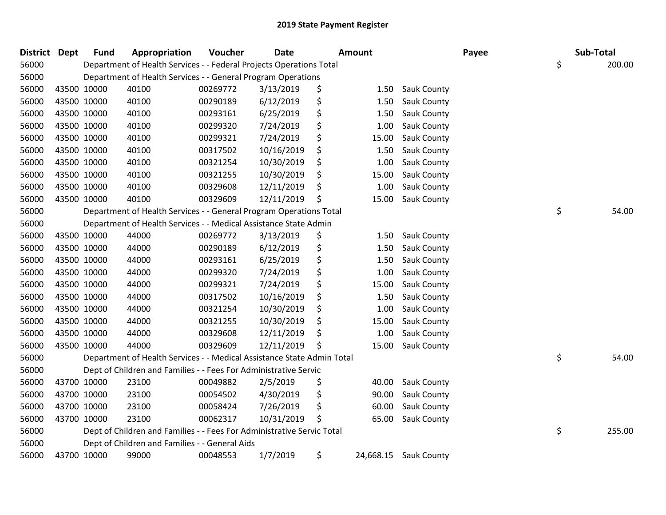| District Dept | <b>Fund</b> | Appropriation                                                          | Voucher  | <b>Date</b> | <b>Amount</b>   |                    | Payee | Sub-Total    |
|---------------|-------------|------------------------------------------------------------------------|----------|-------------|-----------------|--------------------|-------|--------------|
| 56000         |             | Department of Health Services - - Federal Projects Operations Total    |          |             |                 |                    |       | \$<br>200.00 |
| 56000         |             | Department of Health Services - - General Program Operations           |          |             |                 |                    |       |              |
| 56000         | 43500 10000 | 40100                                                                  | 00269772 | 3/13/2019   | \$<br>1.50      | <b>Sauk County</b> |       |              |
| 56000         | 43500 10000 | 40100                                                                  | 00290189 | 6/12/2019   | \$<br>1.50      | Sauk County        |       |              |
| 56000         | 43500 10000 | 40100                                                                  | 00293161 | 6/25/2019   | \$<br>1.50      | Sauk County        |       |              |
| 56000         | 43500 10000 | 40100                                                                  | 00299320 | 7/24/2019   | \$<br>1.00      | Sauk County        |       |              |
| 56000         | 43500 10000 | 40100                                                                  | 00299321 | 7/24/2019   | \$<br>15.00     | Sauk County        |       |              |
| 56000         | 43500 10000 | 40100                                                                  | 00317502 | 10/16/2019  | \$<br>1.50      | Sauk County        |       |              |
| 56000         | 43500 10000 | 40100                                                                  | 00321254 | 10/30/2019  | \$<br>1.00      | Sauk County        |       |              |
| 56000         | 43500 10000 | 40100                                                                  | 00321255 | 10/30/2019  | \$<br>15.00     | Sauk County        |       |              |
| 56000         | 43500 10000 | 40100                                                                  | 00329608 | 12/11/2019  | \$<br>1.00      | Sauk County        |       |              |
| 56000         | 43500 10000 | 40100                                                                  | 00329609 | 12/11/2019  | \$<br>15.00     | Sauk County        |       |              |
| 56000         |             | Department of Health Services - - General Program Operations Total     |          |             |                 |                    |       | \$<br>54.00  |
| 56000         |             | Department of Health Services - - Medical Assistance State Admin       |          |             |                 |                    |       |              |
| 56000         | 43500 10000 | 44000                                                                  | 00269772 | 3/13/2019   | \$<br>1.50      | Sauk County        |       |              |
| 56000         | 43500 10000 | 44000                                                                  | 00290189 | 6/12/2019   | \$<br>1.50      | Sauk County        |       |              |
| 56000         | 43500 10000 | 44000                                                                  | 00293161 | 6/25/2019   | \$<br>1.50      | Sauk County        |       |              |
| 56000         | 43500 10000 | 44000                                                                  | 00299320 | 7/24/2019   | \$<br>1.00      | Sauk County        |       |              |
| 56000         | 43500 10000 | 44000                                                                  | 00299321 | 7/24/2019   | \$<br>15.00     | Sauk County        |       |              |
| 56000         | 43500 10000 | 44000                                                                  | 00317502 | 10/16/2019  | \$<br>1.50      | Sauk County        |       |              |
| 56000         | 43500 10000 | 44000                                                                  | 00321254 | 10/30/2019  | \$<br>1.00      | Sauk County        |       |              |
| 56000         | 43500 10000 | 44000                                                                  | 00321255 | 10/30/2019  | \$<br>15.00     | Sauk County        |       |              |
| 56000         | 43500 10000 | 44000                                                                  | 00329608 | 12/11/2019  | \$<br>1.00      | Sauk County        |       |              |
| 56000         | 43500 10000 | 44000                                                                  | 00329609 | 12/11/2019  | \$<br>15.00     | Sauk County        |       |              |
| 56000         |             | Department of Health Services - - Medical Assistance State Admin Total |          |             |                 |                    |       | \$<br>54.00  |
| 56000         |             | Dept of Children and Families - - Fees For Administrative Servic       |          |             |                 |                    |       |              |
| 56000         | 43700 10000 | 23100                                                                  | 00049882 | 2/5/2019    | \$<br>40.00     | Sauk County        |       |              |
| 56000         | 43700 10000 | 23100                                                                  | 00054502 | 4/30/2019   | \$<br>90.00     | Sauk County        |       |              |
| 56000         | 43700 10000 | 23100                                                                  | 00058424 | 7/26/2019   | \$<br>60.00     | Sauk County        |       |              |
| 56000         | 43700 10000 | 23100                                                                  | 00062317 | 10/31/2019  | \$<br>65.00     | Sauk County        |       |              |
| 56000         |             | Dept of Children and Families - - Fees For Administrative Servic Total |          |             |                 |                    |       | \$<br>255.00 |
| 56000         |             | Dept of Children and Families - - General Aids                         |          |             |                 |                    |       |              |
| 56000         | 43700 10000 | 99000                                                                  | 00048553 | 1/7/2019    | \$<br>24,668.15 | <b>Sauk County</b> |       |              |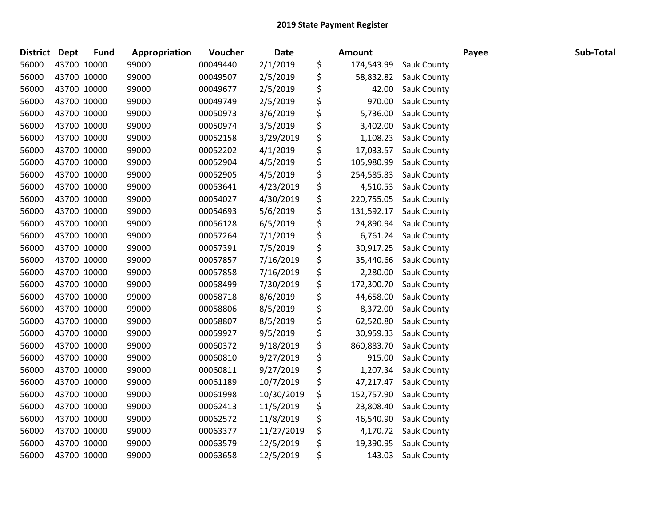| District Dept | <b>Fund</b> | Appropriation | Voucher  | <b>Date</b> | <b>Amount</b>    |                      | Payee | Sub-Total |
|---------------|-------------|---------------|----------|-------------|------------------|----------------------|-------|-----------|
| 56000         | 43700 10000 | 99000         | 00049440 | 2/1/2019    | \$<br>174,543.99 | <b>Sauk County</b>   |       |           |
| 56000         | 43700 10000 | 99000         | 00049507 | 2/5/2019    | \$<br>58,832.82  | <b>Sauk County</b>   |       |           |
| 56000         | 43700 10000 | 99000         | 00049677 | 2/5/2019    | \$<br>42.00      | <b>Sauk County</b>   |       |           |
| 56000         | 43700 10000 | 99000         | 00049749 | 2/5/2019    | \$<br>970.00     | Sauk County          |       |           |
| 56000         | 43700 10000 | 99000         | 00050973 | 3/6/2019    | \$<br>5,736.00   | Sauk County          |       |           |
| 56000         | 43700 10000 | 99000         | 00050974 | 3/5/2019    | \$<br>3,402.00   | Sauk County          |       |           |
| 56000         | 43700 10000 | 99000         | 00052158 | 3/29/2019   | \$<br>1,108.23   | Sauk County          |       |           |
| 56000         | 43700 10000 | 99000         | 00052202 | 4/1/2019    | \$<br>17,033.57  | Sauk County          |       |           |
| 56000         | 43700 10000 | 99000         | 00052904 | 4/5/2019    | \$<br>105,980.99 | Sauk County          |       |           |
| 56000         | 43700 10000 | 99000         | 00052905 | 4/5/2019    | \$<br>254,585.83 | Sauk County          |       |           |
| 56000         | 43700 10000 | 99000         | 00053641 | 4/23/2019   | \$<br>4,510.53   | Sauk County          |       |           |
| 56000         | 43700 10000 | 99000         | 00054027 | 4/30/2019   | \$<br>220,755.05 | Sauk County          |       |           |
| 56000         | 43700 10000 | 99000         | 00054693 | 5/6/2019    | \$<br>131,592.17 | <b>Sauk County</b>   |       |           |
| 56000         | 43700 10000 | 99000         | 00056128 | 6/5/2019    | \$<br>24,890.94  | <b>Sauk County</b>   |       |           |
| 56000         | 43700 10000 | 99000         | 00057264 | 7/1/2019    | \$<br>6,761.24   | Sauk County          |       |           |
| 56000         | 43700 10000 | 99000         | 00057391 | 7/5/2019    | \$<br>30,917.25  | Sauk County          |       |           |
| 56000         | 43700 10000 | 99000         | 00057857 | 7/16/2019   | \$<br>35,440.66  | Sauk County          |       |           |
| 56000         | 43700 10000 | 99000         | 00057858 | 7/16/2019   | \$<br>2,280.00   | <b>Sauk County</b>   |       |           |
| 56000         | 43700 10000 | 99000         | 00058499 | 7/30/2019   | \$<br>172,300.70 | Sauk County          |       |           |
| 56000         | 43700 10000 | 99000         | 00058718 | 8/6/2019    | \$<br>44,658.00  | Sauk County          |       |           |
| 56000         | 43700 10000 | 99000         | 00058806 | 8/5/2019    | \$<br>8,372.00   | Sauk County          |       |           |
| 56000         | 43700 10000 | 99000         | 00058807 | 8/5/2019    | \$<br>62,520.80  | Sauk County          |       |           |
| 56000         | 43700 10000 | 99000         | 00059927 | 9/5/2019    | \$<br>30,959.33  | <b>Sauk County</b>   |       |           |
| 56000         | 43700 10000 | 99000         | 00060372 | 9/18/2019   | \$<br>860,883.70 | Sauk County          |       |           |
| 56000         | 43700 10000 | 99000         | 00060810 | 9/27/2019   | \$<br>915.00     | Sauk County          |       |           |
| 56000         | 43700 10000 | 99000         | 00060811 | 9/27/2019   | \$<br>1,207.34   | Sauk County          |       |           |
| 56000         | 43700 10000 | 99000         | 00061189 | 10/7/2019   | \$<br>47,217.47  | Sauk County          |       |           |
| 56000         | 43700 10000 | 99000         | 00061998 | 10/30/2019  | \$<br>152,757.90 | <b>Sauk County</b>   |       |           |
| 56000         | 43700 10000 | 99000         | 00062413 | 11/5/2019   | \$<br>23,808.40  | Sauk County          |       |           |
| 56000         | 43700 10000 | 99000         | 00062572 | 11/8/2019   | \$<br>46,540.90  | Sauk County          |       |           |
| 56000         | 43700 10000 | 99000         | 00063377 | 11/27/2019  | \$               | 4,170.72 Sauk County |       |           |
| 56000         | 43700 10000 | 99000         | 00063579 | 12/5/2019   | \$<br>19,390.95  | Sauk County          |       |           |
| 56000         | 43700 10000 | 99000         | 00063658 | 12/5/2019   | \$<br>143.03     | <b>Sauk County</b>   |       |           |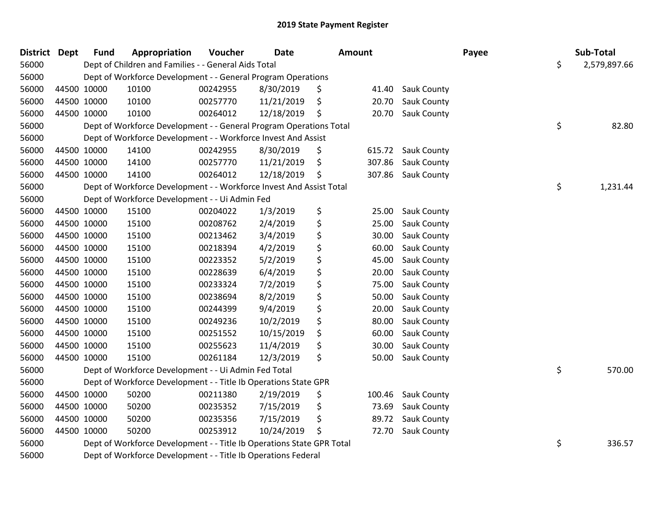| District Dept |             | <b>Fund</b> | Appropriation                                                         | Voucher  | Date       | Amount       |                    | Payee | Sub-Total    |
|---------------|-------------|-------------|-----------------------------------------------------------------------|----------|------------|--------------|--------------------|-------|--------------|
| 56000         |             |             | Dept of Children and Families - - General Aids Total                  |          |            |              |                    | \$    | 2,579,897.66 |
| 56000         |             |             | Dept of Workforce Development - - General Program Operations          |          |            |              |                    |       |              |
| 56000         | 44500 10000 |             | 10100                                                                 | 00242955 | 8/30/2019  | \$<br>41.40  | <b>Sauk County</b> |       |              |
| 56000         | 44500 10000 |             | 10100                                                                 | 00257770 | 11/21/2019 | \$<br>20.70  | Sauk County        |       |              |
| 56000         | 44500 10000 |             | 10100                                                                 | 00264012 | 12/18/2019 | \$<br>20.70  | Sauk County        |       |              |
| 56000         |             |             | Dept of Workforce Development - - General Program Operations Total    |          |            |              |                    | \$    | 82.80        |
| 56000         |             |             | Dept of Workforce Development - - Workforce Invest And Assist         |          |            |              |                    |       |              |
| 56000         | 44500 10000 |             | 14100                                                                 | 00242955 | 8/30/2019  | \$<br>615.72 | <b>Sauk County</b> |       |              |
| 56000         | 44500 10000 |             | 14100                                                                 | 00257770 | 11/21/2019 | \$<br>307.86 | Sauk County        |       |              |
| 56000         | 44500 10000 |             | 14100                                                                 | 00264012 | 12/18/2019 | \$<br>307.86 | Sauk County        |       |              |
| 56000         |             |             | Dept of Workforce Development - - Workforce Invest And Assist Total   |          |            |              |                    | \$    | 1,231.44     |
| 56000         |             |             | Dept of Workforce Development - - Ui Admin Fed                        |          |            |              |                    |       |              |
| 56000         | 44500 10000 |             | 15100                                                                 | 00204022 | 1/3/2019   | \$<br>25.00  | <b>Sauk County</b> |       |              |
| 56000         | 44500 10000 |             | 15100                                                                 | 00208762 | 2/4/2019   | \$<br>25.00  | Sauk County        |       |              |
| 56000         | 44500 10000 |             | 15100                                                                 | 00213462 | 3/4/2019   | \$<br>30.00  | Sauk County        |       |              |
| 56000         | 44500 10000 |             | 15100                                                                 | 00218394 | 4/2/2019   | \$<br>60.00  | Sauk County        |       |              |
| 56000         | 44500 10000 |             | 15100                                                                 | 00223352 | 5/2/2019   | \$<br>45.00  | Sauk County        |       |              |
| 56000         | 44500 10000 |             | 15100                                                                 | 00228639 | 6/4/2019   | \$<br>20.00  | Sauk County        |       |              |
| 56000         | 44500 10000 |             | 15100                                                                 | 00233324 | 7/2/2019   | \$<br>75.00  | Sauk County        |       |              |
| 56000         | 44500 10000 |             | 15100                                                                 | 00238694 | 8/2/2019   | \$<br>50.00  | Sauk County        |       |              |
| 56000         | 44500 10000 |             | 15100                                                                 | 00244399 | 9/4/2019   | \$<br>20.00  | Sauk County        |       |              |
| 56000         | 44500 10000 |             | 15100                                                                 | 00249236 | 10/2/2019  | \$<br>80.00  | Sauk County        |       |              |
| 56000         | 44500 10000 |             | 15100                                                                 | 00251552 | 10/15/2019 | \$<br>60.00  | Sauk County        |       |              |
| 56000         | 44500 10000 |             | 15100                                                                 | 00255623 | 11/4/2019  | \$<br>30.00  | Sauk County        |       |              |
| 56000         | 44500 10000 |             | 15100                                                                 | 00261184 | 12/3/2019  | \$<br>50.00  | Sauk County        |       |              |
| 56000         |             |             | Dept of Workforce Development - - Ui Admin Fed Total                  |          |            |              |                    | \$    | 570.00       |
| 56000         |             |             | Dept of Workforce Development - - Title Ib Operations State GPR       |          |            |              |                    |       |              |
| 56000         | 44500 10000 |             | 50200                                                                 | 00211380 | 2/19/2019  | \$<br>100.46 | Sauk County        |       |              |
| 56000         | 44500 10000 |             | 50200                                                                 | 00235352 | 7/15/2019  | \$<br>73.69  | Sauk County        |       |              |
| 56000         | 44500 10000 |             | 50200                                                                 | 00235356 | 7/15/2019  | \$<br>89.72  | <b>Sauk County</b> |       |              |
| 56000         | 44500 10000 |             | 50200                                                                 | 00253912 | 10/24/2019 | \$<br>72.70  | Sauk County        |       |              |
| 56000         |             |             | Dept of Workforce Development - - Title Ib Operations State GPR Total |          |            |              |                    | \$    | 336.57       |
| 56000         |             |             | Dept of Workforce Development - - Title Ib Operations Federal         |          |            |              |                    |       |              |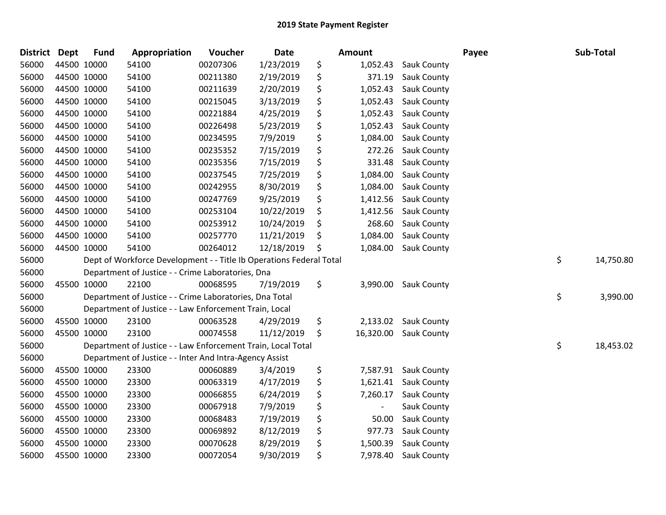| <b>District</b> | Dept        | <b>Fund</b> | Appropriation                                                       | Voucher  | Date       |    | Amount        |                    | Payee | Sub-Total       |
|-----------------|-------------|-------------|---------------------------------------------------------------------|----------|------------|----|---------------|--------------------|-------|-----------------|
| 56000           | 44500 10000 |             | 54100                                                               | 00207306 | 1/23/2019  | \$ | 1,052.43      | Sauk County        |       |                 |
| 56000           | 44500 10000 |             | 54100                                                               | 00211380 | 2/19/2019  | \$ | 371.19        | Sauk County        |       |                 |
| 56000           | 44500 10000 |             | 54100                                                               | 00211639 | 2/20/2019  | \$ | 1,052.43      | Sauk County        |       |                 |
| 56000           | 44500 10000 |             | 54100                                                               | 00215045 | 3/13/2019  | \$ | 1,052.43      | Sauk County        |       |                 |
| 56000           | 44500 10000 |             | 54100                                                               | 00221884 | 4/25/2019  | \$ | 1,052.43      | Sauk County        |       |                 |
| 56000           | 44500 10000 |             | 54100                                                               | 00226498 | 5/23/2019  | \$ | 1,052.43      | Sauk County        |       |                 |
| 56000           | 44500 10000 |             | 54100                                                               | 00234595 | 7/9/2019   | \$ | 1,084.00      | <b>Sauk County</b> |       |                 |
| 56000           | 44500 10000 |             | 54100                                                               | 00235352 | 7/15/2019  | \$ | 272.26        | Sauk County        |       |                 |
| 56000           | 44500 10000 |             | 54100                                                               | 00235356 | 7/15/2019  | \$ | 331.48        | Sauk County        |       |                 |
| 56000           | 44500 10000 |             | 54100                                                               | 00237545 | 7/25/2019  | \$ | 1,084.00      | Sauk County        |       |                 |
| 56000           | 44500 10000 |             | 54100                                                               | 00242955 | 8/30/2019  | \$ | 1,084.00      | Sauk County        |       |                 |
| 56000           | 44500 10000 |             | 54100                                                               | 00247769 | 9/25/2019  | \$ | 1,412.56      | Sauk County        |       |                 |
| 56000           | 44500 10000 |             | 54100                                                               | 00253104 | 10/22/2019 | \$ | 1,412.56      | Sauk County        |       |                 |
| 56000           | 44500 10000 |             | 54100                                                               | 00253912 | 10/24/2019 | \$ | 268.60        | Sauk County        |       |                 |
| 56000           | 44500 10000 |             | 54100                                                               | 00257770 | 11/21/2019 | S  | 1,084.00      | Sauk County        |       |                 |
| 56000           |             | 44500 10000 | 54100                                                               | 00264012 | 12/18/2019 | \$ | 1,084.00      | Sauk County        |       |                 |
| 56000           |             |             | Dept of Workforce Development - - Title Ib Operations Federal Total |          |            |    |               |                    |       | \$<br>14,750.80 |
| 56000           |             |             | Department of Justice - - Crime Laboratories, Dna                   |          |            |    |               |                    |       |                 |
| 56000           | 45500 10000 |             | 22100                                                               | 00068595 | 7/19/2019  | \$ | 3,990.00      | Sauk County        |       |                 |
| 56000           |             |             | Department of Justice - - Crime Laboratories, Dna Total             |          |            |    |               |                    |       | \$<br>3,990.00  |
| 56000           |             |             | Department of Justice - - Law Enforcement Train, Local              |          |            |    |               |                    |       |                 |
| 56000           |             | 45500 10000 | 23100                                                               | 00063528 | 4/29/2019  | \$ | 2,133.02      | <b>Sauk County</b> |       |                 |
| 56000           | 45500 10000 |             | 23100                                                               | 00074558 | 11/12/2019 | \$ | 16,320.00     | <b>Sauk County</b> |       |                 |
| 56000           |             |             | Department of Justice - - Law Enforcement Train, Local Total        |          |            |    |               |                    |       | \$<br>18,453.02 |
| 56000           |             |             | Department of Justice - - Inter And Intra-Agency Assist             |          |            |    |               |                    |       |                 |
| 56000           |             | 45500 10000 | 23300                                                               | 00060889 | 3/4/2019   | \$ | 7,587.91      | Sauk County        |       |                 |
| 56000           | 45500 10000 |             | 23300                                                               | 00063319 | 4/17/2019  | \$ | 1,621.41      | Sauk County        |       |                 |
| 56000           | 45500 10000 |             | 23300                                                               | 00066855 | 6/24/2019  | \$ | 7,260.17      | Sauk County        |       |                 |
| 56000           | 45500 10000 |             | 23300                                                               | 00067918 | 7/9/2019   | \$ | $\frac{1}{2}$ | Sauk County        |       |                 |
| 56000           | 45500 10000 |             | 23300                                                               | 00068483 | 7/19/2019  | \$ | 50.00         | Sauk County        |       |                 |
| 56000           | 45500 10000 |             | 23300                                                               | 00069892 | 8/12/2019  | \$ | 977.73        | Sauk County        |       |                 |
| 56000           | 45500 10000 |             | 23300                                                               | 00070628 | 8/29/2019  | \$ | 1,500.39      | Sauk County        |       |                 |
| 56000           | 45500 10000 |             | 23300                                                               | 00072054 | 9/30/2019  | \$ | 7,978.40      | Sauk County        |       |                 |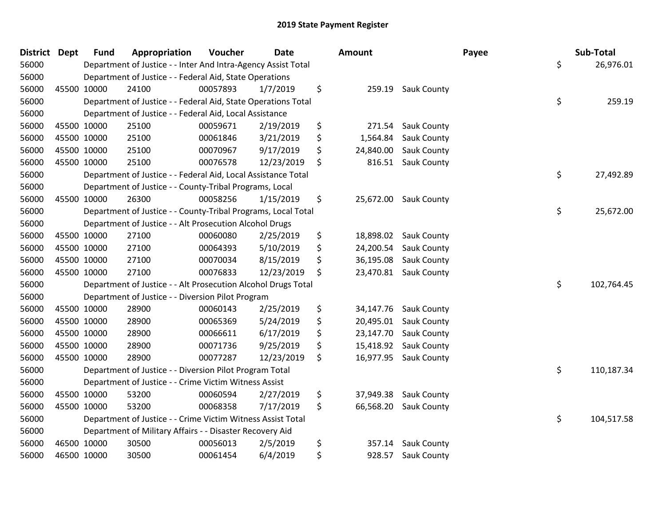| District Dept |             | <b>Fund</b> | Appropriation                                                 | Voucher  | <b>Date</b> | <b>Amount</b>   |             | Payee | Sub-Total        |
|---------------|-------------|-------------|---------------------------------------------------------------|----------|-------------|-----------------|-------------|-------|------------------|
| 56000         |             |             | Department of Justice - - Inter And Intra-Agency Assist Total |          |             |                 |             |       | \$<br>26,976.01  |
| 56000         |             |             | Department of Justice - - Federal Aid, State Operations       |          |             |                 |             |       |                  |
| 56000         |             | 45500 10000 | 24100                                                         | 00057893 | 1/7/2019    | \$<br>259.19    | Sauk County |       |                  |
| 56000         |             |             | Department of Justice - - Federal Aid, State Operations Total |          |             |                 |             |       | \$<br>259.19     |
| 56000         |             |             | Department of Justice - - Federal Aid, Local Assistance       |          |             |                 |             |       |                  |
| 56000         |             | 45500 10000 | 25100                                                         | 00059671 | 2/19/2019   | \$<br>271.54    | Sauk County |       |                  |
| 56000         |             | 45500 10000 | 25100                                                         | 00061846 | 3/21/2019   | \$<br>1,564.84  | Sauk County |       |                  |
| 56000         | 45500 10000 |             | 25100                                                         | 00070967 | 9/17/2019   | \$<br>24,840.00 | Sauk County |       |                  |
| 56000         | 45500 10000 |             | 25100                                                         | 00076578 | 12/23/2019  | \$<br>816.51    | Sauk County |       |                  |
| 56000         |             |             | Department of Justice - - Federal Aid, Local Assistance Total |          |             |                 |             |       | \$<br>27,492.89  |
| 56000         |             |             | Department of Justice - - County-Tribal Programs, Local       |          |             |                 |             |       |                  |
| 56000         |             | 45500 10000 | 26300                                                         | 00058256 | 1/15/2019   | \$<br>25,672.00 | Sauk County |       |                  |
| 56000         |             |             | Department of Justice - - County-Tribal Programs, Local Total |          |             |                 |             |       | \$<br>25,672.00  |
| 56000         |             |             | Department of Justice - - Alt Prosecution Alcohol Drugs       |          |             |                 |             |       |                  |
| 56000         |             | 45500 10000 | 27100                                                         | 00060080 | 2/25/2019   | \$<br>18,898.02 | Sauk County |       |                  |
| 56000         |             | 45500 10000 | 27100                                                         | 00064393 | 5/10/2019   | \$<br>24,200.54 | Sauk County |       |                  |
| 56000         |             | 45500 10000 | 27100                                                         | 00070034 | 8/15/2019   | \$<br>36,195.08 | Sauk County |       |                  |
| 56000         | 45500 10000 |             | 27100                                                         | 00076833 | 12/23/2019  | \$<br>23,470.81 | Sauk County |       |                  |
| 56000         |             |             | Department of Justice - - Alt Prosecution Alcohol Drugs Total |          |             |                 |             |       | \$<br>102,764.45 |
| 56000         |             |             | Department of Justice - - Diversion Pilot Program             |          |             |                 |             |       |                  |
| 56000         |             | 45500 10000 | 28900                                                         | 00060143 | 2/25/2019   | \$<br>34,147.76 | Sauk County |       |                  |
| 56000         |             | 45500 10000 | 28900                                                         | 00065369 | 5/24/2019   | \$<br>20,495.01 | Sauk County |       |                  |
| 56000         | 45500 10000 |             | 28900                                                         | 00066611 | 6/17/2019   | \$<br>23,147.70 | Sauk County |       |                  |
| 56000         |             | 45500 10000 | 28900                                                         | 00071736 | 9/25/2019   | \$<br>15,418.92 | Sauk County |       |                  |
| 56000         |             | 45500 10000 | 28900                                                         | 00077287 | 12/23/2019  | \$<br>16,977.95 | Sauk County |       |                  |
| 56000         |             |             | Department of Justice - - Diversion Pilot Program Total       |          |             |                 |             |       | \$<br>110,187.34 |
| 56000         |             |             | Department of Justice - - Crime Victim Witness Assist         |          |             |                 |             |       |                  |
| 56000         |             | 45500 10000 | 53200                                                         | 00060594 | 2/27/2019   | \$<br>37,949.38 | Sauk County |       |                  |
| 56000         |             | 45500 10000 | 53200                                                         | 00068358 | 7/17/2019   | \$<br>66,568.20 | Sauk County |       |                  |
| 56000         |             |             | Department of Justice - - Crime Victim Witness Assist Total   |          |             |                 |             |       | \$<br>104,517.58 |
| 56000         |             |             | Department of Military Affairs - - Disaster Recovery Aid      |          |             |                 |             |       |                  |
| 56000         |             | 46500 10000 | 30500                                                         | 00056013 | 2/5/2019    | \$<br>357.14    | Sauk County |       |                  |
| 56000         |             | 46500 10000 | 30500                                                         | 00061454 | 6/4/2019    | \$<br>928.57    | Sauk County |       |                  |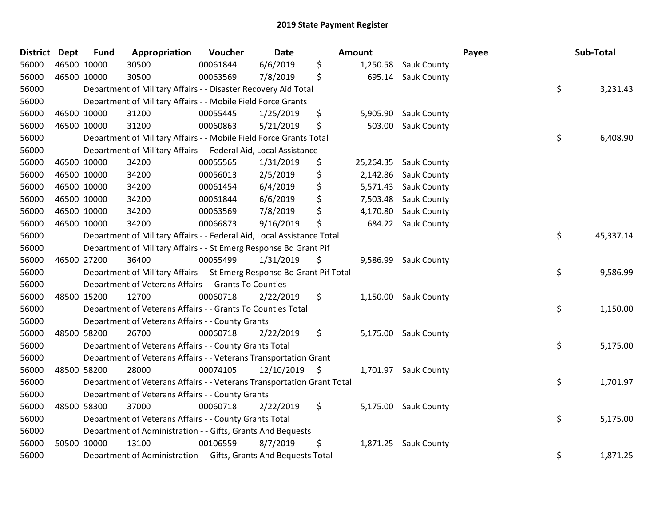| <b>District</b> | <b>Dept</b> | <b>Fund</b> | Appropriation                                                           | Voucher  | <b>Date</b>   | <b>Amount</b>   |                      | Payee | Sub-Total |
|-----------------|-------------|-------------|-------------------------------------------------------------------------|----------|---------------|-----------------|----------------------|-------|-----------|
| 56000           |             | 46500 10000 | 30500                                                                   | 00061844 | 6/6/2019      | \$<br>1,250.58  | <b>Sauk County</b>   |       |           |
| 56000           |             | 46500 10000 | 30500                                                                   | 00063569 | 7/8/2019      | \$<br>695.14    | Sauk County          |       |           |
| 56000           |             |             | Department of Military Affairs - - Disaster Recovery Aid Total          |          |               |                 |                      | \$    | 3,231.43  |
| 56000           |             |             | Department of Military Affairs - - Mobile Field Force Grants            |          |               |                 |                      |       |           |
| 56000           |             | 46500 10000 | 31200                                                                   | 00055445 | 1/25/2019     | \$<br>5,905.90  | <b>Sauk County</b>   |       |           |
| 56000           |             | 46500 10000 | 31200                                                                   | 00060863 | 5/21/2019     | \$<br>503.00    | Sauk County          |       |           |
| 56000           |             |             | Department of Military Affairs - - Mobile Field Force Grants Total      |          |               |                 |                      | \$    | 6,408.90  |
| 56000           |             |             | Department of Military Affairs - - Federal Aid, Local Assistance        |          |               |                 |                      |       |           |
| 56000           |             | 46500 10000 | 34200                                                                   | 00055565 | 1/31/2019     | \$<br>25,264.35 | <b>Sauk County</b>   |       |           |
| 56000           |             | 46500 10000 | 34200                                                                   | 00056013 | 2/5/2019      | \$<br>2,142.86  | Sauk County          |       |           |
| 56000           |             | 46500 10000 | 34200                                                                   | 00061454 | 6/4/2019      | \$<br>5,571.43  | Sauk County          |       |           |
| 56000           |             | 46500 10000 | 34200                                                                   | 00061844 | 6/6/2019      | \$<br>7,503.48  | Sauk County          |       |           |
| 56000           |             | 46500 10000 | 34200                                                                   | 00063569 | 7/8/2019      | \$<br>4,170.80  | Sauk County          |       |           |
| 56000           |             | 46500 10000 | 34200                                                                   | 00066873 | 9/16/2019     | \$<br>684.22    | Sauk County          |       |           |
| 56000           |             |             | Department of Military Affairs - - Federal Aid, Local Assistance Total  |          |               |                 |                      | \$    | 45,337.14 |
| 56000           |             |             | Department of Military Affairs - - St Emerg Response Bd Grant Pif       |          |               |                 |                      |       |           |
| 56000           |             | 46500 27200 | 36400                                                                   | 00055499 | 1/31/2019     | \$<br>9,586.99  | Sauk County          |       |           |
| 56000           |             |             | Department of Military Affairs - - St Emerg Response Bd Grant Pif Total |          |               |                 |                      | \$    | 9,586.99  |
| 56000           |             |             | Department of Veterans Affairs - - Grants To Counties                   |          |               |                 |                      |       |           |
| 56000           |             | 48500 15200 | 12700                                                                   | 00060718 | 2/22/2019     | \$<br>1,150.00  | Sauk County          |       |           |
| 56000           |             |             | Department of Veterans Affairs - - Grants To Counties Total             |          |               |                 |                      | \$    | 1,150.00  |
| 56000           |             |             | Department of Veterans Affairs - - County Grants                        |          |               |                 |                      |       |           |
| 56000           |             | 48500 58200 | 26700                                                                   | 00060718 | 2/22/2019     | \$              | 5,175.00 Sauk County |       |           |
| 56000           |             |             | Department of Veterans Affairs - - County Grants Total                  |          |               |                 |                      | \$    | 5,175.00  |
| 56000           |             |             | Department of Veterans Affairs - - Veterans Transportation Grant        |          |               |                 |                      |       |           |
| 56000           |             | 48500 58200 | 28000                                                                   | 00074105 | 12/10/2019 \$ | 1,701.97        | <b>Sauk County</b>   |       |           |
| 56000           |             |             | Department of Veterans Affairs - - Veterans Transportation Grant Total  |          |               |                 |                      | \$    | 1,701.97  |
| 56000           |             |             | Department of Veterans Affairs - - County Grants                        |          |               |                 |                      |       |           |
| 56000           |             | 48500 58300 | 37000                                                                   | 00060718 | 2/22/2019     | \$<br>5,175.00  | <b>Sauk County</b>   |       |           |
| 56000           |             |             | Department of Veterans Affairs - - County Grants Total                  |          |               |                 |                      | \$    | 5,175.00  |
| 56000           |             |             | Department of Administration - - Gifts, Grants And Bequests             |          |               |                 |                      |       |           |
| 56000           |             | 50500 10000 | 13100                                                                   | 00106559 | 8/7/2019      | \$<br>1,871.25  | <b>Sauk County</b>   |       |           |
| 56000           |             |             | Department of Administration - - Gifts, Grants And Bequests Total       |          |               |                 |                      | \$    | 1,871.25  |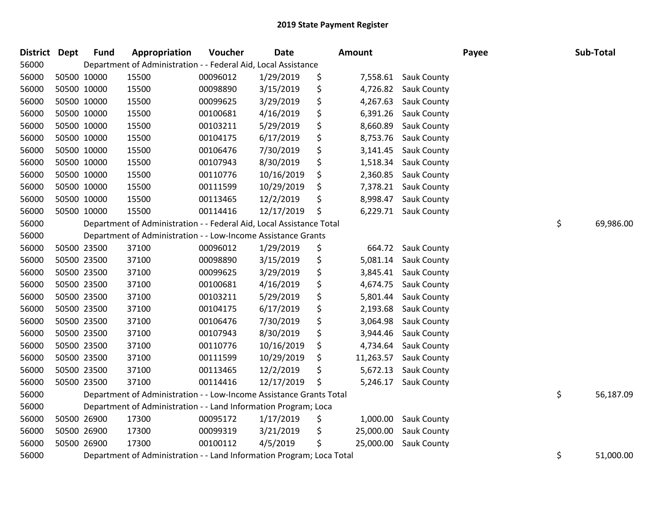| District Dept | <b>Fund</b> | Appropriation                                                         | Voucher  | <b>Date</b> | Amount          |                      | Payee | Sub-Total       |
|---------------|-------------|-----------------------------------------------------------------------|----------|-------------|-----------------|----------------------|-------|-----------------|
| 56000         |             | Department of Administration - - Federal Aid, Local Assistance        |          |             |                 |                      |       |                 |
| 56000         | 50500 10000 | 15500                                                                 | 00096012 | 1/29/2019   | \$              | 7,558.61 Sauk County |       |                 |
| 56000         | 50500 10000 | 15500                                                                 | 00098890 | 3/15/2019   | \$<br>4,726.82  | Sauk County          |       |                 |
| 56000         | 50500 10000 | 15500                                                                 | 00099625 | 3/29/2019   | \$<br>4,267.63  | Sauk County          |       |                 |
| 56000         | 50500 10000 | 15500                                                                 | 00100681 | 4/16/2019   | \$<br>6,391.26  | Sauk County          |       |                 |
| 56000         | 50500 10000 | 15500                                                                 | 00103211 | 5/29/2019   | \$<br>8,660.89  | Sauk County          |       |                 |
| 56000         | 50500 10000 | 15500                                                                 | 00104175 | 6/17/2019   | \$<br>8,753.76  | Sauk County          |       |                 |
| 56000         | 50500 10000 | 15500                                                                 | 00106476 | 7/30/2019   | \$<br>3,141.45  | Sauk County          |       |                 |
| 56000         | 50500 10000 | 15500                                                                 | 00107943 | 8/30/2019   | \$<br>1,518.34  | Sauk County          |       |                 |
| 56000         | 50500 10000 | 15500                                                                 | 00110776 | 10/16/2019  | \$<br>2,360.85  | Sauk County          |       |                 |
| 56000         | 50500 10000 | 15500                                                                 | 00111599 | 10/29/2019  | \$<br>7,378.21  | Sauk County          |       |                 |
| 56000         | 50500 10000 | 15500                                                                 | 00113465 | 12/2/2019   | \$<br>8,998.47  | <b>Sauk County</b>   |       |                 |
| 56000         | 50500 10000 | 15500                                                                 | 00114416 | 12/17/2019  | \$              | 6,229.71 Sauk County |       |                 |
| 56000         |             | Department of Administration - - Federal Aid, Local Assistance Total  |          |             |                 |                      |       | \$<br>69,986.00 |
| 56000         |             | Department of Administration - - Low-Income Assistance Grants         |          |             |                 |                      |       |                 |
| 56000         | 50500 23500 | 37100                                                                 | 00096012 | 1/29/2019   | \$<br>664.72    | <b>Sauk County</b>   |       |                 |
| 56000         | 50500 23500 | 37100                                                                 | 00098890 | 3/15/2019   | \$<br>5,081.14  | Sauk County          |       |                 |
| 56000         | 50500 23500 | 37100                                                                 | 00099625 | 3/29/2019   | \$<br>3,845.41  | <b>Sauk County</b>   |       |                 |
| 56000         | 50500 23500 | 37100                                                                 | 00100681 | 4/16/2019   | \$<br>4,674.75  | Sauk County          |       |                 |
| 56000         | 50500 23500 | 37100                                                                 | 00103211 | 5/29/2019   | \$<br>5,801.44  | Sauk County          |       |                 |
| 56000         | 50500 23500 | 37100                                                                 | 00104175 | 6/17/2019   | \$<br>2,193.68  | Sauk County          |       |                 |
| 56000         | 50500 23500 | 37100                                                                 | 00106476 | 7/30/2019   | \$<br>3,064.98  | <b>Sauk County</b>   |       |                 |
| 56000         | 50500 23500 | 37100                                                                 | 00107943 | 8/30/2019   | \$<br>3,944.46  | Sauk County          |       |                 |
| 56000         | 50500 23500 | 37100                                                                 | 00110776 | 10/16/2019  | \$<br>4,734.64  | Sauk County          |       |                 |
| 56000         | 50500 23500 | 37100                                                                 | 00111599 | 10/29/2019  | \$<br>11,263.57 | Sauk County          |       |                 |
| 56000         | 50500 23500 | 37100                                                                 | 00113465 | 12/2/2019   | \$<br>5,672.13  | Sauk County          |       |                 |
| 56000         | 50500 23500 | 37100                                                                 | 00114416 | 12/17/2019  | \$<br>5,246.17  | Sauk County          |       |                 |
| 56000         |             | Department of Administration - - Low-Income Assistance Grants Total   |          |             |                 |                      |       | \$<br>56,187.09 |
| 56000         |             | Department of Administration - - Land Information Program; Loca       |          |             |                 |                      |       |                 |
| 56000         | 50500 26900 | 17300                                                                 | 00095172 | 1/17/2019   | \$<br>1,000.00  | Sauk County          |       |                 |
| 56000         | 50500 26900 | 17300                                                                 | 00099319 | 3/21/2019   | \$<br>25,000.00 | Sauk County          |       |                 |
| 56000         | 50500 26900 | 17300                                                                 | 00100112 | 4/5/2019    | \$<br>25,000.00 | Sauk County          |       |                 |
| 56000         |             | Department of Administration - - Land Information Program; Loca Total |          |             |                 |                      |       | \$<br>51,000.00 |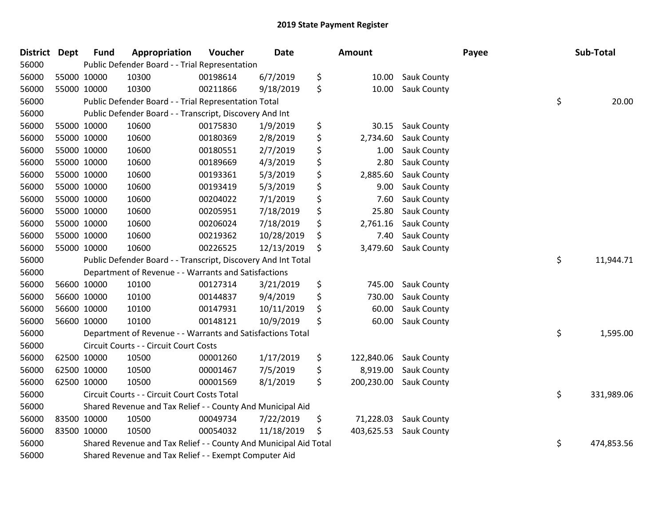| District Dept |             | <b>Fund</b> | Appropriation                                                    | Voucher  | <b>Date</b> | Amount           |             | Payee | Sub-Total        |
|---------------|-------------|-------------|------------------------------------------------------------------|----------|-------------|------------------|-------------|-------|------------------|
| 56000         |             |             | Public Defender Board - - Trial Representation                   |          |             |                  |             |       |                  |
| 56000         | 55000 10000 |             | 10300                                                            | 00198614 | 6/7/2019    | \$<br>10.00      | Sauk County |       |                  |
| 56000         | 55000 10000 |             | 10300                                                            | 00211866 | 9/18/2019   | \$<br>10.00      | Sauk County |       |                  |
| 56000         |             |             | Public Defender Board - - Trial Representation Total             |          |             |                  |             |       | \$<br>20.00      |
| 56000         |             |             | Public Defender Board - - Transcript, Discovery And Int          |          |             |                  |             |       |                  |
| 56000         | 55000 10000 |             | 10600                                                            | 00175830 | 1/9/2019    | \$<br>30.15      | Sauk County |       |                  |
| 56000         | 55000 10000 |             | 10600                                                            | 00180369 | 2/8/2019    | \$<br>2,734.60   | Sauk County |       |                  |
| 56000         | 55000 10000 |             | 10600                                                            | 00180551 | 2/7/2019    | \$<br>1.00       | Sauk County |       |                  |
| 56000         | 55000 10000 |             | 10600                                                            | 00189669 | 4/3/2019    | \$<br>2.80       | Sauk County |       |                  |
| 56000         | 55000 10000 |             | 10600                                                            | 00193361 | 5/3/2019    | \$<br>2,885.60   | Sauk County |       |                  |
| 56000         | 55000 10000 |             | 10600                                                            | 00193419 | 5/3/2019    | \$<br>9.00       | Sauk County |       |                  |
| 56000         | 55000 10000 |             | 10600                                                            | 00204022 | 7/1/2019    | \$<br>7.60       | Sauk County |       |                  |
| 56000         | 55000 10000 |             | 10600                                                            | 00205951 | 7/18/2019   | \$<br>25.80      | Sauk County |       |                  |
| 56000         | 55000 10000 |             | 10600                                                            | 00206024 | 7/18/2019   | \$<br>2,761.16   | Sauk County |       |                  |
| 56000         | 55000 10000 |             | 10600                                                            | 00219362 | 10/28/2019  | \$<br>7.40       | Sauk County |       |                  |
| 56000         | 55000 10000 |             | 10600                                                            | 00226525 | 12/13/2019  | \$<br>3,479.60   | Sauk County |       |                  |
| 56000         |             |             | Public Defender Board - - Transcript, Discovery And Int Total    |          |             |                  |             |       | \$<br>11,944.71  |
| 56000         |             |             | Department of Revenue - - Warrants and Satisfactions             |          |             |                  |             |       |                  |
| 56000         | 56600 10000 |             | 10100                                                            | 00127314 | 3/21/2019   | \$<br>745.00     | Sauk County |       |                  |
| 56000         | 56600 10000 |             | 10100                                                            | 00144837 | 9/4/2019    | \$<br>730.00     | Sauk County |       |                  |
| 56000         | 56600 10000 |             | 10100                                                            | 00147931 | 10/11/2019  | \$<br>60.00      | Sauk County |       |                  |
| 56000         | 56600 10000 |             | 10100                                                            | 00148121 | 10/9/2019   | \$<br>60.00      | Sauk County |       |                  |
| 56000         |             |             | Department of Revenue - - Warrants and Satisfactions Total       |          |             |                  |             |       | \$<br>1,595.00   |
| 56000         |             |             | Circuit Courts - - Circuit Court Costs                           |          |             |                  |             |       |                  |
| 56000         | 62500 10000 |             | 10500                                                            | 00001260 | 1/17/2019   | \$<br>122,840.06 | Sauk County |       |                  |
| 56000         | 62500 10000 |             | 10500                                                            | 00001467 | 7/5/2019    | \$<br>8,919.00   | Sauk County |       |                  |
| 56000         | 62500 10000 |             | 10500                                                            | 00001569 | 8/1/2019    | \$<br>200,230.00 | Sauk County |       |                  |
| 56000         |             |             | Circuit Courts - - Circuit Court Costs Total                     |          |             |                  |             |       | \$<br>331,989.06 |
| 56000         |             |             | Shared Revenue and Tax Relief - - County And Municipal Aid       |          |             |                  |             |       |                  |
| 56000         |             | 83500 10000 | 10500                                                            | 00049734 | 7/22/2019   | \$<br>71,228.03  | Sauk County |       |                  |
| 56000         | 83500 10000 |             | 10500                                                            | 00054032 | 11/18/2019  | \$<br>403,625.53 | Sauk County |       |                  |
| 56000         |             |             | Shared Revenue and Tax Relief - - County And Municipal Aid Total |          |             |                  |             |       | \$<br>474,853.56 |
| 56000         |             |             | Shared Revenue and Tax Relief - - Exempt Computer Aid            |          |             |                  |             |       |                  |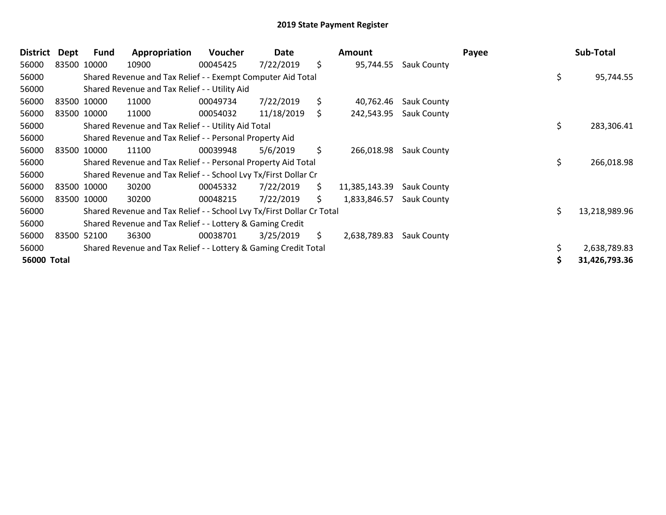| <b>District</b> | Dept        | Fund        | Appropriation                                                         | <b>Voucher</b> | Date       |     | Amount        |                    | Payee | Sub-Total     |
|-----------------|-------------|-------------|-----------------------------------------------------------------------|----------------|------------|-----|---------------|--------------------|-------|---------------|
| 56000           | 83500 10000 |             | 10900                                                                 | 00045425       | 7/22/2019  | \$  | 95,744.55     | <b>Sauk County</b> |       |               |
| 56000           |             |             | Shared Revenue and Tax Relief - - Exempt Computer Aid Total           |                |            |     |               |                    | \$    | 95,744.55     |
| 56000           |             |             | Shared Revenue and Tax Relief - - Utility Aid                         |                |            |     |               |                    |       |               |
| 56000           |             | 83500 10000 | 11000                                                                 | 00049734       | 7/22/2019  | \$  | 40,762.46     | <b>Sauk County</b> |       |               |
| 56000           |             | 83500 10000 | 11000                                                                 | 00054032       | 11/18/2019 | \$. | 242,543.95    | <b>Sauk County</b> |       |               |
| 56000           |             |             | Shared Revenue and Tax Relief - - Utility Aid Total                   |                |            |     |               |                    | \$    | 283,306.41    |
| 56000           |             |             | Shared Revenue and Tax Relief - - Personal Property Aid               |                |            |     |               |                    |       |               |
| 56000           |             | 83500 10000 | 11100                                                                 | 00039948       | 5/6/2019   | \$  | 266,018.98    | <b>Sauk County</b> |       |               |
| 56000           |             |             | Shared Revenue and Tax Relief - - Personal Property Aid Total         |                |            |     |               |                    | \$    | 266,018.98    |
| 56000           |             |             | Shared Revenue and Tax Relief - - School Lvy Tx/First Dollar Cr       |                |            |     |               |                    |       |               |
| 56000           |             | 83500 10000 | 30200                                                                 | 00045332       | 7/22/2019  | \$  | 11,385,143.39 | <b>Sauk County</b> |       |               |
| 56000           |             | 83500 10000 | 30200                                                                 | 00048215       | 7/22/2019  | \$. | 1,833,846.57  | Sauk County        |       |               |
| 56000           |             |             | Shared Revenue and Tax Relief - - School Lvy Tx/First Dollar Cr Total |                |            |     |               |                    | \$    | 13,218,989.96 |
| 56000           |             |             | Shared Revenue and Tax Relief - - Lottery & Gaming Credit             |                |            |     |               |                    |       |               |
| 56000           | 83500       | 52100       | 36300                                                                 | 00038701       | 3/25/2019  | \$. | 2,638,789.83  | Sauk County        |       |               |
| 56000           |             |             | Shared Revenue and Tax Relief - - Lottery & Gaming Credit Total       |                |            |     |               |                    |       | 2,638,789.83  |
| 56000 Total     |             |             |                                                                       |                |            |     |               |                    |       | 31,426,793.36 |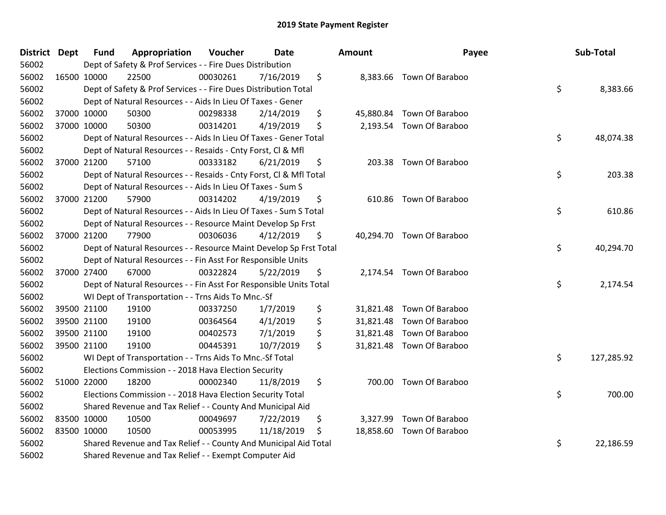| District Dept |             | <b>Fund</b> | Appropriation                                                      | Voucher  | <b>Date</b> | Amount | Payee                     | Sub-Total        |
|---------------|-------------|-------------|--------------------------------------------------------------------|----------|-------------|--------|---------------------------|------------------|
| 56002         |             |             | Dept of Safety & Prof Services - - Fire Dues Distribution          |          |             |        |                           |                  |
| 56002         |             | 16500 10000 | 22500                                                              | 00030261 | 7/16/2019   | \$     | 8,383.66 Town Of Baraboo  |                  |
| 56002         |             |             | Dept of Safety & Prof Services - - Fire Dues Distribution Total    |          |             |        |                           | \$<br>8,383.66   |
| 56002         |             |             | Dept of Natural Resources - - Aids In Lieu Of Taxes - Gener        |          |             |        |                           |                  |
| 56002         |             | 37000 10000 | 50300                                                              | 00298338 | 2/14/2019   | \$     | 45,880.84 Town Of Baraboo |                  |
| 56002         |             | 37000 10000 | 50300                                                              | 00314201 | 4/19/2019   | \$     | 2,193.54 Town Of Baraboo  |                  |
| 56002         |             |             | Dept of Natural Resources - - Aids In Lieu Of Taxes - Gener Total  |          |             |        |                           | \$<br>48,074.38  |
| 56002         |             |             | Dept of Natural Resources - - Resaids - Cnty Forst, Cl & Mfl       |          |             |        |                           |                  |
| 56002         |             | 37000 21200 | 57100                                                              | 00333182 | 6/21/2019   | \$     | 203.38 Town Of Baraboo    |                  |
| 56002         |             |             | Dept of Natural Resources - - Resaids - Cnty Forst, CI & Mfl Total |          |             |        |                           | \$<br>203.38     |
| 56002         |             |             | Dept of Natural Resources - - Aids In Lieu Of Taxes - Sum S        |          |             |        |                           |                  |
| 56002         |             | 37000 21200 | 57900                                                              | 00314202 | 4/19/2019   | \$     | 610.86 Town Of Baraboo    |                  |
| 56002         |             |             | Dept of Natural Resources - - Aids In Lieu Of Taxes - Sum S Total  |          |             |        |                           | \$<br>610.86     |
| 56002         |             |             | Dept of Natural Resources - - Resource Maint Develop Sp Frst       |          |             |        |                           |                  |
| 56002         |             | 37000 21200 | 77900                                                              | 00306036 | 4/12/2019   | \$     | 40,294.70 Town Of Baraboo |                  |
| 56002         |             |             | Dept of Natural Resources - - Resource Maint Develop Sp Frst Total |          |             |        |                           | \$<br>40,294.70  |
| 56002         |             |             | Dept of Natural Resources - - Fin Asst For Responsible Units       |          |             |        |                           |                  |
| 56002         |             | 37000 27400 | 67000                                                              | 00322824 | 5/22/2019   | \$     | 2,174.54 Town Of Baraboo  |                  |
| 56002         |             |             | Dept of Natural Resources - - Fin Asst For Responsible Units Total |          |             |        |                           | \$<br>2,174.54   |
| 56002         |             |             | WI Dept of Transportation - - Trns Aids To Mnc.-Sf                 |          |             |        |                           |                  |
| 56002         |             | 39500 21100 | 19100                                                              | 00337250 | 1/7/2019    | \$     | 31,821.48 Town Of Baraboo |                  |
| 56002         |             | 39500 21100 | 19100                                                              | 00364564 | 4/1/2019    | \$     | 31,821.48 Town Of Baraboo |                  |
| 56002         |             | 39500 21100 | 19100                                                              | 00402573 | 7/1/2019    | \$     | 31,821.48 Town Of Baraboo |                  |
| 56002         |             | 39500 21100 | 19100                                                              | 00445391 | 10/7/2019   | \$     | 31,821.48 Town Of Baraboo |                  |
| 56002         |             |             | WI Dept of Transportation - - Trns Aids To Mnc.-Sf Total           |          |             |        |                           | \$<br>127,285.92 |
| 56002         |             |             | Elections Commission - - 2018 Hava Election Security               |          |             |        |                           |                  |
| 56002         |             | 51000 22000 | 18200                                                              | 00002340 | 11/8/2019   | \$     | 700.00 Town Of Baraboo    |                  |
| 56002         |             |             | Elections Commission - - 2018 Hava Election Security Total         |          |             |        |                           | \$<br>700.00     |
| 56002         |             |             | Shared Revenue and Tax Relief - - County And Municipal Aid         |          |             |        |                           |                  |
| 56002         | 83500 10000 |             | 10500                                                              | 00049697 | 7/22/2019   | \$     | 3,327.99 Town Of Baraboo  |                  |
| 56002         |             | 83500 10000 | 10500                                                              | 00053995 | 11/18/2019  | \$     | 18,858.60 Town Of Baraboo |                  |
| 56002         |             |             | Shared Revenue and Tax Relief - - County And Municipal Aid Total   |          |             |        |                           | \$<br>22,186.59  |
| 56002         |             |             | Shared Revenue and Tax Relief - - Exempt Computer Aid              |          |             |        |                           |                  |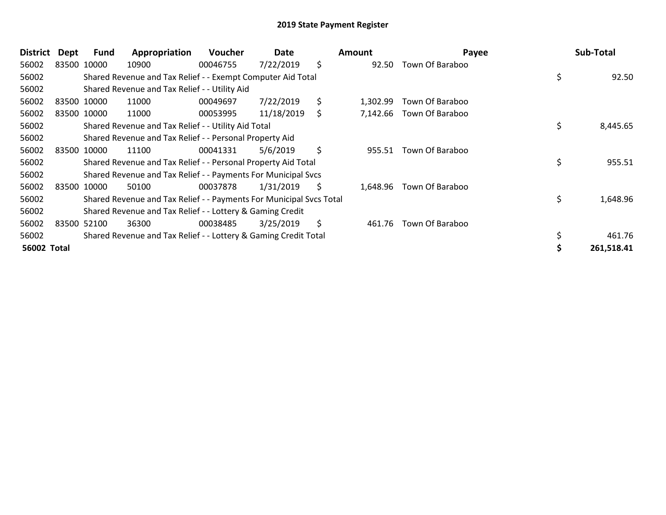| <b>District</b>    | Dept        | Fund        | Appropriation                                                       | <b>Voucher</b> | Date       |    | Amount   | Payee           | Sub-Total      |
|--------------------|-------------|-------------|---------------------------------------------------------------------|----------------|------------|----|----------|-----------------|----------------|
| 56002              | 83500 10000 |             | 10900                                                               | 00046755       | 7/22/2019  | \$ | 92.50    | Town Of Baraboo |                |
| 56002              |             |             | Shared Revenue and Tax Relief - - Exempt Computer Aid Total         |                |            |    |          |                 | 92.50          |
| 56002              |             |             | Shared Revenue and Tax Relief - - Utility Aid                       |                |            |    |          |                 |                |
| 56002              |             | 83500 10000 | 11000                                                               | 00049697       | 7/22/2019  | \$ | 1,302.99 | Town Of Baraboo |                |
| 56002              |             | 83500 10000 | 11000                                                               | 00053995       | 11/18/2019 | \$ | 7,142.66 | Town Of Baraboo |                |
| 56002              |             |             | Shared Revenue and Tax Relief - - Utility Aid Total                 |                |            |    |          |                 | \$<br>8,445.65 |
| 56002              |             |             | Shared Revenue and Tax Relief - - Personal Property Aid             |                |            |    |          |                 |                |
| 56002              |             | 83500 10000 | 11100                                                               | 00041331       | 5/6/2019   | \$ | 955.51   | Town Of Baraboo |                |
| 56002              |             |             | Shared Revenue and Tax Relief - - Personal Property Aid Total       |                |            |    |          |                 | \$<br>955.51   |
| 56002              |             |             | Shared Revenue and Tax Relief - - Payments For Municipal Svcs       |                |            |    |          |                 |                |
| 56002              | 83500 10000 |             | 50100                                                               | 00037878       | 1/31/2019  | S  | 1,648.96 | Town Of Baraboo |                |
| 56002              |             |             | Shared Revenue and Tax Relief - - Payments For Municipal Svcs Total |                |            |    |          |                 | \$<br>1,648.96 |
| 56002              |             |             | Shared Revenue and Tax Relief - - Lottery & Gaming Credit           |                |            |    |          |                 |                |
| 56002              | 83500 52100 |             | 36300                                                               | 00038485       | 3/25/2019  | \$ | 461.76   | Town Of Baraboo |                |
| 56002              |             |             | Shared Revenue and Tax Relief - - Lottery & Gaming Credit Total     |                |            |    |          |                 | 461.76         |
| <b>56002 Total</b> |             |             |                                                                     |                |            |    |          |                 | 261,518.41     |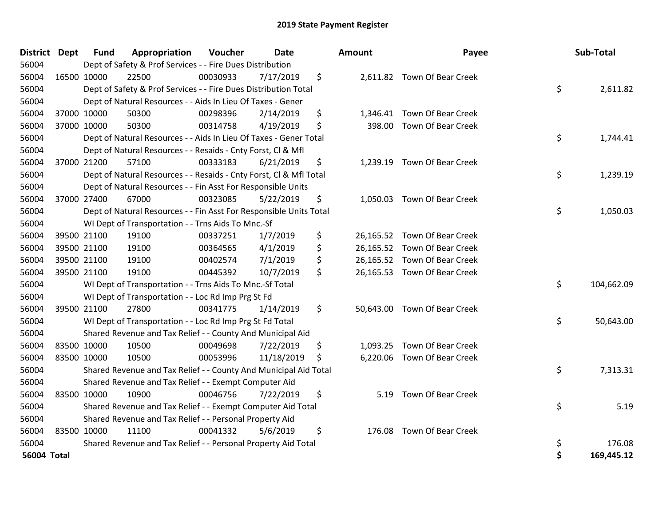| <b>District</b>    | <b>Dept</b> | <b>Fund</b> | Appropriation                                                      | Voucher  | <b>Date</b> | Amount         | Payee                        | Sub-Total        |
|--------------------|-------------|-------------|--------------------------------------------------------------------|----------|-------------|----------------|------------------------------|------------------|
| 56004              |             |             | Dept of Safety & Prof Services - - Fire Dues Distribution          |          |             |                |                              |                  |
| 56004              |             | 16500 10000 | 22500                                                              | 00030933 | 7/17/2019   | \$             | 2,611.82 Town Of Bear Creek  |                  |
| 56004              |             |             | Dept of Safety & Prof Services - - Fire Dues Distribution Total    |          |             |                |                              | \$<br>2,611.82   |
| 56004              |             |             | Dept of Natural Resources - - Aids In Lieu Of Taxes - Gener        |          |             |                |                              |                  |
| 56004              |             | 37000 10000 | 50300                                                              | 00298396 | 2/14/2019   | \$<br>1,346.41 | Town Of Bear Creek           |                  |
| 56004              |             | 37000 10000 | 50300                                                              | 00314758 | 4/19/2019   | \$<br>398.00   | Town Of Bear Creek           |                  |
| 56004              |             |             | Dept of Natural Resources - - Aids In Lieu Of Taxes - Gener Total  |          |             |                |                              | \$<br>1,744.41   |
| 56004              |             |             | Dept of Natural Resources - - Resaids - Cnty Forst, Cl & Mfl       |          |             |                |                              |                  |
| 56004              |             | 37000 21200 | 57100                                                              | 00333183 | 6/21/2019   | \$             | 1,239.19 Town Of Bear Creek  |                  |
| 56004              |             |             | Dept of Natural Resources - - Resaids - Cnty Forst, Cl & Mfl Total |          |             |                |                              | \$<br>1,239.19   |
| 56004              |             |             | Dept of Natural Resources - - Fin Asst For Responsible Units       |          |             |                |                              |                  |
| 56004              |             | 37000 27400 | 67000                                                              | 00323085 | 5/22/2019   | \$             | 1,050.03 Town Of Bear Creek  |                  |
| 56004              |             |             | Dept of Natural Resources - - Fin Asst For Responsible Units Total |          |             |                |                              | \$<br>1,050.03   |
| 56004              |             |             | WI Dept of Transportation - - Trns Aids To Mnc.-Sf                 |          |             |                |                              |                  |
| 56004              |             | 39500 21100 | 19100                                                              | 00337251 | 1/7/2019    | \$             | 26,165.52 Town Of Bear Creek |                  |
| 56004              |             | 39500 21100 | 19100                                                              | 00364565 | 4/1/2019    | \$             | 26,165.52 Town Of Bear Creek |                  |
| 56004              |             | 39500 21100 | 19100                                                              | 00402574 | 7/1/2019    | \$             | 26,165.52 Town Of Bear Creek |                  |
| 56004              |             | 39500 21100 | 19100                                                              | 00445392 | 10/7/2019   | \$             | 26,165.53 Town Of Bear Creek |                  |
| 56004              |             |             | WI Dept of Transportation - - Trns Aids To Mnc.-Sf Total           |          |             |                |                              | \$<br>104,662.09 |
| 56004              |             |             | WI Dept of Transportation - - Loc Rd Imp Prg St Fd                 |          |             |                |                              |                  |
| 56004              |             | 39500 21100 | 27800                                                              | 00341775 | 1/14/2019   | \$             | 50,643.00 Town Of Bear Creek |                  |
| 56004              |             |             | WI Dept of Transportation - - Loc Rd Imp Prg St Fd Total           |          |             |                |                              | \$<br>50,643.00  |
| 56004              |             |             | Shared Revenue and Tax Relief - - County And Municipal Aid         |          |             |                |                              |                  |
| 56004              |             | 83500 10000 | 10500                                                              | 00049698 | 7/22/2019   | \$             | 1,093.25 Town Of Bear Creek  |                  |
| 56004              |             | 83500 10000 | 10500                                                              | 00053996 | 11/18/2019  | \$             | 6,220.06 Town Of Bear Creek  |                  |
| 56004              |             |             | Shared Revenue and Tax Relief - - County And Municipal Aid Total   |          |             |                |                              | \$<br>7,313.31   |
| 56004              |             |             | Shared Revenue and Tax Relief - - Exempt Computer Aid              |          |             |                |                              |                  |
| 56004              |             | 83500 10000 | 10900                                                              | 00046756 | 7/22/2019   | \$<br>5.19     | <b>Town Of Bear Creek</b>    |                  |
| 56004              |             |             | Shared Revenue and Tax Relief - - Exempt Computer Aid Total        |          |             |                |                              | \$<br>5.19       |
| 56004              |             |             | Shared Revenue and Tax Relief - - Personal Property Aid            |          |             |                |                              |                  |
| 56004              | 83500 10000 |             | 11100                                                              | 00041332 | 5/6/2019    | \$<br>176.08   | Town Of Bear Creek           |                  |
| 56004              |             |             | Shared Revenue and Tax Relief - - Personal Property Aid Total      |          |             |                |                              | \$<br>176.08     |
| <b>56004 Total</b> |             |             |                                                                    |          |             |                |                              | \$<br>169,445.12 |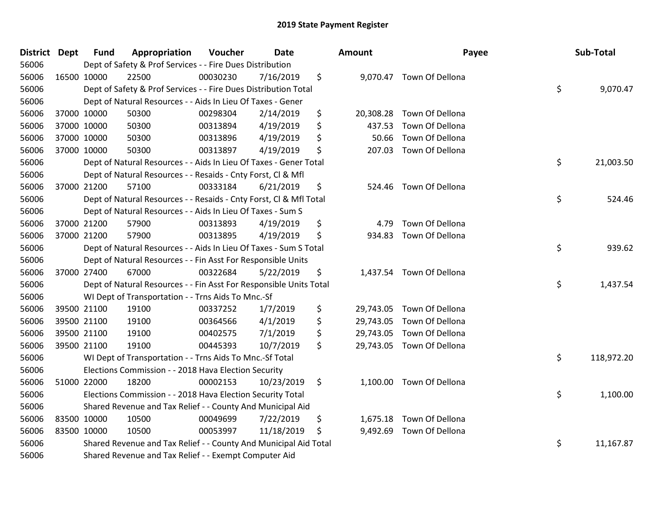| District Dept | <b>Fund</b> | Appropriation                                                      | Voucher  | <b>Date</b> | Amount          | Payee                     | Sub-Total        |
|---------------|-------------|--------------------------------------------------------------------|----------|-------------|-----------------|---------------------------|------------------|
| 56006         |             | Dept of Safety & Prof Services - - Fire Dues Distribution          |          |             |                 |                           |                  |
| 56006         | 16500 10000 | 22500                                                              | 00030230 | 7/16/2019   | \$              | 9,070.47 Town Of Dellona  |                  |
| 56006         |             | Dept of Safety & Prof Services - - Fire Dues Distribution Total    |          |             |                 |                           | \$<br>9,070.47   |
| 56006         |             | Dept of Natural Resources - - Aids In Lieu Of Taxes - Gener        |          |             |                 |                           |                  |
| 56006         | 37000 10000 | 50300                                                              | 00298304 | 2/14/2019   | \$<br>20,308.28 | Town Of Dellona           |                  |
| 56006         | 37000 10000 | 50300                                                              | 00313894 | 4/19/2019   | \$<br>437.53    | Town Of Dellona           |                  |
| 56006         | 37000 10000 | 50300                                                              | 00313896 | 4/19/2019   | \$<br>50.66     | Town Of Dellona           |                  |
| 56006         | 37000 10000 | 50300                                                              | 00313897 | 4/19/2019   | \$<br>207.03    | Town Of Dellona           |                  |
| 56006         |             | Dept of Natural Resources - - Aids In Lieu Of Taxes - Gener Total  |          |             |                 |                           | \$<br>21,003.50  |
| 56006         |             | Dept of Natural Resources - - Resaids - Cnty Forst, CI & Mfl       |          |             |                 |                           |                  |
| 56006         | 37000 21200 | 57100                                                              | 00333184 | 6/21/2019   | \$<br>524.46    | Town Of Dellona           |                  |
| 56006         |             | Dept of Natural Resources - - Resaids - Cnty Forst, Cl & Mfl Total |          |             |                 |                           | \$<br>524.46     |
| 56006         |             | Dept of Natural Resources - - Aids In Lieu Of Taxes - Sum S        |          |             |                 |                           |                  |
| 56006         | 37000 21200 | 57900                                                              | 00313893 | 4/19/2019   | \$<br>4.79      | Town Of Dellona           |                  |
| 56006         | 37000 21200 | 57900                                                              | 00313895 | 4/19/2019   | \$<br>934.83    | Town Of Dellona           |                  |
| 56006         |             | Dept of Natural Resources - - Aids In Lieu Of Taxes - Sum S Total  |          |             |                 |                           | \$<br>939.62     |
| 56006         |             | Dept of Natural Resources - - Fin Asst For Responsible Units       |          |             |                 |                           |                  |
| 56006         | 37000 27400 | 67000                                                              | 00322684 | 5/22/2019   | \$              | 1,437.54 Town Of Dellona  |                  |
| 56006         |             | Dept of Natural Resources - - Fin Asst For Responsible Units Total |          |             |                 |                           | \$<br>1,437.54   |
| 56006         |             | WI Dept of Transportation - - Trns Aids To Mnc.-Sf                 |          |             |                 |                           |                  |
| 56006         | 39500 21100 | 19100                                                              | 00337252 | 1/7/2019    | \$<br>29,743.05 | Town Of Dellona           |                  |
| 56006         | 39500 21100 | 19100                                                              | 00364566 | 4/1/2019    | \$<br>29,743.05 | Town Of Dellona           |                  |
| 56006         | 39500 21100 | 19100                                                              | 00402575 | 7/1/2019    | \$<br>29,743.05 | Town Of Dellona           |                  |
| 56006         | 39500 21100 | 19100                                                              | 00445393 | 10/7/2019   | \$              | 29,743.05 Town Of Dellona |                  |
| 56006         |             | WI Dept of Transportation - - Trns Aids To Mnc.-Sf Total           |          |             |                 |                           | \$<br>118,972.20 |
| 56006         |             | Elections Commission - - 2018 Hava Election Security               |          |             |                 |                           |                  |
| 56006         | 51000 22000 | 18200                                                              | 00002153 | 10/23/2019  | \$<br>1,100.00  | Town Of Dellona           |                  |
| 56006         |             | Elections Commission - - 2018 Hava Election Security Total         |          |             |                 |                           | \$<br>1,100.00   |
| 56006         |             | Shared Revenue and Tax Relief - - County And Municipal Aid         |          |             |                 |                           |                  |
| 56006         | 83500 10000 | 10500                                                              | 00049699 | 7/22/2019   | \$<br>1,675.18  | Town Of Dellona           |                  |
| 56006         | 83500 10000 | 10500                                                              | 00053997 | 11/18/2019  | \$<br>9,492.69  | Town Of Dellona           |                  |
| 56006         |             | Shared Revenue and Tax Relief - - County And Municipal Aid Total   |          |             |                 |                           | \$<br>11,167.87  |
| 56006         |             | Shared Revenue and Tax Relief - - Exempt Computer Aid              |          |             |                 |                           |                  |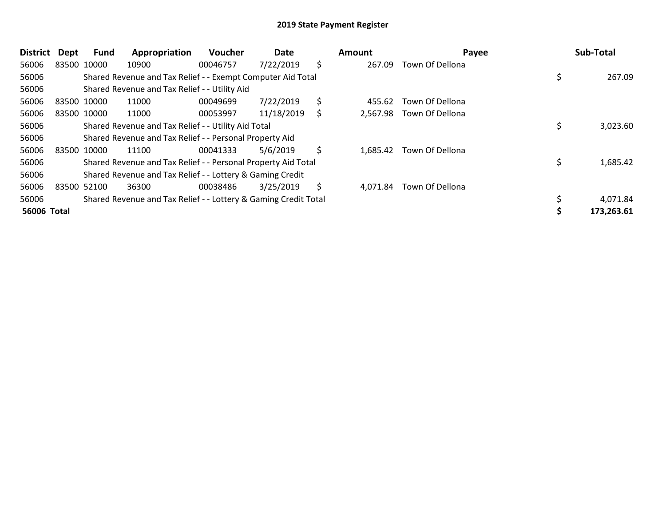| <b>District</b> | Dept | <b>Fund</b> | Appropriation                                                   | <b>Voucher</b> | Date       |    | Amount   | Payee           | Sub-Total  |
|-----------------|------|-------------|-----------------------------------------------------------------|----------------|------------|----|----------|-----------------|------------|
| 56006           |      | 83500 10000 | 10900                                                           | 00046757       | 7/22/2019  | \$ | 267.09   | Town Of Dellona |            |
| 56006           |      |             | Shared Revenue and Tax Relief - - Exempt Computer Aid Total     |                |            |    |          |                 | 267.09     |
| 56006           |      |             | Shared Revenue and Tax Relief - - Utility Aid                   |                |            |    |          |                 |            |
| 56006           |      | 83500 10000 | 11000                                                           | 00049699       | 7/22/2019  | \$ | 455.62   | Town Of Dellona |            |
| 56006           |      | 83500 10000 | 11000                                                           | 00053997       | 11/18/2019 | S  | 2,567.98 | Town Of Dellona |            |
| 56006           |      |             | Shared Revenue and Tax Relief - - Utility Aid Total             |                |            |    |          |                 | 3,023.60   |
| 56006           |      |             | Shared Revenue and Tax Relief - - Personal Property Aid         |                |            |    |          |                 |            |
| 56006           |      | 83500 10000 | 11100                                                           | 00041333       | 5/6/2019   | \$ | 1,685.42 | Town Of Dellona |            |
| 56006           |      |             | Shared Revenue and Tax Relief - - Personal Property Aid Total   |                |            |    |          |                 | 1,685.42   |
| 56006           |      |             | Shared Revenue and Tax Relief - - Lottery & Gaming Credit       |                |            |    |          |                 |            |
| 56006           |      | 83500 52100 | 36300                                                           | 00038486       | 3/25/2019  | S  | 4,071.84 | Town Of Dellona |            |
| 56006           |      |             | Shared Revenue and Tax Relief - - Lottery & Gaming Credit Total |                |            |    |          |                 | 4,071.84   |
| 56006 Total     |      |             |                                                                 |                |            |    |          |                 | 173,263.61 |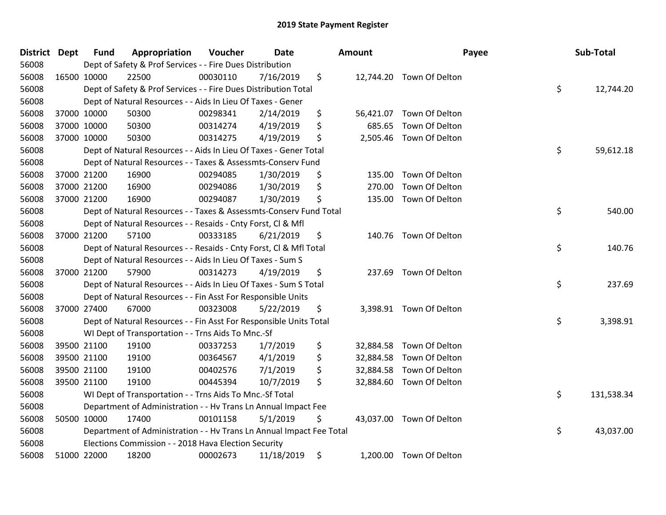| <b>District</b> | <b>Dept</b> | <b>Fund</b> | Appropriation                                                        | Voucher  | Date       | Amount          | Payee                    | Sub-Total        |
|-----------------|-------------|-------------|----------------------------------------------------------------------|----------|------------|-----------------|--------------------------|------------------|
| 56008           |             |             | Dept of Safety & Prof Services - - Fire Dues Distribution            |          |            |                 |                          |                  |
| 56008           |             | 16500 10000 | 22500                                                                | 00030110 | 7/16/2019  | \$              | 12,744.20 Town Of Delton |                  |
| 56008           |             |             | Dept of Safety & Prof Services - - Fire Dues Distribution Total      |          |            |                 |                          | \$<br>12,744.20  |
| 56008           |             |             | Dept of Natural Resources - - Aids In Lieu Of Taxes - Gener          |          |            |                 |                          |                  |
| 56008           |             | 37000 10000 | 50300                                                                | 00298341 | 2/14/2019  | \$<br>56,421.07 | Town Of Delton           |                  |
| 56008           |             | 37000 10000 | 50300                                                                | 00314274 | 4/19/2019  | \$<br>685.65    | Town Of Delton           |                  |
| 56008           |             | 37000 10000 | 50300                                                                | 00314275 | 4/19/2019  | \$<br>2,505.46  | Town Of Delton           |                  |
| 56008           |             |             | Dept of Natural Resources - - Aids In Lieu Of Taxes - Gener Total    |          |            |                 |                          | \$<br>59,612.18  |
| 56008           |             |             | Dept of Natural Resources - - Taxes & Assessmts-Conserv Fund         |          |            |                 |                          |                  |
| 56008           |             | 37000 21200 | 16900                                                                | 00294085 | 1/30/2019  | \$<br>135.00    | Town Of Delton           |                  |
| 56008           |             | 37000 21200 | 16900                                                                | 00294086 | 1/30/2019  | \$<br>270.00    | Town Of Delton           |                  |
| 56008           |             | 37000 21200 | 16900                                                                | 00294087 | 1/30/2019  | \$<br>135.00    | Town Of Delton           |                  |
| 56008           |             |             | Dept of Natural Resources - - Taxes & Assessmts-Conserv Fund Total   |          |            |                 |                          | \$<br>540.00     |
| 56008           |             |             | Dept of Natural Resources - - Resaids - Cnty Forst, Cl & Mfl         |          |            |                 |                          |                  |
| 56008           |             | 37000 21200 | 57100                                                                | 00333185 | 6/21/2019  | \$<br>140.76    | Town Of Delton           |                  |
| 56008           |             |             | Dept of Natural Resources - - Resaids - Cnty Forst, CI & Mfl Total   |          |            |                 |                          | \$<br>140.76     |
| 56008           |             |             | Dept of Natural Resources - - Aids In Lieu Of Taxes - Sum S          |          |            |                 |                          |                  |
| 56008           |             | 37000 21200 | 57900                                                                | 00314273 | 4/19/2019  | \$<br>237.69    | Town Of Delton           |                  |
| 56008           |             |             | Dept of Natural Resources - - Aids In Lieu Of Taxes - Sum S Total    |          |            |                 |                          | \$<br>237.69     |
| 56008           |             |             | Dept of Natural Resources - - Fin Asst For Responsible Units         |          |            |                 |                          |                  |
| 56008           |             | 37000 27400 | 67000                                                                | 00323008 | 5/22/2019  | \$<br>3,398.91  | Town Of Delton           |                  |
| 56008           |             |             | Dept of Natural Resources - - Fin Asst For Responsible Units Total   |          |            |                 |                          | \$<br>3,398.91   |
| 56008           |             |             | WI Dept of Transportation - - Trns Aids To Mnc.-Sf                   |          |            |                 |                          |                  |
| 56008           |             | 39500 21100 | 19100                                                                | 00337253 | 1/7/2019   | \$<br>32,884.58 | Town Of Delton           |                  |
| 56008           |             | 39500 21100 | 19100                                                                | 00364567 | 4/1/2019   | \$<br>32,884.58 | Town Of Delton           |                  |
| 56008           |             | 39500 21100 | 19100                                                                | 00402576 | 7/1/2019   | \$<br>32,884.58 | Town Of Delton           |                  |
| 56008           |             | 39500 21100 | 19100                                                                | 00445394 | 10/7/2019  | \$              | 32,884.60 Town Of Delton |                  |
| 56008           |             |             | WI Dept of Transportation - - Trns Aids To Mnc.-Sf Total             |          |            |                 |                          | \$<br>131,538.34 |
| 56008           |             |             | Department of Administration - - Hv Trans Ln Annual Impact Fee       |          |            |                 |                          |                  |
| 56008           |             | 50500 10000 | 17400                                                                | 00101158 | 5/1/2019   | \$              | 43,037.00 Town Of Delton |                  |
| 56008           |             |             | Department of Administration - - Hv Trans Ln Annual Impact Fee Total |          |            |                 |                          | \$<br>43,037.00  |
| 56008           |             |             | Elections Commission - - 2018 Hava Election Security                 |          |            |                 |                          |                  |
| 56008           |             | 51000 22000 | 18200                                                                | 00002673 | 11/18/2019 | \$              | 1,200.00 Town Of Delton  |                  |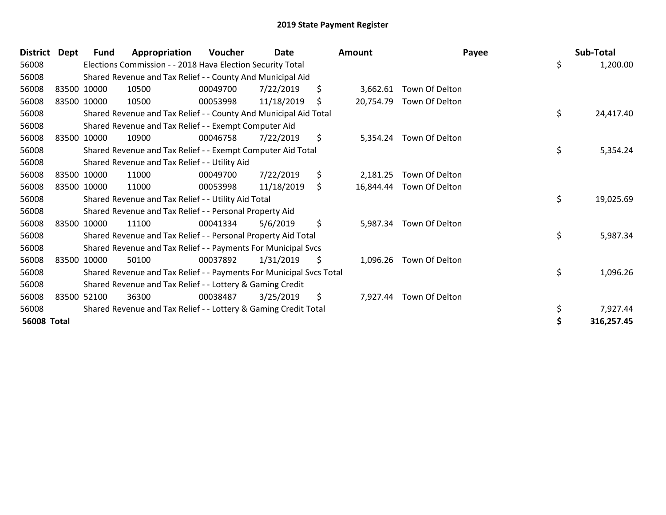| <b>District</b>    | Dept        | Fund        | Appropriation                                                       | Voucher  | Date       | <b>Amount</b>   |                         | Payee | Sub-Total       |
|--------------------|-------------|-------------|---------------------------------------------------------------------|----------|------------|-----------------|-------------------------|-------|-----------------|
| 56008              |             |             | Elections Commission - - 2018 Hava Election Security Total          |          |            |                 |                         |       | \$<br>1,200.00  |
| 56008              |             |             | Shared Revenue and Tax Relief - - County And Municipal Aid          |          |            |                 |                         |       |                 |
| 56008              |             | 83500 10000 | 10500                                                               | 00049700 | 7/22/2019  | \$<br>3,662.61  | Town Of Delton          |       |                 |
| 56008              | 83500 10000 |             | 10500                                                               | 00053998 | 11/18/2019 | \$<br>20,754.79 | Town Of Delton          |       |                 |
| 56008              |             |             | Shared Revenue and Tax Relief - - County And Municipal Aid Total    |          |            |                 |                         |       | \$<br>24,417.40 |
| 56008              |             |             | Shared Revenue and Tax Relief - - Exempt Computer Aid               |          |            |                 |                         |       |                 |
| 56008              | 83500 10000 |             | 10900                                                               | 00046758 | 7/22/2019  | \$<br>5,354.24  | Town Of Delton          |       |                 |
| 56008              |             |             | Shared Revenue and Tax Relief - - Exempt Computer Aid Total         |          |            |                 |                         |       | \$<br>5,354.24  |
| 56008              |             |             | Shared Revenue and Tax Relief - - Utility Aid                       |          |            |                 |                         |       |                 |
| 56008              | 83500 10000 |             | 11000                                                               | 00049700 | 7/22/2019  | \$<br>2,181.25  | Town Of Delton          |       |                 |
| 56008              |             | 83500 10000 | 11000                                                               | 00053998 | 11/18/2019 | \$<br>16,844.44 | Town Of Delton          |       |                 |
| 56008              |             |             | Shared Revenue and Tax Relief - - Utility Aid Total                 |          |            |                 |                         |       | \$<br>19,025.69 |
| 56008              |             |             | Shared Revenue and Tax Relief - - Personal Property Aid             |          |            |                 |                         |       |                 |
| 56008              |             | 83500 10000 | 11100                                                               | 00041334 | 5/6/2019   | \$              | 5,987.34 Town Of Delton |       |                 |
| 56008              |             |             | Shared Revenue and Tax Relief - - Personal Property Aid Total       |          |            |                 |                         |       | \$<br>5,987.34  |
| 56008              |             |             | Shared Revenue and Tax Relief - - Payments For Municipal Svcs       |          |            |                 |                         |       |                 |
| 56008              | 83500 10000 |             | 50100                                                               | 00037892 | 1/31/2019  | \$<br>1,096.26  | Town Of Delton          |       |                 |
| 56008              |             |             | Shared Revenue and Tax Relief - - Payments For Municipal Svcs Total |          |            |                 |                         |       | \$<br>1,096.26  |
| 56008              |             |             | Shared Revenue and Tax Relief - - Lottery & Gaming Credit           |          |            |                 |                         |       |                 |
| 56008              | 83500 52100 |             | 36300                                                               | 00038487 | 3/25/2019  | \$<br>7,927.44  | Town Of Delton          |       |                 |
| 56008              |             |             | Shared Revenue and Tax Relief - - Lottery & Gaming Credit Total     |          |            |                 |                         |       | \$<br>7,927.44  |
| <b>56008 Total</b> |             |             |                                                                     |          |            |                 |                         |       | 316,257.45      |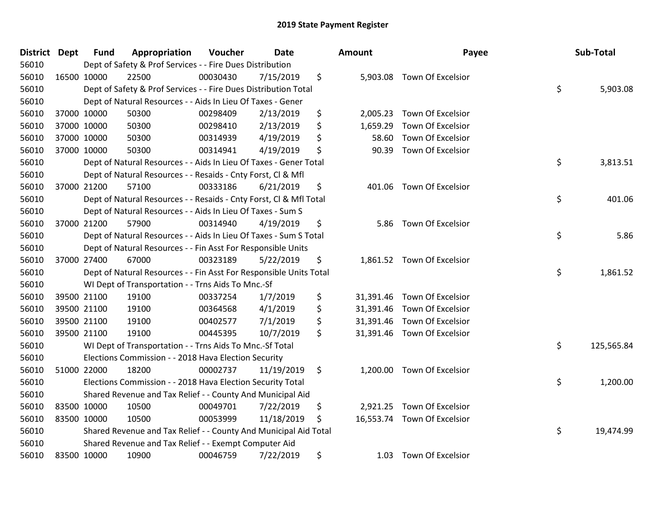| District Dept | <b>Fund</b> | Appropriation                                                      | Voucher  | <b>Date</b> | Amount          | Payee                       | Sub-Total        |
|---------------|-------------|--------------------------------------------------------------------|----------|-------------|-----------------|-----------------------------|------------------|
| 56010         |             | Dept of Safety & Prof Services - - Fire Dues Distribution          |          |             |                 |                             |                  |
| 56010         | 16500 10000 | 22500                                                              | 00030430 | 7/15/2019   | \$              | 5,903.08 Town Of Excelsior  |                  |
| 56010         |             | Dept of Safety & Prof Services - - Fire Dues Distribution Total    |          |             |                 |                             | \$<br>5,903.08   |
| 56010         |             | Dept of Natural Resources - - Aids In Lieu Of Taxes - Gener        |          |             |                 |                             |                  |
| 56010         | 37000 10000 | 50300                                                              | 00298409 | 2/13/2019   | \$<br>2,005.23  | <b>Town Of Excelsior</b>    |                  |
| 56010         | 37000 10000 | 50300                                                              | 00298410 | 2/13/2019   | \$<br>1,659.29  | Town Of Excelsior           |                  |
| 56010         | 37000 10000 | 50300                                                              | 00314939 | 4/19/2019   | \$<br>58.60     | Town Of Excelsior           |                  |
| 56010         | 37000 10000 | 50300                                                              | 00314941 | 4/19/2019   | \$<br>90.39     | Town Of Excelsior           |                  |
| 56010         |             | Dept of Natural Resources - - Aids In Lieu Of Taxes - Gener Total  |          |             |                 |                             | \$<br>3,813.51   |
| 56010         |             | Dept of Natural Resources - - Resaids - Cnty Forst, CI & Mfl       |          |             |                 |                             |                  |
| 56010         | 37000 21200 | 57100                                                              | 00333186 | 6/21/2019   | \$              | 401.06 Town Of Excelsior    |                  |
| 56010         |             | Dept of Natural Resources - - Resaids - Cnty Forst, Cl & Mfl Total |          |             |                 |                             | \$<br>401.06     |
| 56010         |             | Dept of Natural Resources - - Aids In Lieu Of Taxes - Sum S        |          |             |                 |                             |                  |
| 56010         | 37000 21200 | 57900                                                              | 00314940 | 4/19/2019   | \$<br>5.86      | <b>Town Of Excelsior</b>    |                  |
| 56010         |             | Dept of Natural Resources - - Aids In Lieu Of Taxes - Sum S Total  |          |             |                 |                             | \$<br>5.86       |
| 56010         |             | Dept of Natural Resources - - Fin Asst For Responsible Units       |          |             |                 |                             |                  |
| 56010         | 37000 27400 | 67000                                                              | 00323189 | 5/22/2019   | \$              | 1,861.52 Town Of Excelsior  |                  |
| 56010         |             | Dept of Natural Resources - - Fin Asst For Responsible Units Total |          |             |                 |                             | \$<br>1,861.52   |
| 56010         |             | WI Dept of Transportation - - Trns Aids To Mnc.-Sf                 |          |             |                 |                             |                  |
| 56010         | 39500 21100 | 19100                                                              | 00337254 | 1/7/2019    | \$<br>31,391.46 | Town Of Excelsior           |                  |
| 56010         | 39500 21100 | 19100                                                              | 00364568 | 4/1/2019    | \$<br>31,391.46 | Town Of Excelsior           |                  |
| 56010         | 39500 21100 | 19100                                                              | 00402577 | 7/1/2019    | \$<br>31,391.46 | Town Of Excelsior           |                  |
| 56010         | 39500 21100 | 19100                                                              | 00445395 | 10/7/2019   | \$              | 31,391.46 Town Of Excelsior |                  |
| 56010         |             | WI Dept of Transportation - - Trns Aids To Mnc.-Sf Total           |          |             |                 |                             | \$<br>125,565.84 |
| 56010         |             | Elections Commission - - 2018 Hava Election Security               |          |             |                 |                             |                  |
| 56010         | 51000 22000 | 18200                                                              | 00002737 | 11/19/2019  | \$<br>1,200.00  | Town Of Excelsior           |                  |
| 56010         |             | Elections Commission - - 2018 Hava Election Security Total         |          |             |                 |                             | \$<br>1,200.00   |
| 56010         |             | Shared Revenue and Tax Relief - - County And Municipal Aid         |          |             |                 |                             |                  |
| 56010         | 83500 10000 | 10500                                                              | 00049701 | 7/22/2019   | \$<br>2,921.25  | Town Of Excelsior           |                  |
| 56010         | 83500 10000 | 10500                                                              | 00053999 | 11/18/2019  | \$              | 16,553.74 Town Of Excelsior |                  |
| 56010         |             | Shared Revenue and Tax Relief - - County And Municipal Aid Total   |          |             |                 |                             | \$<br>19,474.99  |
| 56010         |             | Shared Revenue and Tax Relief - - Exempt Computer Aid              |          |             |                 |                             |                  |
| 56010         | 83500 10000 | 10900                                                              | 00046759 | 7/22/2019   | \$<br>1.03      | <b>Town Of Excelsior</b>    |                  |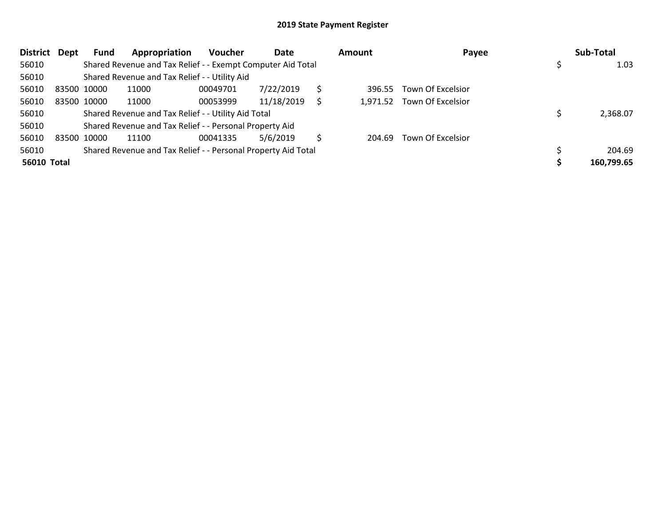| <b>District</b>    | Dept | Fund        | Appropriation                                                 | <b>Voucher</b> | Date       |   | <b>Amount</b> | Payee                      | Sub-Total  |
|--------------------|------|-------------|---------------------------------------------------------------|----------------|------------|---|---------------|----------------------------|------------|
| 56010              |      |             | Shared Revenue and Tax Relief - - Exempt Computer Aid Total   |                |            |   |               |                            | 1.03       |
| 56010              |      |             | Shared Revenue and Tax Relief - - Utility Aid                 |                |            |   |               |                            |            |
| 56010              |      | 83500 10000 | 11000                                                         | 00049701       | 7/22/2019  |   | 396.55        | Town Of Excelsior          |            |
| 56010              |      | 83500 10000 | 11000                                                         | 00053999       | 11/18/2019 | S |               | 1,971.52 Town Of Excelsior |            |
| 56010              |      |             | Shared Revenue and Tax Relief - - Utility Aid Total           |                |            |   |               |                            | 2,368.07   |
| 56010              |      |             | Shared Revenue and Tax Relief - - Personal Property Aid       |                |            |   |               |                            |            |
| 56010              |      | 83500 10000 | 11100                                                         | 00041335       | 5/6/2019   | S | 204.69        | Town Of Excelsior          |            |
| 56010              |      |             | Shared Revenue and Tax Relief - - Personal Property Aid Total |                |            |   |               |                            | 204.69     |
| <b>56010 Total</b> |      |             |                                                               |                |            |   |               |                            | 160,799.65 |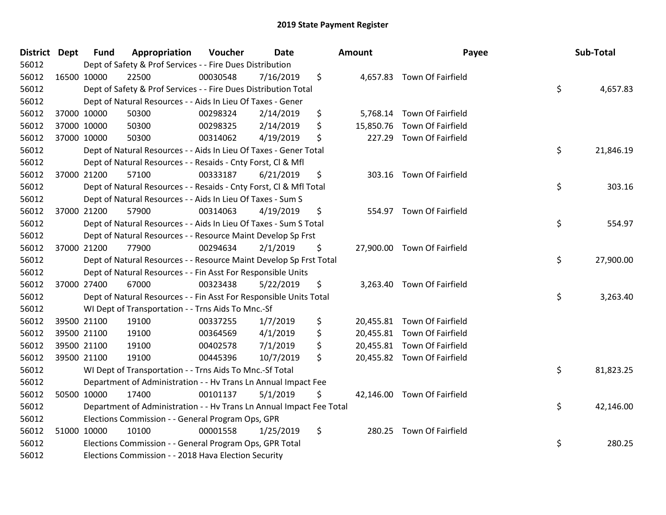| District Dept | <b>Fund</b> | Appropriation                                                        | Voucher  | <b>Date</b> | Amount          | Payee                       | Sub-Total       |
|---------------|-------------|----------------------------------------------------------------------|----------|-------------|-----------------|-----------------------------|-----------------|
| 56012         |             | Dept of Safety & Prof Services - - Fire Dues Distribution            |          |             |                 |                             |                 |
| 56012         | 16500 10000 | 22500                                                                | 00030548 | 7/16/2019   | \$              | 4,657.83 Town Of Fairfield  |                 |
| 56012         |             | Dept of Safety & Prof Services - - Fire Dues Distribution Total      |          |             |                 |                             | \$<br>4,657.83  |
| 56012         |             | Dept of Natural Resources - - Aids In Lieu Of Taxes - Gener          |          |             |                 |                             |                 |
| 56012         | 37000 10000 | 50300                                                                | 00298324 | 2/14/2019   | \$<br>5,768.14  | Town Of Fairfield           |                 |
| 56012         | 37000 10000 | 50300                                                                | 00298325 | 2/14/2019   | \$<br>15,850.76 | Town Of Fairfield           |                 |
| 56012         | 37000 10000 | 50300                                                                | 00314062 | 4/19/2019   | \$<br>227.29    | <b>Town Of Fairfield</b>    |                 |
| 56012         |             | Dept of Natural Resources - - Aids In Lieu Of Taxes - Gener Total    |          |             |                 |                             | \$<br>21,846.19 |
| 56012         |             | Dept of Natural Resources - - Resaids - Cnty Forst, Cl & Mfl         |          |             |                 |                             |                 |
| 56012         | 37000 21200 | 57100                                                                | 00333187 | 6/21/2019   | \$              | 303.16 Town Of Fairfield    |                 |
| 56012         |             | Dept of Natural Resources - - Resaids - Cnty Forst, Cl & Mfl Total   |          |             |                 |                             | \$<br>303.16    |
| 56012         |             | Dept of Natural Resources - - Aids In Lieu Of Taxes - Sum S          |          |             |                 |                             |                 |
| 56012         | 37000 21200 | 57900                                                                | 00314063 | 4/19/2019   | \$              | 554.97 Town Of Fairfield    |                 |
| 56012         |             | Dept of Natural Resources - - Aids In Lieu Of Taxes - Sum S Total    |          |             |                 |                             | \$<br>554.97    |
| 56012         |             | Dept of Natural Resources - - Resource Maint Develop Sp Frst         |          |             |                 |                             |                 |
| 56012         | 37000 21200 | 77900                                                                | 00294634 | 2/1/2019    | \$              | 27,900.00 Town Of Fairfield |                 |
| 56012         |             | Dept of Natural Resources - - Resource Maint Develop Sp Frst Total   |          |             |                 |                             | \$<br>27,900.00 |
| 56012         |             | Dept of Natural Resources - - Fin Asst For Responsible Units         |          |             |                 |                             |                 |
| 56012         | 37000 27400 | 67000                                                                | 00323438 | 5/22/2019   | \$              | 3,263.40 Town Of Fairfield  |                 |
| 56012         |             | Dept of Natural Resources - - Fin Asst For Responsible Units Total   |          |             |                 |                             | \$<br>3,263.40  |
| 56012         |             | WI Dept of Transportation - - Trns Aids To Mnc.-Sf                   |          |             |                 |                             |                 |
| 56012         | 39500 21100 | 19100                                                                | 00337255 | 1/7/2019    | \$              | 20,455.81 Town Of Fairfield |                 |
| 56012         | 39500 21100 | 19100                                                                | 00364569 | 4/1/2019    | \$              | 20,455.81 Town Of Fairfield |                 |
| 56012         | 39500 21100 | 19100                                                                | 00402578 | 7/1/2019    | \$              | 20,455.81 Town Of Fairfield |                 |
| 56012         | 39500 21100 | 19100                                                                | 00445396 | 10/7/2019   | \$              | 20,455.82 Town Of Fairfield |                 |
| 56012         |             | WI Dept of Transportation - - Trns Aids To Mnc.-Sf Total             |          |             |                 |                             | \$<br>81,823.25 |
| 56012         |             | Department of Administration - - Hv Trans Ln Annual Impact Fee       |          |             |                 |                             |                 |
| 56012         | 50500 10000 | 17400                                                                | 00101137 | 5/1/2019    | \$              | 42,146.00 Town Of Fairfield |                 |
| 56012         |             | Department of Administration - - Hv Trans Ln Annual Impact Fee Total |          |             |                 |                             | \$<br>42,146.00 |
| 56012         |             | Elections Commission - - General Program Ops, GPR                    |          |             |                 |                             |                 |
| 56012         | 51000 10000 | 10100                                                                | 00001558 | 1/25/2019   | \$<br>280.25    | Town Of Fairfield           |                 |
| 56012         |             | Elections Commission - - General Program Ops, GPR Total              |          |             |                 |                             | \$<br>280.25    |
| 56012         |             | Elections Commission - - 2018 Hava Election Security                 |          |             |                 |                             |                 |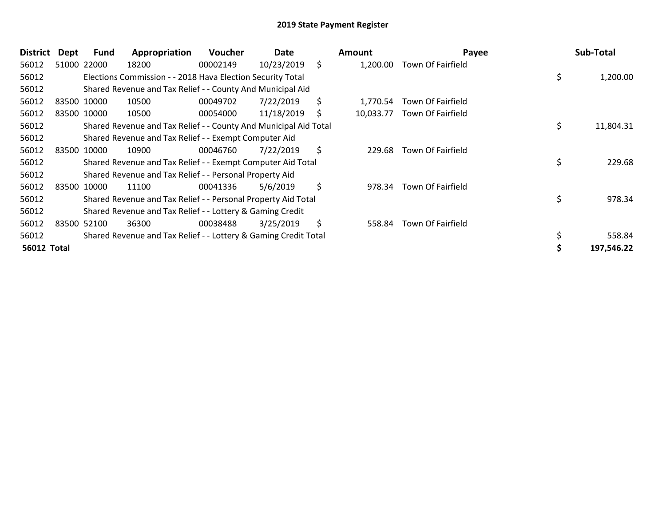| <b>District</b>    | Dept  | <b>Fund</b> | Appropriation                                                    | <b>Voucher</b> | Date       |    | <b>Amount</b> | Payee             | Sub-Total       |
|--------------------|-------|-------------|------------------------------------------------------------------|----------------|------------|----|---------------|-------------------|-----------------|
| 56012              |       | 51000 22000 | 18200                                                            | 00002149       | 10/23/2019 | \$ | 1,200.00      | Town Of Fairfield |                 |
| 56012              |       |             | Elections Commission - - 2018 Hava Election Security Total       |                |            |    |               |                   | \$<br>1,200.00  |
| 56012              |       |             | Shared Revenue and Tax Relief - - County And Municipal Aid       |                |            |    |               |                   |                 |
| 56012              |       | 83500 10000 | 10500                                                            | 00049702       | 7/22/2019  | \$ | 1.770.54      | Town Of Fairfield |                 |
| 56012              |       | 83500 10000 | 10500                                                            | 00054000       | 11/18/2019 | S  | 10,033.77     | Town Of Fairfield |                 |
| 56012              |       |             | Shared Revenue and Tax Relief - - County And Municipal Aid Total |                |            |    |               |                   | \$<br>11,804.31 |
| 56012              |       |             | Shared Revenue and Tax Relief - - Exempt Computer Aid            |                |            |    |               |                   |                 |
| 56012              |       | 83500 10000 | 10900                                                            | 00046760       | 7/22/2019  | \$ | 229.68        | Town Of Fairfield |                 |
| 56012              |       |             | Shared Revenue and Tax Relief - - Exempt Computer Aid Total      |                |            |    |               |                   | \$<br>229.68    |
| 56012              |       |             | Shared Revenue and Tax Relief - - Personal Property Aid          |                |            |    |               |                   |                 |
| 56012              | 83500 | 10000       | 11100                                                            | 00041336       | 5/6/2019   | \$ | 978.34        | Town Of Fairfield |                 |
| 56012              |       |             | Shared Revenue and Tax Relief - - Personal Property Aid Total    |                |            |    |               |                   | \$<br>978.34    |
| 56012              |       |             | Shared Revenue and Tax Relief - - Lottery & Gaming Credit        |                |            |    |               |                   |                 |
| 56012              |       | 83500 52100 | 36300                                                            | 00038488       | 3/25/2019  | \$ | 558.84        | Town Of Fairfield |                 |
| 56012              |       |             | Shared Revenue and Tax Relief - - Lottery & Gaming Credit Total  |                |            |    |               |                   | 558.84          |
| <b>56012 Total</b> |       |             |                                                                  |                |            |    |               |                   | 197,546.22      |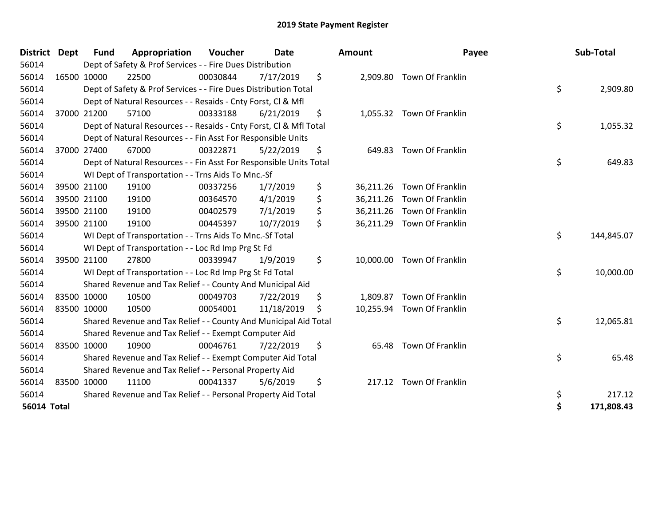| <b>District</b>    | <b>Dept</b> | <b>Fund</b> | Appropriation                                                      | Voucher  | <b>Date</b> | <b>Amount</b>   | Payee                      | Sub-Total        |
|--------------------|-------------|-------------|--------------------------------------------------------------------|----------|-------------|-----------------|----------------------------|------------------|
| 56014              |             |             | Dept of Safety & Prof Services - - Fire Dues Distribution          |          |             |                 |                            |                  |
| 56014              |             | 16500 10000 | 22500                                                              | 00030844 | 7/17/2019   | \$              | 2,909.80 Town Of Franklin  |                  |
| 56014              |             |             | Dept of Safety & Prof Services - - Fire Dues Distribution Total    |          |             |                 |                            | \$<br>2,909.80   |
| 56014              |             |             | Dept of Natural Resources - - Resaids - Cnty Forst, Cl & Mfl       |          |             |                 |                            |                  |
| 56014              |             | 37000 21200 | 57100                                                              | 00333188 | 6/21/2019   | \$              | 1,055.32 Town Of Franklin  |                  |
| 56014              |             |             | Dept of Natural Resources - - Resaids - Cnty Forst, Cl & Mfl Total |          |             |                 |                            | \$<br>1,055.32   |
| 56014              |             |             | Dept of Natural Resources - - Fin Asst For Responsible Units       |          |             |                 |                            |                  |
| 56014              | 37000 27400 |             | 67000                                                              | 00322871 | 5/22/2019   | \$<br>649.83    | Town Of Franklin           |                  |
| 56014              |             |             | Dept of Natural Resources - - Fin Asst For Responsible Units Total |          |             |                 |                            | \$<br>649.83     |
| 56014              |             |             | WI Dept of Transportation - - Trns Aids To Mnc.-Sf                 |          |             |                 |                            |                  |
| 56014              |             | 39500 21100 | 19100                                                              | 00337256 | 1/7/2019    | \$<br>36,211.26 | Town Of Franklin           |                  |
| 56014              |             | 39500 21100 | 19100                                                              | 00364570 | 4/1/2019    | \$<br>36,211.26 | Town Of Franklin           |                  |
| 56014              |             | 39500 21100 | 19100                                                              | 00402579 | 7/1/2019    | \$              | 36,211.26 Town Of Franklin |                  |
| 56014              | 39500 21100 |             | 19100                                                              | 00445397 | 10/7/2019   | \$              | 36,211.29 Town Of Franklin |                  |
| 56014              |             |             | WI Dept of Transportation - - Trns Aids To Mnc.-Sf Total           |          |             |                 |                            | \$<br>144,845.07 |
| 56014              |             |             | WI Dept of Transportation - - Loc Rd Imp Prg St Fd                 |          |             |                 |                            |                  |
| 56014              |             | 39500 21100 | 27800                                                              | 00339947 | 1/9/2019    | \$              | 10,000.00 Town Of Franklin |                  |
| 56014              |             |             | WI Dept of Transportation - - Loc Rd Imp Prg St Fd Total           |          |             |                 |                            | \$<br>10,000.00  |
| 56014              |             |             | Shared Revenue and Tax Relief - - County And Municipal Aid         |          |             |                 |                            |                  |
| 56014              | 83500 10000 |             | 10500                                                              | 00049703 | 7/22/2019   | \$              | 1,809.87 Town Of Franklin  |                  |
| 56014              | 83500 10000 |             | 10500                                                              | 00054001 | 11/18/2019  | \$              | 10,255.94 Town Of Franklin |                  |
| 56014              |             |             | Shared Revenue and Tax Relief - - County And Municipal Aid Total   |          |             |                 |                            | \$<br>12,065.81  |
| 56014              |             |             | Shared Revenue and Tax Relief - - Exempt Computer Aid              |          |             |                 |                            |                  |
| 56014              | 83500 10000 |             | 10900                                                              | 00046761 | 7/22/2019   | \$              | 65.48 Town Of Franklin     |                  |
| 56014              |             |             | Shared Revenue and Tax Relief - - Exempt Computer Aid Total        |          |             |                 |                            | \$<br>65.48      |
| 56014              |             |             | Shared Revenue and Tax Relief - - Personal Property Aid            |          |             |                 |                            |                  |
| 56014              | 83500 10000 |             | 11100                                                              | 00041337 | 5/6/2019    | \$<br>217.12    | Town Of Franklin           |                  |
| 56014              |             |             | Shared Revenue and Tax Relief - - Personal Property Aid Total      |          |             |                 |                            | \$<br>217.12     |
| <b>56014 Total</b> |             |             |                                                                    |          |             |                 |                            | \$<br>171,808.43 |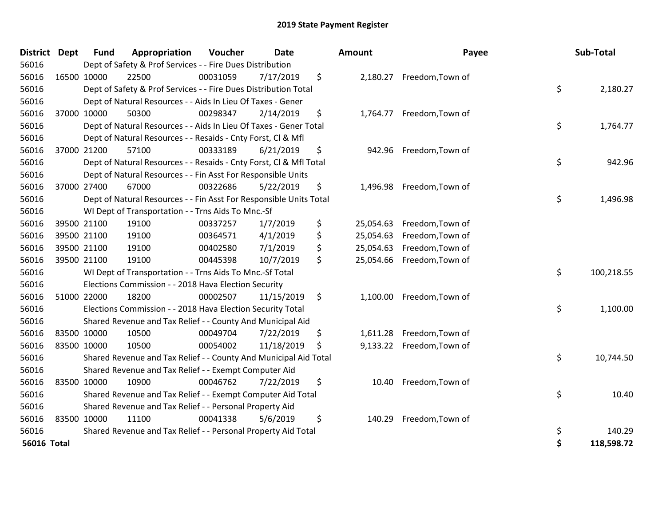| District Dept      | <b>Fund</b> | Appropriation                                                      | Voucher  | <b>Date</b> | <b>Amount</b>   | Payee                     | Sub-Total        |
|--------------------|-------------|--------------------------------------------------------------------|----------|-------------|-----------------|---------------------------|------------------|
| 56016              |             | Dept of Safety & Prof Services - - Fire Dues Distribution          |          |             |                 |                           |                  |
| 56016              | 16500 10000 | 22500                                                              | 00031059 | 7/17/2019   | \$              | 2,180.27 Freedom, Town of |                  |
| 56016              |             | Dept of Safety & Prof Services - - Fire Dues Distribution Total    |          |             |                 |                           | \$<br>2,180.27   |
| 56016              |             | Dept of Natural Resources - - Aids In Lieu Of Taxes - Gener        |          |             |                 |                           |                  |
| 56016              | 37000 10000 | 50300                                                              | 00298347 | 2/14/2019   | \$<br>1,764.77  | Freedom, Town of          |                  |
| 56016              |             | Dept of Natural Resources - - Aids In Lieu Of Taxes - Gener Total  |          |             |                 |                           | \$<br>1,764.77   |
| 56016              |             | Dept of Natural Resources - - Resaids - Cnty Forst, CI & Mfl       |          |             |                 |                           |                  |
| 56016              | 37000 21200 | 57100                                                              | 00333189 | 6/21/2019   | \$<br>942.96    | Freedom, Town of          |                  |
| 56016              |             | Dept of Natural Resources - - Resaids - Cnty Forst, CI & Mfl Total |          |             |                 |                           | \$<br>942.96     |
| 56016              |             | Dept of Natural Resources - - Fin Asst For Responsible Units       |          |             |                 |                           |                  |
| 56016              | 37000 27400 | 67000                                                              | 00322686 | 5/22/2019   | \$<br>1,496.98  | Freedom, Town of          |                  |
| 56016              |             | Dept of Natural Resources - - Fin Asst For Responsible Units Total |          |             |                 |                           | \$<br>1,496.98   |
| 56016              |             | WI Dept of Transportation - - Trns Aids To Mnc.-Sf                 |          |             |                 |                           |                  |
| 56016              | 39500 21100 | 19100                                                              | 00337257 | 1/7/2019    | \$<br>25,054.63 | Freedom, Town of          |                  |
| 56016              | 39500 21100 | 19100                                                              | 00364571 | 4/1/2019    | \$<br>25,054.63 | Freedom, Town of          |                  |
| 56016              | 39500 21100 | 19100                                                              | 00402580 | 7/1/2019    | \$<br>25,054.63 | Freedom, Town of          |                  |
| 56016              | 39500 21100 | 19100                                                              | 00445398 | 10/7/2019   | \$<br>25,054.66 | Freedom, Town of          |                  |
| 56016              |             | WI Dept of Transportation - - Trns Aids To Mnc.-Sf Total           |          |             |                 |                           | \$<br>100,218.55 |
| 56016              |             | Elections Commission - - 2018 Hava Election Security               |          |             |                 |                           |                  |
| 56016              | 51000 22000 | 18200                                                              | 00002507 | 11/15/2019  | \$<br>1,100.00  | Freedom, Town of          |                  |
| 56016              |             | Elections Commission - - 2018 Hava Election Security Total         |          |             |                 |                           | \$<br>1,100.00   |
| 56016              |             | Shared Revenue and Tax Relief - - County And Municipal Aid         |          |             |                 |                           |                  |
| 56016              | 83500 10000 | 10500                                                              | 00049704 | 7/22/2019   | \$<br>1,611.28  | Freedom, Town of          |                  |
| 56016              | 83500 10000 | 10500                                                              | 00054002 | 11/18/2019  | \$<br>9,133.22  | Freedom, Town of          |                  |
| 56016              |             | Shared Revenue and Tax Relief - - County And Municipal Aid Total   |          |             |                 |                           | \$<br>10,744.50  |
| 56016              |             | Shared Revenue and Tax Relief - - Exempt Computer Aid              |          |             |                 |                           |                  |
| 56016              | 83500 10000 | 10900                                                              | 00046762 | 7/22/2019   | \$<br>10.40     | Freedom, Town of          |                  |
| 56016              |             | Shared Revenue and Tax Relief - - Exempt Computer Aid Total        |          |             |                 |                           | \$<br>10.40      |
| 56016              |             | Shared Revenue and Tax Relief - - Personal Property Aid            |          |             |                 |                           |                  |
| 56016              | 83500 10000 | 11100                                                              | 00041338 | 5/6/2019    | \$<br>140.29    | Freedom, Town of          |                  |
| 56016              |             | Shared Revenue and Tax Relief - - Personal Property Aid Total      |          |             |                 |                           | \$<br>140.29     |
| <b>56016 Total</b> |             |                                                                    |          |             |                 |                           | \$<br>118,598.72 |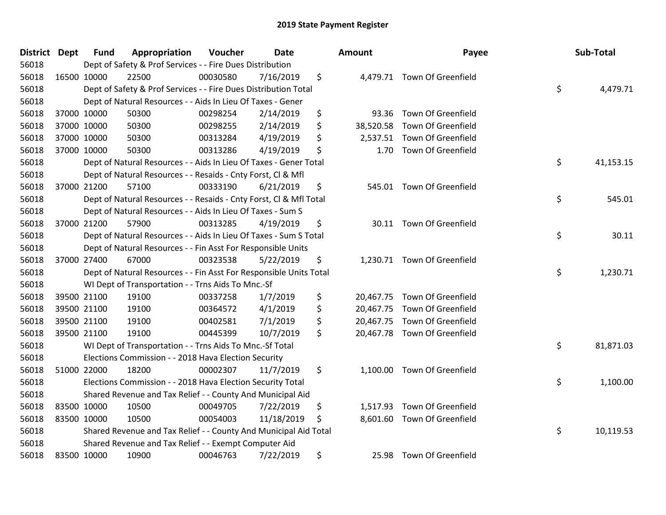| <b>District</b> | <b>Dept</b> | <b>Fund</b> | Appropriation                                                      | Voucher  | Date       | Amount          | Payee                        | Sub-Total       |
|-----------------|-------------|-------------|--------------------------------------------------------------------|----------|------------|-----------------|------------------------------|-----------------|
| 56018           |             |             | Dept of Safety & Prof Services - - Fire Dues Distribution          |          |            |                 |                              |                 |
| 56018           |             | 16500 10000 | 22500                                                              | 00030580 | 7/16/2019  | \$              | 4,479.71 Town Of Greenfield  |                 |
| 56018           |             |             | Dept of Safety & Prof Services - - Fire Dues Distribution Total    |          |            |                 |                              | \$<br>4,479.71  |
| 56018           |             |             | Dept of Natural Resources - - Aids In Lieu Of Taxes - Gener        |          |            |                 |                              |                 |
| 56018           |             | 37000 10000 | 50300                                                              | 00298254 | 2/14/2019  | \$<br>93.36     | <b>Town Of Greenfield</b>    |                 |
| 56018           |             | 37000 10000 | 50300                                                              | 00298255 | 2/14/2019  | \$<br>38,520.58 | <b>Town Of Greenfield</b>    |                 |
| 56018           |             | 37000 10000 | 50300                                                              | 00313284 | 4/19/2019  | \$              | 2,537.51 Town Of Greenfield  |                 |
| 56018           |             | 37000 10000 | 50300                                                              | 00313286 | 4/19/2019  | \$<br>1.70      | <b>Town Of Greenfield</b>    |                 |
| 56018           |             |             | Dept of Natural Resources - - Aids In Lieu Of Taxes - Gener Total  |          |            |                 |                              | \$<br>41,153.15 |
| 56018           |             |             | Dept of Natural Resources - - Resaids - Cnty Forst, Cl & Mfl       |          |            |                 |                              |                 |
| 56018           |             | 37000 21200 | 57100                                                              | 00333190 | 6/21/2019  | \$              | 545.01 Town Of Greenfield    |                 |
| 56018           |             |             | Dept of Natural Resources - - Resaids - Cnty Forst, Cl & Mfl Total |          |            |                 |                              | \$<br>545.01    |
| 56018           |             |             | Dept of Natural Resources - - Aids In Lieu Of Taxes - Sum S        |          |            |                 |                              |                 |
| 56018           |             | 37000 21200 | 57900                                                              | 00313285 | 4/19/2019  | \$              | 30.11 Town Of Greenfield     |                 |
| 56018           |             |             | Dept of Natural Resources - - Aids In Lieu Of Taxes - Sum S Total  |          |            |                 |                              | \$<br>30.11     |
| 56018           |             |             | Dept of Natural Resources - - Fin Asst For Responsible Units       |          |            |                 |                              |                 |
| 56018           |             | 37000 27400 | 67000                                                              | 00323538 | 5/22/2019  | \$              | 1,230.71 Town Of Greenfield  |                 |
| 56018           |             |             | Dept of Natural Resources - - Fin Asst For Responsible Units Total |          |            |                 |                              | \$<br>1,230.71  |
| 56018           |             |             | WI Dept of Transportation - - Trns Aids To Mnc.-Sf                 |          |            |                 |                              |                 |
| 56018           |             | 39500 21100 | 19100                                                              | 00337258 | 1/7/2019   | \$              | 20,467.75 Town Of Greenfield |                 |
| 56018           |             | 39500 21100 | 19100                                                              | 00364572 | 4/1/2019   | \$              | 20,467.75 Town Of Greenfield |                 |
| 56018           |             | 39500 21100 | 19100                                                              | 00402581 | 7/1/2019   | \$              | 20,467.75 Town Of Greenfield |                 |
| 56018           |             | 39500 21100 | 19100                                                              | 00445399 | 10/7/2019  | \$              | 20,467.78 Town Of Greenfield |                 |
| 56018           |             |             | WI Dept of Transportation - - Trns Aids To Mnc.-Sf Total           |          |            |                 |                              | \$<br>81,871.03 |
| 56018           |             |             | Elections Commission - - 2018 Hava Election Security               |          |            |                 |                              |                 |
| 56018           |             | 51000 22000 | 18200                                                              | 00002307 | 11/7/2019  | \$<br>1,100.00  | <b>Town Of Greenfield</b>    |                 |
| 56018           |             |             | Elections Commission - - 2018 Hava Election Security Total         |          |            |                 |                              | \$<br>1,100.00  |
| 56018           |             |             | Shared Revenue and Tax Relief - - County And Municipal Aid         |          |            |                 |                              |                 |
| 56018           |             | 83500 10000 | 10500                                                              | 00049705 | 7/22/2019  | \$<br>1,517.93  | <b>Town Of Greenfield</b>    |                 |
| 56018           |             | 83500 10000 | 10500                                                              | 00054003 | 11/18/2019 | \$<br>8,601.60  | <b>Town Of Greenfield</b>    |                 |
| 56018           |             |             | Shared Revenue and Tax Relief - - County And Municipal Aid Total   |          |            |                 |                              | \$<br>10,119.53 |
| 56018           |             |             | Shared Revenue and Tax Relief - - Exempt Computer Aid              |          |            |                 |                              |                 |
| 56018           |             | 83500 10000 | 10900                                                              | 00046763 | 7/22/2019  | \$              | 25.98 Town Of Greenfield     |                 |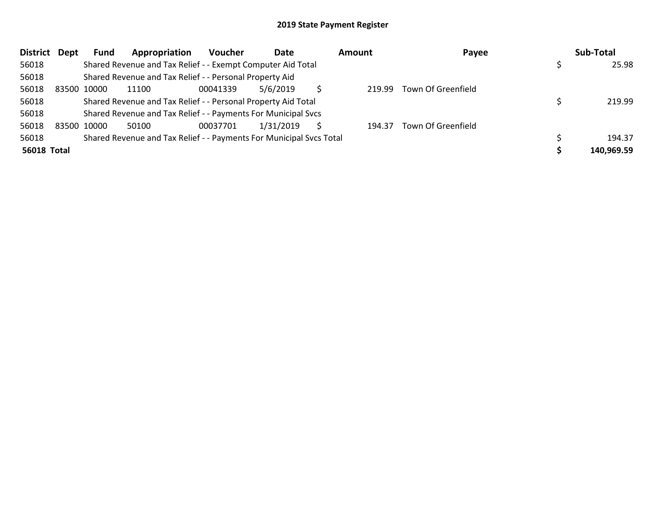| <b>District</b>    | Dept | Fund        | Appropriation                                                       | Voucher  | Date      | <b>Amount</b> | Payee              | Sub-Total  |
|--------------------|------|-------------|---------------------------------------------------------------------|----------|-----------|---------------|--------------------|------------|
| 56018              |      |             | Shared Revenue and Tax Relief - - Exempt Computer Aid Total         |          |           |               |                    | 25.98      |
| 56018              |      |             | Shared Revenue and Tax Relief - - Personal Property Aid             |          |           |               |                    |            |
| 56018              |      | 83500 10000 | 11100                                                               | 00041339 | 5/6/2019  | 219.99        | Town Of Greenfield |            |
| 56018              |      |             | Shared Revenue and Tax Relief - - Personal Property Aid Total       |          |           |               |                    | 219.99     |
| 56018              |      |             | Shared Revenue and Tax Relief - - Payments For Municipal Svcs       |          |           |               |                    |            |
| 56018              |      | 83500 10000 | 50100                                                               | 00037701 | 1/31/2019 | 194.37        | Town Of Greenfield |            |
| 56018              |      |             | Shared Revenue and Tax Relief - - Payments For Municipal Svcs Total |          |           |               |                    | 194.37     |
| <b>56018 Total</b> |      |             |                                                                     |          |           |               |                    | 140.969.59 |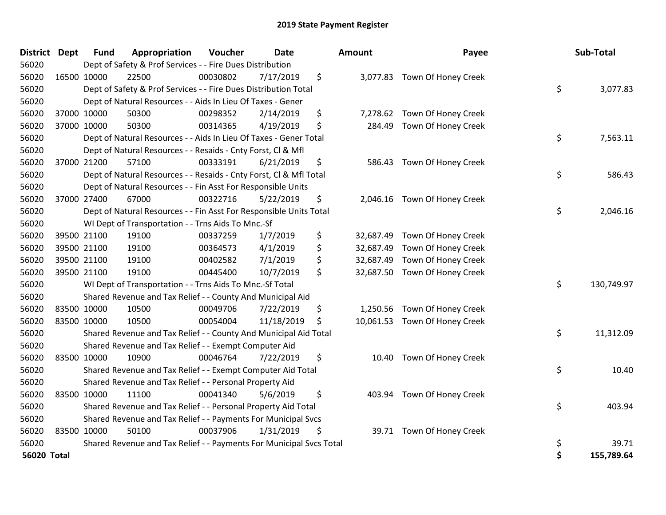| District Dept      | <b>Fund</b> | Appropriation                                                       | Voucher  | <b>Date</b> | Amount          | Payee                         | Sub-Total        |
|--------------------|-------------|---------------------------------------------------------------------|----------|-------------|-----------------|-------------------------------|------------------|
| 56020              |             | Dept of Safety & Prof Services - - Fire Dues Distribution           |          |             |                 |                               |                  |
| 56020              | 16500 10000 | 22500                                                               | 00030802 | 7/17/2019   | \$              | 3,077.83 Town Of Honey Creek  |                  |
| 56020              |             | Dept of Safety & Prof Services - - Fire Dues Distribution Total     |          |             |                 |                               | \$<br>3,077.83   |
| 56020              |             | Dept of Natural Resources - - Aids In Lieu Of Taxes - Gener         |          |             |                 |                               |                  |
| 56020              | 37000 10000 | 50300                                                               | 00298352 | 2/14/2019   | \$<br>7,278.62  | Town Of Honey Creek           |                  |
| 56020              | 37000 10000 | 50300                                                               | 00314365 | 4/19/2019   | \$<br>284.49    | Town Of Honey Creek           |                  |
| 56020              |             | Dept of Natural Resources - - Aids In Lieu Of Taxes - Gener Total   |          |             |                 |                               | \$<br>7,563.11   |
| 56020              |             | Dept of Natural Resources - - Resaids - Cnty Forst, Cl & Mfl        |          |             |                 |                               |                  |
| 56020              | 37000 21200 | 57100                                                               | 00333191 | 6/21/2019   | \$<br>586.43    | Town Of Honey Creek           |                  |
| 56020              |             | Dept of Natural Resources - - Resaids - Cnty Forst, CI & Mfl Total  |          |             |                 |                               | \$<br>586.43     |
| 56020              |             | Dept of Natural Resources - - Fin Asst For Responsible Units        |          |             |                 |                               |                  |
| 56020              | 37000 27400 | 67000                                                               | 00322716 | 5/22/2019   | \$              | 2,046.16 Town Of Honey Creek  |                  |
| 56020              |             | Dept of Natural Resources - - Fin Asst For Responsible Units Total  |          |             |                 |                               | \$<br>2,046.16   |
| 56020              |             | WI Dept of Transportation - - Trns Aids To Mnc.-Sf                  |          |             |                 |                               |                  |
| 56020              | 39500 21100 | 19100                                                               | 00337259 | 1/7/2019    | \$<br>32,687.49 | Town Of Honey Creek           |                  |
| 56020              | 39500 21100 | 19100                                                               | 00364573 | 4/1/2019    | \$<br>32,687.49 | Town Of Honey Creek           |                  |
| 56020              | 39500 21100 | 19100                                                               | 00402582 | 7/1/2019    | \$<br>32,687.49 | Town Of Honey Creek           |                  |
| 56020              | 39500 21100 | 19100                                                               | 00445400 | 10/7/2019   | \$              | 32,687.50 Town Of Honey Creek |                  |
| 56020              |             | WI Dept of Transportation - - Trns Aids To Mnc.-Sf Total            |          |             |                 |                               | \$<br>130,749.97 |
| 56020              |             | Shared Revenue and Tax Relief - - County And Municipal Aid          |          |             |                 |                               |                  |
| 56020              | 83500 10000 | 10500                                                               | 00049706 | 7/22/2019   | \$<br>1,250.56  | Town Of Honey Creek           |                  |
| 56020              | 83500 10000 | 10500                                                               | 00054004 | 11/18/2019  | \$<br>10,061.53 | Town Of Honey Creek           |                  |
| 56020              |             | Shared Revenue and Tax Relief - - County And Municipal Aid Total    |          |             |                 |                               | \$<br>11,312.09  |
| 56020              |             | Shared Revenue and Tax Relief - - Exempt Computer Aid               |          |             |                 |                               |                  |
| 56020              | 83500 10000 | 10900                                                               | 00046764 | 7/22/2019   | \$<br>10.40     | Town Of Honey Creek           |                  |
| 56020              |             | Shared Revenue and Tax Relief - - Exempt Computer Aid Total         |          |             |                 |                               | \$<br>10.40      |
| 56020              |             | Shared Revenue and Tax Relief - - Personal Property Aid             |          |             |                 |                               |                  |
| 56020              | 83500 10000 | 11100                                                               | 00041340 | 5/6/2019    | \$<br>403.94    | Town Of Honey Creek           |                  |
| 56020              |             | Shared Revenue and Tax Relief - - Personal Property Aid Total       |          |             |                 |                               | \$<br>403.94     |
| 56020              |             | Shared Revenue and Tax Relief - - Payments For Municipal Svcs       |          |             |                 |                               |                  |
| 56020              | 83500 10000 | 50100                                                               | 00037906 | 1/31/2019   | \$<br>39.71     | Town Of Honey Creek           |                  |
| 56020              |             | Shared Revenue and Tax Relief - - Payments For Municipal Svcs Total |          |             |                 |                               | \$<br>39.71      |
| <b>56020 Total</b> |             |                                                                     |          |             |                 |                               | \$<br>155,789.64 |

| ount      | Payee               | Sub-Total        |
|-----------|---------------------|------------------|
| 3,077.83  | Town Of Honey Creek | \$<br>3,077.83   |
| 7,278.62  | Town Of Honey Creek |                  |
| 284.49    | Town Of Honey Creek | \$<br>7,563.11   |
| 586.43    | Town Of Honey Creek | \$<br>586.43     |
| 2,046.16  | Town Of Honey Creek | \$<br>2,046.16   |
| 32,687.49 | Town Of Honey Creek |                  |
| 32,687.49 | Town Of Honey Creek |                  |
| 32,687.49 | Town Of Honey Creek |                  |
| 32,687.50 | Town Of Honey Creek |                  |
|           |                     | \$<br>130,749.97 |
| 1,250.56  | Town Of Honey Creek |                  |
| 10,061.53 | Town Of Honey Creek |                  |
|           |                     | \$<br>11,312.09  |
| 10.40     | Town Of Honey Creek | \$<br>10.40      |
| 403.94    | Town Of Honey Creek | \$<br>403.94     |
| 39.71     | Town Of Honey Creek | \$<br>39.71      |
|           |                     | \$<br>155,789.64 |
|           |                     |                  |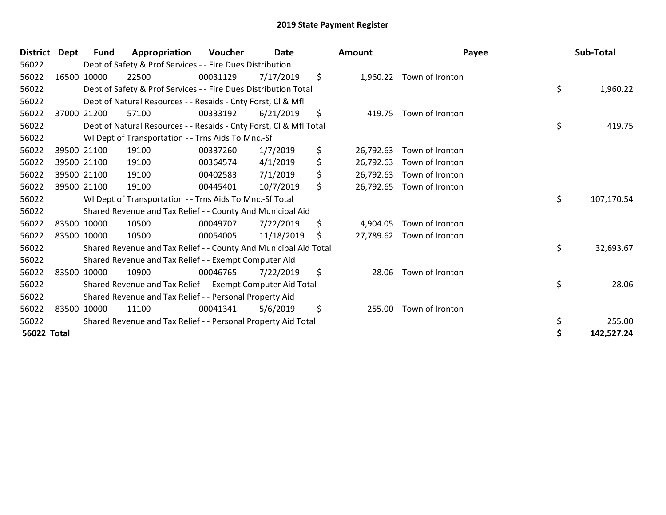| <b>District</b>    | Dept        | Fund        | Appropriation                                                      | <b>Voucher</b> | <b>Date</b> | <b>Amount</b>   | Payee           | Sub-Total        |
|--------------------|-------------|-------------|--------------------------------------------------------------------|----------------|-------------|-----------------|-----------------|------------------|
| 56022              |             |             | Dept of Safety & Prof Services - - Fire Dues Distribution          |                |             |                 |                 |                  |
| 56022              |             | 16500 10000 | 22500                                                              | 00031129       | 7/17/2019   | \$<br>1,960.22  | Town of Ironton |                  |
| 56022              |             |             | Dept of Safety & Prof Services - - Fire Dues Distribution Total    |                |             |                 |                 | \$<br>1,960.22   |
| 56022              |             |             | Dept of Natural Resources - - Resaids - Cnty Forst, CI & Mfl       |                |             |                 |                 |                  |
| 56022              |             | 37000 21200 | 57100                                                              | 00333192       | 6/21/2019   | \$<br>419.75    | Town of Ironton |                  |
| 56022              |             |             | Dept of Natural Resources - - Resaids - Cnty Forst, Cl & Mfl Total |                |             |                 |                 | \$<br>419.75     |
| 56022              |             |             | WI Dept of Transportation - - Trns Aids To Mnc.-Sf                 |                |             |                 |                 |                  |
| 56022              |             | 39500 21100 | 19100                                                              | 00337260       | 1/7/2019    | \$<br>26,792.63 | Town of Ironton |                  |
| 56022              |             | 39500 21100 | 19100                                                              | 00364574       | 4/1/2019    | \$<br>26,792.63 | Town of Ironton |                  |
| 56022              |             | 39500 21100 | 19100                                                              | 00402583       | 7/1/2019    | \$<br>26,792.63 | Town of Ironton |                  |
| 56022              |             | 39500 21100 | 19100                                                              | 00445401       | 10/7/2019   | \$<br>26,792.65 | Town of Ironton |                  |
| 56022              |             |             | WI Dept of Transportation - - Trns Aids To Mnc.-Sf Total           |                |             |                 |                 | \$<br>107,170.54 |
| 56022              |             |             | Shared Revenue and Tax Relief - - County And Municipal Aid         |                |             |                 |                 |                  |
| 56022              | 83500 10000 |             | 10500                                                              | 00049707       | 7/22/2019   | \$<br>4,904.05  | Town of Ironton |                  |
| 56022              | 83500 10000 |             | 10500                                                              | 00054005       | 11/18/2019  | \$<br>27,789.62 | Town of Ironton |                  |
| 56022              |             |             | Shared Revenue and Tax Relief - - County And Municipal Aid Total   |                |             |                 |                 | \$<br>32,693.67  |
| 56022              |             |             | Shared Revenue and Tax Relief - - Exempt Computer Aid              |                |             |                 |                 |                  |
| 56022              | 83500 10000 |             | 10900                                                              | 00046765       | 7/22/2019   | \$<br>28.06     | Town of Ironton |                  |
| 56022              |             |             | Shared Revenue and Tax Relief - - Exempt Computer Aid Total        |                |             |                 |                 | \$<br>28.06      |
| 56022              |             |             | Shared Revenue and Tax Relief - - Personal Property Aid            |                |             |                 |                 |                  |
| 56022              | 83500 10000 |             | 11100                                                              | 00041341       | 5/6/2019    | \$<br>255.00    | Town of Ironton |                  |
| 56022              |             |             | Shared Revenue and Tax Relief - - Personal Property Aid Total      |                |             |                 |                 | \$<br>255.00     |
| <b>56022 Total</b> |             |             |                                                                    |                |             |                 |                 | \$<br>142,527.24 |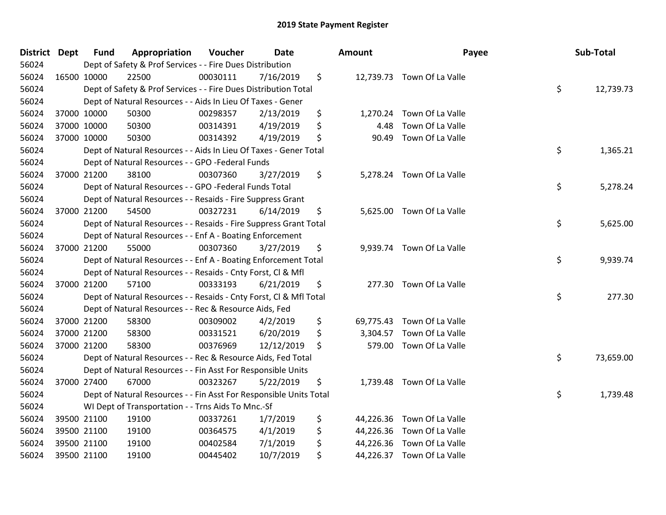| District Dept | <b>Fund</b> | Appropriation                                                      | Voucher  | <b>Date</b> | Amount         | Payee                      | Sub-Total       |
|---------------|-------------|--------------------------------------------------------------------|----------|-------------|----------------|----------------------------|-----------------|
| 56024         |             | Dept of Safety & Prof Services - - Fire Dues Distribution          |          |             |                |                            |                 |
| 56024         | 16500 10000 | 22500                                                              | 00030111 | 7/16/2019   | \$             | 12,739.73 Town Of La Valle |                 |
| 56024         |             | Dept of Safety & Prof Services - - Fire Dues Distribution Total    |          |             |                |                            | \$<br>12,739.73 |
| 56024         |             | Dept of Natural Resources - - Aids In Lieu Of Taxes - Gener        |          |             |                |                            |                 |
| 56024         | 37000 10000 | 50300                                                              | 00298357 | 2/13/2019   | \$<br>1,270.24 | Town Of La Valle           |                 |
| 56024         | 37000 10000 | 50300                                                              | 00314391 | 4/19/2019   | \$<br>4.48     | Town Of La Valle           |                 |
| 56024         | 37000 10000 | 50300                                                              | 00314392 | 4/19/2019   | \$<br>90.49    | Town Of La Valle           |                 |
| 56024         |             | Dept of Natural Resources - - Aids In Lieu Of Taxes - Gener Total  |          |             |                |                            | \$<br>1,365.21  |
| 56024         |             | Dept of Natural Resources - - GPO -Federal Funds                   |          |             |                |                            |                 |
| 56024         | 37000 21200 | 38100                                                              | 00307360 | 3/27/2019   | \$             | 5,278.24 Town Of La Valle  |                 |
| 56024         |             | Dept of Natural Resources - - GPO -Federal Funds Total             |          |             |                |                            | \$<br>5,278.24  |
| 56024         |             | Dept of Natural Resources - - Resaids - Fire Suppress Grant        |          |             |                |                            |                 |
| 56024         | 37000 21200 | 54500                                                              | 00327231 | 6/14/2019   | \$             | 5,625.00 Town Of La Valle  |                 |
| 56024         |             | Dept of Natural Resources - - Resaids - Fire Suppress Grant Total  |          |             |                |                            | \$<br>5,625.00  |
| 56024         |             | Dept of Natural Resources - - Enf A - Boating Enforcement          |          |             |                |                            |                 |
| 56024         | 37000 21200 | 55000                                                              | 00307360 | 3/27/2019   | \$             | 9,939.74 Town Of La Valle  |                 |
| 56024         |             | Dept of Natural Resources - - Enf A - Boating Enforcement Total    |          |             |                |                            | \$<br>9,939.74  |
| 56024         |             | Dept of Natural Resources - - Resaids - Cnty Forst, Cl & Mfl       |          |             |                |                            |                 |
| 56024         | 37000 21200 | 57100                                                              | 00333193 | 6/21/2019   | \$             | 277.30 Town Of La Valle    |                 |
| 56024         |             | Dept of Natural Resources - - Resaids - Cnty Forst, Cl & Mfl Total |          |             |                |                            | \$<br>277.30    |
| 56024         |             | Dept of Natural Resources - - Rec & Resource Aids, Fed             |          |             |                |                            |                 |
| 56024         | 37000 21200 | 58300                                                              | 00309002 | 4/2/2019    | \$             | 69,775.43 Town Of La Valle |                 |
| 56024         | 37000 21200 | 58300                                                              | 00331521 | 6/20/2019   | \$<br>3,304.57 | Town Of La Valle           |                 |
| 56024         | 37000 21200 | 58300                                                              | 00376969 | 12/12/2019  | \$<br>579.00   | Town Of La Valle           |                 |
| 56024         |             | Dept of Natural Resources - - Rec & Resource Aids, Fed Total       |          |             |                |                            | \$<br>73,659.00 |
| 56024         |             | Dept of Natural Resources - - Fin Asst For Responsible Units       |          |             |                |                            |                 |
| 56024         | 37000 27400 | 67000                                                              | 00323267 | 5/22/2019   | \$             | 1,739.48 Town Of La Valle  |                 |
| 56024         |             | Dept of Natural Resources - - Fin Asst For Responsible Units Total |          |             |                |                            | \$<br>1,739.48  |
| 56024         |             | WI Dept of Transportation - - Trns Aids To Mnc.-Sf                 |          |             |                |                            |                 |
| 56024         | 39500 21100 | 19100                                                              | 00337261 | 1/7/2019    | \$             | 44,226.36 Town Of La Valle |                 |
| 56024         | 39500 21100 | 19100                                                              | 00364575 | 4/1/2019    | \$             | 44,226.36 Town Of La Valle |                 |
| 56024         | 39500 21100 | 19100                                                              | 00402584 | 7/1/2019    | \$             | 44,226.36 Town Of La Valle |                 |
| 56024         | 39500 21100 | 19100                                                              | 00445402 | 10/7/2019   | \$             | 44,226.37 Town Of La Valle |                 |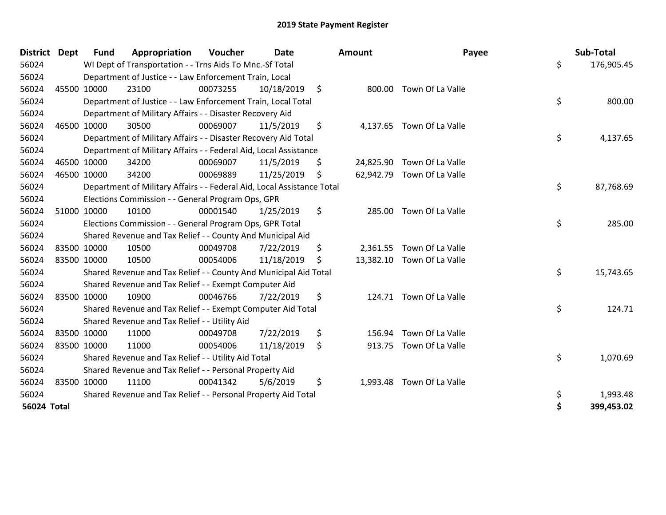| <b>District</b>    | <b>Dept</b> | <b>Fund</b>                                                            | Appropriation | Voucher  | <b>Date</b> | Amount |          | Payee                      |    | Sub-Total  |  |
|--------------------|-------------|------------------------------------------------------------------------|---------------|----------|-------------|--------|----------|----------------------------|----|------------|--|
| 56024              |             | WI Dept of Transportation - - Trns Aids To Mnc.-Sf Total               |               |          |             |        |          |                            |    | 176,905.45 |  |
| 56024              |             | Department of Justice - - Law Enforcement Train, Local                 |               |          |             |        |          |                            |    |            |  |
| 56024              |             | 45500 10000                                                            | 23100         | 00073255 | 10/18/2019  | \$.    | 800.00   | Town Of La Valle           |    |            |  |
| 56024              |             | Department of Justice - - Law Enforcement Train, Local Total           |               |          |             |        |          |                            |    | 800.00     |  |
| 56024              |             | Department of Military Affairs - - Disaster Recovery Aid               |               |          |             |        |          |                            |    |            |  |
| 56024              |             | 46500 10000                                                            | 30500         | 00069007 | 11/5/2019   | \$     | 4,137.65 | Town Of La Valle           |    |            |  |
| 56024              |             | \$<br>Department of Military Affairs - - Disaster Recovery Aid Total   |               |          |             |        |          |                            |    | 4,137.65   |  |
| 56024              |             | Department of Military Affairs - - Federal Aid, Local Assistance       |               |          |             |        |          |                            |    |            |  |
| 56024              |             | 46500 10000                                                            | 34200         | 00069007 | 11/5/2019   | \$     |          | 24,825.90 Town Of La Valle |    |            |  |
| 56024              |             | 46500 10000                                                            | 34200         | 00069889 | 11/25/2019  | \$.    |          | 62,942.79 Town Of La Valle |    |            |  |
| 56024              |             | Department of Military Affairs - - Federal Aid, Local Assistance Total |               |          |             |        |          |                            | \$ | 87,768.69  |  |
| 56024              |             | Elections Commission - - General Program Ops, GPR                      |               |          |             |        |          |                            |    |            |  |
| 56024              |             | 51000 10000                                                            | 10100         | 00001540 | 1/25/2019   | \$     | 285.00   | Town Of La Valle           |    |            |  |
| 56024              |             | Elections Commission - - General Program Ops, GPR Total                |               |          |             |        |          |                            |    | 285.00     |  |
| 56024              |             | Shared Revenue and Tax Relief - - County And Municipal Aid             |               |          |             |        |          |                            |    |            |  |
| 56024              |             | 83500 10000                                                            | 10500         | 00049708 | 7/22/2019   | \$     | 2,361.55 | Town Of La Valle           |    |            |  |
| 56024              |             | 83500 10000                                                            | 10500         | 00054006 | 11/18/2019  | S      |          | 13,382.10 Town Of La Valle |    |            |  |
| 56024              |             | Shared Revenue and Tax Relief - - County And Municipal Aid Total       |               |          |             |        |          |                            |    | 15,743.65  |  |
| 56024              |             | Shared Revenue and Tax Relief - - Exempt Computer Aid                  |               |          |             |        |          |                            |    |            |  |
| 56024              |             | 83500 10000                                                            | 10900         | 00046766 | 7/22/2019   | \$     |          | 124.71 Town Of La Valle    |    |            |  |
| 56024              |             | Shared Revenue and Tax Relief - - Exempt Computer Aid Total            |               |          |             |        |          |                            | \$ | 124.71     |  |
| 56024              |             | Shared Revenue and Tax Relief - - Utility Aid                          |               |          |             |        |          |                            |    |            |  |
| 56024              |             | 83500 10000                                                            | 11000         | 00049708 | 7/22/2019   | \$     | 156.94   | Town Of La Valle           |    |            |  |
| 56024              |             | 83500 10000                                                            | 11000         | 00054006 | 11/18/2019  | \$     |          | 913.75 Town Of La Valle    |    |            |  |
| 56024              |             | Shared Revenue and Tax Relief - - Utility Aid Total                    |               |          |             |        |          |                            | \$ | 1,070.69   |  |
| 56024              |             | Shared Revenue and Tax Relief - - Personal Property Aid                |               |          |             |        |          |                            |    |            |  |
| 56024              |             | 83500 10000                                                            | 11100         | 00041342 | 5/6/2019    | \$     | 1,993.48 | Town Of La Valle           |    |            |  |
| 56024              |             | Shared Revenue and Tax Relief - - Personal Property Aid Total          |               |          |             |        |          |                            |    | 1,993.48   |  |
| <b>56024 Total</b> |             |                                                                        |               |          |             |        |          |                            | \$ | 399,453.02 |  |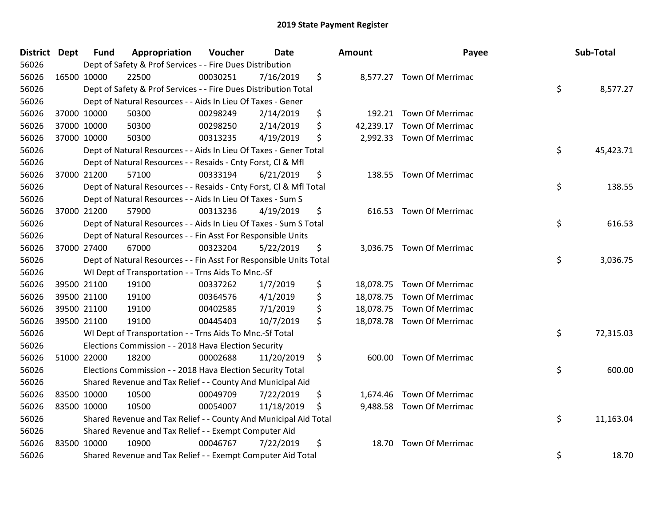| District Dept | <b>Fund</b>                                                  | Appropriation                                                      | Voucher  | Date       |     | <b>Amount</b> | Payee                      | Sub-Total       |
|---------------|--------------------------------------------------------------|--------------------------------------------------------------------|----------|------------|-----|---------------|----------------------------|-----------------|
| 56026         |                                                              | Dept of Safety & Prof Services - - Fire Dues Distribution          |          |            |     |               |                            |                 |
| 56026         | 16500 10000                                                  | 22500                                                              | 00030251 | 7/16/2019  | \$  |               | 8,577.27 Town Of Merrimac  |                 |
| 56026         |                                                              | Dept of Safety & Prof Services - - Fire Dues Distribution Total    |          |            |     |               |                            | \$<br>8,577.27  |
| 56026         |                                                              | Dept of Natural Resources - - Aids In Lieu Of Taxes - Gener        |          |            |     |               |                            |                 |
| 56026         | 37000 10000                                                  | 50300                                                              | 00298249 | 2/14/2019  | \$  | 192.21        | Town Of Merrimac           |                 |
| 56026         | 37000 10000                                                  | 50300                                                              | 00298250 | 2/14/2019  | \$  | 42,239.17     | <b>Town Of Merrimac</b>    |                 |
| 56026         | 37000 10000                                                  | 50300                                                              | 00313235 | 4/19/2019  | \$  | 2,992.33      | <b>Town Of Merrimac</b>    |                 |
| 56026         |                                                              | Dept of Natural Resources - - Aids In Lieu Of Taxes - Gener Total  |          |            |     |               |                            | \$<br>45,423.71 |
| 56026         |                                                              | Dept of Natural Resources - - Resaids - Cnty Forst, Cl & Mfl       |          |            |     |               |                            |                 |
| 56026         | 37000 21200                                                  | 57100                                                              | 00333194 | 6/21/2019  | \$  |               | 138.55 Town Of Merrimac    |                 |
| 56026         |                                                              | Dept of Natural Resources - - Resaids - Cnty Forst, Cl & Mfl Total |          |            |     |               |                            | \$<br>138.55    |
| 56026         |                                                              | Dept of Natural Resources - - Aids In Lieu Of Taxes - Sum S        |          |            |     |               |                            |                 |
| 56026         | 37000 21200                                                  | 57900                                                              | 00313236 | 4/19/2019  | \$  |               | 616.53 Town Of Merrimac    |                 |
| 56026         |                                                              | Dept of Natural Resources - - Aids In Lieu Of Taxes - Sum S Total  |          |            |     |               |                            | \$<br>616.53    |
| 56026         | Dept of Natural Resources - - Fin Asst For Responsible Units |                                                                    |          |            |     |               |                            |                 |
| 56026         | 37000 27400                                                  | 67000                                                              | 00323204 | 5/22/2019  | \$  |               | 3,036.75 Town Of Merrimac  |                 |
| 56026         |                                                              | Dept of Natural Resources - - Fin Asst For Responsible Units Total |          |            |     |               |                            | \$<br>3,036.75  |
| 56026         |                                                              | WI Dept of Transportation - - Trns Aids To Mnc.-Sf                 |          |            |     |               |                            |                 |
| 56026         | 39500 21100                                                  | 19100                                                              | 00337262 | 1/7/2019   | \$  |               | 18,078.75 Town Of Merrimac |                 |
| 56026         | 39500 21100                                                  | 19100                                                              | 00364576 | 4/1/2019   | \$  | 18,078.75     | <b>Town Of Merrimac</b>    |                 |
| 56026         | 39500 21100                                                  | 19100                                                              | 00402585 | 7/1/2019   | \$  |               | 18,078.75 Town Of Merrimac |                 |
| 56026         | 39500 21100                                                  | 19100                                                              | 00445403 | 10/7/2019  | \$  |               | 18,078.78 Town Of Merrimac |                 |
| 56026         |                                                              | WI Dept of Transportation - - Trns Aids To Mnc.-Sf Total           |          |            |     |               |                            | \$<br>72,315.03 |
| 56026         |                                                              | Elections Commission - - 2018 Hava Election Security               |          |            |     |               |                            |                 |
| 56026         | 51000 22000                                                  | 18200                                                              | 00002688 | 11/20/2019 | \$  | 600.00        | Town Of Merrimac           |                 |
| 56026         |                                                              | Elections Commission - - 2018 Hava Election Security Total         |          |            |     |               |                            | \$<br>600.00    |
| 56026         |                                                              | Shared Revenue and Tax Relief - - County And Municipal Aid         |          |            |     |               |                            |                 |
| 56026         | 83500 10000                                                  | 10500                                                              | 00049709 | 7/22/2019  | \$  | 1,674.46      | <b>Town Of Merrimac</b>    |                 |
| 56026         | 83500 10000                                                  | 10500                                                              | 00054007 | 11/18/2019 | \$. | 9,488.58      | <b>Town Of Merrimac</b>    |                 |
| 56026         |                                                              | Shared Revenue and Tax Relief - - County And Municipal Aid Total   |          |            |     |               |                            | \$<br>11,163.04 |
| 56026         |                                                              | Shared Revenue and Tax Relief - - Exempt Computer Aid              |          |            |     |               |                            |                 |
| 56026         | 83500 10000                                                  | 10900                                                              | 00046767 | 7/22/2019  | \$  | 18.70         | <b>Town Of Merrimac</b>    |                 |
| 56026         |                                                              | Shared Revenue and Tax Relief - - Exempt Computer Aid Total        |          |            |     |               |                            | \$<br>18.70     |

| าount     | Payee                      | Sub-Total       |
|-----------|----------------------------|-----------------|
| 8,577.27  | <b>Town Of Merrimac</b>    | \$<br>8,577.27  |
|           | 192.21 Town Of Merrimac    |                 |
|           | 42,239.17 Town Of Merrimac |                 |
| 2,992.33  | <b>Town Of Merrimac</b>    |                 |
|           |                            | \$<br>45,423.71 |
| 138.55    | <b>Town Of Merrimac</b>    |                 |
|           |                            | \$<br>138.55    |
| 616.53    | <b>Town Of Merrimac</b>    |                 |
|           |                            | \$<br>616.53    |
| 3,036.75  | <b>Town Of Merrimac</b>    | \$<br>3,036.75  |
| 18,078.75 | <b>Town Of Merrimac</b>    |                 |
| 18,078.75 | <b>Town Of Merrimac</b>    |                 |
| 18,078.75 | <b>Town Of Merrimac</b>    |                 |
| 18,078.78 | <b>Town Of Merrimac</b>    |                 |
|           |                            | \$<br>72,315.03 |
| 600.00    | <b>Town Of Merrimac</b>    |                 |
|           |                            | \$<br>600.00    |
| 1,674.46  | <b>Town Of Merrimac</b>    |                 |
| 9,488.58  | Town Of Merrimac           |                 |
|           |                            | \$<br>11,163.04 |
| 18.70     | <b>Town Of Merrimac</b>    |                 |
|           |                            | \$<br>18.70     |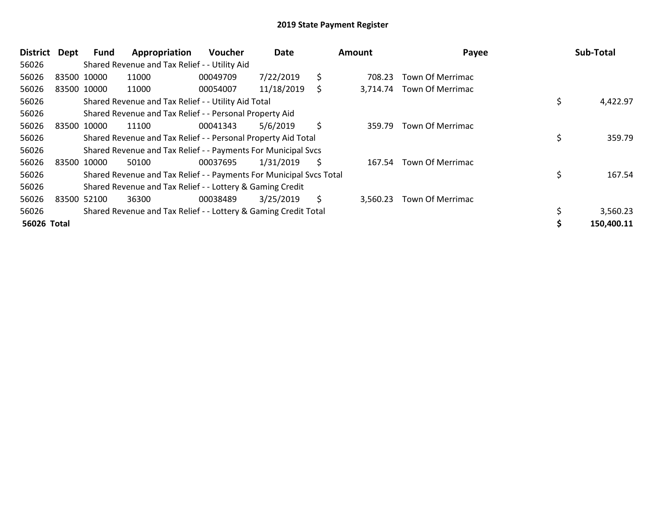| District    | Dept        | Fund                                                          | Appropriation                                                       | <b>Voucher</b> | Date       | Amount |          | Payee                   |    | Sub-Total  |
|-------------|-------------|---------------------------------------------------------------|---------------------------------------------------------------------|----------------|------------|--------|----------|-------------------------|----|------------|
| 56026       |             |                                                               | Shared Revenue and Tax Relief - - Utility Aid                       |                |            |        |          |                         |    |            |
| 56026       |             | 83500 10000                                                   | 11000                                                               | 00049709       | 7/22/2019  | \$     | 708.23   | <b>Town Of Merrimac</b> |    |            |
| 56026       |             | 83500 10000                                                   | 11000                                                               | 00054007       | 11/18/2019 | \$.    | 3,714.74 | Town Of Merrimac        |    |            |
| 56026       |             |                                                               | Shared Revenue and Tax Relief - - Utility Aid Total                 |                |            |        |          |                         |    | 4,422.97   |
| 56026       |             |                                                               | Shared Revenue and Tax Relief - - Personal Property Aid             |                |            |        |          |                         |    |            |
| 56026       |             | 83500 10000                                                   | 11100                                                               | 00041343       | 5/6/2019   | \$     | 359.79   | Town Of Merrimac        |    |            |
| 56026       |             | Shared Revenue and Tax Relief - - Personal Property Aid Total |                                                                     |                |            |        |          |                         |    | 359.79     |
| 56026       |             |                                                               | Shared Revenue and Tax Relief - - Payments For Municipal Svcs       |                |            |        |          |                         |    |            |
| 56026       |             | 83500 10000                                                   | 50100                                                               | 00037695       | 1/31/2019  | S      | 167.54   | <b>Town Of Merrimac</b> |    |            |
| 56026       |             |                                                               | Shared Revenue and Tax Relief - - Payments For Municipal Svcs Total |                |            |        |          |                         | \$ | 167.54     |
| 56026       |             |                                                               | Shared Revenue and Tax Relief - - Lottery & Gaming Credit           |                |            |        |          |                         |    |            |
| 56026       | 83500 52100 |                                                               | 36300                                                               | 00038489       | 3/25/2019  | \$     | 3,560.23 | Town Of Merrimac        |    |            |
| 56026       |             |                                                               | Shared Revenue and Tax Relief - - Lottery & Gaming Credit Total     |                |            |        |          |                         |    | 3,560.23   |
| 56026 Total |             |                                                               |                                                                     |                |            |        |          |                         |    | 150,400.11 |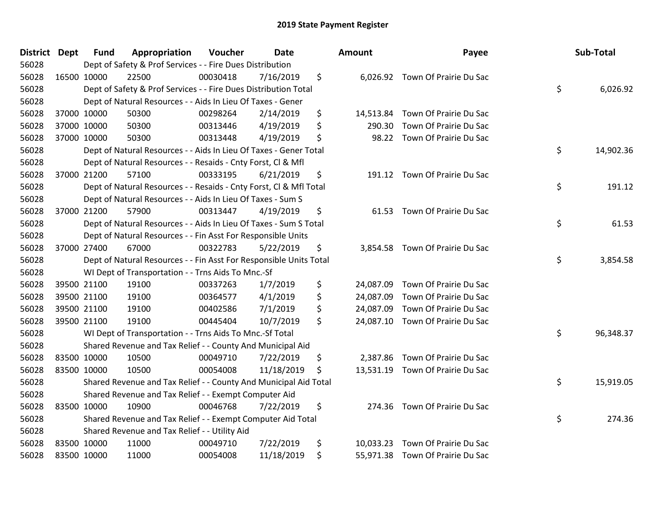| <b>District Dept</b> | <b>Fund</b>                                                  | Appropriation                                                      | Voucher  | <b>Date</b> |    | <b>Amount</b> | Payee                            | Sub-Total       |
|----------------------|--------------------------------------------------------------|--------------------------------------------------------------------|----------|-------------|----|---------------|----------------------------------|-----------------|
| 56028                |                                                              | Dept of Safety & Prof Services - - Fire Dues Distribution          |          |             |    |               |                                  |                 |
| 56028                | 16500 10000                                                  | 22500                                                              | 00030418 | 7/16/2019   | \$ |               | 6,026.92 Town Of Prairie Du Sac  |                 |
| 56028                |                                                              | Dept of Safety & Prof Services - - Fire Dues Distribution Total    |          |             |    |               |                                  | \$<br>6,026.92  |
| 56028                |                                                              | Dept of Natural Resources - - Aids In Lieu Of Taxes - Gener        |          |             |    |               |                                  |                 |
| 56028                | 37000 10000                                                  | 50300                                                              | 00298264 | 2/14/2019   | \$ | 14,513.84     | Town Of Prairie Du Sac           |                 |
| 56028                | 37000 10000                                                  | 50300                                                              | 00313446 | 4/19/2019   | \$ | 290.30        | Town Of Prairie Du Sac           |                 |
| 56028                | 37000 10000                                                  | 50300                                                              | 00313448 | 4/19/2019   | \$ | 98.22         | Town Of Prairie Du Sac           |                 |
| 56028                |                                                              | Dept of Natural Resources - - Aids In Lieu Of Taxes - Gener Total  |          |             |    |               |                                  | \$<br>14,902.36 |
| 56028                |                                                              | Dept of Natural Resources - - Resaids - Cnty Forst, Cl & Mfl       |          |             |    |               |                                  |                 |
| 56028                | 37000 21200                                                  | 57100                                                              | 00333195 | 6/21/2019   | \$ | 191.12        | Town Of Prairie Du Sac           |                 |
| 56028                |                                                              | Dept of Natural Resources - - Resaids - Cnty Forst, Cl & Mfl Total |          |             |    |               |                                  | \$<br>191.12    |
| 56028                |                                                              | Dept of Natural Resources - - Aids In Lieu Of Taxes - Sum S        |          |             |    |               |                                  |                 |
| 56028                | 37000 21200                                                  | 57900                                                              | 00313447 | 4/19/2019   | \$ | 61.53         | Town Of Prairie Du Sac           |                 |
| 56028                |                                                              | Dept of Natural Resources - - Aids In Lieu Of Taxes - Sum S Total  |          |             |    |               |                                  | \$<br>61.53     |
| 56028                | Dept of Natural Resources - - Fin Asst For Responsible Units |                                                                    |          |             |    |               |                                  |                 |
| 56028                | 37000 27400                                                  | 67000                                                              | 00322783 | 5/22/2019   | \$ | 3,854.58      | Town Of Prairie Du Sac           |                 |
| 56028                |                                                              | Dept of Natural Resources - - Fin Asst For Responsible Units Total |          |             |    |               |                                  | \$<br>3,854.58  |
| 56028                |                                                              | WI Dept of Transportation - - Trns Aids To Mnc.-Sf                 |          |             |    |               |                                  |                 |
| 56028                | 39500 21100                                                  | 19100                                                              | 00337263 | 1/7/2019    | \$ |               | 24,087.09 Town Of Prairie Du Sac |                 |
| 56028                | 39500 21100                                                  | 19100                                                              | 00364577 | 4/1/2019    | \$ | 24,087.09     | Town Of Prairie Du Sac           |                 |
| 56028                | 39500 21100                                                  | 19100                                                              | 00402586 | 7/1/2019    | \$ | 24,087.09     | Town Of Prairie Du Sac           |                 |
| 56028                | 39500 21100                                                  | 19100                                                              | 00445404 | 10/7/2019   | \$ |               | 24,087.10 Town Of Prairie Du Sac |                 |
| 56028                |                                                              | WI Dept of Transportation - - Trns Aids To Mnc.-Sf Total           |          |             |    |               |                                  | \$<br>96,348.37 |
| 56028                |                                                              | Shared Revenue and Tax Relief - - County And Municipal Aid         |          |             |    |               |                                  |                 |
| 56028                | 83500 10000                                                  | 10500                                                              | 00049710 | 7/22/2019   | \$ | 2,387.86      | Town Of Prairie Du Sac           |                 |
| 56028                | 83500 10000                                                  | 10500                                                              | 00054008 | 11/18/2019  | \$ |               | 13,531.19 Town Of Prairie Du Sac |                 |
| 56028                |                                                              | Shared Revenue and Tax Relief - - County And Municipal Aid Total   |          |             |    |               |                                  | \$<br>15,919.05 |
| 56028                |                                                              | Shared Revenue and Tax Relief - - Exempt Computer Aid              |          |             |    |               |                                  |                 |
| 56028                | 83500 10000                                                  | 10900                                                              | 00046768 | 7/22/2019   | \$ |               | 274.36 Town Of Prairie Du Sac    |                 |
| 56028                |                                                              | Shared Revenue and Tax Relief - - Exempt Computer Aid Total        |          |             |    |               |                                  | \$<br>274.36    |
| 56028                |                                                              | Shared Revenue and Tax Relief - - Utility Aid                      |          |             |    |               |                                  |                 |
| 56028                | 83500 10000                                                  | 11000                                                              | 00049710 | 7/22/2019   | \$ | 10,033.23     | Town Of Prairie Du Sac           |                 |
| 56028                | 83500 10000                                                  | 11000                                                              | 00054008 | 11/18/2019  | \$ |               | 55,971.38 Town Of Prairie Du Sac |                 |

| าount     | Payee                           | Sub-Total       |
|-----------|---------------------------------|-----------------|
|           | 6,026.92 Town Of Prairie Du Sac | \$<br>6,026.92  |
| 14,513.84 | Town Of Prairie Du Sac          |                 |
| 290.30    | Town Of Prairie Du Sac          |                 |
| 98.22     | Town Of Prairie Du Sac          | \$<br>14,902.36 |
| 191.12    | Town Of Prairie Du Sac          | \$<br>191.12    |
| 61.53     | Town Of Prairie Du Sac          | \$<br>61.53     |
| 3,854.58  | Town Of Prairie Du Sac          | \$<br>3,854.58  |
| 24,087.09 | Town Of Prairie Du Sac          |                 |
| 24,087.09 | Town Of Prairie Du Sac          |                 |
| 24,087.09 | Town Of Prairie Du Sac          |                 |
| 24,087.10 | Town Of Prairie Du Sac          |                 |
|           |                                 | \$<br>96,348.37 |
| 2,387.86  | Town Of Prairie Du Sac          |                 |
| 13,531.19 | Town Of Prairie Du Sac          |                 |
|           |                                 | \$<br>15,919.05 |
| 274.36    | Town Of Prairie Du Sac          | \$<br>274.36    |
| 10,033.23 | Town Of Prairie Du Sac          |                 |
| 55,971.38 | Town Of Prairie Du Sac          |                 |
|           |                                 |                 |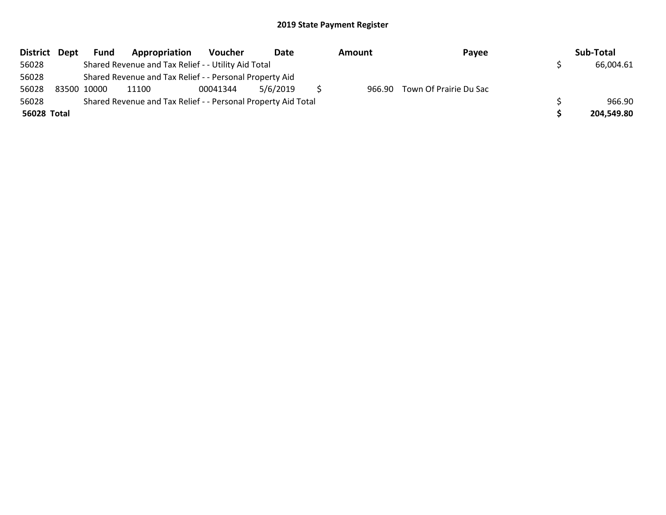| District Dept | Fund                                                | Appropriation                                                 | Voucher  | Date     | Amount |  | Payee                         |  | Sub-Total  |
|---------------|-----------------------------------------------------|---------------------------------------------------------------|----------|----------|--------|--|-------------------------------|--|------------|
| 56028         | Shared Revenue and Tax Relief - - Utility Aid Total |                                                               |          |          |        |  |                               |  | 66,004.61  |
| 56028         |                                                     | Shared Revenue and Tax Relief - - Personal Property Aid       |          |          |        |  |                               |  |            |
| 56028         | 83500 10000                                         | 11100                                                         | 00041344 | 5/6/2019 |        |  | 966.90 Town Of Prairie Du Sac |  |            |
| 56028         |                                                     | Shared Revenue and Tax Relief - - Personal Property Aid Total |          |          | 966.90 |  |                               |  |            |
| 56028 Total   |                                                     |                                                               |          |          |        |  |                               |  | 204,549.80 |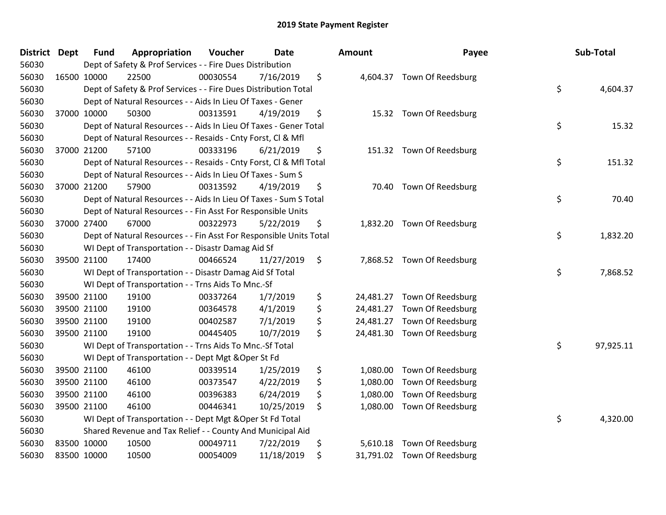| <b>District</b> | <b>Dept</b> | <b>Fund</b> | Appropriation                                                      | Voucher  | <b>Date</b> | <b>Amount</b>   | Payee                       | Sub-Total       |
|-----------------|-------------|-------------|--------------------------------------------------------------------|----------|-------------|-----------------|-----------------------------|-----------------|
| 56030           |             |             | Dept of Safety & Prof Services - - Fire Dues Distribution          |          |             |                 |                             |                 |
| 56030           |             | 16500 10000 | 22500                                                              | 00030554 | 7/16/2019   | \$              | 4,604.37 Town Of Reedsburg  |                 |
| 56030           |             |             | Dept of Safety & Prof Services - - Fire Dues Distribution Total    |          |             |                 |                             | \$<br>4,604.37  |
| 56030           |             |             | Dept of Natural Resources - - Aids In Lieu Of Taxes - Gener        |          |             |                 |                             |                 |
| 56030           |             | 37000 10000 | 50300                                                              | 00313591 | 4/19/2019   | \$              | 15.32 Town Of Reedsburg     |                 |
| 56030           |             |             | Dept of Natural Resources - - Aids In Lieu Of Taxes - Gener Total  |          |             |                 |                             | \$<br>15.32     |
| 56030           |             |             | Dept of Natural Resources - - Resaids - Cnty Forst, Cl & Mfl       |          |             |                 |                             |                 |
| 56030           |             | 37000 21200 | 57100                                                              | 00333196 | 6/21/2019   | \$              | 151.32 Town Of Reedsburg    |                 |
| 56030           |             |             | Dept of Natural Resources - - Resaids - Cnty Forst, Cl & Mfl Total |          |             |                 |                             | \$<br>151.32    |
| 56030           |             |             | Dept of Natural Resources - - Aids In Lieu Of Taxes - Sum S        |          |             |                 |                             |                 |
| 56030           |             | 37000 21200 | 57900                                                              | 00313592 | 4/19/2019   | \$              | 70.40 Town Of Reedsburg     |                 |
| 56030           |             |             | Dept of Natural Resources - - Aids In Lieu Of Taxes - Sum S Total  |          |             |                 |                             | \$<br>70.40     |
| 56030           |             |             | Dept of Natural Resources - - Fin Asst For Responsible Units       |          |             |                 |                             |                 |
| 56030           |             | 37000 27400 | 67000                                                              | 00322973 | 5/22/2019   | \$              | 1,832.20 Town Of Reedsburg  |                 |
| 56030           |             |             | Dept of Natural Resources - - Fin Asst For Responsible Units Total |          |             |                 |                             | \$<br>1,832.20  |
| 56030           |             |             | WI Dept of Transportation - - Disastr Damag Aid Sf                 |          |             |                 |                             |                 |
| 56030           |             | 39500 21100 | 17400                                                              | 00466524 | 11/27/2019  | \$              | 7,868.52 Town Of Reedsburg  |                 |
| 56030           |             |             | WI Dept of Transportation - - Disastr Damag Aid Sf Total           |          |             |                 |                             | \$<br>7,868.52  |
| 56030           |             |             | WI Dept of Transportation - - Trns Aids To Mnc.-Sf                 |          |             |                 |                             |                 |
| 56030           |             | 39500 21100 | 19100                                                              | 00337264 | 1/7/2019    | \$<br>24,481.27 | Town Of Reedsburg           |                 |
| 56030           |             | 39500 21100 | 19100                                                              | 00364578 | 4/1/2019    | \$<br>24,481.27 | Town Of Reedsburg           |                 |
| 56030           |             | 39500 21100 | 19100                                                              | 00402587 | 7/1/2019    | \$<br>24,481.27 | Town Of Reedsburg           |                 |
| 56030           |             | 39500 21100 | 19100                                                              | 00445405 | 10/7/2019   | \$              | 24,481.30 Town Of Reedsburg |                 |
| 56030           |             |             | WI Dept of Transportation - - Trns Aids To Mnc.-Sf Total           |          |             |                 |                             | \$<br>97,925.11 |
| 56030           |             |             | WI Dept of Transportation - - Dept Mgt & Oper St Fd                |          |             |                 |                             |                 |
| 56030           |             | 39500 21100 | 46100                                                              | 00339514 | 1/25/2019   | \$<br>1,080.00  | Town Of Reedsburg           |                 |
| 56030           |             | 39500 21100 | 46100                                                              | 00373547 | 4/22/2019   | \$<br>1,080.00  | Town Of Reedsburg           |                 |
| 56030           |             | 39500 21100 | 46100                                                              | 00396383 | 6/24/2019   | \$<br>1,080.00  | Town Of Reedsburg           |                 |
| 56030           |             | 39500 21100 | 46100                                                              | 00446341 | 10/25/2019  | \$              | 1,080.00 Town Of Reedsburg  |                 |
| 56030           |             |             | WI Dept of Transportation - - Dept Mgt & Oper St Fd Total          |          |             |                 |                             | \$<br>4,320.00  |
| 56030           |             |             | Shared Revenue and Tax Relief - - County And Municipal Aid         |          |             |                 |                             |                 |
| 56030           |             | 83500 10000 | 10500                                                              | 00049711 | 7/22/2019   | \$<br>5,610.18  | Town Of Reedsburg           |                 |
| 56030           |             | 83500 10000 | 10500                                                              | 00054009 | 11/18/2019  | \$              | 31,791.02 Town Of Reedsburg |                 |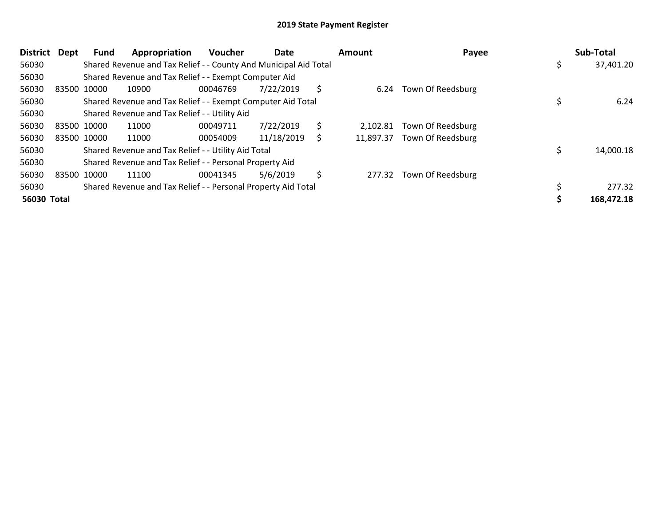| <b>District</b> | <b>Dept</b> | Fund        | Appropriation                                                    | <b>Voucher</b> | Date       | Amount          | Payee                    |     | Sub-Total  |
|-----------------|-------------|-------------|------------------------------------------------------------------|----------------|------------|-----------------|--------------------------|-----|------------|
| 56030           |             |             | Shared Revenue and Tax Relief - - County And Municipal Aid Total |                |            |                 |                          | \$. | 37,401.20  |
| 56030           |             |             | Shared Revenue and Tax Relief - - Exempt Computer Aid            |                |            |                 |                          |     |            |
| 56030           |             | 83500 10000 | 10900                                                            | 00046769       | 7/22/2019  | \$<br>6.24      | Town Of Reedsburg        |     |            |
| 56030           |             |             | Shared Revenue and Tax Relief - - Exempt Computer Aid Total      |                |            |                 |                          |     | 6.24       |
| 56030           |             |             | Shared Revenue and Tax Relief - - Utility Aid                    |                |            |                 |                          |     |            |
| 56030           |             | 83500 10000 | 11000                                                            | 00049711       | 7/22/2019  | \$<br>2.102.81  | Town Of Reedsburg        |     |            |
| 56030           |             | 83500 10000 | 11000                                                            | 00054009       | 11/18/2019 | \$<br>11,897.37 | Town Of Reedsburg        |     |            |
| 56030           |             |             | Shared Revenue and Tax Relief - - Utility Aid Total              |                |            |                 |                          |     | 14,000.18  |
| 56030           |             |             | Shared Revenue and Tax Relief - - Personal Property Aid          |                |            |                 |                          |     |            |
| 56030           |             | 83500 10000 | 11100                                                            | 00041345       | 5/6/2019   | \$              | 277.32 Town Of Reedsburg |     |            |
| 56030           |             |             | Shared Revenue and Tax Relief - - Personal Property Aid Total    |                |            |                 |                          |     | 277.32     |
| 56030 Total     |             |             |                                                                  |                |            |                 |                          |     | 168,472.18 |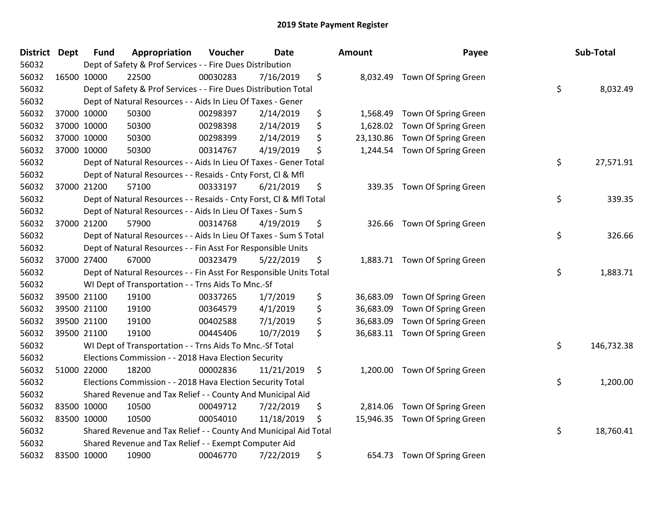| <b>District Dept</b> | <b>Fund</b>                                                  | Appropriation                                                      | Voucher  | <b>Date</b> |    | Amount    | Payee                         | Sub-Total        |
|----------------------|--------------------------------------------------------------|--------------------------------------------------------------------|----------|-------------|----|-----------|-------------------------------|------------------|
| 56032                |                                                              | Dept of Safety & Prof Services - - Fire Dues Distribution          |          |             |    |           |                               |                  |
| 56032                | 16500 10000                                                  | 22500                                                              | 00030283 | 7/16/2019   | \$ |           | 8,032.49 Town Of Spring Green |                  |
| 56032                |                                                              | Dept of Safety & Prof Services - - Fire Dues Distribution Total    |          |             |    |           |                               | \$<br>8,032.49   |
| 56032                |                                                              | Dept of Natural Resources - - Aids In Lieu Of Taxes - Gener        |          |             |    |           |                               |                  |
| 56032                | 37000 10000                                                  | 50300                                                              | 00298397 | 2/14/2019   | \$ | 1,568.49  | Town Of Spring Green          |                  |
| 56032                | 37000 10000                                                  | 50300                                                              | 00298398 | 2/14/2019   | \$ | 1,628.02  | Town Of Spring Green          |                  |
| 56032                | 37000 10000                                                  | 50300                                                              | 00298399 | 2/14/2019   | \$ | 23,130.86 | Town Of Spring Green          |                  |
| 56032                | 37000 10000                                                  | 50300                                                              | 00314767 | 4/19/2019   | \$ | 1,244.54  | Town Of Spring Green          |                  |
| 56032                |                                                              | Dept of Natural Resources - - Aids In Lieu Of Taxes - Gener Total  |          |             |    |           |                               | \$<br>27,571.91  |
| 56032                |                                                              | Dept of Natural Resources - - Resaids - Cnty Forst, Cl & Mfl       |          |             |    |           |                               |                  |
| 56032                | 37000 21200                                                  | 57100                                                              | 00333197 | 6/21/2019   | \$ | 339.35    | Town Of Spring Green          |                  |
| 56032                |                                                              | Dept of Natural Resources - - Resaids - Cnty Forst, Cl & Mfl Total |          |             |    |           |                               | \$<br>339.35     |
| 56032                |                                                              | Dept of Natural Resources - - Aids In Lieu Of Taxes - Sum S        |          |             |    |           |                               |                  |
| 56032                | 37000 21200                                                  | 57900                                                              | 00314768 | 4/19/2019   | \$ |           | 326.66 Town Of Spring Green   |                  |
| 56032                |                                                              | Dept of Natural Resources - - Aids In Lieu Of Taxes - Sum S Total  |          |             |    |           |                               | \$<br>326.66     |
| 56032                | Dept of Natural Resources - - Fin Asst For Responsible Units |                                                                    |          |             |    |           |                               |                  |
| 56032                | 37000 27400                                                  | 67000                                                              | 00323479 | 5/22/2019   | \$ | 1,883.71  | Town Of Spring Green          |                  |
| 56032                |                                                              | Dept of Natural Resources - - Fin Asst For Responsible Units Total |          |             |    |           |                               | \$<br>1,883.71   |
| 56032                |                                                              | WI Dept of Transportation - - Trns Aids To Mnc.-Sf                 |          |             |    |           |                               |                  |
| 56032                | 39500 21100                                                  | 19100                                                              | 00337265 | 1/7/2019    | \$ | 36,683.09 | Town Of Spring Green          |                  |
| 56032                | 39500 21100                                                  | 19100                                                              | 00364579 | 4/1/2019    | \$ | 36,683.09 | Town Of Spring Green          |                  |
| 56032                | 39500 21100                                                  | 19100                                                              | 00402588 | 7/1/2019    | \$ | 36,683.09 | Town Of Spring Green          |                  |
| 56032                | 39500 21100                                                  | 19100                                                              | 00445406 | 10/7/2019   | \$ | 36,683.11 | Town Of Spring Green          |                  |
| 56032                |                                                              | WI Dept of Transportation - - Trns Aids To Mnc.-Sf Total           |          |             |    |           |                               | \$<br>146,732.38 |
| 56032                |                                                              | Elections Commission - - 2018 Hava Election Security               |          |             |    |           |                               |                  |
| 56032                | 51000 22000                                                  | 18200                                                              | 00002836 | 11/21/2019  | \$ | 1,200.00  | Town Of Spring Green          |                  |
| 56032                |                                                              | Elections Commission - - 2018 Hava Election Security Total         |          |             |    |           |                               | \$<br>1,200.00   |
| 56032                |                                                              | Shared Revenue and Tax Relief - - County And Municipal Aid         |          |             |    |           |                               |                  |
| 56032                | 83500 10000                                                  | 10500                                                              | 00049712 | 7/22/2019   | \$ | 2,814.06  | Town Of Spring Green          |                  |
| 56032                | 83500 10000                                                  | 10500                                                              | 00054010 | 11/18/2019  | \$ | 15,946.35 | Town Of Spring Green          |                  |
| 56032                |                                                              | Shared Revenue and Tax Relief - - County And Municipal Aid Total   |          |             |    |           |                               | \$<br>18,760.41  |
| 56032                |                                                              | Shared Revenue and Tax Relief - - Exempt Computer Aid              |          |             |    |           |                               |                  |
| 56032                | 83500 10000                                                  | 10900                                                              | 00046770 | 7/22/2019   | \$ | 654.73    | Town Of Spring Green          |                  |

| ounτ                                             | rayee                                                                                        | Sub-Total        |
|--------------------------------------------------|----------------------------------------------------------------------------------------------|------------------|
| 8,032.49                                         | Town Of Spring Green                                                                         | \$<br>8,032.49   |
| 1,568.49<br>1,628.02<br>23,130.86                | Town Of Spring Green<br>Town Of Spring Green<br>Town Of Spring Green                         |                  |
| 1,244.54                                         | Town Of Spring Green                                                                         | \$<br>27,571.91  |
| 339.35                                           | Town Of Spring Green                                                                         | \$<br>339.35     |
| 326.66                                           | Town Of Spring Green                                                                         | \$<br>326.66     |
| 1,883.71                                         | Town Of Spring Green                                                                         | \$<br>1,883.71   |
| 36,683.09<br>36,683.09<br>36,683.09<br>36,683.11 | Town Of Spring Green<br>Town Of Spring Green<br>Town Of Spring Green<br>Town Of Spring Green |                  |
|                                                  |                                                                                              | \$<br>146,732.38 |
| 1,200.00                                         | Town Of Spring Green                                                                         | \$<br>1,200.00   |
| 2,814.06<br>15,946.35                            | Town Of Spring Green<br>Town Of Spring Green                                                 | \$<br>18,760.41  |
| 654.73                                           | Town Of Spring Green                                                                         |                  |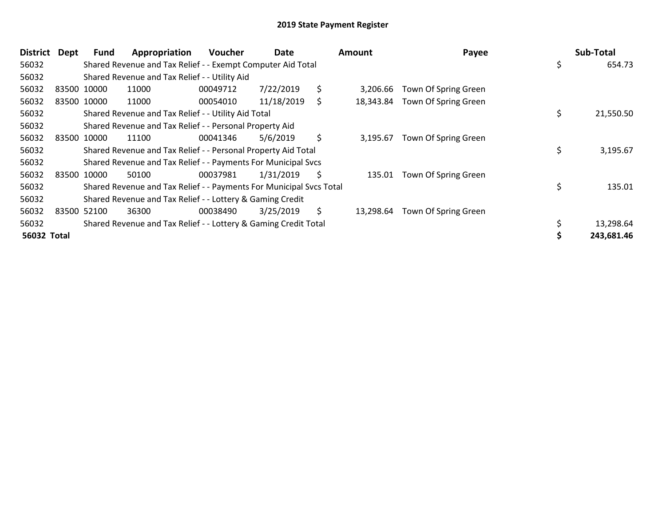| <b>District</b>    | Dept | <b>Fund</b> | Appropriation                                                       | Voucher  | Date       |     | <b>Amount</b> | Payee                | Sub-Total       |
|--------------------|------|-------------|---------------------------------------------------------------------|----------|------------|-----|---------------|----------------------|-----------------|
| 56032              |      |             | Shared Revenue and Tax Relief - - Exempt Computer Aid Total         |          |            |     |               |                      | 654.73          |
| 56032              |      |             | Shared Revenue and Tax Relief - - Utility Aid                       |          |            |     |               |                      |                 |
| 56032              |      | 83500 10000 | 11000                                                               | 00049712 | 7/22/2019  | \$  | 3,206.66      | Town Of Spring Green |                 |
| 56032              |      | 83500 10000 | 11000                                                               | 00054010 | 11/18/2019 | \$  | 18,343.84     | Town Of Spring Green |                 |
| 56032              |      |             | Shared Revenue and Tax Relief - - Utility Aid Total                 |          |            |     |               |                      | \$<br>21,550.50 |
| 56032              |      |             | Shared Revenue and Tax Relief - - Personal Property Aid             |          |            |     |               |                      |                 |
| 56032              |      | 83500 10000 | 11100                                                               | 00041346 | 5/6/2019   | \$  | 3,195.67      | Town Of Spring Green |                 |
| 56032              |      |             | Shared Revenue and Tax Relief - - Personal Property Aid Total       |          |            |     |               |                      | \$<br>3,195.67  |
| 56032              |      |             | Shared Revenue and Tax Relief - - Payments For Municipal Svcs       |          |            |     |               |                      |                 |
| 56032              |      | 83500 10000 | 50100                                                               | 00037981 | 1/31/2019  | \$. | 135.01        | Town Of Spring Green |                 |
| 56032              |      |             | Shared Revenue and Tax Relief - - Payments For Municipal Svcs Total |          |            |     |               |                      | \$<br>135.01    |
| 56032              |      |             | Shared Revenue and Tax Relief - - Lottery & Gaming Credit           |          |            |     |               |                      |                 |
| 56032              |      | 83500 52100 | 36300                                                               | 00038490 | 3/25/2019  | \$  | 13,298.64     | Town Of Spring Green |                 |
| 56032              |      |             | Shared Revenue and Tax Relief - - Lottery & Gaming Credit Total     |          |            |     |               |                      | 13,298.64       |
| <b>56032 Total</b> |      |             |                                                                     |          |            |     |               |                      | 243,681.46      |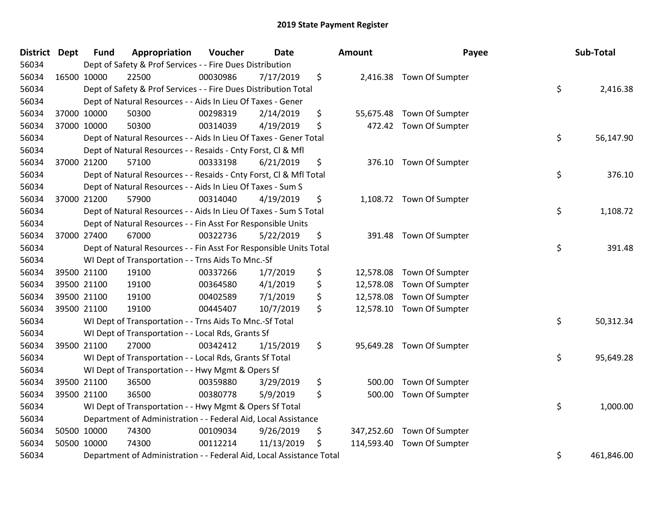| District | <b>Dept</b> | <b>Fund</b> | Appropriation                                                        | Voucher  | <b>Date</b> | Amount           | Payee                     | Sub-Total        |
|----------|-------------|-------------|----------------------------------------------------------------------|----------|-------------|------------------|---------------------------|------------------|
| 56034    |             |             | Dept of Safety & Prof Services - - Fire Dues Distribution            |          |             |                  |                           |                  |
| 56034    | 16500 10000 |             | 22500                                                                | 00030986 | 7/17/2019   | \$               | 2,416.38 Town Of Sumpter  |                  |
| 56034    |             |             | Dept of Safety & Prof Services - - Fire Dues Distribution Total      |          |             |                  |                           | \$<br>2,416.38   |
| 56034    |             |             | Dept of Natural Resources - - Aids In Lieu Of Taxes - Gener          |          |             |                  |                           |                  |
| 56034    | 37000 10000 |             | 50300                                                                | 00298319 | 2/14/2019   | \$<br>55,675.48  | Town Of Sumpter           |                  |
| 56034    | 37000 10000 |             | 50300                                                                | 00314039 | 4/19/2019   | \$               | 472.42 Town Of Sumpter    |                  |
| 56034    |             |             | Dept of Natural Resources - - Aids In Lieu Of Taxes - Gener Total    |          |             |                  |                           | \$<br>56,147.90  |
| 56034    |             |             | Dept of Natural Resources - - Resaids - Cnty Forst, Cl & Mfl         |          |             |                  |                           |                  |
| 56034    |             | 37000 21200 | 57100                                                                | 00333198 | 6/21/2019   | \$               | 376.10 Town Of Sumpter    |                  |
| 56034    |             |             | Dept of Natural Resources - - Resaids - Cnty Forst, Cl & Mfl Total   |          |             |                  |                           | \$<br>376.10     |
| 56034    |             |             | Dept of Natural Resources - - Aids In Lieu Of Taxes - Sum S          |          |             |                  |                           |                  |
| 56034    |             | 37000 21200 | 57900                                                                | 00314040 | 4/19/2019   | \$               | 1,108.72 Town Of Sumpter  |                  |
| 56034    |             |             | Dept of Natural Resources - - Aids In Lieu Of Taxes - Sum S Total    |          |             |                  |                           | \$<br>1,108.72   |
| 56034    |             |             | Dept of Natural Resources - - Fin Asst For Responsible Units         |          |             |                  |                           |                  |
| 56034    | 37000 27400 |             | 67000                                                                | 00322736 | 5/22/2019   | \$<br>391.48     | Town Of Sumpter           |                  |
| 56034    |             |             | Dept of Natural Resources - - Fin Asst For Responsible Units Total   |          |             |                  |                           | \$<br>391.48     |
| 56034    |             |             | WI Dept of Transportation - - Trns Aids To Mnc.-Sf                   |          |             |                  |                           |                  |
| 56034    |             | 39500 21100 | 19100                                                                | 00337266 | 1/7/2019    | \$<br>12,578.08  | Town Of Sumpter           |                  |
| 56034    |             | 39500 21100 | 19100                                                                | 00364580 | 4/1/2019    | \$<br>12,578.08  | Town Of Sumpter           |                  |
| 56034    |             | 39500 21100 | 19100                                                                | 00402589 | 7/1/2019    | \$<br>12,578.08  | Town Of Sumpter           |                  |
| 56034    | 39500 21100 |             | 19100                                                                | 00445407 | 10/7/2019   | \$               | 12,578.10 Town Of Sumpter |                  |
| 56034    |             |             | WI Dept of Transportation - - Trns Aids To Mnc.-Sf Total             |          |             |                  |                           | \$<br>50,312.34  |
| 56034    |             |             | WI Dept of Transportation - - Local Rds, Grants Sf                   |          |             |                  |                           |                  |
| 56034    |             | 39500 21100 | 27000                                                                | 00342412 | 1/15/2019   | \$               | 95,649.28 Town Of Sumpter |                  |
| 56034    |             |             | WI Dept of Transportation - - Local Rds, Grants Sf Total             |          |             |                  |                           | \$<br>95,649.28  |
| 56034    |             |             | WI Dept of Transportation - - Hwy Mgmt & Opers Sf                    |          |             |                  |                           |                  |
| 56034    |             | 39500 21100 | 36500                                                                | 00359880 | 3/29/2019   | \$<br>500.00     | Town Of Sumpter           |                  |
| 56034    | 39500 21100 |             | 36500                                                                | 00380778 | 5/9/2019    | \$<br>500.00     | Town Of Sumpter           |                  |
| 56034    |             |             | WI Dept of Transportation - - Hwy Mgmt & Opers Sf Total              |          |             |                  |                           | \$<br>1,000.00   |
| 56034    |             |             | Department of Administration - - Federal Aid, Local Assistance       |          |             |                  |                           |                  |
| 56034    | 50500 10000 |             | 74300                                                                | 00109034 | 9/26/2019   | \$<br>347,252.60 | Town Of Sumpter           |                  |
| 56034    | 50500 10000 |             | 74300                                                                | 00112214 | 11/13/2019  | \$<br>114,593.40 | Town Of Sumpter           |                  |
| 56034    |             |             | Department of Administration - - Federal Aid, Local Assistance Total |          |             |                  |                           | \$<br>461,846.00 |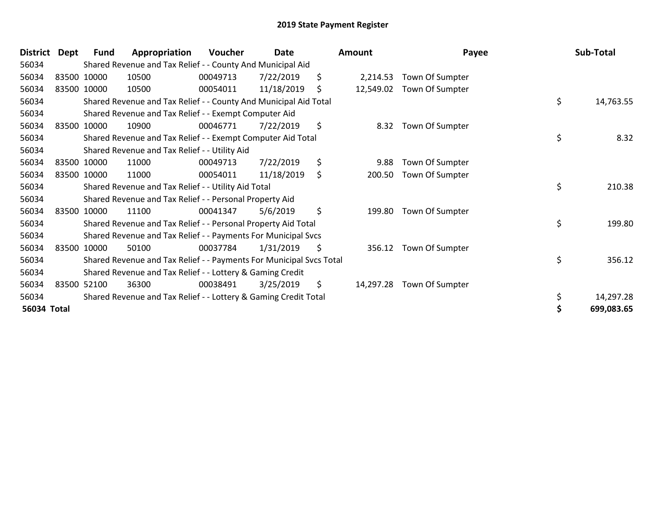| <b>District</b> | Dept | <b>Fund</b> | Appropriation                                                       | <b>Voucher</b> | Date       |     | Amount    | Payee           | Sub-Total       |
|-----------------|------|-------------|---------------------------------------------------------------------|----------------|------------|-----|-----------|-----------------|-----------------|
| 56034           |      |             | Shared Revenue and Tax Relief - - County And Municipal Aid          |                |            |     |           |                 |                 |
| 56034           |      | 83500 10000 | 10500                                                               | 00049713       | 7/22/2019  | \$  | 2,214.53  | Town Of Sumpter |                 |
| 56034           |      | 83500 10000 | 10500                                                               | 00054011       | 11/18/2019 | \$  | 12,549.02 | Town Of Sumpter |                 |
| 56034           |      |             | Shared Revenue and Tax Relief - - County And Municipal Aid Total    |                |            |     |           |                 | \$<br>14,763.55 |
| 56034           |      |             | Shared Revenue and Tax Relief - - Exempt Computer Aid               |                |            |     |           |                 |                 |
| 56034           |      | 83500 10000 | 10900                                                               | 00046771       | 7/22/2019  | \$  | 8.32      | Town Of Sumpter |                 |
| 56034           |      |             | Shared Revenue and Tax Relief - - Exempt Computer Aid Total         |                |            |     |           |                 | \$<br>8.32      |
| 56034           |      |             | Shared Revenue and Tax Relief - - Utility Aid                       |                |            |     |           |                 |                 |
| 56034           |      | 83500 10000 | 11000                                                               | 00049713       | 7/22/2019  | \$  | 9.88      | Town Of Sumpter |                 |
| 56034           |      | 83500 10000 | 11000                                                               | 00054011       | 11/18/2019 | \$  | 200.50    | Town Of Sumpter |                 |
| 56034           |      |             | Shared Revenue and Tax Relief - - Utility Aid Total                 |                |            |     |           |                 | \$<br>210.38    |
| 56034           |      |             | Shared Revenue and Tax Relief - - Personal Property Aid             |                |            |     |           |                 |                 |
| 56034           |      | 83500 10000 | 11100                                                               | 00041347       | 5/6/2019   | \$  | 199.80    | Town Of Sumpter |                 |
| 56034           |      |             | Shared Revenue and Tax Relief - - Personal Property Aid Total       |                |            |     |           |                 | \$<br>199.80    |
| 56034           |      |             | Shared Revenue and Tax Relief - - Payments For Municipal Svcs       |                |            |     |           |                 |                 |
| 56034           |      | 83500 10000 | 50100                                                               | 00037784       | 1/31/2019  | \$  | 356.12    | Town Of Sumpter |                 |
| 56034           |      |             | Shared Revenue and Tax Relief - - Payments For Municipal Svcs Total |                |            |     |           |                 | \$<br>356.12    |
| 56034           |      |             | Shared Revenue and Tax Relief - - Lottery & Gaming Credit           |                |            |     |           |                 |                 |
| 56034           |      | 83500 52100 | 36300                                                               | 00038491       | 3/25/2019  | \$. | 14,297.28 | Town Of Sumpter |                 |
| 56034           |      |             | Shared Revenue and Tax Relief - - Lottery & Gaming Credit Total     |                |            |     |           |                 | 14,297.28       |
| 56034 Total     |      |             |                                                                     |                |            |     |           |                 | 699,083.65      |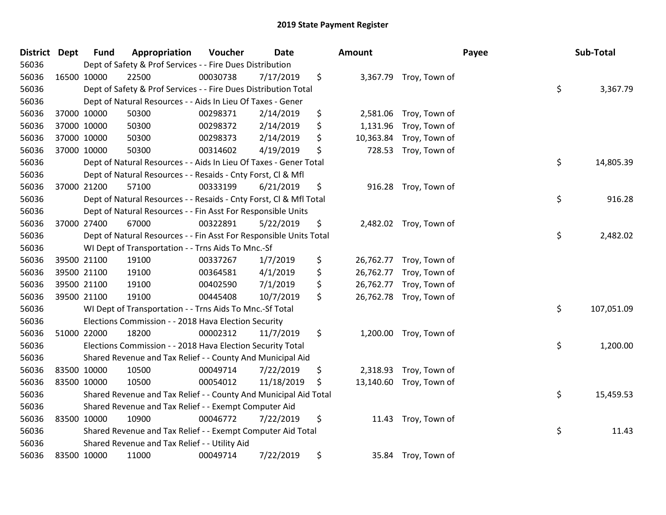| <b>District</b> | <b>Dept</b> | <b>Fund</b> | Appropriation                                                      | Voucher  | Date       | Amount          |                         | Payee | Sub-Total  |
|-----------------|-------------|-------------|--------------------------------------------------------------------|----------|------------|-----------------|-------------------------|-------|------------|
| 56036           |             |             | Dept of Safety & Prof Services - - Fire Dues Distribution          |          |            |                 |                         |       |            |
| 56036           |             | 16500 10000 | 22500                                                              | 00030738 | 7/17/2019  | \$              | 3,367.79 Troy, Town of  |       |            |
| 56036           |             |             | Dept of Safety & Prof Services - - Fire Dues Distribution Total    |          |            |                 |                         | \$    | 3,367.79   |
| 56036           |             |             | Dept of Natural Resources - - Aids In Lieu Of Taxes - Gener        |          |            |                 |                         |       |            |
| 56036           |             | 37000 10000 | 50300                                                              | 00298371 | 2/14/2019  | \$<br>2,581.06  | Troy, Town of           |       |            |
| 56036           |             | 37000 10000 | 50300                                                              | 00298372 | 2/14/2019  | \$<br>1,131.96  | Troy, Town of           |       |            |
| 56036           |             | 37000 10000 | 50300                                                              | 00298373 | 2/14/2019  | \$<br>10,363.84 | Troy, Town of           |       |            |
| 56036           |             | 37000 10000 | 50300                                                              | 00314602 | 4/19/2019  | \$<br>728.53    | Troy, Town of           |       |            |
| 56036           |             |             | Dept of Natural Resources - - Aids In Lieu Of Taxes - Gener Total  |          |            |                 |                         | \$    | 14,805.39  |
| 56036           |             |             | Dept of Natural Resources - - Resaids - Cnty Forst, CI & Mfl       |          |            |                 |                         |       |            |
| 56036           |             | 37000 21200 | 57100                                                              | 00333199 | 6/21/2019  | \$              | 916.28 Troy, Town of    |       |            |
| 56036           |             |             | Dept of Natural Resources - - Resaids - Cnty Forst, CI & Mfl Total |          |            |                 |                         | \$    | 916.28     |
| 56036           |             |             | Dept of Natural Resources - - Fin Asst For Responsible Units       |          |            |                 |                         |       |            |
| 56036           |             | 37000 27400 | 67000                                                              | 00322891 | 5/22/2019  | \$              | 2,482.02 Troy, Town of  |       |            |
| 56036           |             |             | Dept of Natural Resources - - Fin Asst For Responsible Units Total |          |            |                 |                         | \$    | 2,482.02   |
| 56036           |             |             | WI Dept of Transportation - - Trns Aids To Mnc.-Sf                 |          |            |                 |                         |       |            |
| 56036           |             | 39500 21100 | 19100                                                              | 00337267 | 1/7/2019   | \$<br>26,762.77 | Troy, Town of           |       |            |
| 56036           |             | 39500 21100 | 19100                                                              | 00364581 | 4/1/2019   | \$<br>26,762.77 | Troy, Town of           |       |            |
| 56036           |             | 39500 21100 | 19100                                                              | 00402590 | 7/1/2019   | \$<br>26,762.77 | Troy, Town of           |       |            |
| 56036           |             | 39500 21100 | 19100                                                              | 00445408 | 10/7/2019  | \$              | 26,762.78 Troy, Town of |       |            |
| 56036           |             |             | WI Dept of Transportation - - Trns Aids To Mnc.-Sf Total           |          |            |                 |                         | \$    | 107,051.09 |
| 56036           |             |             | Elections Commission - - 2018 Hava Election Security               |          |            |                 |                         |       |            |
| 56036           |             | 51000 22000 | 18200                                                              | 00002312 | 11/7/2019  | \$              | 1,200.00 Troy, Town of  |       |            |
| 56036           |             |             | Elections Commission - - 2018 Hava Election Security Total         |          |            |                 |                         | \$    | 1,200.00   |
| 56036           |             |             | Shared Revenue and Tax Relief - - County And Municipal Aid         |          |            |                 |                         |       |            |
| 56036           |             | 83500 10000 | 10500                                                              | 00049714 | 7/22/2019  | \$<br>2,318.93  | Troy, Town of           |       |            |
| 56036           |             | 83500 10000 | 10500                                                              | 00054012 | 11/18/2019 | \$              | 13,140.60 Troy, Town of |       |            |
| 56036           |             |             | Shared Revenue and Tax Relief - - County And Municipal Aid Total   |          |            |                 |                         | \$    | 15,459.53  |
| 56036           |             |             | Shared Revenue and Tax Relief - - Exempt Computer Aid              |          |            |                 |                         |       |            |
| 56036           |             | 83500 10000 | 10900                                                              | 00046772 | 7/22/2019  | \$              | 11.43 Troy, Town of     |       |            |
| 56036           |             |             | Shared Revenue and Tax Relief - - Exempt Computer Aid Total        |          |            |                 |                         | \$    | 11.43      |
| 56036           |             |             | Shared Revenue and Tax Relief - - Utility Aid                      |          |            |                 |                         |       |            |
| 56036           |             | 83500 10000 | 11000                                                              | 00049714 | 7/22/2019  | \$              | 35.84 Troy, Town of     |       |            |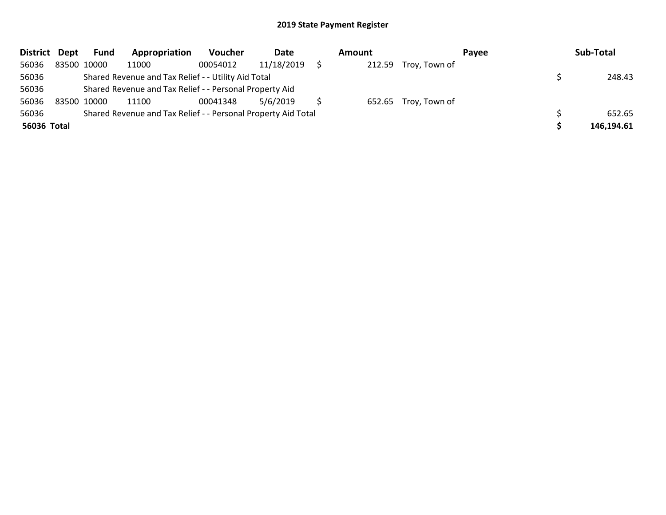| District Dept | Fund        | Appropriation                                                 | <b>Voucher</b> | Date       | Amount |                      | Pavee | Sub-Total  |
|---------------|-------------|---------------------------------------------------------------|----------------|------------|--------|----------------------|-------|------------|
| 56036         | 83500 10000 | 11000                                                         | 00054012       | 11/18/2019 | 212.59 | Troy, Town of        |       |            |
| 56036         |             | Shared Revenue and Tax Relief - - Utility Aid Total           |                |            |        |                      |       | 248.43     |
| 56036         |             | Shared Revenue and Tax Relief - - Personal Property Aid       |                |            |        |                      |       |            |
| 56036         | 83500 10000 | 11100                                                         | 00041348       | 5/6/2019   |        | 652.65 Troy, Town of |       |            |
| 56036         |             | Shared Revenue and Tax Relief - - Personal Property Aid Total |                |            |        |                      |       | 652.65     |
| 56036 Total   |             |                                                               |                |            |        |                      |       | 146,194.61 |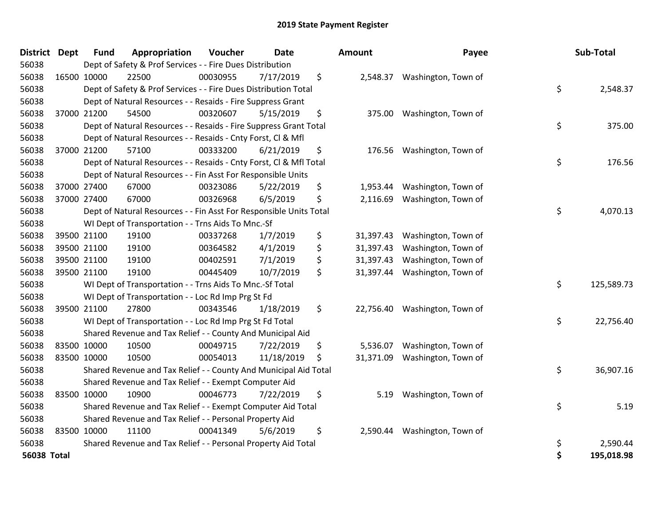| <b>District</b> | <b>Dept</b> | <b>Fund</b> | Appropriation                                                      | Voucher  | Date       | Amount          | Payee               | Sub-Total        |
|-----------------|-------------|-------------|--------------------------------------------------------------------|----------|------------|-----------------|---------------------|------------------|
| 56038           |             |             | Dept of Safety & Prof Services - - Fire Dues Distribution          |          |            |                 |                     |                  |
| 56038           |             | 16500 10000 | 22500                                                              | 00030955 | 7/17/2019  | \$<br>2,548.37  | Washington, Town of |                  |
| 56038           |             |             | Dept of Safety & Prof Services - - Fire Dues Distribution Total    |          |            |                 |                     | \$<br>2,548.37   |
| 56038           |             |             | Dept of Natural Resources - - Resaids - Fire Suppress Grant        |          |            |                 |                     |                  |
| 56038           |             | 37000 21200 | 54500                                                              | 00320607 | 5/15/2019  | \$<br>375.00    | Washington, Town of |                  |
| 56038           |             |             | Dept of Natural Resources - - Resaids - Fire Suppress Grant Total  |          |            |                 |                     | \$<br>375.00     |
| 56038           |             |             | Dept of Natural Resources - - Resaids - Cnty Forst, Cl & Mfl       |          |            |                 |                     |                  |
| 56038           |             | 37000 21200 | 57100                                                              | 00333200 | 6/21/2019  | \$<br>176.56    | Washington, Town of |                  |
| 56038           |             |             | Dept of Natural Resources - - Resaids - Cnty Forst, Cl & Mfl Total |          |            |                 |                     | \$<br>176.56     |
| 56038           |             |             | Dept of Natural Resources - - Fin Asst For Responsible Units       |          |            |                 |                     |                  |
| 56038           |             | 37000 27400 | 67000                                                              | 00323086 | 5/22/2019  | \$<br>1,953.44  | Washington, Town of |                  |
| 56038           |             | 37000 27400 | 67000                                                              | 00326968 | 6/5/2019   | \$<br>2,116.69  | Washington, Town of |                  |
| 56038           |             |             | Dept of Natural Resources - - Fin Asst For Responsible Units Total |          |            |                 |                     | \$<br>4,070.13   |
| 56038           |             |             | WI Dept of Transportation - - Trns Aids To Mnc.-Sf                 |          |            |                 |                     |                  |
| 56038           |             | 39500 21100 | 19100                                                              | 00337268 | 1/7/2019   | \$<br>31,397.43 | Washington, Town of |                  |
| 56038           |             | 39500 21100 | 19100                                                              | 00364582 | 4/1/2019   | \$<br>31,397.43 | Washington, Town of |                  |
| 56038           |             | 39500 21100 | 19100                                                              | 00402591 | 7/1/2019   | \$<br>31,397.43 | Washington, Town of |                  |
| 56038           |             | 39500 21100 | 19100                                                              | 00445409 | 10/7/2019  | \$<br>31,397.44 | Washington, Town of |                  |
| 56038           |             |             | WI Dept of Transportation - - Trns Aids To Mnc.-Sf Total           |          |            |                 |                     | \$<br>125,589.73 |
| 56038           |             |             | WI Dept of Transportation - - Loc Rd Imp Prg St Fd                 |          |            |                 |                     |                  |
| 56038           |             | 39500 21100 | 27800                                                              | 00343546 | 1/18/2019  | \$<br>22,756.40 | Washington, Town of |                  |
| 56038           |             |             | WI Dept of Transportation - - Loc Rd Imp Prg St Fd Total           |          |            |                 |                     | \$<br>22,756.40  |
| 56038           |             |             | Shared Revenue and Tax Relief - - County And Municipal Aid         |          |            |                 |                     |                  |
| 56038           |             | 83500 10000 | 10500                                                              | 00049715 | 7/22/2019  | \$<br>5,536.07  | Washington, Town of |                  |
| 56038           |             | 83500 10000 | 10500                                                              | 00054013 | 11/18/2019 | \$<br>31,371.09 | Washington, Town of |                  |
| 56038           |             |             | Shared Revenue and Tax Relief - - County And Municipal Aid Total   |          |            |                 |                     | \$<br>36,907.16  |
| 56038           |             |             | Shared Revenue and Tax Relief - - Exempt Computer Aid              |          |            |                 |                     |                  |
| 56038           |             | 83500 10000 | 10900                                                              | 00046773 | 7/22/2019  | \$<br>5.19      | Washington, Town of |                  |
| 56038           |             |             | Shared Revenue and Tax Relief - - Exempt Computer Aid Total        |          |            |                 |                     | \$<br>5.19       |
| 56038           |             |             | Shared Revenue and Tax Relief - - Personal Property Aid            |          |            |                 |                     |                  |
| 56038           |             | 83500 10000 | 11100                                                              | 00041349 | 5/6/2019   | \$<br>2,590.44  | Washington, Town of |                  |
| 56038           |             |             | Shared Revenue and Tax Relief - - Personal Property Aid Total      |          |            |                 |                     | \$<br>2,590.44   |
| 56038 Total     |             |             |                                                                    |          |            |                 |                     | \$<br>195,018.98 |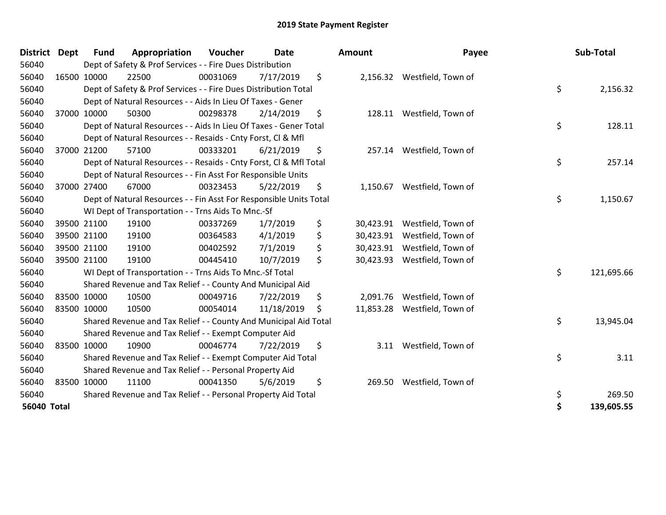| <b>District</b> | <b>Dept</b> | Fund        | Appropriation                                                      | Voucher  | <b>Date</b> | Amount          | Payee                       | Sub-Total        |
|-----------------|-------------|-------------|--------------------------------------------------------------------|----------|-------------|-----------------|-----------------------------|------------------|
| 56040           |             |             | Dept of Safety & Prof Services - - Fire Dues Distribution          |          |             |                 |                             |                  |
| 56040           |             | 16500 10000 | 22500                                                              | 00031069 | 7/17/2019   | \$              | 2,156.32 Westfield, Town of |                  |
| 56040           |             |             | Dept of Safety & Prof Services - - Fire Dues Distribution Total    |          |             |                 |                             | \$<br>2,156.32   |
| 56040           |             |             | Dept of Natural Resources - - Aids In Lieu Of Taxes - Gener        |          |             |                 |                             |                  |
| 56040           |             | 37000 10000 | 50300                                                              | 00298378 | 2/14/2019   | \$              | 128.11 Westfield, Town of   |                  |
| 56040           |             |             | Dept of Natural Resources - - Aids In Lieu Of Taxes - Gener Total  |          |             |                 |                             | \$<br>128.11     |
| 56040           |             |             | Dept of Natural Resources - - Resaids - Cnty Forst, CI & Mfl       |          |             |                 |                             |                  |
| 56040           |             | 37000 21200 | 57100                                                              | 00333201 | 6/21/2019   | \$              | 257.14 Westfield, Town of   |                  |
| 56040           |             |             | Dept of Natural Resources - - Resaids - Cnty Forst, CI & Mfl Total |          |             |                 |                             | \$<br>257.14     |
| 56040           |             |             | Dept of Natural Resources - - Fin Asst For Responsible Units       |          |             |                 |                             |                  |
| 56040           |             | 37000 27400 | 67000                                                              | 00323453 | 5/22/2019   | \$<br>1,150.67  | Westfield, Town of          |                  |
| 56040           |             |             | Dept of Natural Resources - - Fin Asst For Responsible Units Total |          |             |                 |                             | \$<br>1,150.67   |
| 56040           |             |             | WI Dept of Transportation - - Trns Aids To Mnc.-Sf                 |          |             |                 |                             |                  |
| 56040           |             | 39500 21100 | 19100                                                              | 00337269 | 1/7/2019    | \$<br>30,423.91 | Westfield, Town of          |                  |
| 56040           |             | 39500 21100 | 19100                                                              | 00364583 | 4/1/2019    | \$<br>30,423.91 | Westfield, Town of          |                  |
| 56040           |             | 39500 21100 | 19100                                                              | 00402592 | 7/1/2019    | \$<br>30,423.91 | Westfield, Town of          |                  |
| 56040           |             | 39500 21100 | 19100                                                              | 00445410 | 10/7/2019   | \$<br>30,423.93 | Westfield, Town of          |                  |
| 56040           |             |             | WI Dept of Transportation - - Trns Aids To Mnc.-Sf Total           |          |             |                 |                             | \$<br>121,695.66 |
| 56040           |             |             | Shared Revenue and Tax Relief - - County And Municipal Aid         |          |             |                 |                             |                  |
| 56040           |             | 83500 10000 | 10500                                                              | 00049716 | 7/22/2019   | \$<br>2,091.76  | Westfield, Town of          |                  |
| 56040           |             | 83500 10000 | 10500                                                              | 00054014 | 11/18/2019  | \$<br>11,853.28 | Westfield, Town of          |                  |
| 56040           |             |             | Shared Revenue and Tax Relief - - County And Municipal Aid Total   |          |             |                 |                             | \$<br>13,945.04  |
| 56040           |             |             | Shared Revenue and Tax Relief - - Exempt Computer Aid              |          |             |                 |                             |                  |
| 56040           |             | 83500 10000 | 10900                                                              | 00046774 | 7/22/2019   | \$              | 3.11 Westfield, Town of     |                  |
| 56040           |             |             | Shared Revenue and Tax Relief - - Exempt Computer Aid Total        |          |             |                 |                             | \$<br>3.11       |
| 56040           |             |             | Shared Revenue and Tax Relief - - Personal Property Aid            |          |             |                 |                             |                  |
| 56040           |             | 83500 10000 | 11100                                                              | 00041350 | 5/6/2019    | \$<br>269.50    | Westfield, Town of          |                  |
| 56040           |             |             | Shared Revenue and Tax Relief - - Personal Property Aid Total      |          |             |                 |                             | \$<br>269.50     |
| 56040 Total     |             |             |                                                                    |          |             |                 |                             | \$<br>139,605.55 |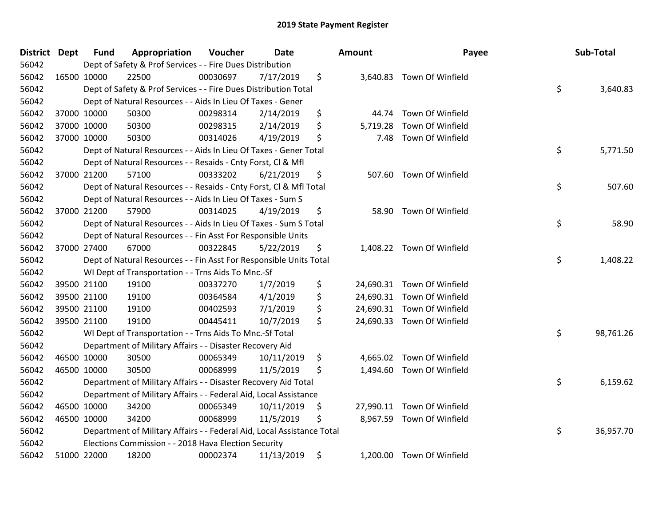| <b>District Dept</b> |             | <b>Fund</b> | Appropriation                                                          | Voucher  | Date       |    | <b>Amount</b> | Payee                      | Sub-Total       |
|----------------------|-------------|-------------|------------------------------------------------------------------------|----------|------------|----|---------------|----------------------------|-----------------|
| 56042                |             |             | Dept of Safety & Prof Services - - Fire Dues Distribution              |          |            |    |               |                            |                 |
| 56042                | 16500 10000 |             | 22500                                                                  | 00030697 | 7/17/2019  | \$ |               | 3,640.83 Town Of Winfield  |                 |
| 56042                |             |             | Dept of Safety & Prof Services - - Fire Dues Distribution Total        |          |            |    |               |                            | \$<br>3,640.83  |
| 56042                |             |             | Dept of Natural Resources - - Aids In Lieu Of Taxes - Gener            |          |            |    |               |                            |                 |
| 56042                |             | 37000 10000 | 50300                                                                  | 00298314 | 2/14/2019  | \$ | 44.74         | Town Of Winfield           |                 |
| 56042                |             | 37000 10000 | 50300                                                                  | 00298315 | 2/14/2019  | \$ | 5,719.28      | Town Of Winfield           |                 |
| 56042                | 37000 10000 |             | 50300                                                                  | 00314026 | 4/19/2019  | \$ | 7.48          | Town Of Winfield           |                 |
| 56042                |             |             | Dept of Natural Resources - - Aids In Lieu Of Taxes - Gener Total      |          |            |    |               |                            | \$<br>5,771.50  |
| 56042                |             |             | Dept of Natural Resources - - Resaids - Cnty Forst, Cl & Mfl           |          |            |    |               |                            |                 |
| 56042                |             | 37000 21200 | 57100                                                                  | 00333202 | 6/21/2019  | \$ |               | 507.60 Town Of Winfield    |                 |
| 56042                |             |             | Dept of Natural Resources - - Resaids - Cnty Forst, CI & Mfl Total     |          |            |    |               |                            | \$<br>507.60    |
| 56042                |             |             | Dept of Natural Resources - - Aids In Lieu Of Taxes - Sum S            |          |            |    |               |                            |                 |
| 56042                |             | 37000 21200 | 57900                                                                  | 00314025 | 4/19/2019  | \$ |               | 58.90 Town Of Winfield     |                 |
| 56042                |             |             | Dept of Natural Resources - - Aids In Lieu Of Taxes - Sum S Total      |          |            |    |               |                            | \$<br>58.90     |
| 56042                |             |             | Dept of Natural Resources - - Fin Asst For Responsible Units           |          |            |    |               |                            |                 |
| 56042                |             | 37000 27400 | 67000                                                                  | 00322845 | 5/22/2019  | \$ |               | 1,408.22 Town Of Winfield  |                 |
| 56042                |             |             | Dept of Natural Resources - - Fin Asst For Responsible Units Total     |          |            |    |               |                            | \$<br>1,408.22  |
| 56042                |             |             | WI Dept of Transportation - - Trns Aids To Mnc.-Sf                     |          |            |    |               |                            |                 |
| 56042                |             | 39500 21100 | 19100                                                                  | 00337270 | 1/7/2019   | \$ |               | 24,690.31 Town Of Winfield |                 |
| 56042                |             | 39500 21100 | 19100                                                                  | 00364584 | 4/1/2019   | \$ |               | 24,690.31 Town Of Winfield |                 |
| 56042                |             | 39500 21100 | 19100                                                                  | 00402593 | 7/1/2019   | \$ |               | 24,690.31 Town Of Winfield |                 |
| 56042                |             | 39500 21100 | 19100                                                                  | 00445411 | 10/7/2019  | \$ |               | 24,690.33 Town Of Winfield |                 |
| 56042                |             |             | WI Dept of Transportation - - Trns Aids To Mnc.-Sf Total               |          |            |    |               |                            | \$<br>98,761.26 |
| 56042                |             |             | Department of Military Affairs - - Disaster Recovery Aid               |          |            |    |               |                            |                 |
| 56042                | 46500 10000 |             | 30500                                                                  | 00065349 | 10/11/2019 | \$ |               | 4,665.02 Town Of Winfield  |                 |
| 56042                |             | 46500 10000 | 30500                                                                  | 00068999 | 11/5/2019  | \$ |               | 1,494.60 Town Of Winfield  |                 |
| 56042                |             |             | Department of Military Affairs - - Disaster Recovery Aid Total         |          |            |    |               |                            | \$<br>6,159.62  |
| 56042                |             |             | Department of Military Affairs - - Federal Aid, Local Assistance       |          |            |    |               |                            |                 |
| 56042                |             | 46500 10000 | 34200                                                                  | 00065349 | 10/11/2019 | \$ |               | 27,990.11 Town Of Winfield |                 |
| 56042                | 46500 10000 |             | 34200                                                                  | 00068999 | 11/5/2019  | Ş  |               | 8,967.59 Town Of Winfield  |                 |
| 56042                |             |             | Department of Military Affairs - - Federal Aid, Local Assistance Total |          |            |    |               |                            | \$<br>36,957.70 |
| 56042                |             |             | Elections Commission - - 2018 Hava Election Security                   |          |            |    |               |                            |                 |
| 56042                |             | 51000 22000 | 18200                                                                  | 00002374 | 11/13/2019 | \$ |               | 1,200.00 Town Of Winfield  |                 |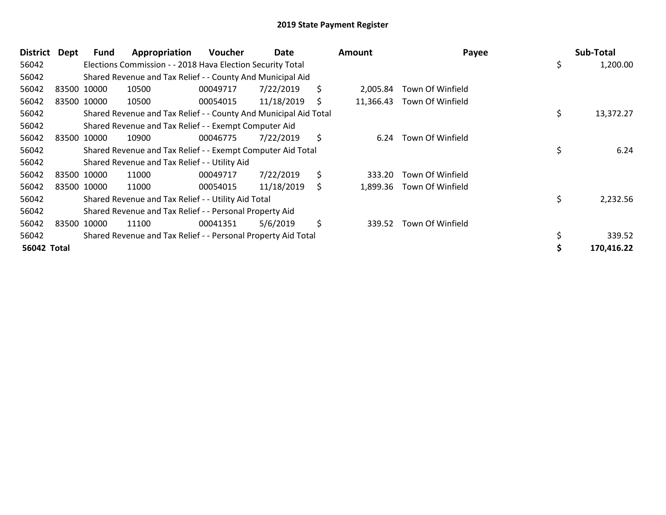| <b>District</b>    | <b>Dept</b> | Fund        | Appropriation                                                    | <b>Voucher</b> | Date       |    | <b>Amount</b> | Payee            | Sub-Total       |
|--------------------|-------------|-------------|------------------------------------------------------------------|----------------|------------|----|---------------|------------------|-----------------|
| 56042              |             |             | Elections Commission - - 2018 Hava Election Security Total       |                |            |    |               |                  | \$<br>1,200.00  |
| 56042              |             |             | Shared Revenue and Tax Relief - - County And Municipal Aid       |                |            |    |               |                  |                 |
| 56042              |             | 83500 10000 | 10500                                                            | 00049717       | 7/22/2019  | \$ | 2,005.84      | Town Of Winfield |                 |
| 56042              |             | 83500 10000 | 10500                                                            | 00054015       | 11/18/2019 | S  | 11,366.43     | Town Of Winfield |                 |
| 56042              |             |             | Shared Revenue and Tax Relief - - County And Municipal Aid Total |                |            |    |               |                  | \$<br>13,372.27 |
| 56042              |             |             | Shared Revenue and Tax Relief - - Exempt Computer Aid            |                |            |    |               |                  |                 |
| 56042              |             | 83500 10000 | 10900                                                            | 00046775       | 7/22/2019  | \$ | 6.24          | Town Of Winfield |                 |
| 56042              |             |             | Shared Revenue and Tax Relief - - Exempt Computer Aid Total      |                |            |    |               |                  | \$<br>6.24      |
| 56042              |             |             | Shared Revenue and Tax Relief - - Utility Aid                    |                |            |    |               |                  |                 |
| 56042              |             | 83500 10000 | 11000                                                            | 00049717       | 7/22/2019  | \$ | 333.20        | Town Of Winfield |                 |
| 56042              |             | 83500 10000 | 11000                                                            | 00054015       | 11/18/2019 | \$ | 1,899.36      | Town Of Winfield |                 |
| 56042              |             |             | Shared Revenue and Tax Relief - - Utility Aid Total              |                |            |    |               |                  | \$<br>2,232.56  |
| 56042              |             |             | Shared Revenue and Tax Relief - - Personal Property Aid          |                |            |    |               |                  |                 |
| 56042              |             | 83500 10000 | 11100                                                            | 00041351       | 5/6/2019   | \$ | 339.52        | Town Of Winfield |                 |
| 56042              |             |             | Shared Revenue and Tax Relief - - Personal Property Aid Total    |                |            |    |               |                  | 339.52          |
| <b>56042 Total</b> |             |             |                                                                  |                |            |    |               |                  | 170,416.22      |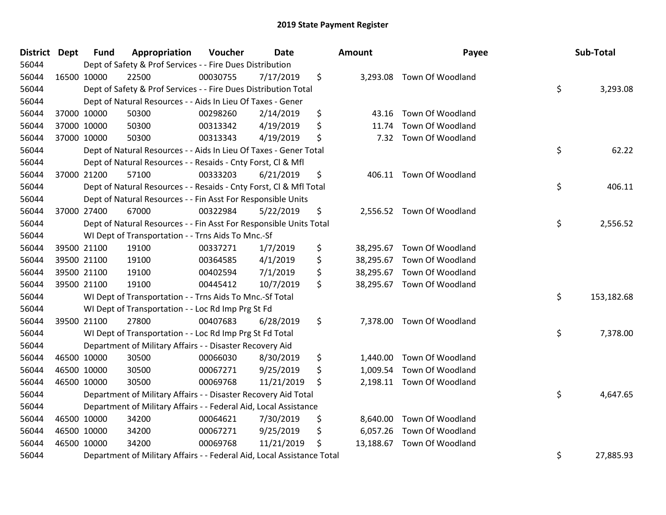| District Dept | <b>Fund</b> | Appropriation                                                          | Voucher  | <b>Date</b> |     | Amount   | Payee                      | Sub-Total        |
|---------------|-------------|------------------------------------------------------------------------|----------|-------------|-----|----------|----------------------------|------------------|
| 56044         |             | Dept of Safety & Prof Services - - Fire Dues Distribution              |          |             |     |          |                            |                  |
| 56044         | 16500 10000 | 22500                                                                  | 00030755 | 7/17/2019   | \$  |          | 3,293.08 Town Of Woodland  |                  |
| 56044         |             | Dept of Safety & Prof Services - - Fire Dues Distribution Total        |          |             |     |          |                            | \$<br>3,293.08   |
| 56044         |             | Dept of Natural Resources - - Aids In Lieu Of Taxes - Gener            |          |             |     |          |                            |                  |
| 56044         | 37000 10000 | 50300                                                                  | 00298260 | 2/14/2019   | \$  | 43.16    | Town Of Woodland           |                  |
| 56044         | 37000 10000 | 50300                                                                  | 00313342 | 4/19/2019   | \$  | 11.74    | Town Of Woodland           |                  |
| 56044         | 37000 10000 | 50300                                                                  | 00313343 | 4/19/2019   | \$  | 7.32     | Town Of Woodland           |                  |
| 56044         |             | Dept of Natural Resources - - Aids In Lieu Of Taxes - Gener Total      |          |             |     |          |                            | \$<br>62.22      |
| 56044         |             | Dept of Natural Resources - - Resaids - Cnty Forst, Cl & Mfl           |          |             |     |          |                            |                  |
| 56044         | 37000 21200 | 57100                                                                  | 00333203 | 6/21/2019   | \$  |          | 406.11 Town Of Woodland    |                  |
| 56044         |             | Dept of Natural Resources - - Resaids - Cnty Forst, Cl & Mfl Total     |          |             |     |          |                            | \$<br>406.11     |
| 56044         |             | Dept of Natural Resources - - Fin Asst For Responsible Units           |          |             |     |          |                            |                  |
| 56044         | 37000 27400 | 67000                                                                  | 00322984 | 5/22/2019   | \$  |          | 2,556.52 Town Of Woodland  |                  |
| 56044         |             | Dept of Natural Resources - - Fin Asst For Responsible Units Total     |          |             |     |          |                            | \$<br>2,556.52   |
| 56044         |             | WI Dept of Transportation - - Trns Aids To Mnc.-Sf                     |          |             |     |          |                            |                  |
| 56044         | 39500 21100 | 19100                                                                  | 00337271 | 1/7/2019    | \$  |          | 38,295.67 Town Of Woodland |                  |
| 56044         | 39500 21100 | 19100                                                                  | 00364585 | 4/1/2019    | \$  |          | 38,295.67 Town Of Woodland |                  |
| 56044         | 39500 21100 | 19100                                                                  | 00402594 | 7/1/2019    | \$  |          | 38,295.67 Town Of Woodland |                  |
| 56044         | 39500 21100 | 19100                                                                  | 00445412 | 10/7/2019   | \$  |          | 38,295.67 Town Of Woodland |                  |
| 56044         |             | WI Dept of Transportation - - Trns Aids To Mnc.-Sf Total               |          |             |     |          |                            | \$<br>153,182.68 |
| 56044         |             | WI Dept of Transportation - - Loc Rd Imp Prg St Fd                     |          |             |     |          |                            |                  |
| 56044         | 39500 21100 | 27800                                                                  | 00407683 | 6/28/2019   | \$  |          | 7,378.00 Town Of Woodland  |                  |
| 56044         |             | WI Dept of Transportation - - Loc Rd Imp Prg St Fd Total               |          |             |     |          |                            | \$<br>7,378.00   |
| 56044         |             | Department of Military Affairs - - Disaster Recovery Aid               |          |             |     |          |                            |                  |
| 56044         | 46500 10000 | 30500                                                                  | 00066030 | 8/30/2019   | \$  | 1,440.00 | Town Of Woodland           |                  |
| 56044         | 46500 10000 | 30500                                                                  | 00067271 | 9/25/2019   | \$  | 1,009.54 | Town Of Woodland           |                  |
| 56044         | 46500 10000 | 30500                                                                  | 00069768 | 11/21/2019  | \$  |          | 2,198.11 Town Of Woodland  |                  |
| 56044         |             | Department of Military Affairs - - Disaster Recovery Aid Total         |          |             |     |          |                            | \$<br>4,647.65   |
| 56044         |             | Department of Military Affairs - - Federal Aid, Local Assistance       |          |             |     |          |                            |                  |
| 56044         | 46500 10000 | 34200                                                                  | 00064621 | 7/30/2019   | \$, | 8,640.00 | Town Of Woodland           |                  |
| 56044         | 46500 10000 | 34200                                                                  | 00067271 | 9/25/2019   | \$  |          | 6,057.26 Town Of Woodland  |                  |
| 56044         | 46500 10000 | 34200                                                                  | 00069768 | 11/21/2019  | \$  |          | 13,188.67 Town Of Woodland |                  |
| 56044         |             | Department of Military Affairs - - Federal Aid, Local Assistance Total |          |             |     |          |                            | \$<br>27,885.93  |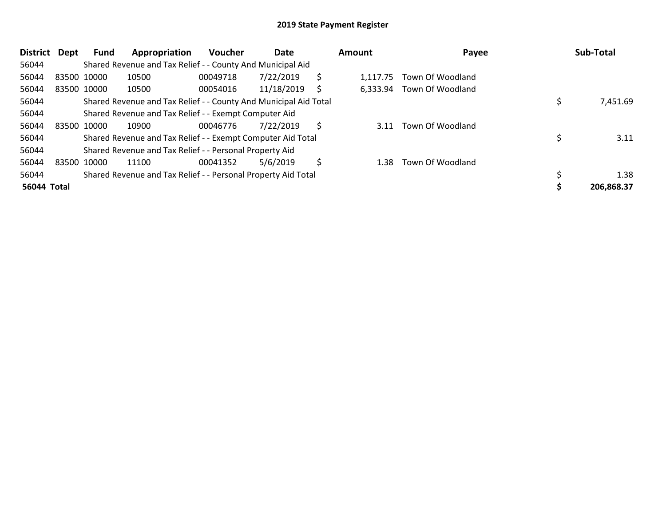| District    | Dept | <b>Fund</b> | Appropriation                                                    | <b>Voucher</b> | Date       |    | Amount   | Payee            | Sub-Total  |
|-------------|------|-------------|------------------------------------------------------------------|----------------|------------|----|----------|------------------|------------|
| 56044       |      |             | Shared Revenue and Tax Relief - - County And Municipal Aid       |                |            |    |          |                  |            |
| 56044       |      | 83500 10000 | 10500                                                            | 00049718       | 7/22/2019  | Ś  | 1.117.75 | Town Of Woodland |            |
| 56044       |      | 83500 10000 | 10500                                                            | 00054016       | 11/18/2019 | S  | 6,333.94 | Town Of Woodland |            |
| 56044       |      |             | Shared Revenue and Tax Relief - - County And Municipal Aid Total |                |            |    |          |                  | 7,451.69   |
| 56044       |      |             | Shared Revenue and Tax Relief - - Exempt Computer Aid            |                |            |    |          |                  |            |
| 56044       |      | 83500 10000 | 10900                                                            | 00046776       | 7/22/2019  | Ś  | 3.11     | Town Of Woodland |            |
| 56044       |      |             | Shared Revenue and Tax Relief - - Exempt Computer Aid Total      |                |            |    |          |                  | 3.11       |
| 56044       |      |             | Shared Revenue and Tax Relief - - Personal Property Aid          |                |            |    |          |                  |            |
| 56044       |      | 83500 10000 | 11100                                                            | 00041352       | 5/6/2019   | \$ | 1.38     | Town Of Woodland |            |
| 56044       |      |             | Shared Revenue and Tax Relief - - Personal Property Aid Total    |                |            |    |          |                  | 1.38       |
| 56044 Total |      |             |                                                                  |                |            |    |          |                  | 206.868.37 |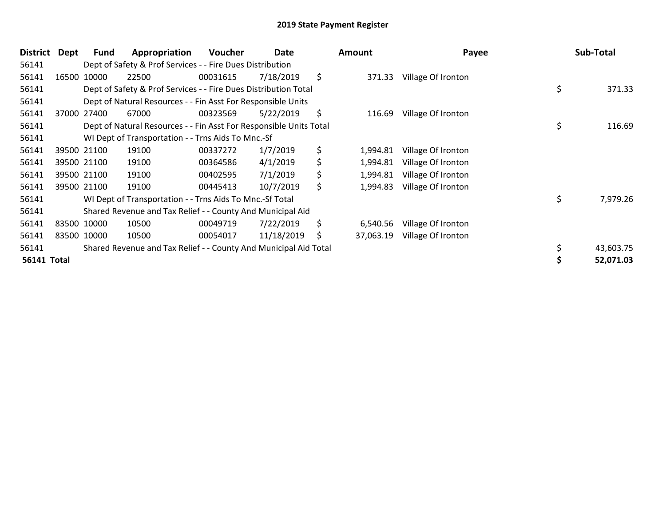| District           | Dept  | <b>Fund</b> | Appropriation                                                      | <b>Voucher</b> | Date       | Amount          | Payee              | Sub-Total      |
|--------------------|-------|-------------|--------------------------------------------------------------------|----------------|------------|-----------------|--------------------|----------------|
| 56141              |       |             | Dept of Safety & Prof Services - - Fire Dues Distribution          |                |            |                 |                    |                |
| 56141              | 16500 | 10000       | 22500                                                              | 00031615       | 7/18/2019  | \$<br>371.33    | Village Of Ironton |                |
| 56141              |       |             | Dept of Safety & Prof Services - - Fire Dues Distribution Total    |                |            |                 |                    | \$<br>371.33   |
| 56141              |       |             | Dept of Natural Resources - - Fin Asst For Responsible Units       |                |            |                 |                    |                |
| 56141              |       | 37000 27400 | 67000                                                              | 00323569       | 5/22/2019  | \$<br>116.69    | Village Of Ironton |                |
| 56141              |       |             | Dept of Natural Resources - - Fin Asst For Responsible Units Total |                |            |                 |                    | \$<br>116.69   |
| 56141              |       |             | WI Dept of Transportation - - Trns Aids To Mnc.-Sf                 |                |            |                 |                    |                |
| 56141              |       | 39500 21100 | 19100                                                              | 00337272       | 1/7/2019   | \$<br>1,994.81  | Village Of Ironton |                |
| 56141              |       | 39500 21100 | 19100                                                              | 00364586       | 4/1/2019   | \$<br>1,994.81  | Village Of Ironton |                |
| 56141              |       | 39500 21100 | 19100                                                              | 00402595       | 7/1/2019   | \$<br>1,994.81  | Village Of Ironton |                |
| 56141              |       | 39500 21100 | 19100                                                              | 00445413       | 10/7/2019  | \$<br>1,994.83  | Village Of Ironton |                |
| 56141              |       |             | WI Dept of Transportation - - Trns Aids To Mnc.-Sf Total           |                |            |                 |                    | \$<br>7,979.26 |
| 56141              |       |             | Shared Revenue and Tax Relief - - County And Municipal Aid         |                |            |                 |                    |                |
| 56141              |       | 83500 10000 | 10500                                                              | 00049719       | 7/22/2019  | \$<br>6,540.56  | Village Of Ironton |                |
| 56141              |       | 83500 10000 | 10500                                                              | 00054017       | 11/18/2019 | \$<br>37,063.19 | Village Of Ironton |                |
| 56141              |       |             | Shared Revenue and Tax Relief - - County And Municipal Aid Total   |                |            |                 |                    | 43,603.75      |
| <b>56141 Total</b> |       |             |                                                                    |                |            |                 |                    | 52,071.03      |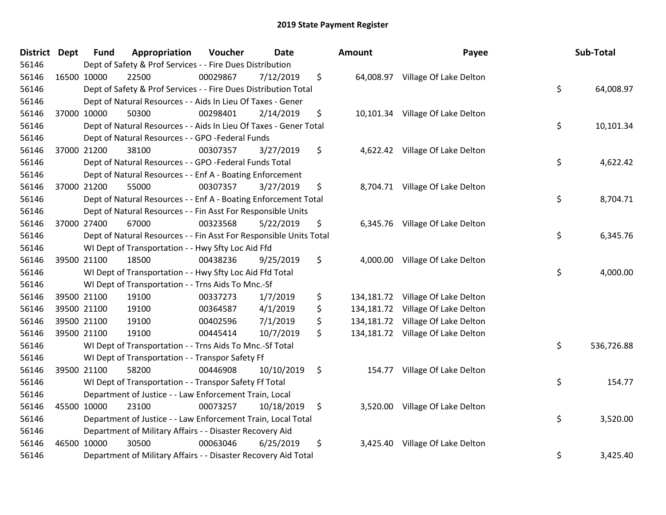| District Dept | <b>Fund</b> | Appropriation                                                      | Voucher  | <b>Date</b> | Amount         | Payee                             | Sub-Total        |
|---------------|-------------|--------------------------------------------------------------------|----------|-------------|----------------|-----------------------------------|------------------|
| 56146         |             | Dept of Safety & Prof Services - - Fire Dues Distribution          |          |             |                |                                   |                  |
| 56146         | 16500 10000 | 22500                                                              | 00029867 | 7/12/2019   | \$             | 64,008.97 Village Of Lake Delton  |                  |
| 56146         |             | Dept of Safety & Prof Services - - Fire Dues Distribution Total    |          |             |                |                                   | \$<br>64,008.97  |
| 56146         |             | Dept of Natural Resources - - Aids In Lieu Of Taxes - Gener        |          |             |                |                                   |                  |
| 56146         | 37000 10000 | 50300                                                              | 00298401 | 2/14/2019   | \$             | 10,101.34 Village Of Lake Delton  |                  |
| 56146         |             | Dept of Natural Resources - - Aids In Lieu Of Taxes - Gener Total  |          |             |                |                                   | \$<br>10,101.34  |
| 56146         |             | Dept of Natural Resources - - GPO -Federal Funds                   |          |             |                |                                   |                  |
| 56146         | 37000 21200 | 38100                                                              | 00307357 | 3/27/2019   | \$             | 4,622.42 Village Of Lake Delton   |                  |
| 56146         |             | Dept of Natural Resources - - GPO -Federal Funds Total             |          |             |                |                                   | \$<br>4,622.42   |
| 56146         |             | Dept of Natural Resources - - Enf A - Boating Enforcement          |          |             |                |                                   |                  |
| 56146         | 37000 21200 | 55000                                                              | 00307357 | 3/27/2019   | \$             | 8,704.71 Village Of Lake Delton   |                  |
| 56146         |             | Dept of Natural Resources - - Enf A - Boating Enforcement Total    |          |             |                |                                   | \$<br>8,704.71   |
| 56146         |             | Dept of Natural Resources - - Fin Asst For Responsible Units       |          |             |                |                                   |                  |
| 56146         | 37000 27400 | 67000                                                              | 00323568 | 5/22/2019   | \$             | 6,345.76 Village Of Lake Delton   |                  |
| 56146         |             | Dept of Natural Resources - - Fin Asst For Responsible Units Total |          |             |                |                                   | \$<br>6,345.76   |
| 56146         |             | WI Dept of Transportation - - Hwy Sfty Loc Aid Ffd                 |          |             |                |                                   |                  |
| 56146         | 39500 21100 | 18500                                                              | 00438236 | 9/25/2019   | \$<br>4,000.00 | Village Of Lake Delton            |                  |
| 56146         |             | WI Dept of Transportation - - Hwy Sfty Loc Aid Ffd Total           |          |             |                |                                   | \$<br>4,000.00   |
| 56146         |             | WI Dept of Transportation - - Trns Aids To Mnc.-Sf                 |          |             |                |                                   |                  |
| 56146         | 39500 21100 | 19100                                                              | 00337273 | 1/7/2019    | \$             | 134,181.72 Village Of Lake Delton |                  |
| 56146         | 39500 21100 | 19100                                                              | 00364587 | 4/1/2019    | \$             | 134,181.72 Village Of Lake Delton |                  |
| 56146         | 39500 21100 | 19100                                                              | 00402596 | 7/1/2019    | \$             | 134,181.72 Village Of Lake Delton |                  |
| 56146         | 39500 21100 | 19100                                                              | 00445414 | 10/7/2019   | \$             | 134,181.72 Village Of Lake Delton |                  |
| 56146         |             | WI Dept of Transportation - - Trns Aids To Mnc.-Sf Total           |          |             |                |                                   | \$<br>536,726.88 |
| 56146         |             | WI Dept of Transportation - - Transpor Safety Ff                   |          |             |                |                                   |                  |
| 56146         | 39500 21100 | 58200                                                              | 00446908 | 10/10/2019  | \$             | 154.77 Village Of Lake Delton     |                  |
| 56146         |             | WI Dept of Transportation - - Transpor Safety Ff Total             |          |             |                |                                   | \$<br>154.77     |
| 56146         |             | Department of Justice - - Law Enforcement Train, Local             |          |             |                |                                   |                  |
| 56146         | 45500 10000 | 23100                                                              | 00073257 | 10/18/2019  | \$             | 3,520.00 Village Of Lake Delton   |                  |
| 56146         |             | Department of Justice - - Law Enforcement Train, Local Total       |          |             |                |                                   | \$<br>3,520.00   |
| 56146         |             | Department of Military Affairs - - Disaster Recovery Aid           |          |             |                |                                   |                  |
| 56146         | 46500 10000 | 30500                                                              | 00063046 | 6/25/2019   | \$<br>3,425.40 | Village Of Lake Delton            |                  |
| 56146         |             | Department of Military Affairs - - Disaster Recovery Aid Total     |          |             |                |                                   | \$<br>3,425.40   |

| ount                                                 | Payee                                                                                                | Sub-Total        |
|------------------------------------------------------|------------------------------------------------------------------------------------------------------|------------------|
| 64,008.97                                            | Village Of Lake Delton                                                                               | \$<br>64,008.97  |
|                                                      | 10,101.34 Village Of Lake Delton                                                                     | \$<br>10,101.34  |
| 4,622.42                                             | Village Of Lake Delton                                                                               | \$<br>4,622.42   |
| 8,704.71                                             | Village Of Lake Delton                                                                               | \$<br>8,704.71   |
| 6,345.76                                             | Village Of Lake Delton                                                                               | \$<br>6,345.76   |
| 4,000.00                                             | Village Of Lake Delton                                                                               | \$<br>4,000.00   |
| 134,181.72<br>134,181.72<br>134,181.72<br>134,181.72 | Village Of Lake Delton<br>Village Of Lake Delton<br>Village Of Lake Delton<br>Village Of Lake Delton |                  |
|                                                      |                                                                                                      | \$<br>536,726.88 |
| 154.77                                               | Village Of Lake Delton                                                                               | \$<br>154.77     |
| 3,520.00                                             | Village Of Lake Delton                                                                               | \$<br>3,520.00   |
| 3,425.40                                             | Village Of Lake Delton                                                                               | \$<br>3,425.40   |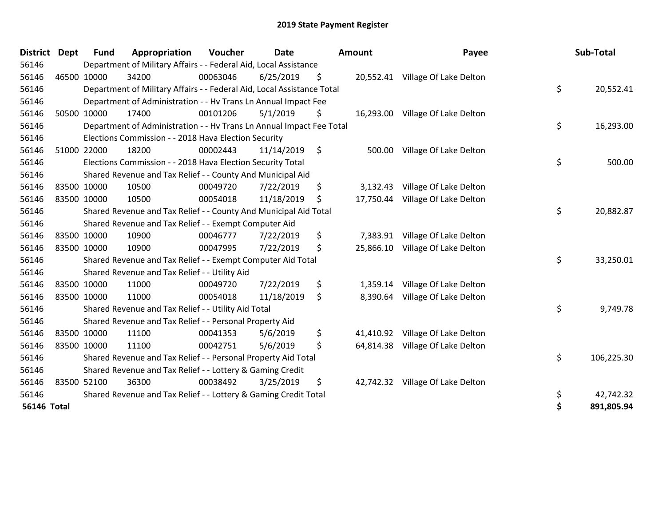| <b>District</b>    | <b>Dept</b> | <b>Fund</b> | Appropriation                                                          | Voucher  | <b>Date</b> | Amount          | Payee                            | Sub-Total        |
|--------------------|-------------|-------------|------------------------------------------------------------------------|----------|-------------|-----------------|----------------------------------|------------------|
| 56146              |             |             | Department of Military Affairs - - Federal Aid, Local Assistance       |          |             |                 |                                  |                  |
| 56146              | 46500 10000 |             | 34200                                                                  | 00063046 | 6/25/2019   | \$              | 20,552.41 Village Of Lake Delton |                  |
| 56146              |             |             | Department of Military Affairs - - Federal Aid, Local Assistance Total |          |             |                 |                                  | \$<br>20,552.41  |
| 56146              |             |             | Department of Administration - - Hv Trans Ln Annual Impact Fee         |          |             |                 |                                  |                  |
| 56146              |             | 50500 10000 | 17400                                                                  | 00101206 | 5/1/2019    | \$              | 16,293.00 Village Of Lake Delton |                  |
| 56146              |             |             | Department of Administration - - Hv Trans Ln Annual Impact Fee Total   |          |             |                 |                                  | \$<br>16,293.00  |
| 56146              |             |             | Elections Commission - - 2018 Hava Election Security                   |          |             |                 |                                  |                  |
| 56146              |             | 51000 22000 | 18200                                                                  | 00002443 | 11/14/2019  | \$<br>500.00    | Village Of Lake Delton           |                  |
| 56146              |             |             | Elections Commission - - 2018 Hava Election Security Total             |          |             |                 |                                  | \$<br>500.00     |
| 56146              |             |             | Shared Revenue and Tax Relief - - County And Municipal Aid             |          |             |                 |                                  |                  |
| 56146              |             | 83500 10000 | 10500                                                                  | 00049720 | 7/22/2019   | \$<br>3,132.43  | Village Of Lake Delton           |                  |
| 56146              | 83500 10000 |             | 10500                                                                  | 00054018 | 11/18/2019  | \$<br>17,750.44 | Village Of Lake Delton           |                  |
| 56146              |             |             | Shared Revenue and Tax Relief - - County And Municipal Aid Total       |          |             |                 |                                  | \$<br>20,882.87  |
| 56146              |             |             | Shared Revenue and Tax Relief - - Exempt Computer Aid                  |          |             |                 |                                  |                  |
| 56146              |             | 83500 10000 | 10900                                                                  | 00046777 | 7/22/2019   | \$<br>7,383.91  | Village Of Lake Delton           |                  |
| 56146              | 83500 10000 |             | 10900                                                                  | 00047995 | 7/22/2019   | \$<br>25,866.10 | Village Of Lake Delton           |                  |
| 56146              |             |             | Shared Revenue and Tax Relief - - Exempt Computer Aid Total            |          |             |                 |                                  | \$<br>33,250.01  |
| 56146              |             |             | Shared Revenue and Tax Relief - - Utility Aid                          |          |             |                 |                                  |                  |
| 56146              |             | 83500 10000 | 11000                                                                  | 00049720 | 7/22/2019   | \$<br>1,359.14  | Village Of Lake Delton           |                  |
| 56146              | 83500 10000 |             | 11000                                                                  | 00054018 | 11/18/2019  | \$<br>8,390.64  | Village Of Lake Delton           |                  |
| 56146              |             |             | Shared Revenue and Tax Relief - - Utility Aid Total                    |          |             |                 |                                  | \$<br>9,749.78   |
| 56146              |             |             | Shared Revenue and Tax Relief - - Personal Property Aid                |          |             |                 |                                  |                  |
| 56146              |             | 83500 10000 | 11100                                                                  | 00041353 | 5/6/2019    | \$<br>41,410.92 | Village Of Lake Delton           |                  |
| 56146              | 83500 10000 |             | 11100                                                                  | 00042751 | 5/6/2019    | \$              | 64,814.38 Village Of Lake Delton |                  |
| 56146              |             |             | Shared Revenue and Tax Relief - - Personal Property Aid Total          |          |             |                 |                                  | \$<br>106,225.30 |
| 56146              |             |             | Shared Revenue and Tax Relief - - Lottery & Gaming Credit              |          |             |                 |                                  |                  |
| 56146              |             | 83500 52100 | 36300                                                                  | 00038492 | 3/25/2019   | \$<br>42,742.32 | Village Of Lake Delton           |                  |
| 56146              |             |             | Shared Revenue and Tax Relief - - Lottery & Gaming Credit Total        |          |             |                 |                                  | \$<br>42,742.32  |
| <b>56146 Total</b> |             |             |                                                                        |          |             |                 |                                  | \$<br>891,805.94 |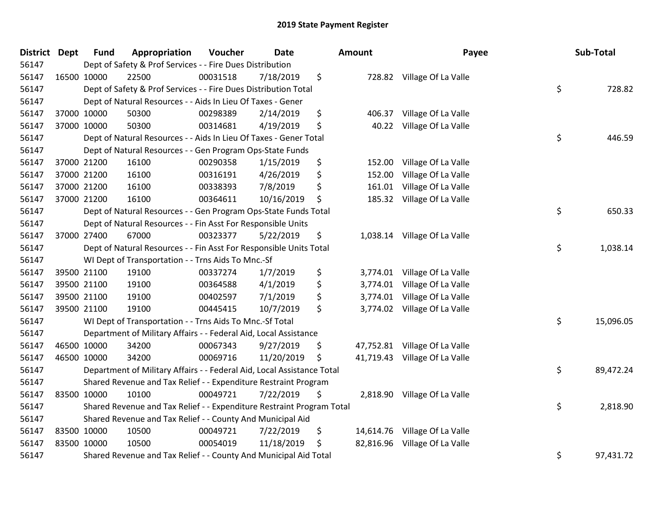| District Dept | <b>Fund</b> | Appropriation                                                          | Voucher  | <b>Date</b> | Amount          | Payee                         | Sub-Total       |
|---------------|-------------|------------------------------------------------------------------------|----------|-------------|-----------------|-------------------------------|-----------------|
| 56147         |             | Dept of Safety & Prof Services - - Fire Dues Distribution              |          |             |                 |                               |                 |
| 56147         | 16500 10000 | 22500                                                                  | 00031518 | 7/18/2019   | \$              | 728.82 Village Of La Valle    |                 |
| 56147         |             | Dept of Safety & Prof Services - - Fire Dues Distribution Total        |          |             |                 |                               | \$<br>728.82    |
| 56147         |             | Dept of Natural Resources - - Aids In Lieu Of Taxes - Gener            |          |             |                 |                               |                 |
| 56147         | 37000 10000 | 50300                                                                  | 00298389 | 2/14/2019   | \$<br>406.37    | Village Of La Valle           |                 |
| 56147         | 37000 10000 | 50300                                                                  | 00314681 | 4/19/2019   | \$<br>40.22     | Village Of La Valle           |                 |
| 56147         |             | Dept of Natural Resources - - Aids In Lieu Of Taxes - Gener Total      |          |             |                 |                               | \$<br>446.59    |
| 56147         |             | Dept of Natural Resources - - Gen Program Ops-State Funds              |          |             |                 |                               |                 |
| 56147         | 37000 21200 | 16100                                                                  | 00290358 | 1/15/2019   | \$<br>152.00    | Village Of La Valle           |                 |
| 56147         | 37000 21200 | 16100                                                                  | 00316191 | 4/26/2019   | \$<br>152.00    | Village Of La Valle           |                 |
| 56147         | 37000 21200 | 16100                                                                  | 00338393 | 7/8/2019    | \$<br>161.01    | Village Of La Valle           |                 |
| 56147         | 37000 21200 | 16100                                                                  | 00364611 | 10/16/2019  | \$<br>185.32    | Village Of La Valle           |                 |
| 56147         |             | Dept of Natural Resources - - Gen Program Ops-State Funds Total        |          |             |                 |                               | \$<br>650.33    |
| 56147         |             | Dept of Natural Resources - - Fin Asst For Responsible Units           |          |             |                 |                               |                 |
| 56147         | 37000 27400 | 67000                                                                  | 00323377 | 5/22/2019   | \$<br>1,038.14  | Village Of La Valle           |                 |
| 56147         |             | Dept of Natural Resources - - Fin Asst For Responsible Units Total     |          |             |                 |                               | \$<br>1,038.14  |
| 56147         |             | WI Dept of Transportation - - Trns Aids To Mnc.-Sf                     |          |             |                 |                               |                 |
| 56147         | 39500 21100 | 19100                                                                  | 00337274 | 1/7/2019    | \$<br>3,774.01  | Village Of La Valle           |                 |
| 56147         | 39500 21100 | 19100                                                                  | 00364588 | 4/1/2019    | \$<br>3,774.01  | Village Of La Valle           |                 |
| 56147         | 39500 21100 | 19100                                                                  | 00402597 | 7/1/2019    | \$<br>3,774.01  | Village Of La Valle           |                 |
| 56147         | 39500 21100 | 19100                                                                  | 00445415 | 10/7/2019   | \$<br>3,774.02  | Village Of La Valle           |                 |
| 56147         |             | WI Dept of Transportation - - Trns Aids To Mnc.-Sf Total               |          |             |                 |                               | \$<br>15,096.05 |
| 56147         |             | Department of Military Affairs - - Federal Aid, Local Assistance       |          |             |                 |                               |                 |
| 56147         | 46500 10000 | 34200                                                                  | 00067343 | 9/27/2019   | \$              | 47,752.81 Village Of La Valle |                 |
| 56147         | 46500 10000 | 34200                                                                  | 00069716 | 11/20/2019  | \$<br>41,719.43 | Village Of La Valle           |                 |
| 56147         |             | Department of Military Affairs - - Federal Aid, Local Assistance Total |          |             |                 |                               | \$<br>89,472.24 |
| 56147         |             | Shared Revenue and Tax Relief - - Expenditure Restraint Program        |          |             |                 |                               |                 |
| 56147         | 83500 10000 | 10100                                                                  | 00049721 | 7/22/2019   | \$<br>2,818.90  | Village Of La Valle           |                 |
| 56147         |             | Shared Revenue and Tax Relief - - Expenditure Restraint Program Total  |          |             |                 |                               | \$<br>2,818.90  |
| 56147         |             | Shared Revenue and Tax Relief - - County And Municipal Aid             |          |             |                 |                               |                 |
| 56147         | 83500 10000 | 10500                                                                  | 00049721 | 7/22/2019   | \$<br>14,614.76 | Village Of La Valle           |                 |
| 56147         | 83500 10000 | 10500                                                                  | 00054019 | 11/18/2019  | \$<br>82,816.96 | Village Of La Valle           |                 |
| 56147         |             | Shared Revenue and Tax Relief - - County And Municipal Aid Total       |          |             |                 |                               | \$<br>97,431.72 |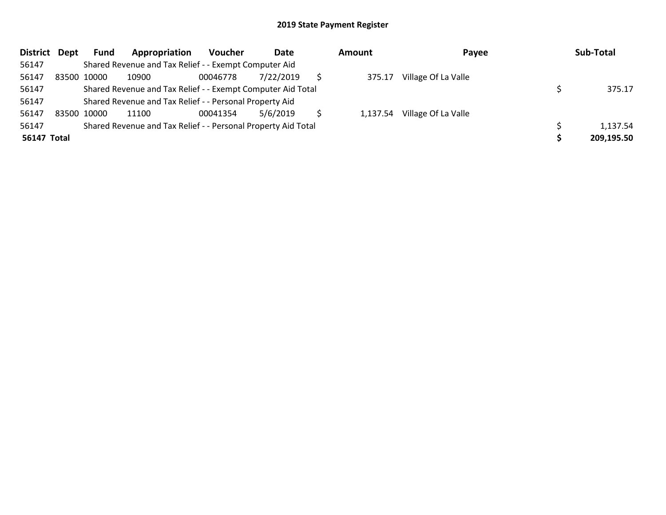| <b>District</b>    | Dept | <b>Fund</b> | Appropriation                                                 | Voucher  | Date      | Amount   | Payee               | Sub-Total  |
|--------------------|------|-------------|---------------------------------------------------------------|----------|-----------|----------|---------------------|------------|
| 56147              |      |             | Shared Revenue and Tax Relief - - Exempt Computer Aid         |          |           |          |                     |            |
| 56147              |      | 83500 10000 | 10900                                                         | 00046778 | 7/22/2019 | 375.17   | Village Of La Valle |            |
| 56147              |      |             | Shared Revenue and Tax Relief - - Exempt Computer Aid Total   |          |           |          |                     | 375.17     |
| 56147              |      |             | Shared Revenue and Tax Relief - - Personal Property Aid       |          |           |          |                     |            |
| 56147              |      | 83500 10000 | 11100                                                         | 00041354 | 5/6/2019  | 1,137.54 | Village Of La Valle |            |
| 56147              |      |             | Shared Revenue and Tax Relief - - Personal Property Aid Total |          |           |          |                     | 1,137.54   |
| <b>56147 Total</b> |      |             |                                                               |          |           |          |                     | 209,195.50 |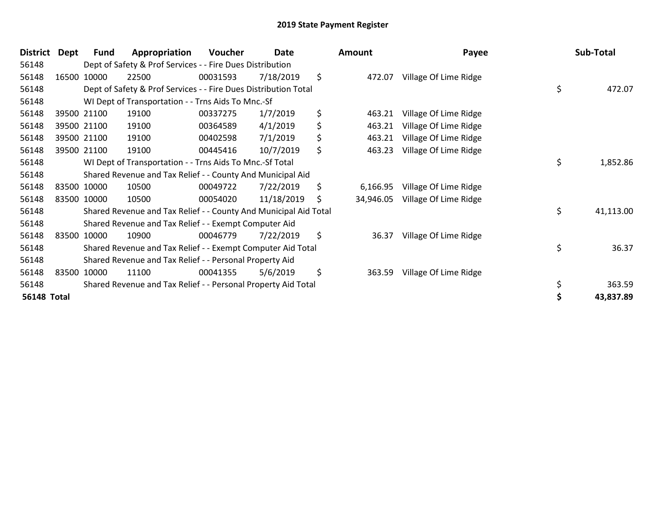| <b>District</b>    | Dept | <b>Fund</b> | Appropriation                                                    | Voucher  | Date       |     | Amount    | Payee                 | Sub-Total       |
|--------------------|------|-------------|------------------------------------------------------------------|----------|------------|-----|-----------|-----------------------|-----------------|
| 56148              |      |             | Dept of Safety & Prof Services - - Fire Dues Distribution        |          |            |     |           |                       |                 |
| 56148              |      | 16500 10000 | 22500                                                            | 00031593 | 7/18/2019  | \$  | 472.07    | Village Of Lime Ridge |                 |
| 56148              |      |             | Dept of Safety & Prof Services - - Fire Dues Distribution Total  |          |            |     |           |                       | \$<br>472.07    |
| 56148              |      |             | WI Dept of Transportation - - Trns Aids To Mnc.-Sf               |          |            |     |           |                       |                 |
| 56148              |      | 39500 21100 | 19100                                                            | 00337275 | 1/7/2019   | \$  | 463.21    | Village Of Lime Ridge |                 |
| 56148              |      | 39500 21100 | 19100                                                            | 00364589 | 4/1/2019   | \$  | 463.21    | Village Of Lime Ridge |                 |
| 56148              |      | 39500 21100 | 19100                                                            | 00402598 | 7/1/2019   | \$  | 463.21    | Village Of Lime Ridge |                 |
| 56148              |      | 39500 21100 | 19100                                                            | 00445416 | 10/7/2019  | \$  | 463.23    | Village Of Lime Ridge |                 |
| 56148              |      |             | WI Dept of Transportation - - Trns Aids To Mnc.-Sf Total         |          |            |     |           |                       | \$<br>1,852.86  |
| 56148              |      |             | Shared Revenue and Tax Relief - - County And Municipal Aid       |          |            |     |           |                       |                 |
| 56148              |      | 83500 10000 | 10500                                                            | 00049722 | 7/22/2019  | \$  | 6,166.95  | Village Of Lime Ridge |                 |
| 56148              |      | 83500 10000 | 10500                                                            | 00054020 | 11/18/2019 | \$. | 34,946.05 | Village Of Lime Ridge |                 |
| 56148              |      |             | Shared Revenue and Tax Relief - - County And Municipal Aid Total |          |            |     |           |                       | \$<br>41,113.00 |
| 56148              |      |             | Shared Revenue and Tax Relief - - Exempt Computer Aid            |          |            |     |           |                       |                 |
| 56148              |      | 83500 10000 | 10900                                                            | 00046779 | 7/22/2019  | \$  | 36.37     | Village Of Lime Ridge |                 |
| 56148              |      |             | Shared Revenue and Tax Relief - - Exempt Computer Aid Total      |          |            |     |           |                       | \$<br>36.37     |
| 56148              |      |             | Shared Revenue and Tax Relief - - Personal Property Aid          |          |            |     |           |                       |                 |
| 56148              |      | 83500 10000 | 11100                                                            | 00041355 | 5/6/2019   | \$  | 363.59    | Village Of Lime Ridge |                 |
| 56148              |      |             | Shared Revenue and Tax Relief - - Personal Property Aid Total    |          |            |     |           |                       | \$<br>363.59    |
| <b>56148 Total</b> |      |             |                                                                  |          |            |     |           |                       | 43,837.89       |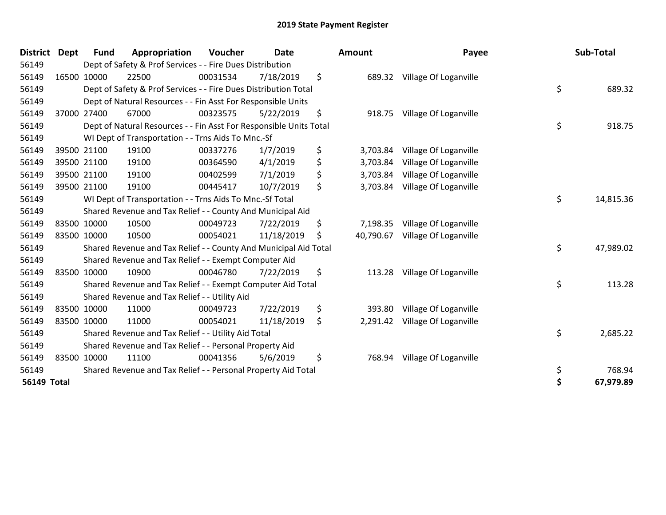| <b>District</b>    | <b>Dept</b> | <b>Fund</b> | Appropriation                                                      | Voucher  | Date       | <b>Amount</b>   | Payee                 | Sub-Total       |
|--------------------|-------------|-------------|--------------------------------------------------------------------|----------|------------|-----------------|-----------------------|-----------------|
| 56149              |             |             | Dept of Safety & Prof Services - - Fire Dues Distribution          |          |            |                 |                       |                 |
| 56149              |             | 16500 10000 | 22500                                                              | 00031534 | 7/18/2019  | \$<br>689.32    | Village Of Loganville |                 |
| 56149              |             |             | Dept of Safety & Prof Services - - Fire Dues Distribution Total    |          |            |                 |                       | \$<br>689.32    |
| 56149              |             |             | Dept of Natural Resources - - Fin Asst For Responsible Units       |          |            |                 |                       |                 |
| 56149              |             | 37000 27400 | 67000                                                              | 00323575 | 5/22/2019  | \$<br>918.75    | Village Of Loganville |                 |
| 56149              |             |             | Dept of Natural Resources - - Fin Asst For Responsible Units Total |          |            |                 |                       | \$<br>918.75    |
| 56149              |             |             | WI Dept of Transportation - - Trns Aids To Mnc.-Sf                 |          |            |                 |                       |                 |
| 56149              |             | 39500 21100 | 19100                                                              | 00337276 | 1/7/2019   | \$<br>3,703.84  | Village Of Loganville |                 |
| 56149              |             | 39500 21100 | 19100                                                              | 00364590 | 4/1/2019   | \$<br>3,703.84  | Village Of Loganville |                 |
| 56149              |             | 39500 21100 | 19100                                                              | 00402599 | 7/1/2019   | \$<br>3,703.84  | Village Of Loganville |                 |
| 56149              |             | 39500 21100 | 19100                                                              | 00445417 | 10/7/2019  | \$<br>3,703.84  | Village Of Loganville |                 |
| 56149              |             |             | WI Dept of Transportation - - Trns Aids To Mnc.-Sf Total           |          |            |                 |                       | \$<br>14,815.36 |
| 56149              |             |             | Shared Revenue and Tax Relief - - County And Municipal Aid         |          |            |                 |                       |                 |
| 56149              |             | 83500 10000 | 10500                                                              | 00049723 | 7/22/2019  | \$<br>7,198.35  | Village Of Loganville |                 |
| 56149              |             | 83500 10000 | 10500                                                              | 00054021 | 11/18/2019 | \$<br>40,790.67 | Village Of Loganville |                 |
| 56149              |             |             | Shared Revenue and Tax Relief - - County And Municipal Aid Total   |          |            |                 |                       | \$<br>47,989.02 |
| 56149              |             |             | Shared Revenue and Tax Relief - - Exempt Computer Aid              |          |            |                 |                       |                 |
| 56149              |             | 83500 10000 | 10900                                                              | 00046780 | 7/22/2019  | \$<br>113.28    | Village Of Loganville |                 |
| 56149              |             |             | Shared Revenue and Tax Relief - - Exempt Computer Aid Total        |          |            |                 |                       | \$<br>113.28    |
| 56149              |             |             | Shared Revenue and Tax Relief - - Utility Aid                      |          |            |                 |                       |                 |
| 56149              |             | 83500 10000 | 11000                                                              | 00049723 | 7/22/2019  | \$<br>393.80    | Village Of Loganville |                 |
| 56149              |             | 83500 10000 | 11000                                                              | 00054021 | 11/18/2019 | \$<br>2,291.42  | Village Of Loganville |                 |
| 56149              |             |             | Shared Revenue and Tax Relief - - Utility Aid Total                |          |            |                 |                       | \$<br>2,685.22  |
| 56149              |             |             | Shared Revenue and Tax Relief - - Personal Property Aid            |          |            |                 |                       |                 |
| 56149              |             | 83500 10000 | 11100                                                              | 00041356 | 5/6/2019   | \$<br>768.94    | Village Of Loganville |                 |
| 56149              |             |             | Shared Revenue and Tax Relief - - Personal Property Aid Total      |          |            |                 |                       | \$<br>768.94    |
| <b>56149 Total</b> |             |             |                                                                    |          |            |                 |                       | \$<br>67,979.89 |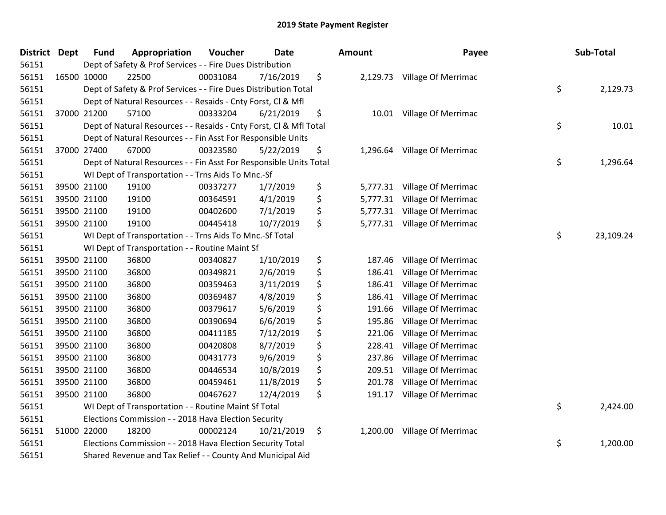| <b>District Dept</b> | <b>Fund</b> | Appropriation                                                      | Voucher  | <b>Date</b> |    | Amount   | Payee                        |    | Sub-Total |
|----------------------|-------------|--------------------------------------------------------------------|----------|-------------|----|----------|------------------------------|----|-----------|
| 56151                |             | Dept of Safety & Prof Services - - Fire Dues Distribution          |          |             |    |          |                              |    |           |
| 56151                | 16500 10000 | 22500                                                              | 00031084 | 7/16/2019   | \$ |          | 2,129.73 Village Of Merrimac |    |           |
| 56151                |             | Dept of Safety & Prof Services - - Fire Dues Distribution Total    |          |             |    |          |                              | \$ | 2,129.73  |
| 56151                |             | Dept of Natural Resources - - Resaids - Cnty Forst, Cl & Mfl       |          |             |    |          |                              |    |           |
| 56151                | 37000 21200 | 57100                                                              | 00333204 | 6/21/2019   | \$ |          | 10.01 Village Of Merrimac    |    |           |
| 56151                |             | Dept of Natural Resources - - Resaids - Cnty Forst, Cl & Mfl Total |          |             |    |          |                              | \$ | 10.01     |
| 56151                |             | Dept of Natural Resources - - Fin Asst For Responsible Units       |          |             |    |          |                              |    |           |
| 56151                | 37000 27400 | 67000                                                              | 00323580 | 5/22/2019   | \$ | 1,296.64 | Village Of Merrimac          |    |           |
| 56151                |             | Dept of Natural Resources - - Fin Asst For Responsible Units Total |          |             |    |          |                              | \$ | 1,296.64  |
| 56151                |             | WI Dept of Transportation - - Trns Aids To Mnc.-Sf                 |          |             |    |          |                              |    |           |
| 56151                | 39500 21100 | 19100                                                              | 00337277 | 1/7/2019    | \$ |          | 5,777.31 Village Of Merrimac |    |           |
| 56151                | 39500 21100 | 19100                                                              | 00364591 | 4/1/2019    | \$ | 5,777.31 | Village Of Merrimac          |    |           |
| 56151                | 39500 21100 | 19100                                                              | 00402600 | 7/1/2019    | \$ |          | 5,777.31 Village Of Merrimac |    |           |
| 56151                | 39500 21100 | 19100                                                              | 00445418 | 10/7/2019   | \$ |          | 5,777.31 Village Of Merrimac |    |           |
| 56151                |             | WI Dept of Transportation - - Trns Aids To Mnc.-Sf Total           |          |             |    |          |                              | \$ | 23,109.24 |
| 56151                |             | WI Dept of Transportation - - Routine Maint Sf                     |          |             |    |          |                              |    |           |
| 56151                | 39500 21100 | 36800                                                              | 00340827 | 1/10/2019   | \$ | 187.46   | Village Of Merrimac          |    |           |
| 56151                | 39500 21100 | 36800                                                              | 00349821 | 2/6/2019    | \$ | 186.41   | Village Of Merrimac          |    |           |
| 56151                | 39500 21100 | 36800                                                              | 00359463 | 3/11/2019   | \$ | 186.41   | Village Of Merrimac          |    |           |
| 56151                | 39500 21100 | 36800                                                              | 00369487 | 4/8/2019    | \$ | 186.41   | Village Of Merrimac          |    |           |
| 56151                | 39500 21100 | 36800                                                              | 00379617 | 5/6/2019    | \$ | 191.66   | Village Of Merrimac          |    |           |
| 56151                | 39500 21100 | 36800                                                              | 00390694 | 6/6/2019    | \$ | 195.86   | Village Of Merrimac          |    |           |
| 56151                | 39500 21100 | 36800                                                              | 00411185 | 7/12/2019   | \$ | 221.06   | Village Of Merrimac          |    |           |
| 56151                | 39500 21100 | 36800                                                              | 00420808 | 8/7/2019    | \$ | 228.41   | Village Of Merrimac          |    |           |
| 56151                | 39500 21100 | 36800                                                              | 00431773 | 9/6/2019    | \$ | 237.86   | Village Of Merrimac          |    |           |
| 56151                | 39500 21100 | 36800                                                              | 00446534 | 10/8/2019   | \$ | 209.51   | Village Of Merrimac          |    |           |
| 56151                | 39500 21100 | 36800                                                              | 00459461 | 11/8/2019   | \$ | 201.78   | Village Of Merrimac          |    |           |
| 56151                | 39500 21100 | 36800                                                              | 00467627 | 12/4/2019   | \$ | 191.17   | Village Of Merrimac          |    |           |
| 56151                |             | WI Dept of Transportation - - Routine Maint Sf Total               |          |             |    |          |                              | \$ | 2,424.00  |
| 56151                |             | Elections Commission - - 2018 Hava Election Security               |          |             |    |          |                              |    |           |
| 56151                | 51000 22000 | 18200                                                              | 00002124 | 10/21/2019  | \$ | 1,200.00 | <b>Village Of Merrimac</b>   |    |           |
| 56151                |             | Elections Commission - - 2018 Hava Election Security Total         |          |             |    |          |                              | \$ | 1,200.00  |
| 56151                |             | Shared Revenue and Tax Relief - - County And Municipal Aid         |          |             |    |          |                              |    |           |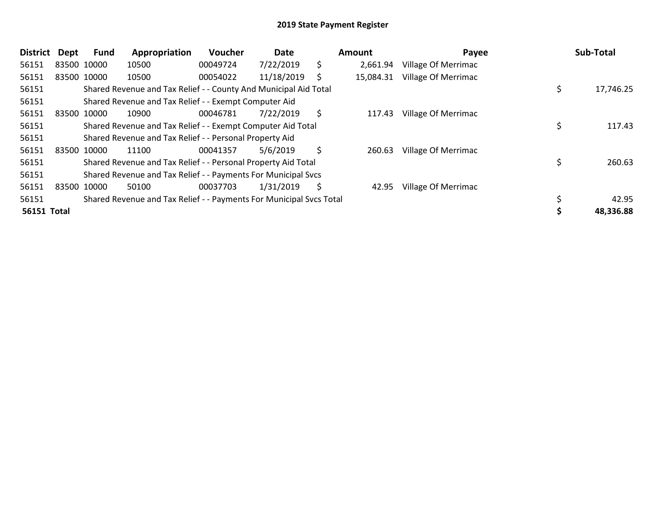| <b>District</b> | <b>Dept</b> | Fund        | Appropriation                                                       | Voucher  | Date       |    | Amount    | Payee               | Sub-Total       |
|-----------------|-------------|-------------|---------------------------------------------------------------------|----------|------------|----|-----------|---------------------|-----------------|
| 56151           |             | 83500 10000 | 10500                                                               | 00049724 | 7/22/2019  | \$ | 2,661.94  | Village Of Merrimac |                 |
| 56151           |             | 83500 10000 | 10500                                                               | 00054022 | 11/18/2019 | S  | 15,084.31 | Village Of Merrimac |                 |
| 56151           |             |             | Shared Revenue and Tax Relief - - County And Municipal Aid Total    |          |            |    |           |                     | \$<br>17,746.25 |
| 56151           |             |             | Shared Revenue and Tax Relief - - Exempt Computer Aid               |          |            |    |           |                     |                 |
| 56151           |             | 83500 10000 | 10900                                                               | 00046781 | 7/22/2019  | \$ | 117.43    | Village Of Merrimac |                 |
| 56151           |             |             | Shared Revenue and Tax Relief - - Exempt Computer Aid Total         |          |            |    |           |                     | 117.43          |
| 56151           |             |             | Shared Revenue and Tax Relief - - Personal Property Aid             |          |            |    |           |                     |                 |
| 56151           |             | 83500 10000 | 11100                                                               | 00041357 | 5/6/2019   | \$ | 260.63    | Village Of Merrimac |                 |
| 56151           |             |             | Shared Revenue and Tax Relief - - Personal Property Aid Total       |          |            |    |           |                     | 260.63          |
| 56151           |             |             | Shared Revenue and Tax Relief - - Payments For Municipal Svcs       |          |            |    |           |                     |                 |
| 56151           |             | 83500 10000 | 50100                                                               | 00037703 | 1/31/2019  | Ŝ  | 42.95     | Village Of Merrimac |                 |
| 56151           |             |             | Shared Revenue and Tax Relief - - Payments For Municipal Svcs Total |          |            |    |           |                     | 42.95           |
| 56151 Total     |             |             |                                                                     |          |            |    |           |                     | 48,336.88       |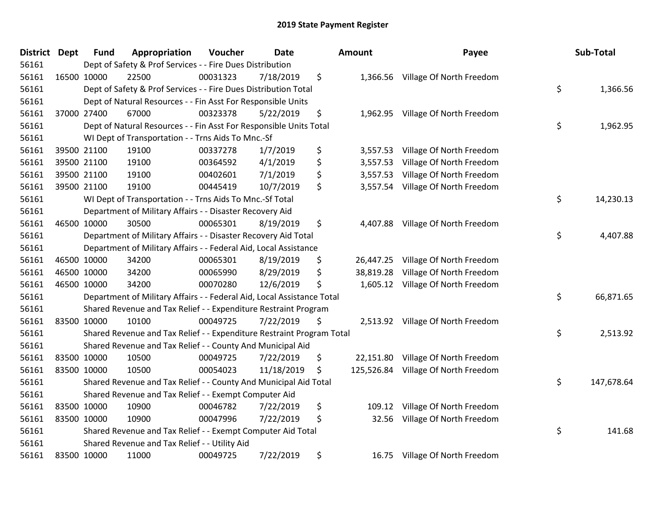| District | Dept | <b>Fund</b> | Appropriation                                                          | Voucher  | <b>Date</b> | <b>Amount</b>    | Payee                             | Sub-Total        |
|----------|------|-------------|------------------------------------------------------------------------|----------|-------------|------------------|-----------------------------------|------------------|
| 56161    |      |             | Dept of Safety & Prof Services - - Fire Dues Distribution              |          |             |                  |                                   |                  |
| 56161    |      | 16500 10000 | 22500                                                                  | 00031323 | 7/18/2019   | \$               | 1,366.56 Village Of North Freedom |                  |
| 56161    |      |             | Dept of Safety & Prof Services - - Fire Dues Distribution Total        |          |             |                  |                                   | \$<br>1,366.56   |
| 56161    |      |             | Dept of Natural Resources - - Fin Asst For Responsible Units           |          |             |                  |                                   |                  |
| 56161    |      | 37000 27400 | 67000                                                                  | 00323378 | 5/22/2019   | \$<br>1,962.95   | Village Of North Freedom          |                  |
| 56161    |      |             | Dept of Natural Resources - - Fin Asst For Responsible Units Total     |          |             |                  |                                   | \$<br>1,962.95   |
| 56161    |      |             | WI Dept of Transportation - - Trns Aids To Mnc.-Sf                     |          |             |                  |                                   |                  |
| 56161    |      | 39500 21100 | 19100                                                                  | 00337278 | 1/7/2019    | \$<br>3,557.53   | Village Of North Freedom          |                  |
| 56161    |      | 39500 21100 | 19100                                                                  | 00364592 | 4/1/2019    | \$<br>3,557.53   | Village Of North Freedom          |                  |
| 56161    |      | 39500 21100 | 19100                                                                  | 00402601 | 7/1/2019    | \$<br>3,557.53   | Village Of North Freedom          |                  |
| 56161    |      | 39500 21100 | 19100                                                                  | 00445419 | 10/7/2019   | \$<br>3,557.54   | Village Of North Freedom          |                  |
| 56161    |      |             | WI Dept of Transportation - - Trns Aids To Mnc.-Sf Total               |          |             |                  |                                   | \$<br>14,230.13  |
| 56161    |      |             | Department of Military Affairs - - Disaster Recovery Aid               |          |             |                  |                                   |                  |
| 56161    |      | 46500 10000 | 30500                                                                  | 00065301 | 8/19/2019   | \$<br>4,407.88   | Village Of North Freedom          |                  |
| 56161    |      |             | Department of Military Affairs - - Disaster Recovery Aid Total         |          |             |                  |                                   | \$<br>4,407.88   |
| 56161    |      |             | Department of Military Affairs - - Federal Aid, Local Assistance       |          |             |                  |                                   |                  |
| 56161    |      | 46500 10000 | 34200                                                                  | 00065301 | 8/19/2019   | \$<br>26,447.25  | Village Of North Freedom          |                  |
| 56161    |      | 46500 10000 | 34200                                                                  | 00065990 | 8/29/2019   | \$<br>38,819.28  | Village Of North Freedom          |                  |
| 56161    |      | 46500 10000 | 34200                                                                  | 00070280 | 12/6/2019   | \$               | 1,605.12 Village Of North Freedom |                  |
| 56161    |      |             | Department of Military Affairs - - Federal Aid, Local Assistance Total |          |             |                  |                                   | \$<br>66,871.65  |
| 56161    |      |             | Shared Revenue and Tax Relief - - Expenditure Restraint Program        |          |             |                  |                                   |                  |
| 56161    |      | 83500 10000 | 10100                                                                  | 00049725 | 7/22/2019   | \$               | 2,513.92 Village Of North Freedom |                  |
| 56161    |      |             | Shared Revenue and Tax Relief - - Expenditure Restraint Program Total  |          |             |                  |                                   | \$<br>2,513.92   |
| 56161    |      |             | Shared Revenue and Tax Relief - - County And Municipal Aid             |          |             |                  |                                   |                  |
| 56161    |      | 83500 10000 | 10500                                                                  | 00049725 | 7/22/2019   | \$<br>22,151.80  | Village Of North Freedom          |                  |
| 56161    |      | 83500 10000 | 10500                                                                  | 00054023 | 11/18/2019  | \$<br>125,526.84 | Village Of North Freedom          |                  |
| 56161    |      |             | Shared Revenue and Tax Relief - - County And Municipal Aid Total       |          |             |                  |                                   | \$<br>147,678.64 |
| 56161    |      |             | Shared Revenue and Tax Relief - - Exempt Computer Aid                  |          |             |                  |                                   |                  |
| 56161    |      | 83500 10000 | 10900                                                                  | 00046782 | 7/22/2019   | \$<br>109.12     | Village Of North Freedom          |                  |
| 56161    |      | 83500 10000 | 10900                                                                  | 00047996 | 7/22/2019   | \$<br>32.56      | Village Of North Freedom          |                  |
| 56161    |      |             | Shared Revenue and Tax Relief - - Exempt Computer Aid Total            |          |             |                  |                                   | \$<br>141.68     |
| 56161    |      |             | Shared Revenue and Tax Relief - - Utility Aid                          |          |             |                  |                                   |                  |
| 56161    |      | 83500 10000 | 11000                                                                  | 00049725 | 7/22/2019   | \$<br>16.75      | Village Of North Freedom          |                  |

| ount                                         | Payee                                                                                                        | Sub-Total        |
|----------------------------------------------|--------------------------------------------------------------------------------------------------------------|------------------|
| 1,366.56                                     | Village Of North Freedom                                                                                     | \$<br>1,366.56   |
| 1,962.95                                     | Village Of North Freedom                                                                                     | \$<br>1,962.95   |
| 3,557.53<br>3,557.53<br>3,557.53<br>3,557.54 | Village Of North Freedom<br>Village Of North Freedom<br>Village Of North Freedom<br>Village Of North Freedom |                  |
|                                              |                                                                                                              | \$<br>14,230.13  |
| 4,407.88                                     | Village Of North Freedom                                                                                     | \$<br>4,407.88   |
| 26,447.25<br>38,819.28<br>1,605.12           | Village Of North Freedom<br>Village Of North Freedom<br>Village Of North Freedom                             | \$<br>66,871.65  |
| 2,513.92                                     | Village Of North Freedom                                                                                     | \$<br>2,513.92   |
| 22,151.80<br>125,526.84                      | Village Of North Freedom<br>Village Of North Freedom                                                         | \$<br>147,678.64 |
| 109.12<br>32.56                              | Village Of North Freedom<br>Village Of North Freedom                                                         | \$<br>141.68     |
| 16.75                                        | Village Of North Freedom                                                                                     |                  |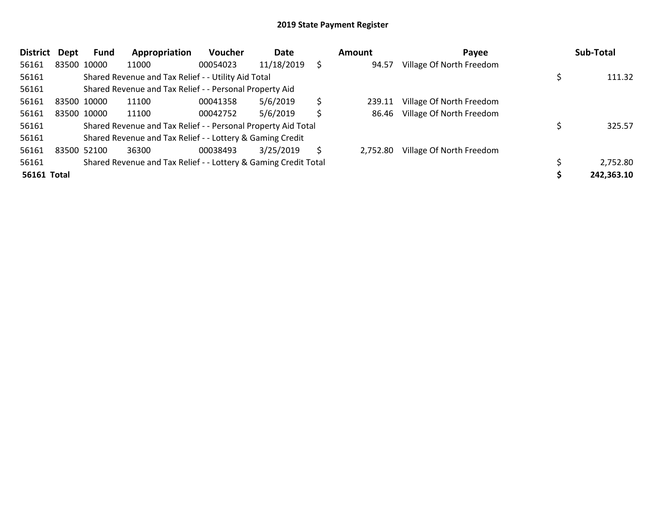| <b>District</b> | Dept | Fund        | Appropriation                                                   | Voucher  | Date       |    | Amount   | Payee                    | Sub-Total  |
|-----------------|------|-------------|-----------------------------------------------------------------|----------|------------|----|----------|--------------------------|------------|
| 56161           |      | 83500 10000 | 11000                                                           | 00054023 | 11/18/2019 |    | 94.57    | Village Of North Freedom |            |
| 56161           |      |             | Shared Revenue and Tax Relief - - Utility Aid Total             |          |            |    |          |                          | 111.32     |
| 56161           |      |             | Shared Revenue and Tax Relief - - Personal Property Aid         |          |            |    |          |                          |            |
| 56161           |      | 83500 10000 | 11100                                                           | 00041358 | 5/6/2019   | \$ | 239.11   | Village Of North Freedom |            |
| 56161           |      | 83500 10000 | 11100                                                           | 00042752 | 5/6/2019   | \$ | 86.46    | Village Of North Freedom |            |
| 56161           |      |             | Shared Revenue and Tax Relief - - Personal Property Aid Total   |          |            |    |          |                          | 325.57     |
| 56161           |      |             | Shared Revenue and Tax Relief - - Lottery & Gaming Credit       |          |            |    |          |                          |            |
| 56161           |      | 83500 52100 | 36300                                                           | 00038493 | 3/25/2019  | S  | 2.752.80 | Village Of North Freedom |            |
| 56161           |      |             | Shared Revenue and Tax Relief - - Lottery & Gaming Credit Total |          |            |    |          |                          | 2,752.80   |
| 56161 Total     |      |             |                                                                 |          |            |    |          |                          | 242,363.10 |

| Amount   | Payee                    | Sub-Total        |
|----------|--------------------------|------------------|
| 94.57    | Village Of North Freedom |                  |
|          |                          | \$<br>111.32     |
| 239.11   | Village Of North Freedom |                  |
| 86.46    | Village Of North Freedom |                  |
|          |                          | \$<br>325.57     |
| 2,752.80 | Village Of North Freedom |                  |
|          |                          | \$<br>2,752.80   |
|          |                          | \$<br>242,363.10 |
|          |                          |                  |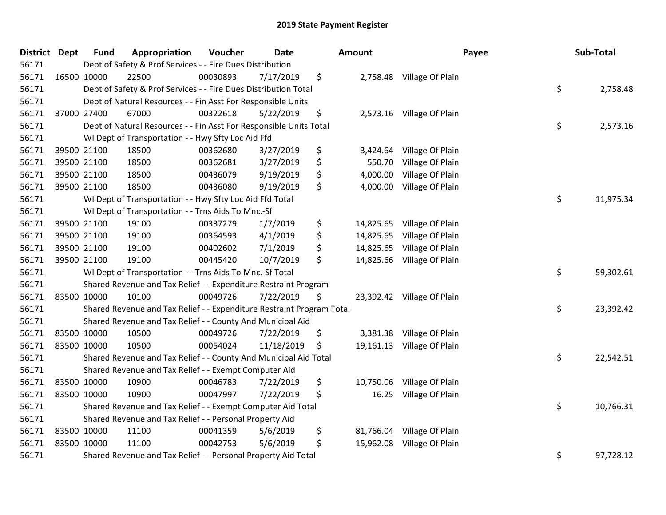| <b>District</b> | <b>Dept</b> | <b>Fund</b> | Appropriation                                                         | Voucher  | <b>Date</b> | Amount          |                            | Payee | Sub-Total |
|-----------------|-------------|-------------|-----------------------------------------------------------------------|----------|-------------|-----------------|----------------------------|-------|-----------|
| 56171           |             |             | Dept of Safety & Prof Services - - Fire Dues Distribution             |          |             |                 |                            |       |           |
| 56171           | 16500 10000 |             | 22500                                                                 | 00030893 | 7/17/2019   | \$              | 2,758.48 Village Of Plain  |       |           |
| 56171           |             |             | Dept of Safety & Prof Services - - Fire Dues Distribution Total       |          |             |                 |                            | \$    | 2,758.48  |
| 56171           |             |             | Dept of Natural Resources - - Fin Asst For Responsible Units          |          |             |                 |                            |       |           |
| 56171           |             | 37000 27400 | 67000                                                                 | 00322618 | 5/22/2019   | \$<br>2,573.16  | Village Of Plain           |       |           |
| 56171           |             |             | Dept of Natural Resources - - Fin Asst For Responsible Units Total    |          |             |                 |                            | \$    | 2,573.16  |
| 56171           |             |             | WI Dept of Transportation - - Hwy Sfty Loc Aid Ffd                    |          |             |                 |                            |       |           |
| 56171           |             | 39500 21100 | 18500                                                                 | 00362680 | 3/27/2019   | \$<br>3,424.64  | Village Of Plain           |       |           |
| 56171           |             | 39500 21100 | 18500                                                                 | 00362681 | 3/27/2019   | \$<br>550.70    | Village Of Plain           |       |           |
| 56171           |             | 39500 21100 | 18500                                                                 | 00436079 | 9/19/2019   | \$<br>4,000.00  | Village Of Plain           |       |           |
| 56171           |             | 39500 21100 | 18500                                                                 | 00436080 | 9/19/2019   | \$<br>4,000.00  | Village Of Plain           |       |           |
| 56171           |             |             | WI Dept of Transportation - - Hwy Sfty Loc Aid Ffd Total              |          |             |                 |                            | \$    | 11,975.34 |
| 56171           |             |             | WI Dept of Transportation - - Trns Aids To Mnc.-Sf                    |          |             |                 |                            |       |           |
| 56171           |             | 39500 21100 | 19100                                                                 | 00337279 | 1/7/2019    | \$<br>14,825.65 | Village Of Plain           |       |           |
| 56171           |             | 39500 21100 | 19100                                                                 | 00364593 | 4/1/2019    | \$<br>14,825.65 | Village Of Plain           |       |           |
| 56171           |             | 39500 21100 | 19100                                                                 | 00402602 | 7/1/2019    | \$<br>14,825.65 | Village Of Plain           |       |           |
| 56171           |             | 39500 21100 | 19100                                                                 | 00445420 | 10/7/2019   | \$<br>14,825.66 | Village Of Plain           |       |           |
| 56171           |             |             | WI Dept of Transportation - - Trns Aids To Mnc.-Sf Total              |          |             |                 |                            | \$    | 59,302.61 |
| 56171           |             |             | Shared Revenue and Tax Relief - - Expenditure Restraint Program       |          |             |                 |                            |       |           |
| 56171           | 83500 10000 |             | 10100                                                                 | 00049726 | 7/22/2019   | \$              | 23,392.42 Village Of Plain |       |           |
| 56171           |             |             | Shared Revenue and Tax Relief - - Expenditure Restraint Program Total |          |             |                 |                            | \$    | 23,392.42 |
| 56171           |             |             | Shared Revenue and Tax Relief - - County And Municipal Aid            |          |             |                 |                            |       |           |
| 56171           |             | 83500 10000 | 10500                                                                 | 00049726 | 7/22/2019   | \$              | 3,381.38 Village Of Plain  |       |           |
| 56171           |             | 83500 10000 | 10500                                                                 | 00054024 | 11/18/2019  | \$              | 19,161.13 Village Of Plain |       |           |
| 56171           |             |             | Shared Revenue and Tax Relief - - County And Municipal Aid Total      |          |             |                 |                            | \$    | 22,542.51 |
| 56171           |             |             | Shared Revenue and Tax Relief - - Exempt Computer Aid                 |          |             |                 |                            |       |           |
| 56171           | 83500 10000 |             | 10900                                                                 | 00046783 | 7/22/2019   | \$<br>10,750.06 | Village Of Plain           |       |           |
| 56171           | 83500 10000 |             | 10900                                                                 | 00047997 | 7/22/2019   | \$<br>16.25     | Village Of Plain           |       |           |
| 56171           |             |             | Shared Revenue and Tax Relief - - Exempt Computer Aid Total           |          |             |                 |                            | \$    | 10,766.31 |
| 56171           |             |             | Shared Revenue and Tax Relief - - Personal Property Aid               |          |             |                 |                            |       |           |
| 56171           |             | 83500 10000 | 11100                                                                 | 00041359 | 5/6/2019    | \$<br>81,766.04 | Village Of Plain           |       |           |
| 56171           | 83500 10000 |             | 11100                                                                 | 00042753 | 5/6/2019    | \$<br>15,962.08 | Village Of Plain           |       |           |
| 56171           |             |             | Shared Revenue and Tax Relief - - Personal Property Aid Total         |          |             |                 |                            | \$    | 97,728.12 |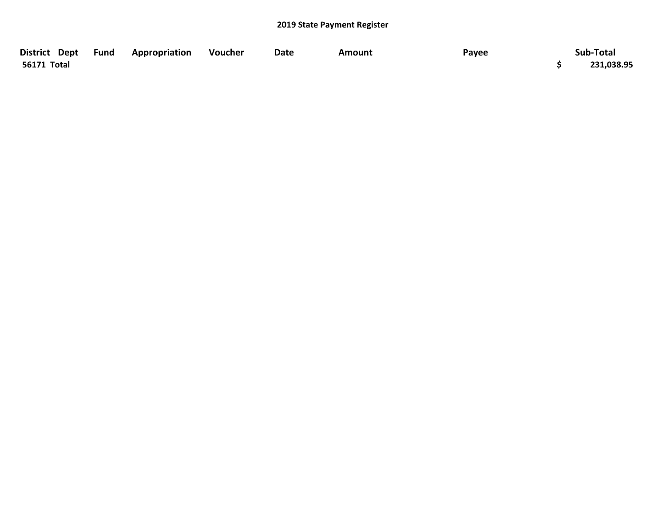| District Dept Fund | <b>Appropriation</b> | Voucher | Date | Amount | Payee | Sub-Total  |
|--------------------|----------------------|---------|------|--------|-------|------------|
| 56171 Total        |                      |         |      |        |       | 231,038.95 |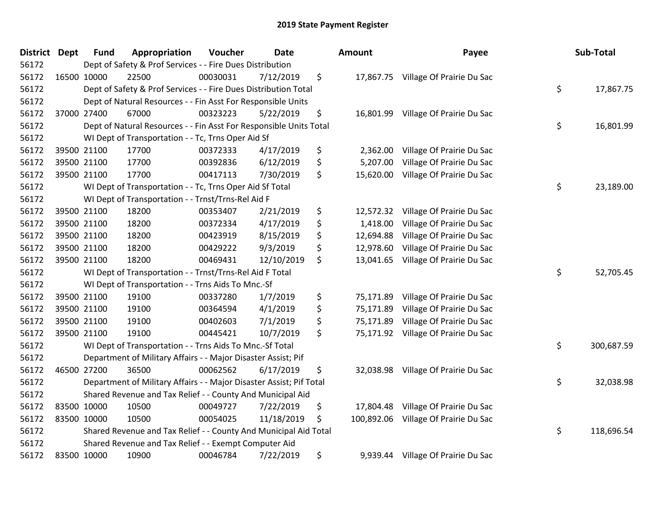| District Dept | <b>Fund</b>                                        | Appropriation                                                       | Voucher  | <b>Date</b> |    | Amount    | Payee                                |    | Sub-Total  |
|---------------|----------------------------------------------------|---------------------------------------------------------------------|----------|-------------|----|-----------|--------------------------------------|----|------------|
| 56172         |                                                    | Dept of Safety & Prof Services - - Fire Dues Distribution           |          |             |    |           |                                      |    |            |
| 56172         | 16500 10000                                        | 22500                                                               | 00030031 | 7/12/2019   | \$ |           | 17,867.75 Village Of Prairie Du Sac  |    |            |
| 56172         |                                                    | Dept of Safety & Prof Services - - Fire Dues Distribution Total     |          |             |    |           |                                      | \$ | 17,867.75  |
| 56172         |                                                    | Dept of Natural Resources - - Fin Asst For Responsible Units        |          |             |    |           |                                      |    |            |
| 56172         | 37000 27400                                        | 67000                                                               | 00323223 | 5/22/2019   | \$ |           | 16,801.99 Village Of Prairie Du Sac  |    |            |
| 56172         |                                                    | Dept of Natural Resources - - Fin Asst For Responsible Units Total  |          |             |    |           |                                      | \$ | 16,801.99  |
| 56172         | WI Dept of Transportation - - Tc, Trns Oper Aid Sf |                                                                     |          |             |    |           |                                      |    |            |
| 56172         | 39500 21100                                        | 17700                                                               | 00372333 | 4/17/2019   | \$ | 2,362.00  | Village Of Prairie Du Sac            |    |            |
| 56172         | 39500 21100                                        | 17700                                                               | 00392836 | 6/12/2019   | \$ | 5,207.00  | Village Of Prairie Du Sac            |    |            |
| 56172         | 39500 21100                                        | 17700                                                               | 00417113 | 7/30/2019   | \$ | 15,620.00 | Village Of Prairie Du Sac            |    |            |
| 56172         |                                                    | WI Dept of Transportation - - Tc, Trns Oper Aid Sf Total            |          |             |    |           |                                      | \$ | 23,189.00  |
| 56172         |                                                    | WI Dept of Transportation - - Trnst/Trns-Rel Aid F                  |          |             |    |           |                                      |    |            |
| 56172         | 39500 21100                                        | 18200                                                               | 00353407 | 2/21/2019   | \$ | 12,572.32 | Village Of Prairie Du Sac            |    |            |
| 56172         | 39500 21100                                        | 18200                                                               | 00372334 | 4/17/2019   | \$ | 1,418.00  | Village Of Prairie Du Sac            |    |            |
| 56172         | 39500 21100                                        | 18200                                                               | 00423919 | 8/15/2019   | \$ | 12,694.88 | Village Of Prairie Du Sac            |    |            |
| 56172         | 39500 21100                                        | 18200                                                               | 00429222 | 9/3/2019    | \$ | 12,978.60 | Village Of Prairie Du Sac            |    |            |
| 56172         | 39500 21100                                        | 18200                                                               | 00469431 | 12/10/2019  | \$ | 13,041.65 | Village Of Prairie Du Sac            |    |            |
| 56172         |                                                    | WI Dept of Transportation - - Trnst/Trns-Rel Aid F Total            |          |             |    |           |                                      | \$ | 52,705.45  |
| 56172         |                                                    | WI Dept of Transportation - - Trns Aids To Mnc.-Sf                  |          |             |    |           |                                      |    |            |
| 56172         | 39500 21100                                        | 19100                                                               | 00337280 | 1/7/2019    | \$ | 75,171.89 | Village Of Prairie Du Sac            |    |            |
| 56172         | 39500 21100                                        | 19100                                                               | 00364594 | 4/1/2019    | \$ | 75,171.89 | Village Of Prairie Du Sac            |    |            |
| 56172         | 39500 21100                                        | 19100                                                               | 00402603 | 7/1/2019    | \$ | 75,171.89 | Village Of Prairie Du Sac            |    |            |
| 56172         | 39500 21100                                        | 19100                                                               | 00445421 | 10/7/2019   | \$ |           | 75,171.92 Village Of Prairie Du Sac  |    |            |
| 56172         |                                                    | WI Dept of Transportation - - Trns Aids To Mnc.-Sf Total            |          |             |    |           |                                      | \$ | 300,687.59 |
| 56172         |                                                    | Department of Military Affairs - - Major Disaster Assist; Pif       |          |             |    |           |                                      |    |            |
| 56172         | 46500 27200                                        | 36500                                                               | 00062562 | 6/17/2019   | \$ |           | 32,038.98 Village Of Prairie Du Sac  |    |            |
| 56172         |                                                    | Department of Military Affairs - - Major Disaster Assist; Pif Total |          |             |    |           |                                      | \$ | 32,038.98  |
| 56172         |                                                    | Shared Revenue and Tax Relief - - County And Municipal Aid          |          |             |    |           |                                      |    |            |
| 56172         | 83500 10000                                        | 10500                                                               | 00049727 | 7/22/2019   | \$ | 17,804.48 | Village Of Prairie Du Sac            |    |            |
| 56172         | 83500 10000                                        | 10500                                                               | 00054025 | 11/18/2019  | \$ |           | 100,892.06 Village Of Prairie Du Sac |    |            |
| 56172         |                                                    | Shared Revenue and Tax Relief - - County And Municipal Aid Total    |          |             |    |           |                                      | \$ | 118,696.54 |
| 56172         |                                                    | Shared Revenue and Tax Relief - - Exempt Computer Aid               |          |             |    |           |                                      |    |            |
| 56172         | 83500 10000                                        | 10900                                                               | 00046784 | 7/22/2019   | \$ | 9,939.44  | Village Of Prairie Du Sac            |    |            |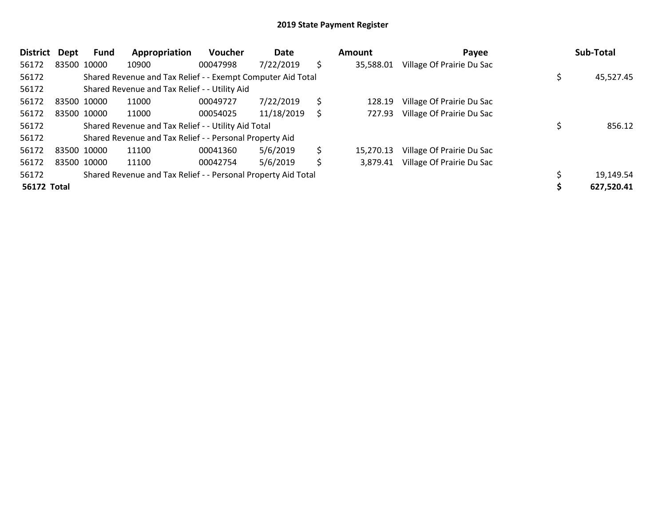| <b>District</b> | Dept                                                          | Fund                                                        | Appropriation                                           | Voucher   | Date       |     | <b>Amount</b> | Payee                     |  | Sub-Total  |
|-----------------|---------------------------------------------------------------|-------------------------------------------------------------|---------------------------------------------------------|-----------|------------|-----|---------------|---------------------------|--|------------|
| 56172           |                                                               | 83500 10000                                                 | 10900                                                   | 00047998  | 7/22/2019  | \$  | 35,588.01     | Village Of Prairie Du Sac |  |            |
| 56172           |                                                               | Shared Revenue and Tax Relief - - Exempt Computer Aid Total |                                                         | 45,527.45 |            |     |               |                           |  |            |
| 56172           |                                                               | Shared Revenue and Tax Relief - - Utility Aid               |                                                         |           |            |     |               |                           |  |            |
| 56172           |                                                               | 83500 10000                                                 | 11000                                                   | 00049727  | 7/22/2019  | \$. | 128.19        | Village Of Prairie Du Sac |  |            |
| 56172           |                                                               | 83500 10000                                                 | 11000                                                   | 00054025  | 11/18/2019 | S   | 727.93        | Village Of Prairie Du Sac |  |            |
| 56172           |                                                               | Shared Revenue and Tax Relief - - Utility Aid Total         |                                                         | 856.12    |            |     |               |                           |  |            |
| 56172           |                                                               |                                                             | Shared Revenue and Tax Relief - - Personal Property Aid |           |            |     |               |                           |  |            |
| 56172           |                                                               | 83500 10000                                                 | 11100                                                   | 00041360  | 5/6/2019   | \$  | 15,270.13     | Village Of Prairie Du Sac |  |            |
| 56172           |                                                               | 83500 10000                                                 | 11100                                                   | 00042754  | 5/6/2019   | \$  | 3,879.41      | Village Of Prairie Du Sac |  |            |
| 56172           | Shared Revenue and Tax Relief - - Personal Property Aid Total |                                                             |                                                         |           |            |     |               |                           |  | 19,149.54  |
| 56172 Total     |                                                               |                                                             |                                                         |           |            |     |               |                           |  | 627,520.41 |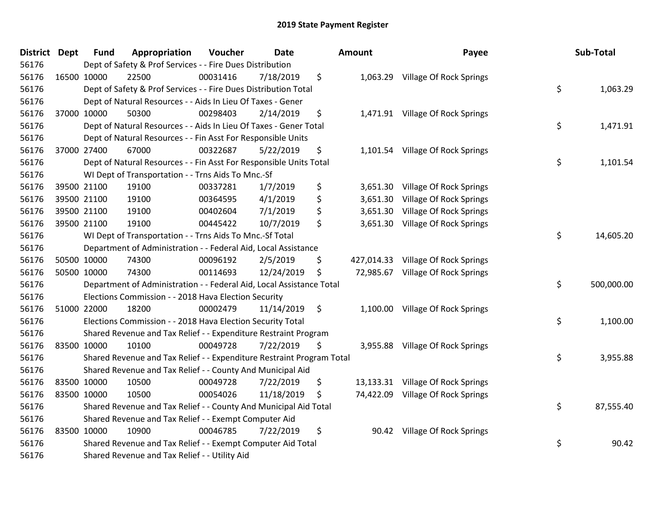| <b>District</b> | <b>Dept</b> | <b>Fund</b> | Appropriation                                                         | Voucher  | <b>Date</b> | Amount |          | Payee                              | Sub-Total        |
|-----------------|-------------|-------------|-----------------------------------------------------------------------|----------|-------------|--------|----------|------------------------------------|------------------|
| 56176           |             |             | Dept of Safety & Prof Services - - Fire Dues Distribution             |          |             |        |          |                                    |                  |
| 56176           | 16500 10000 |             | 22500                                                                 | 00031416 | 7/18/2019   | \$     |          | 1,063.29 Village Of Rock Springs   |                  |
| 56176           |             |             | Dept of Safety & Prof Services - - Fire Dues Distribution Total       |          |             |        |          |                                    | \$<br>1,063.29   |
| 56176           |             |             | Dept of Natural Resources - - Aids In Lieu Of Taxes - Gener           |          |             |        |          |                                    |                  |
| 56176           | 37000 10000 |             | 50300                                                                 | 00298403 | 2/14/2019   | \$     |          | 1,471.91 Village Of Rock Springs   |                  |
| 56176           |             |             | Dept of Natural Resources - - Aids In Lieu Of Taxes - Gener Total     |          |             |        |          |                                    | \$<br>1,471.91   |
| 56176           |             |             | Dept of Natural Resources - - Fin Asst For Responsible Units          |          |             |        |          |                                    |                  |
| 56176           | 37000 27400 |             | 67000                                                                 | 00322687 | 5/22/2019   | \$     |          | 1,101.54 Village Of Rock Springs   |                  |
| 56176           |             |             | Dept of Natural Resources - - Fin Asst For Responsible Units Total    |          |             |        |          |                                    | \$<br>1,101.54   |
| 56176           |             |             | WI Dept of Transportation - - Trns Aids To Mnc.-Sf                    |          |             |        |          |                                    |                  |
| 56176           |             | 39500 21100 | 19100                                                                 | 00337281 | 1/7/2019    | \$     | 3,651.30 | <b>Village Of Rock Springs</b>     |                  |
| 56176           |             | 39500 21100 | 19100                                                                 | 00364595 | 4/1/2019    | \$     |          | 3,651.30 Village Of Rock Springs   |                  |
| 56176           |             | 39500 21100 | 19100                                                                 | 00402604 | 7/1/2019    | \$     |          | 3,651.30 Village Of Rock Springs   |                  |
| 56176           | 39500 21100 |             | 19100                                                                 | 00445422 | 10/7/2019   | \$     |          | 3,651.30 Village Of Rock Springs   |                  |
| 56176           |             |             | WI Dept of Transportation - - Trns Aids To Mnc.-Sf Total              |          |             |        |          |                                    | \$<br>14,605.20  |
| 56176           |             |             | Department of Administration - - Federal Aid, Local Assistance        |          |             |        |          |                                    |                  |
| 56176           | 50500 10000 |             | 74300                                                                 | 00096192 | 2/5/2019    | \$     |          | 427,014.33 Village Of Rock Springs |                  |
| 56176           | 50500 10000 |             | 74300                                                                 | 00114693 | 12/24/2019  | \$     |          | 72,985.67 Village Of Rock Springs  |                  |
| 56176           |             |             | Department of Administration - - Federal Aid, Local Assistance Total  |          |             |        |          |                                    | \$<br>500,000.00 |
| 56176           |             |             | Elections Commission - - 2018 Hava Election Security                  |          |             |        |          |                                    |                  |
| 56176           | 51000 22000 |             | 18200                                                                 | 00002479 | 11/14/2019  | \$     |          | 1,100.00 Village Of Rock Springs   |                  |
| 56176           |             |             | Elections Commission - - 2018 Hava Election Security Total            |          |             |        |          |                                    | \$<br>1,100.00   |
| 56176           |             |             | Shared Revenue and Tax Relief - - Expenditure Restraint Program       |          |             |        |          |                                    |                  |
| 56176           | 83500 10000 |             | 10100                                                                 | 00049728 | 7/22/2019   | \$     |          | 3,955.88 Village Of Rock Springs   |                  |
| 56176           |             |             | Shared Revenue and Tax Relief - - Expenditure Restraint Program Total |          |             |        |          |                                    | \$<br>3,955.88   |
| 56176           |             |             | Shared Revenue and Tax Relief - - County And Municipal Aid            |          |             |        |          |                                    |                  |
| 56176           | 83500 10000 |             | 10500                                                                 | 00049728 | 7/22/2019   | \$     |          | 13,133.31 Village Of Rock Springs  |                  |
| 56176           | 83500 10000 |             | 10500                                                                 | 00054026 | 11/18/2019  | \$     |          | 74,422.09 Village Of Rock Springs  |                  |
| 56176           |             |             | Shared Revenue and Tax Relief - - County And Municipal Aid Total      |          |             |        |          |                                    | \$<br>87,555.40  |
| 56176           |             |             | Shared Revenue and Tax Relief - - Exempt Computer Aid                 |          |             |        |          |                                    |                  |
| 56176           | 83500 10000 |             | 10900                                                                 | 00046785 | 7/22/2019   | \$     |          | 90.42 Village Of Rock Springs      |                  |
| 56176           |             |             | Shared Revenue and Tax Relief - - Exempt Computer Aid Total           |          |             |        |          |                                    | \$<br>90.42      |
| 56176           |             |             | Shared Revenue and Tax Relief - - Utility Aid                         |          |             |        |          |                                    |                  |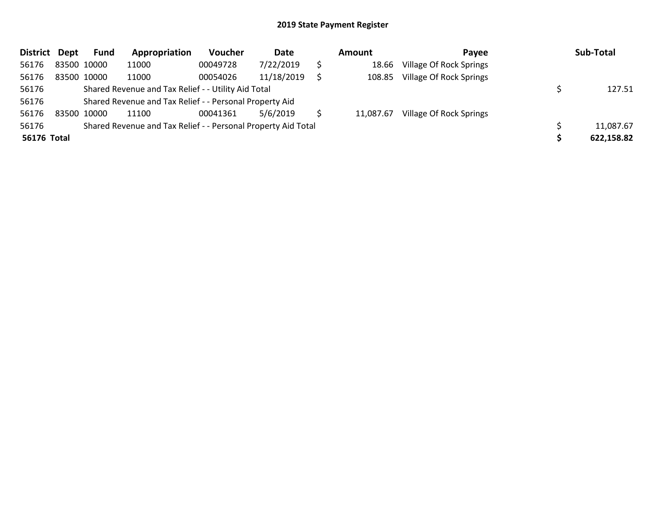| <b>District</b> | Dept                                                          | Fund                                                    | Appropriation | <b>Voucher</b> | Date       | Amount |           | Payee                          |  | Sub-Total  |
|-----------------|---------------------------------------------------------------|---------------------------------------------------------|---------------|----------------|------------|--------|-----------|--------------------------------|--|------------|
| 56176           | 83500 10000                                                   |                                                         | 11000         | 00049728       | 7/22/2019  |        | 18.66     | Village Of Rock Springs        |  |            |
| 56176           | 83500 10000                                                   |                                                         | 11000         | 00054026       | 11/18/2019 |        | 108.85    | Village Of Rock Springs        |  |            |
| 56176           | Shared Revenue and Tax Relief - - Utility Aid Total           |                                                         |               |                |            |        |           |                                |  | 127.51     |
| 56176           |                                                               | Shared Revenue and Tax Relief - - Personal Property Aid |               |                |            |        |           |                                |  |            |
| 56176           | 83500 10000                                                   |                                                         | 11100         | 00041361       | 5/6/2019   |        | 11,087.67 | <b>Village Of Rock Springs</b> |  |            |
| 56176           | Shared Revenue and Tax Relief - - Personal Property Aid Total |                                                         |               |                |            |        |           |                                |  | 11,087.67  |
| 56176 Total     |                                                               |                                                         |               |                |            |        |           |                                |  | 622,158.82 |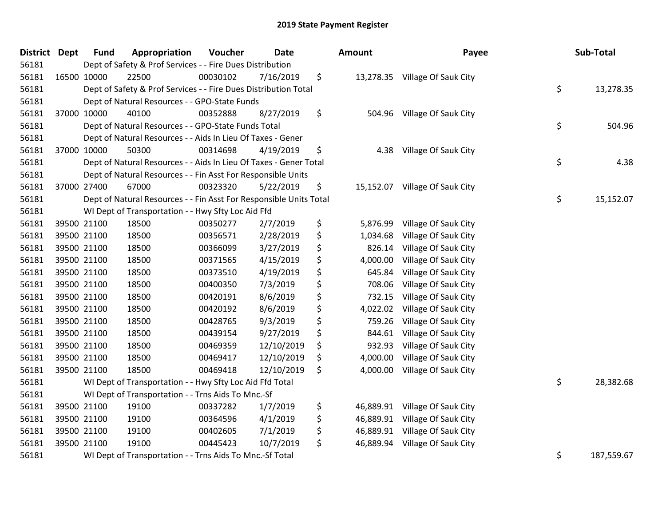| <b>District</b> | Dept | <b>Fund</b>                                              | Appropriation                                                      | Voucher  | <b>Date</b> |    | Amount    | Payee                          | Sub-Total        |
|-----------------|------|----------------------------------------------------------|--------------------------------------------------------------------|----------|-------------|----|-----------|--------------------------------|------------------|
| 56181           |      |                                                          | Dept of Safety & Prof Services - - Fire Dues Distribution          |          |             |    |           |                                |                  |
| 56181           |      | 16500 10000                                              | 22500                                                              | 00030102 | 7/16/2019   | \$ |           | 13,278.35 Village Of Sauk City |                  |
| 56181           |      |                                                          | Dept of Safety & Prof Services - - Fire Dues Distribution Total    |          |             |    |           |                                | \$<br>13,278.35  |
| 56181           |      |                                                          | Dept of Natural Resources - - GPO-State Funds                      |          |             |    |           |                                |                  |
| 56181           |      | 37000 10000                                              | 40100                                                              | 00352888 | 8/27/2019   | \$ | 504.96    | Village Of Sauk City           |                  |
| 56181           |      |                                                          | Dept of Natural Resources - - GPO-State Funds Total                |          |             |    |           |                                | \$<br>504.96     |
| 56181           |      |                                                          | Dept of Natural Resources - - Aids In Lieu Of Taxes - Gener        |          |             |    |           |                                |                  |
| 56181           |      | 37000 10000                                              | 50300                                                              | 00314698 | 4/19/2019   | \$ | 4.38      | Village Of Sauk City           |                  |
| 56181           |      |                                                          | Dept of Natural Resources - - Aids In Lieu Of Taxes - Gener Total  |          |             |    |           |                                | \$<br>4.38       |
| 56181           |      |                                                          | Dept of Natural Resources - - Fin Asst For Responsible Units       |          |             |    |           |                                |                  |
| 56181           |      | 37000 27400                                              | 67000                                                              | 00323320 | 5/22/2019   | \$ | 15,152.07 | Village Of Sauk City           |                  |
| 56181           |      |                                                          | Dept of Natural Resources - - Fin Asst For Responsible Units Total |          |             |    |           |                                | \$<br>15,152.07  |
| 56181           |      |                                                          | WI Dept of Transportation - - Hwy Sfty Loc Aid Ffd                 |          |             |    |           |                                |                  |
| 56181           |      | 39500 21100                                              | 18500                                                              | 00350277 | 2/7/2019    | \$ | 5,876.99  | Village Of Sauk City           |                  |
| 56181           |      | 39500 21100                                              | 18500                                                              | 00356571 | 2/28/2019   | \$ | 1,034.68  | Village Of Sauk City           |                  |
| 56181           |      | 39500 21100                                              | 18500                                                              | 00366099 | 3/27/2019   | \$ | 826.14    | Village Of Sauk City           |                  |
| 56181           |      | 39500 21100                                              | 18500                                                              | 00371565 | 4/15/2019   | \$ | 4,000.00  | Village Of Sauk City           |                  |
| 56181           |      | 39500 21100                                              | 18500                                                              | 00373510 | 4/19/2019   | \$ | 645.84    | Village Of Sauk City           |                  |
| 56181           |      | 39500 21100                                              | 18500                                                              | 00400350 | 7/3/2019    | \$ | 708.06    | Village Of Sauk City           |                  |
| 56181           |      | 39500 21100                                              | 18500                                                              | 00420191 | 8/6/2019    | \$ | 732.15    | Village Of Sauk City           |                  |
| 56181           |      | 39500 21100                                              | 18500                                                              | 00420192 | 8/6/2019    | \$ | 4,022.02  | Village Of Sauk City           |                  |
| 56181           |      | 39500 21100                                              | 18500                                                              | 00428765 | 9/3/2019    | \$ | 759.26    | Village Of Sauk City           |                  |
| 56181           |      | 39500 21100                                              | 18500                                                              | 00439154 | 9/27/2019   | \$ | 844.61    | Village Of Sauk City           |                  |
| 56181           |      | 39500 21100                                              | 18500                                                              | 00469359 | 12/10/2019  | \$ | 932.93    | Village Of Sauk City           |                  |
| 56181           |      | 39500 21100                                              | 18500                                                              | 00469417 | 12/10/2019  | \$ | 4,000.00  | Village Of Sauk City           |                  |
| 56181           |      | 39500 21100                                              | 18500                                                              | 00469418 | 12/10/2019  | \$ | 4,000.00  | Village Of Sauk City           |                  |
| 56181           |      |                                                          | WI Dept of Transportation - - Hwy Sfty Loc Aid Ffd Total           |          |             |    |           |                                | \$<br>28,382.68  |
| 56181           |      |                                                          | WI Dept of Transportation - - Trns Aids To Mnc.-Sf                 |          |             |    |           |                                |                  |
| 56181           |      | 39500 21100                                              | 19100                                                              | 00337282 | 1/7/2019    | \$ | 46,889.91 | Village Of Sauk City           |                  |
| 56181           |      | 39500 21100                                              | 19100                                                              | 00364596 | 4/1/2019    | \$ | 46,889.91 | Village Of Sauk City           |                  |
| 56181           |      | 39500 21100                                              | 19100                                                              | 00402605 | 7/1/2019    | \$ | 46,889.91 | Village Of Sauk City           |                  |
| 56181           |      | 39500 21100                                              | 19100                                                              | 00445423 | 10/7/2019   | \$ | 46,889.94 | Village Of Sauk City           |                  |
| 56181           |      | WI Dept of Transportation - - Trns Aids To Mnc.-Sf Total |                                                                    |          |             |    |           |                                | \$<br>187,559.67 |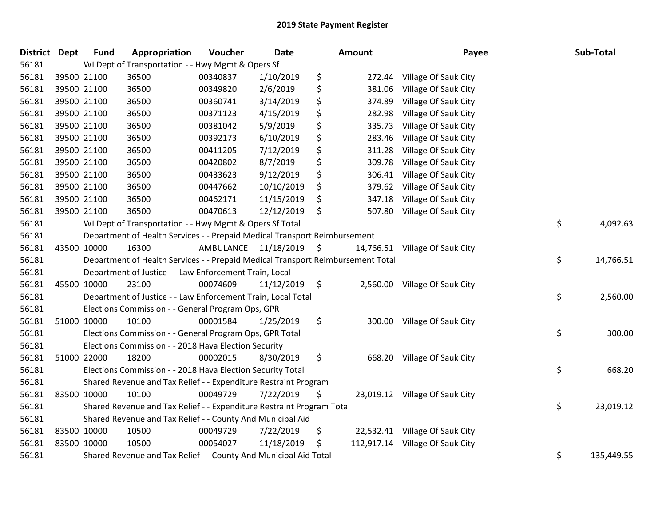| District Dept |             | <b>Fund</b> | Appropriation                                                                   | Voucher              | Date       | <b>Amount</b>   | Payee                           | Sub-Total        |
|---------------|-------------|-------------|---------------------------------------------------------------------------------|----------------------|------------|-----------------|---------------------------------|------------------|
| 56181         |             |             | WI Dept of Transportation - - Hwy Mgmt & Opers Sf                               |                      |            |                 |                                 |                  |
| 56181         | 39500 21100 |             | 36500                                                                           | 00340837             | 1/10/2019  | \$<br>272.44    | Village Of Sauk City            |                  |
| 56181         | 39500 21100 |             | 36500                                                                           | 00349820             | 2/6/2019   | \$<br>381.06    | Village Of Sauk City            |                  |
| 56181         | 39500 21100 |             | 36500                                                                           | 00360741             | 3/14/2019  | \$<br>374.89    | Village Of Sauk City            |                  |
| 56181         | 39500 21100 |             | 36500                                                                           | 00371123             | 4/15/2019  | \$<br>282.98    | Village Of Sauk City            |                  |
| 56181         | 39500 21100 |             | 36500                                                                           | 00381042             | 5/9/2019   | \$<br>335.73    | Village Of Sauk City            |                  |
| 56181         | 39500 21100 |             | 36500                                                                           | 00392173             | 6/10/2019  | \$<br>283.46    | Village Of Sauk City            |                  |
| 56181         | 39500 21100 |             | 36500                                                                           | 00411205             | 7/12/2019  | \$<br>311.28    | Village Of Sauk City            |                  |
| 56181         | 39500 21100 |             | 36500                                                                           | 00420802             | 8/7/2019   | \$<br>309.78    | Village Of Sauk City            |                  |
| 56181         | 39500 21100 |             | 36500                                                                           | 00433623             | 9/12/2019  | \$<br>306.41    | Village Of Sauk City            |                  |
| 56181         | 39500 21100 |             | 36500                                                                           | 00447662             | 10/10/2019 | \$<br>379.62    | Village Of Sauk City            |                  |
| 56181         | 39500 21100 |             | 36500                                                                           | 00462171             | 11/15/2019 | \$<br>347.18    | Village Of Sauk City            |                  |
| 56181         | 39500 21100 |             | 36500                                                                           | 00470613             | 12/12/2019 | \$<br>507.80    | Village Of Sauk City            |                  |
| 56181         |             |             | WI Dept of Transportation - - Hwy Mgmt & Opers Sf Total                         |                      |            |                 |                                 | \$<br>4,092.63   |
| 56181         |             |             | Department of Health Services - - Prepaid Medical Transport Reimbursement       |                      |            |                 |                                 |                  |
| 56181         | 43500 10000 |             | 16300                                                                           | AMBULANCE 11/18/2019 |            | \$<br>14,766.51 | Village Of Sauk City            |                  |
| 56181         |             |             | Department of Health Services - - Prepaid Medical Transport Reimbursement Total |                      |            |                 |                                 | \$<br>14,766.51  |
| 56181         |             |             | Department of Justice - - Law Enforcement Train, Local                          |                      |            |                 |                                 |                  |
| 56181         | 45500 10000 |             | 23100                                                                           | 00074609             | 11/12/2019 | \$              | 2,560.00 Village Of Sauk City   |                  |
| 56181         |             |             | Department of Justice - - Law Enforcement Train, Local Total                    |                      |            |                 |                                 | \$<br>2,560.00   |
| 56181         |             |             | Elections Commission - - General Program Ops, GPR                               |                      |            |                 |                                 |                  |
| 56181         | 51000 10000 |             | 10100                                                                           | 00001584             | 1/25/2019  | \$              | 300.00 Village Of Sauk City     |                  |
| 56181         |             |             | Elections Commission - - General Program Ops, GPR Total                         |                      |            |                 |                                 | \$<br>300.00     |
| 56181         |             |             | Elections Commission - - 2018 Hava Election Security                            |                      |            |                 |                                 |                  |
| 56181         | 51000 22000 |             | 18200                                                                           | 00002015             | 8/30/2019  | \$<br>668.20    | Village Of Sauk City            |                  |
| 56181         |             |             | Elections Commission - - 2018 Hava Election Security Total                      |                      |            |                 |                                 | \$<br>668.20     |
| 56181         |             |             | Shared Revenue and Tax Relief - - Expenditure Restraint Program                 |                      |            |                 |                                 |                  |
| 56181         | 83500 10000 |             | 10100                                                                           | 00049729             | 7/22/2019  | \$              | 23,019.12 Village Of Sauk City  |                  |
| 56181         |             |             | Shared Revenue and Tax Relief - - Expenditure Restraint Program Total           |                      |            |                 |                                 | \$<br>23,019.12  |
| 56181         |             |             | Shared Revenue and Tax Relief - - County And Municipal Aid                      |                      |            |                 |                                 |                  |
| 56181         | 83500 10000 |             | 10500                                                                           | 00049729             | 7/22/2019  | \$              | 22,532.41 Village Of Sauk City  |                  |
| 56181         | 83500 10000 |             | 10500                                                                           | 00054027             | 11/18/2019 | \$              | 112,917.14 Village Of Sauk City |                  |
| 56181         |             |             | Shared Revenue and Tax Relief - - County And Municipal Aid Total                |                      |            |                 |                                 | \$<br>135,449.55 |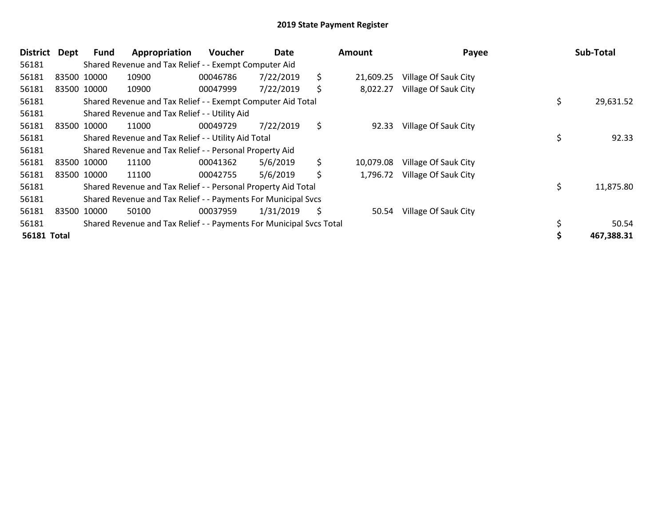| <b>District</b>    | Dept | <b>Fund</b> | Appropriation                                                       | <b>Voucher</b> | Date      | Amount          | Payee                | Sub-Total       |
|--------------------|------|-------------|---------------------------------------------------------------------|----------------|-----------|-----------------|----------------------|-----------------|
| 56181              |      |             | Shared Revenue and Tax Relief - - Exempt Computer Aid               |                |           |                 |                      |                 |
| 56181              |      | 83500 10000 | 10900                                                               | 00046786       | 7/22/2019 | \$<br>21,609.25 | Village Of Sauk City |                 |
| 56181              |      | 83500 10000 | 10900                                                               | 00047999       | 7/22/2019 | \$<br>8,022.27  | Village Of Sauk City |                 |
| 56181              |      |             | Shared Revenue and Tax Relief - - Exempt Computer Aid Total         |                |           |                 |                      | \$<br>29,631.52 |
| 56181              |      |             | Shared Revenue and Tax Relief - - Utility Aid                       |                |           |                 |                      |                 |
| 56181              |      | 83500 10000 | 11000                                                               | 00049729       | 7/22/2019 | \$<br>92.33     | Village Of Sauk City |                 |
| 56181              |      |             | Shared Revenue and Tax Relief - - Utility Aid Total                 |                |           |                 |                      | 92.33           |
| 56181              |      |             | Shared Revenue and Tax Relief - - Personal Property Aid             |                |           |                 |                      |                 |
| 56181              |      | 83500 10000 | 11100                                                               | 00041362       | 5/6/2019  | \$<br>10,079.08 | Village Of Sauk City |                 |
| 56181              |      | 83500 10000 | 11100                                                               | 00042755       | 5/6/2019  | \$<br>1,796.72  | Village Of Sauk City |                 |
| 56181              |      |             | Shared Revenue and Tax Relief - - Personal Property Aid Total       |                |           |                 |                      | \$<br>11,875.80 |
| 56181              |      |             | Shared Revenue and Tax Relief - - Payments For Municipal Svcs       |                |           |                 |                      |                 |
| 56181              |      | 83500 10000 | 50100                                                               | 00037959       | 1/31/2019 | \$<br>50.54     | Village Of Sauk City |                 |
| 56181              |      |             | Shared Revenue and Tax Relief - - Payments For Municipal Svcs Total |                |           |                 |                      | 50.54           |
| <b>56181 Total</b> |      |             |                                                                     |                |           |                 |                      | 467,388.31      |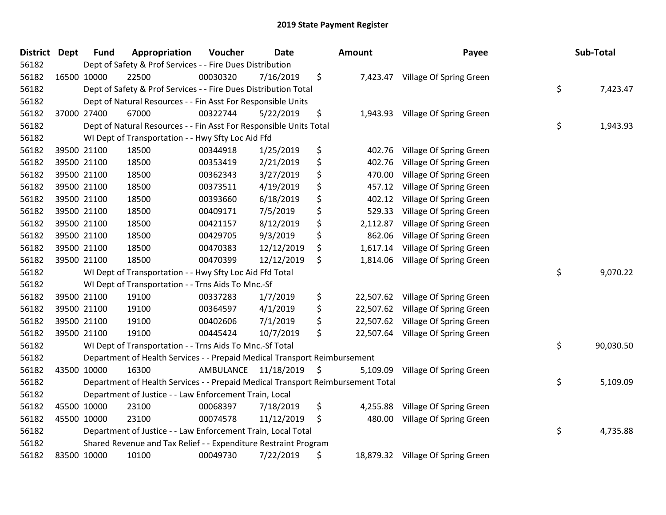| District Dept | <b>Fund</b> | Appropriation                                                                   | Voucher   | Date       | <b>Amount</b>   | Payee                             | Sub-Total       |
|---------------|-------------|---------------------------------------------------------------------------------|-----------|------------|-----------------|-----------------------------------|-----------------|
| 56182         |             | Dept of Safety & Prof Services - - Fire Dues Distribution                       |           |            |                 |                                   |                 |
| 56182         | 16500 10000 | 22500                                                                           | 00030320  | 7/16/2019  | \$              | 7,423.47 Village Of Spring Green  |                 |
| 56182         |             | Dept of Safety & Prof Services - - Fire Dues Distribution Total                 |           |            |                 |                                   | \$<br>7,423.47  |
| 56182         |             | Dept of Natural Resources - - Fin Asst For Responsible Units                    |           |            |                 |                                   |                 |
| 56182         | 37000 27400 | 67000                                                                           | 00322744  | 5/22/2019  | \$<br>1,943.93  | Village Of Spring Green           |                 |
| 56182         |             | Dept of Natural Resources - - Fin Asst For Responsible Units Total              |           |            |                 |                                   | \$<br>1,943.93  |
| 56182         |             | WI Dept of Transportation - - Hwy Sfty Loc Aid Ffd                              |           |            |                 |                                   |                 |
| 56182         | 39500 21100 | 18500                                                                           | 00344918  | 1/25/2019  | \$<br>402.76    | Village Of Spring Green           |                 |
| 56182         | 39500 21100 | 18500                                                                           | 00353419  | 2/21/2019  | \$<br>402.76    | Village Of Spring Green           |                 |
| 56182         | 39500 21100 | 18500                                                                           | 00362343  | 3/27/2019  | \$<br>470.00    | Village Of Spring Green           |                 |
| 56182         | 39500 21100 | 18500                                                                           | 00373511  | 4/19/2019  | \$<br>457.12    | Village Of Spring Green           |                 |
| 56182         | 39500 21100 | 18500                                                                           | 00393660  | 6/18/2019  | \$<br>402.12    | Village Of Spring Green           |                 |
| 56182         | 39500 21100 | 18500                                                                           | 00409171  | 7/5/2019   | \$<br>529.33    | Village Of Spring Green           |                 |
| 56182         | 39500 21100 | 18500                                                                           | 00421157  | 8/12/2019  | \$<br>2,112.87  | Village Of Spring Green           |                 |
| 56182         | 39500 21100 | 18500                                                                           | 00429705  | 9/3/2019   | \$<br>862.06    | Village Of Spring Green           |                 |
| 56182         | 39500 21100 | 18500                                                                           | 00470383  | 12/12/2019 | \$<br>1,617.14  | Village Of Spring Green           |                 |
| 56182         | 39500 21100 | 18500                                                                           | 00470399  | 12/12/2019 | \$<br>1,814.06  | Village Of Spring Green           |                 |
| 56182         |             | WI Dept of Transportation - - Hwy Sfty Loc Aid Ffd Total                        |           |            |                 |                                   | \$<br>9,070.22  |
| 56182         |             | WI Dept of Transportation - - Trns Aids To Mnc.-Sf                              |           |            |                 |                                   |                 |
| 56182         | 39500 21100 | 19100                                                                           | 00337283  | 1/7/2019   | \$<br>22,507.62 | Village Of Spring Green           |                 |
| 56182         | 39500 21100 | 19100                                                                           | 00364597  | 4/1/2019   | \$<br>22,507.62 | Village Of Spring Green           |                 |
| 56182         | 39500 21100 | 19100                                                                           | 00402606  | 7/1/2019   | \$              | 22,507.62 Village Of Spring Green |                 |
| 56182         | 39500 21100 | 19100                                                                           | 00445424  | 10/7/2019  | \$              | 22,507.64 Village Of Spring Green |                 |
| 56182         |             | WI Dept of Transportation - - Trns Aids To Mnc.-Sf Total                        |           |            |                 |                                   | \$<br>90,030.50 |
| 56182         |             | Department of Health Services - - Prepaid Medical Transport Reimbursement       |           |            |                 |                                   |                 |
| 56182         | 43500 10000 | 16300                                                                           | AMBULANCE | 11/18/2019 | \$<br>5,109.09  | Village Of Spring Green           |                 |
| 56182         |             | Department of Health Services - - Prepaid Medical Transport Reimbursement Total |           |            |                 |                                   | \$<br>5,109.09  |
| 56182         |             | Department of Justice - - Law Enforcement Train, Local                          |           |            |                 |                                   |                 |
| 56182         | 45500 10000 | 23100                                                                           | 00068397  | 7/18/2019  | \$<br>4,255.88  | Village Of Spring Green           |                 |
| 56182         | 45500 10000 | 23100                                                                           | 00074578  | 11/12/2019 | \$<br>480.00    | Village Of Spring Green           |                 |
| 56182         |             | Department of Justice - - Law Enforcement Train, Local Total                    |           |            |                 |                                   | \$<br>4,735.88  |
| 56182         |             | Shared Revenue and Tax Relief - - Expenditure Restraint Program                 |           |            |                 |                                   |                 |
| 56182         | 83500 10000 | 10100                                                                           | 00049730  | 7/22/2019  | \$              | 18,879.32 Village Of Spring Green |                 |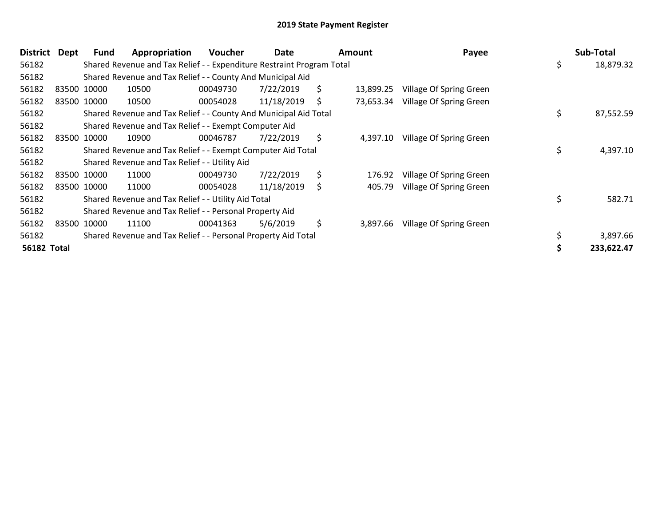| <b>District</b>    | Dept | <b>Fund</b> | Appropriation                                                         | Voucher  | Date       |    | Amount    | Payee                   | Sub-Total      |
|--------------------|------|-------------|-----------------------------------------------------------------------|----------|------------|----|-----------|-------------------------|----------------|
| 56182              |      |             | Shared Revenue and Tax Relief - - Expenditure Restraint Program Total |          |            |    |           |                         | 18,879.32      |
| 56182              |      |             | Shared Revenue and Tax Relief - - County And Municipal Aid            |          |            |    |           |                         |                |
| 56182              |      | 83500 10000 | 10500                                                                 | 00049730 | 7/22/2019  | \$ | 13,899.25 | Village Of Spring Green |                |
| 56182              |      | 83500 10000 | 10500                                                                 | 00054028 | 11/18/2019 | S  | 73,653.34 | Village Of Spring Green |                |
| 56182              |      |             | Shared Revenue and Tax Relief - - County And Municipal Aid Total      |          |            |    |           |                         | 87,552.59      |
| 56182              |      |             | Shared Revenue and Tax Relief - - Exempt Computer Aid                 |          |            |    |           |                         |                |
| 56182              |      | 83500 10000 | 10900                                                                 | 00046787 | 7/22/2019  | \$ | 4,397.10  | Village Of Spring Green |                |
| 56182              |      |             | Shared Revenue and Tax Relief - - Exempt Computer Aid Total           |          |            |    |           |                         | \$<br>4,397.10 |
| 56182              |      |             | Shared Revenue and Tax Relief - - Utility Aid                         |          |            |    |           |                         |                |
| 56182              |      | 83500 10000 | 11000                                                                 | 00049730 | 7/22/2019  | \$ | 176.92    | Village Of Spring Green |                |
| 56182              |      | 83500 10000 | 11000                                                                 | 00054028 | 11/18/2019 | \$ | 405.79    | Village Of Spring Green |                |
| 56182              |      |             | Shared Revenue and Tax Relief - - Utility Aid Total                   |          |            |    |           |                         | 582.71         |
| 56182              |      |             | Shared Revenue and Tax Relief - - Personal Property Aid               |          |            |    |           |                         |                |
| 56182              |      | 83500 10000 | 11100                                                                 | 00041363 | 5/6/2019   | \$ | 3,897.66  | Village Of Spring Green |                |
| 56182              |      |             | Shared Revenue and Tax Relief - - Personal Property Aid Total         |          |            |    |           |                         | 3,897.66       |
| <b>56182 Total</b> |      |             |                                                                       |          |            |    |           |                         | 233,622.47     |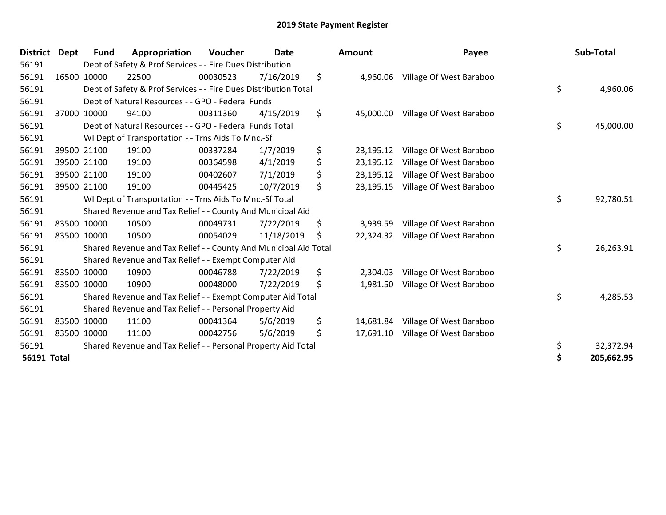| <b>District</b>    | <b>Dept</b> | <b>Fund</b> | Appropriation                                                    | Voucher  | <b>Date</b> | <b>Amount</b>   | Payee                   | Sub-Total        |
|--------------------|-------------|-------------|------------------------------------------------------------------|----------|-------------|-----------------|-------------------------|------------------|
| 56191              |             |             | Dept of Safety & Prof Services - - Fire Dues Distribution        |          |             |                 |                         |                  |
| 56191              |             | 16500 10000 | 22500                                                            | 00030523 | 7/16/2019   | \$<br>4,960.06  | Village Of West Baraboo |                  |
| 56191              |             |             | Dept of Safety & Prof Services - - Fire Dues Distribution Total  |          |             |                 |                         | \$<br>4,960.06   |
| 56191              |             |             | Dept of Natural Resources - - GPO - Federal Funds                |          |             |                 |                         |                  |
| 56191              |             | 37000 10000 | 94100                                                            | 00311360 | 4/15/2019   | \$<br>45,000.00 | Village Of West Baraboo |                  |
| 56191              |             |             | Dept of Natural Resources - - GPO - Federal Funds Total          |          |             |                 |                         | \$<br>45,000.00  |
| 56191              |             |             | WI Dept of Transportation - - Trns Aids To Mnc.-Sf               |          |             |                 |                         |                  |
| 56191              |             | 39500 21100 | 19100                                                            | 00337284 | 1/7/2019    | \$<br>23,195.12 | Village Of West Baraboo |                  |
| 56191              |             | 39500 21100 | 19100                                                            | 00364598 | 4/1/2019    | \$<br>23,195.12 | Village Of West Baraboo |                  |
| 56191              |             | 39500 21100 | 19100                                                            | 00402607 | 7/1/2019    | \$<br>23,195.12 | Village Of West Baraboo |                  |
| 56191              |             | 39500 21100 | 19100                                                            | 00445425 | 10/7/2019   | \$<br>23,195.15 | Village Of West Baraboo |                  |
| 56191              |             |             | WI Dept of Transportation - - Trns Aids To Mnc.-Sf Total         |          |             |                 |                         | \$<br>92,780.51  |
| 56191              |             |             | Shared Revenue and Tax Relief - - County And Municipal Aid       |          |             |                 |                         |                  |
| 56191              |             | 83500 10000 | 10500                                                            | 00049731 | 7/22/2019   | \$<br>3,939.59  | Village Of West Baraboo |                  |
| 56191              |             | 83500 10000 | 10500                                                            | 00054029 | 11/18/2019  | \$<br>22,324.32 | Village Of West Baraboo |                  |
| 56191              |             |             | Shared Revenue and Tax Relief - - County And Municipal Aid Total |          |             |                 |                         | \$<br>26,263.91  |
| 56191              |             |             | Shared Revenue and Tax Relief - - Exempt Computer Aid            |          |             |                 |                         |                  |
| 56191              |             | 83500 10000 | 10900                                                            | 00046788 | 7/22/2019   | \$<br>2,304.03  | Village Of West Baraboo |                  |
| 56191              |             | 83500 10000 | 10900                                                            | 00048000 | 7/22/2019   | \$<br>1,981.50  | Village Of West Baraboo |                  |
| 56191              |             |             | Shared Revenue and Tax Relief - - Exempt Computer Aid Total      |          |             |                 |                         | \$<br>4,285.53   |
| 56191              |             |             | Shared Revenue and Tax Relief - - Personal Property Aid          |          |             |                 |                         |                  |
| 56191              |             | 83500 10000 | 11100                                                            | 00041364 | 5/6/2019    | \$<br>14,681.84 | Village Of West Baraboo |                  |
| 56191              |             | 83500 10000 | 11100                                                            | 00042756 | 5/6/2019    | \$<br>17,691.10 | Village Of West Baraboo |                  |
| 56191              |             |             | Shared Revenue and Tax Relief - - Personal Property Aid Total    |          |             |                 |                         | \$<br>32,372.94  |
| <b>56191 Total</b> |             |             |                                                                  |          |             |                 |                         | \$<br>205,662.95 |

| District Dept      | <b>Fund</b> | Appropriation                                                    | <b>Voucher</b> | <b>Date</b> |    | <b>Amount</b> | Payee                             | Sub-Total       |
|--------------------|-------------|------------------------------------------------------------------|----------------|-------------|----|---------------|-----------------------------------|-----------------|
| 56191              |             | Dept of Safety & Prof Services - - Fire Dues Distribution        |                |             |    |               |                                   |                 |
| 56191              | 16500 10000 | 22500                                                            | 00030523       | 7/16/2019   | \$ | 4,960.06      | Village Of West Baraboo           |                 |
| 56191              |             | Dept of Safety & Prof Services - - Fire Dues Distribution Total  |                |             |    |               |                                   | \$<br>4,960.06  |
| 56191              |             | Dept of Natural Resources - - GPO - Federal Funds                |                |             |    |               |                                   |                 |
| 56191              | 37000 10000 | 94100                                                            | 00311360       | 4/15/2019   | \$ | 45,000.00     | Village Of West Baraboo           |                 |
| 56191              |             | Dept of Natural Resources - - GPO - Federal Funds Total          |                |             |    |               |                                   | \$<br>45,000.00 |
| 56191              |             | WI Dept of Transportation - - Trns Aids To Mnc.-Sf               |                |             |    |               |                                   |                 |
| 56191              | 39500 21100 | 19100                                                            | 00337284       | 1/7/2019    | \$ | 23,195.12     | Village Of West Baraboo           |                 |
| 56191              | 39500 21100 | 19100                                                            | 00364598       | 4/1/2019    | \$ | 23,195.12     | Village Of West Baraboo           |                 |
| 56191              | 39500 21100 | 19100                                                            | 00402607       | 7/1/2019    | \$ | 23,195.12     | Village Of West Baraboo           |                 |
| 56191              | 39500 21100 | 19100                                                            | 00445425       | 10/7/2019   | \$ | 23,195.15     | Village Of West Baraboo           |                 |
| 56191              |             | WI Dept of Transportation - - Trns Aids To Mnc.-Sf Total         |                |             |    |               |                                   | \$<br>92,780.51 |
| 56191              |             | Shared Revenue and Tax Relief - - County And Municipal Aid       |                |             |    |               |                                   |                 |
| 56191              | 83500 10000 | 10500                                                            | 00049731       | 7/22/2019   | \$ | 3,939.59      | Village Of West Baraboo           |                 |
| 56191              | 83500 10000 | 10500                                                            | 00054029       | 11/18/2019  | Ś  | 22,324.32     | Village Of West Baraboo           |                 |
| 56191              |             | Shared Revenue and Tax Relief - - County And Municipal Aid Total |                |             |    |               |                                   | \$<br>26,263.91 |
| 56191              |             | Shared Revenue and Tax Relief - - Exempt Computer Aid            |                |             |    |               |                                   |                 |
| 56191              | 83500 10000 | 10900                                                            | 00046788       | 7/22/2019   | \$ | 2,304.03      | Village Of West Baraboo           |                 |
| 56191              | 83500 10000 | 10900                                                            | 00048000       | 7/22/2019   | \$ | 1,981.50      | Village Of West Baraboo           |                 |
| 56191              |             | Shared Revenue and Tax Relief - - Exempt Computer Aid Total      |                |             |    |               |                                   | \$<br>4,285.53  |
| 56191              |             | Shared Revenue and Tax Relief - - Personal Property Aid          |                |             |    |               |                                   |                 |
| 56191              | 83500 10000 | 11100                                                            | 00041364       | 5/6/2019    | \$ | 14,681.84     | Village Of West Baraboo           |                 |
| 56191              | 83500 10000 | 11100                                                            | 00042756       | 5/6/2019    | \$ |               | 17,691.10 Village Of West Baraboo |                 |
| 56191              |             | Shared Revenue and Tax Relief - - Personal Property Aid Total    |                |             |    |               |                                   | \$<br>32,372.94 |
| <b>56191 Total</b> |             |                                                                  |                |             |    |               |                                   | 205,662.95      |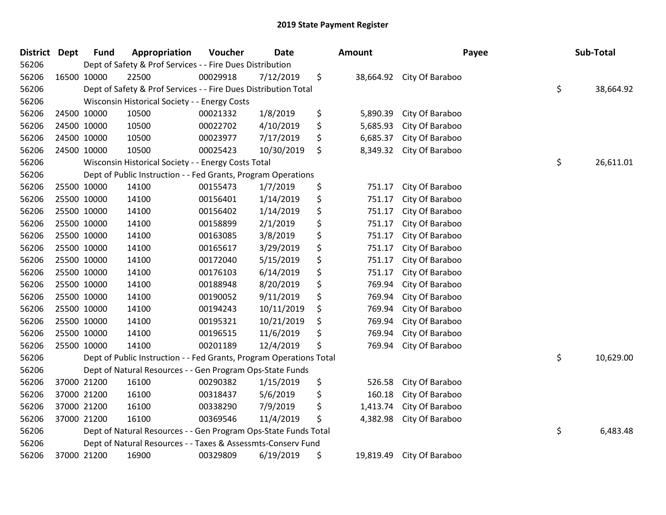| <b>District</b> | <b>Dept</b> | <b>Fund</b> | Appropriation                                                       | Voucher  | <b>Date</b> | <b>Amount</b>   | Payee           | Sub-Total       |
|-----------------|-------------|-------------|---------------------------------------------------------------------|----------|-------------|-----------------|-----------------|-----------------|
| 56206           |             |             | Dept of Safety & Prof Services - - Fire Dues Distribution           |          |             |                 |                 |                 |
| 56206           |             | 16500 10000 | 22500                                                               | 00029918 | 7/12/2019   | \$<br>38,664.92 | City Of Baraboo |                 |
| 56206           |             |             | Dept of Safety & Prof Services - - Fire Dues Distribution Total     |          |             |                 |                 | \$<br>38,664.92 |
| 56206           |             |             | Wisconsin Historical Society - - Energy Costs                       |          |             |                 |                 |                 |
| 56206           |             | 24500 10000 | 10500                                                               | 00021332 | 1/8/2019    | \$<br>5,890.39  | City Of Baraboo |                 |
| 56206           |             | 24500 10000 | 10500                                                               | 00022702 | 4/10/2019   | \$<br>5,685.93  | City Of Baraboo |                 |
| 56206           |             | 24500 10000 | 10500                                                               | 00023977 | 7/17/2019   | \$<br>6,685.37  | City Of Baraboo |                 |
| 56206           |             | 24500 10000 | 10500                                                               | 00025423 | 10/30/2019  | \$<br>8,349.32  | City Of Baraboo |                 |
| 56206           |             |             | Wisconsin Historical Society - - Energy Costs Total                 |          |             |                 |                 | \$<br>26,611.01 |
| 56206           |             |             | Dept of Public Instruction - - Fed Grants, Program Operations       |          |             |                 |                 |                 |
| 56206           |             | 25500 10000 | 14100                                                               | 00155473 | 1/7/2019    | \$<br>751.17    | City Of Baraboo |                 |
| 56206           |             | 25500 10000 | 14100                                                               | 00156401 | 1/14/2019   | \$<br>751.17    | City Of Baraboo |                 |
| 56206           |             | 25500 10000 | 14100                                                               | 00156402 | 1/14/2019   | \$<br>751.17    | City Of Baraboo |                 |
| 56206           |             | 25500 10000 | 14100                                                               | 00158899 | 2/1/2019    | \$<br>751.17    | City Of Baraboo |                 |
| 56206           |             | 25500 10000 | 14100                                                               | 00163085 | 3/8/2019    | \$<br>751.17    | City Of Baraboo |                 |
| 56206           |             | 25500 10000 | 14100                                                               | 00165617 | 3/29/2019   | \$<br>751.17    | City Of Baraboo |                 |
| 56206           |             | 25500 10000 | 14100                                                               | 00172040 | 5/15/2019   | \$<br>751.17    | City Of Baraboo |                 |
| 56206           |             | 25500 10000 | 14100                                                               | 00176103 | 6/14/2019   | \$<br>751.17    | City Of Baraboo |                 |
| 56206           |             | 25500 10000 | 14100                                                               | 00188948 | 8/20/2019   | \$<br>769.94    | City Of Baraboo |                 |
| 56206           |             | 25500 10000 | 14100                                                               | 00190052 | 9/11/2019   | \$<br>769.94    | City Of Baraboo |                 |
| 56206           |             | 25500 10000 | 14100                                                               | 00194243 | 10/11/2019  | \$<br>769.94    | City Of Baraboo |                 |
| 56206           |             | 25500 10000 | 14100                                                               | 00195321 | 10/21/2019  | \$<br>769.94    | City Of Baraboo |                 |
| 56206           |             | 25500 10000 | 14100                                                               | 00196515 | 11/6/2019   | \$<br>769.94    | City Of Baraboo |                 |
| 56206           |             | 25500 10000 | 14100                                                               | 00201189 | 12/4/2019   | \$<br>769.94    | City Of Baraboo |                 |
| 56206           |             |             | Dept of Public Instruction - - Fed Grants, Program Operations Total |          |             |                 |                 | \$<br>10,629.00 |
| 56206           |             |             | Dept of Natural Resources - - Gen Program Ops-State Funds           |          |             |                 |                 |                 |
| 56206           |             | 37000 21200 | 16100                                                               | 00290382 | 1/15/2019   | \$<br>526.58    | City Of Baraboo |                 |
| 56206           |             | 37000 21200 | 16100                                                               | 00318437 | 5/6/2019    | \$<br>160.18    | City Of Baraboo |                 |
| 56206           |             | 37000 21200 | 16100                                                               | 00338290 | 7/9/2019    | \$<br>1,413.74  | City Of Baraboo |                 |
| 56206           |             | 37000 21200 | 16100                                                               | 00369546 | 11/4/2019   | \$<br>4,382.98  | City Of Baraboo |                 |
| 56206           |             |             | Dept of Natural Resources - - Gen Program Ops-State Funds Total     |          |             |                 |                 | \$<br>6,483.48  |
| 56206           |             |             | Dept of Natural Resources - - Taxes & Assessmts-Conserv Fund        |          |             |                 |                 |                 |
| 56206           |             | 37000 21200 | 16900                                                               | 00329809 | 6/19/2019   | \$<br>19,819.49 | City Of Baraboo |                 |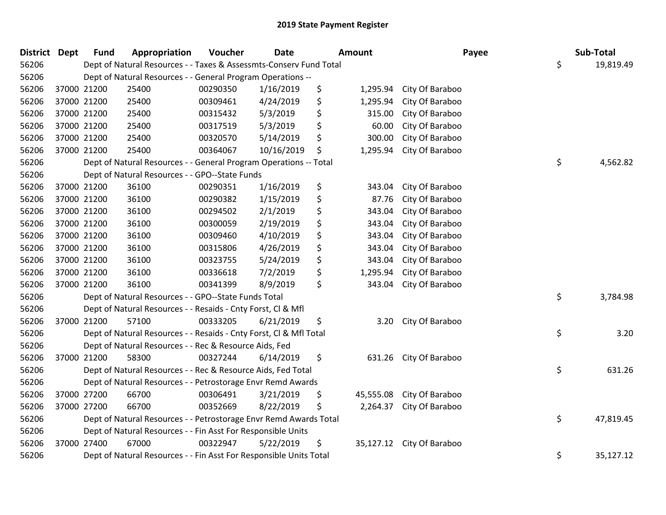| <b>District Dept</b> |             | <b>Fund</b> | Appropriation                                                      | Voucher  | <b>Date</b> | <b>Amount</b>   | Payee                     | Sub-Total       |
|----------------------|-------------|-------------|--------------------------------------------------------------------|----------|-------------|-----------------|---------------------------|-----------------|
| 56206                |             |             | Dept of Natural Resources - - Taxes & Assessmts-Conserv Fund Total |          |             |                 |                           | \$<br>19,819.49 |
| 56206                |             |             | Dept of Natural Resources - - General Program Operations --        |          |             |                 |                           |                 |
| 56206                | 37000 21200 |             | 25400                                                              | 00290350 | 1/16/2019   | \$<br>1,295.94  | City Of Baraboo           |                 |
| 56206                | 37000 21200 |             | 25400                                                              | 00309461 | 4/24/2019   | \$<br>1,295.94  | City Of Baraboo           |                 |
| 56206                | 37000 21200 |             | 25400                                                              | 00315432 | 5/3/2019    | \$<br>315.00    | City Of Baraboo           |                 |
| 56206                | 37000 21200 |             | 25400                                                              | 00317519 | 5/3/2019    | \$<br>60.00     | City Of Baraboo           |                 |
| 56206                | 37000 21200 |             | 25400                                                              | 00320570 | 5/14/2019   | \$<br>300.00    | City Of Baraboo           |                 |
| 56206                | 37000 21200 |             | 25400                                                              | 00364067 | 10/16/2019  | \$<br>1,295.94  | City Of Baraboo           |                 |
| 56206                |             |             | Dept of Natural Resources - - General Program Operations -- Total  |          |             |                 |                           | \$<br>4,562.82  |
| 56206                |             |             | Dept of Natural Resources - - GPO--State Funds                     |          |             |                 |                           |                 |
| 56206                | 37000 21200 |             | 36100                                                              | 00290351 | 1/16/2019   | \$<br>343.04    | City Of Baraboo           |                 |
| 56206                | 37000 21200 |             | 36100                                                              | 00290382 | 1/15/2019   | \$<br>87.76     | City Of Baraboo           |                 |
| 56206                | 37000 21200 |             | 36100                                                              | 00294502 | 2/1/2019    | \$<br>343.04    | City Of Baraboo           |                 |
| 56206                | 37000 21200 |             | 36100                                                              | 00300059 | 2/19/2019   | \$<br>343.04    | City Of Baraboo           |                 |
| 56206                | 37000 21200 |             | 36100                                                              | 00309460 | 4/10/2019   | \$<br>343.04    | City Of Baraboo           |                 |
| 56206                | 37000 21200 |             | 36100                                                              | 00315806 | 4/26/2019   | \$<br>343.04    | City Of Baraboo           |                 |
| 56206                |             | 37000 21200 | 36100                                                              | 00323755 | 5/24/2019   | \$<br>343.04    | City Of Baraboo           |                 |
| 56206                | 37000 21200 |             | 36100                                                              | 00336618 | 7/2/2019    | \$<br>1,295.94  | City Of Baraboo           |                 |
| 56206                | 37000 21200 |             | 36100                                                              | 00341399 | 8/9/2019    | \$<br>343.04    | City Of Baraboo           |                 |
| 56206                |             |             | Dept of Natural Resources - - GPO--State Funds Total               |          |             |                 |                           | \$<br>3,784.98  |
| 56206                |             |             | Dept of Natural Resources - - Resaids - Cnty Forst, CI & Mfl       |          |             |                 |                           |                 |
| 56206                | 37000 21200 |             | 57100                                                              | 00333205 | 6/21/2019   | \$<br>3.20      | City Of Baraboo           |                 |
| 56206                |             |             | Dept of Natural Resources - - Resaids - Cnty Forst, Cl & Mfl Total |          |             |                 |                           | \$<br>3.20      |
| 56206                |             |             | Dept of Natural Resources - - Rec & Resource Aids, Fed             |          |             |                 |                           |                 |
| 56206                | 37000 21200 |             | 58300                                                              | 00327244 | 6/14/2019   | \$<br>631.26    | City Of Baraboo           |                 |
| 56206                |             |             | Dept of Natural Resources - - Rec & Resource Aids, Fed Total       |          |             |                 |                           | \$<br>631.26    |
| 56206                |             |             | Dept of Natural Resources - - Petrostorage Envr Remd Awards        |          |             |                 |                           |                 |
| 56206                | 37000 27200 |             | 66700                                                              | 00306491 | 3/21/2019   | \$<br>45,555.08 | City Of Baraboo           |                 |
| 56206                |             | 37000 27200 | 66700                                                              | 00352669 | 8/22/2019   | \$<br>2,264.37  | City Of Baraboo           |                 |
| 56206                |             |             | Dept of Natural Resources - - Petrostorage Envr Remd Awards Total  |          |             |                 |                           | \$<br>47,819.45 |
| 56206                |             |             | Dept of Natural Resources - - Fin Asst For Responsible Units       |          |             |                 |                           |                 |
| 56206                | 37000 27400 |             | 67000                                                              | 00322947 | 5/22/2019   | \$              | 35,127.12 City Of Baraboo |                 |
| 56206                |             |             | Dept of Natural Resources - - Fin Asst For Responsible Units Total |          |             |                 |                           | \$<br>35,127.12 |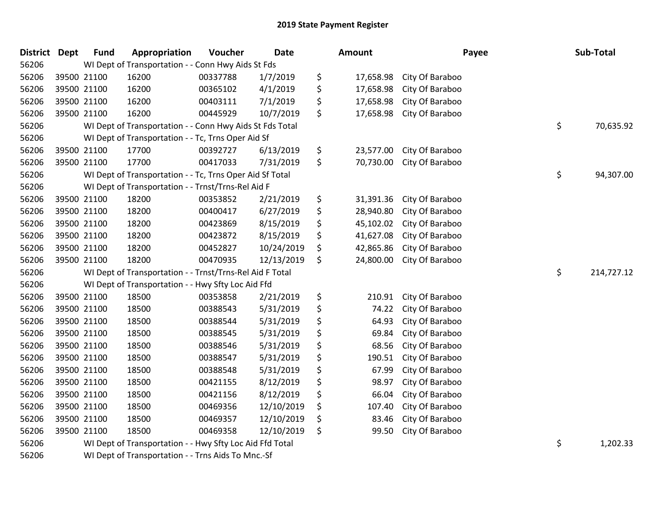| <b>District</b> | <b>Dept</b> | <b>Fund</b> | Appropriation                                            | Voucher  | <b>Date</b> | <b>Amount</b>   |                 | Payee | Sub-Total  |
|-----------------|-------------|-------------|----------------------------------------------------------|----------|-------------|-----------------|-----------------|-------|------------|
| 56206           |             |             | WI Dept of Transportation - - Conn Hwy Aids St Fds       |          |             |                 |                 |       |            |
| 56206           |             | 39500 21100 | 16200                                                    | 00337788 | 1/7/2019    | \$<br>17,658.98 | City Of Baraboo |       |            |
| 56206           | 39500 21100 |             | 16200                                                    | 00365102 | 4/1/2019    | \$<br>17,658.98 | City Of Baraboo |       |            |
| 56206           |             | 39500 21100 | 16200                                                    | 00403111 | 7/1/2019    | \$<br>17,658.98 | City Of Baraboo |       |            |
| 56206           | 39500 21100 |             | 16200                                                    | 00445929 | 10/7/2019   | \$<br>17,658.98 | City Of Baraboo |       |            |
| 56206           |             |             | WI Dept of Transportation - - Conn Hwy Aids St Fds Total |          |             |                 |                 | \$    | 70,635.92  |
| 56206           |             |             | WI Dept of Transportation - - Tc, Trns Oper Aid Sf       |          |             |                 |                 |       |            |
| 56206           | 39500 21100 |             | 17700                                                    | 00392727 | 6/13/2019   | \$<br>23,577.00 | City Of Baraboo |       |            |
| 56206           | 39500 21100 |             | 17700                                                    | 00417033 | 7/31/2019   | \$<br>70,730.00 | City Of Baraboo |       |            |
| 56206           |             |             | WI Dept of Transportation - - Tc, Trns Oper Aid Sf Total |          |             |                 |                 | \$    | 94,307.00  |
| 56206           |             |             | WI Dept of Transportation - - Trnst/Trns-Rel Aid F       |          |             |                 |                 |       |            |
| 56206           | 39500 21100 |             | 18200                                                    | 00353852 | 2/21/2019   | \$<br>31,391.36 | City Of Baraboo |       |            |
| 56206           | 39500 21100 |             | 18200                                                    | 00400417 | 6/27/2019   | \$<br>28,940.80 | City Of Baraboo |       |            |
| 56206           | 39500 21100 |             | 18200                                                    | 00423869 | 8/15/2019   | \$<br>45,102.02 | City Of Baraboo |       |            |
| 56206           |             | 39500 21100 | 18200                                                    | 00423872 | 8/15/2019   | \$<br>41,627.08 | City Of Baraboo |       |            |
| 56206           | 39500 21100 |             | 18200                                                    | 00452827 | 10/24/2019  | \$<br>42,865.86 | City Of Baraboo |       |            |
| 56206           | 39500 21100 |             | 18200                                                    | 00470935 | 12/13/2019  | \$<br>24,800.00 | City Of Baraboo |       |            |
| 56206           |             |             | WI Dept of Transportation - - Trnst/Trns-Rel Aid F Total |          |             |                 |                 | \$    | 214,727.12 |
| 56206           |             |             | WI Dept of Transportation - - Hwy Sfty Loc Aid Ffd       |          |             |                 |                 |       |            |
| 56206           | 39500 21100 |             | 18500                                                    | 00353858 | 2/21/2019   | \$<br>210.91    | City Of Baraboo |       |            |
| 56206           |             | 39500 21100 | 18500                                                    | 00388543 | 5/31/2019   | \$<br>74.22     | City Of Baraboo |       |            |
| 56206           |             | 39500 21100 | 18500                                                    | 00388544 | 5/31/2019   | \$<br>64.93     | City Of Baraboo |       |            |
| 56206           | 39500 21100 |             | 18500                                                    | 00388545 | 5/31/2019   | \$<br>69.84     | City Of Baraboo |       |            |
| 56206           | 39500 21100 |             | 18500                                                    | 00388546 | 5/31/2019   | \$<br>68.56     | City Of Baraboo |       |            |
| 56206           | 39500 21100 |             | 18500                                                    | 00388547 | 5/31/2019   | \$<br>190.51    | City Of Baraboo |       |            |
| 56206           | 39500 21100 |             | 18500                                                    | 00388548 | 5/31/2019   | \$<br>67.99     | City Of Baraboo |       |            |
| 56206           | 39500 21100 |             | 18500                                                    | 00421155 | 8/12/2019   | \$<br>98.97     | City Of Baraboo |       |            |
| 56206           | 39500 21100 |             | 18500                                                    | 00421156 | 8/12/2019   | \$<br>66.04     | City Of Baraboo |       |            |
| 56206           |             | 39500 21100 | 18500                                                    | 00469356 | 12/10/2019  | \$<br>107.40    | City Of Baraboo |       |            |
| 56206           |             | 39500 21100 | 18500                                                    | 00469357 | 12/10/2019  | \$<br>83.46     | City Of Baraboo |       |            |
| 56206           | 39500 21100 |             | 18500                                                    | 00469358 | 12/10/2019  | \$<br>99.50     | City Of Baraboo |       |            |
| 56206           |             |             | WI Dept of Transportation - - Hwy Sfty Loc Aid Ffd Total |          |             |                 |                 | \$    | 1,202.33   |
|                 |             |             |                                                          |          |             |                 |                 |       |            |

WI Dept of Transportation - - Trns Aids To Mnc.-Sf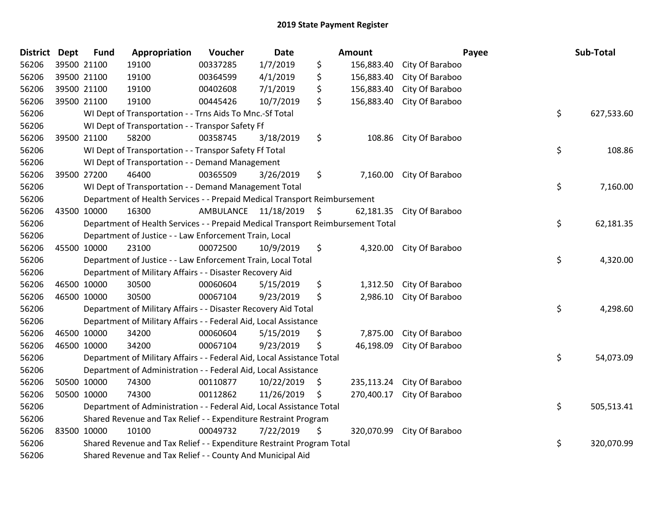| District | Dept        | <b>Fund</b> | Appropriation                                                                   | Voucher                 | <b>Date</b> |     | Amount     |                            | Payee | Sub-Total  |
|----------|-------------|-------------|---------------------------------------------------------------------------------|-------------------------|-------------|-----|------------|----------------------------|-------|------------|
| 56206    | 39500 21100 |             | 19100                                                                           | 00337285                | 1/7/2019    | \$  | 156,883.40 | City Of Baraboo            |       |            |
| 56206    | 39500 21100 |             | 19100                                                                           | 00364599                | 4/1/2019    | \$  | 156,883.40 | City Of Baraboo            |       |            |
| 56206    | 39500 21100 |             | 19100                                                                           | 00402608                | 7/1/2019    | \$  | 156,883.40 | City Of Baraboo            |       |            |
| 56206    | 39500 21100 |             | 19100                                                                           | 00445426                | 10/7/2019   | \$  | 156,883.40 | City Of Baraboo            |       |            |
| 56206    |             |             | WI Dept of Transportation - - Trns Aids To Mnc.-Sf Total                        |                         |             |     |            |                            | \$    | 627,533.60 |
| 56206    |             |             | WI Dept of Transportation - - Transpor Safety Ff                                |                         |             |     |            |                            |       |            |
| 56206    |             | 39500 21100 | 58200                                                                           | 00358745                | 3/18/2019   | \$  | 108.86     | City Of Baraboo            |       |            |
| 56206    |             |             | WI Dept of Transportation - - Transpor Safety Ff Total                          |                         |             |     |            |                            | \$    | 108.86     |
| 56206    |             |             | WI Dept of Transportation - - Demand Management                                 |                         |             |     |            |                            |       |            |
| 56206    |             | 39500 27200 | 46400                                                                           | 00365509                | 3/26/2019   | \$  |            | 7,160.00 City Of Baraboo   |       |            |
| 56206    |             |             | WI Dept of Transportation - - Demand Management Total                           |                         |             |     |            |                            | \$    | 7,160.00   |
| 56206    |             |             | Department of Health Services - - Prepaid Medical Transport Reimbursement       |                         |             |     |            |                            |       |            |
| 56206    |             | 43500 10000 | 16300                                                                           | AMBULANCE 11/18/2019 \$ |             |     |            | 62,181.35 City Of Baraboo  |       |            |
| 56206    |             |             | Department of Health Services - - Prepaid Medical Transport Reimbursement Total |                         |             |     |            |                            | \$    | 62,181.35  |
| 56206    |             |             | Department of Justice - - Law Enforcement Train, Local                          |                         |             |     |            |                            |       |            |
| 56206    |             | 45500 10000 | 23100                                                                           | 00072500                | 10/9/2019   | \$  |            | 4,320.00 City Of Baraboo   |       |            |
| 56206    |             |             | Department of Justice - - Law Enforcement Train, Local Total                    |                         |             |     |            |                            | \$    | 4,320.00   |
| 56206    |             |             | Department of Military Affairs - - Disaster Recovery Aid                        |                         |             |     |            |                            |       |            |
| 56206    | 46500 10000 |             | 30500                                                                           | 00060604                | 5/15/2019   | \$  |            | 1,312.50 City Of Baraboo   |       |            |
| 56206    |             | 46500 10000 | 30500                                                                           | 00067104                | 9/23/2019   | \$  | 2,986.10   | City Of Baraboo            |       |            |
| 56206    |             |             | Department of Military Affairs - - Disaster Recovery Aid Total                  |                         |             |     |            |                            | \$    | 4,298.60   |
| 56206    |             |             | Department of Military Affairs - - Federal Aid, Local Assistance                |                         |             |     |            |                            |       |            |
| 56206    |             | 46500 10000 | 34200                                                                           | 00060604                | 5/15/2019   | \$  | 7,875.00   | City Of Baraboo            |       |            |
| 56206    | 46500 10000 |             | 34200                                                                           | 00067104                | 9/23/2019   | \$  | 46,198.09  | City Of Baraboo            |       |            |
| 56206    |             |             | Department of Military Affairs - - Federal Aid, Local Assistance Total          |                         |             |     |            |                            | \$    | 54,073.09  |
| 56206    |             |             | Department of Administration - - Federal Aid, Local Assistance                  |                         |             |     |            |                            |       |            |
| 56206    |             | 50500 10000 | 74300                                                                           | 00110877                | 10/22/2019  | \$  | 235,113.24 | City Of Baraboo            |       |            |
| 56206    |             | 50500 10000 | 74300                                                                           | 00112862                | 11/26/2019  | \$. | 270,400.17 | City Of Baraboo            |       |            |
| 56206    |             |             | Department of Administration - - Federal Aid, Local Assistance Total            |                         |             |     |            |                            | \$    | 505,513.41 |
| 56206    |             |             | Shared Revenue and Tax Relief - - Expenditure Restraint Program                 |                         |             |     |            |                            |       |            |
| 56206    | 83500 10000 |             | 10100                                                                           | 00049732                | 7/22/2019   | \$  |            | 320,070.99 City Of Baraboo |       |            |
| 56206    |             |             | Shared Revenue and Tax Relief - - Expenditure Restraint Program Total           |                         |             |     |            |                            | \$    | 320,070.99 |
| 56206    |             |             | Shared Revenue and Tax Relief - - County And Municipal Aid                      |                         |             |     |            |                            |       |            |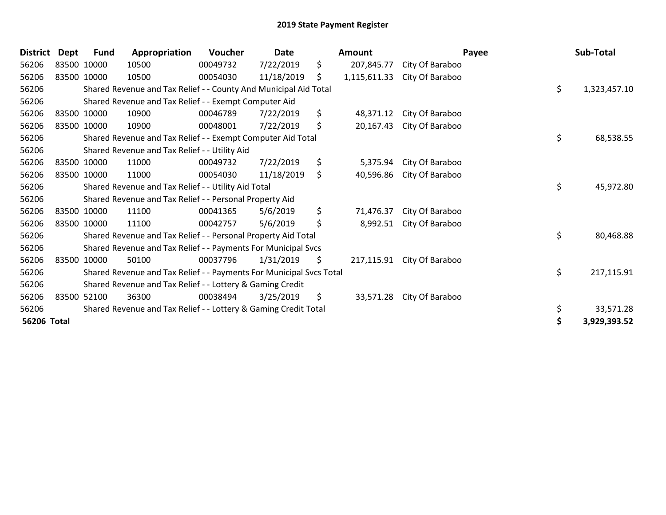| <b>District</b> | Dept        | <b>Fund</b> | Appropriation                                                       | Voucher  | <b>Date</b> | Amount             |                 | Payee | Sub-Total    |
|-----------------|-------------|-------------|---------------------------------------------------------------------|----------|-------------|--------------------|-----------------|-------|--------------|
| 56206           | 83500 10000 |             | 10500                                                               | 00049732 | 7/22/2019   | \$<br>207,845.77   | City Of Baraboo |       |              |
| 56206           | 83500 10000 |             | 10500                                                               | 00054030 | 11/18/2019  | \$<br>1,115,611.33 | City Of Baraboo |       |              |
| 56206           |             |             | Shared Revenue and Tax Relief - - County And Municipal Aid Total    |          |             |                    |                 | \$    | 1,323,457.10 |
| 56206           |             |             | Shared Revenue and Tax Relief - - Exempt Computer Aid               |          |             |                    |                 |       |              |
| 56206           |             | 83500 10000 | 10900                                                               | 00046789 | 7/22/2019   | \$<br>48,371.12    | City Of Baraboo |       |              |
| 56206           | 83500 10000 |             | 10900                                                               | 00048001 | 7/22/2019   | \$<br>20,167.43    | City Of Baraboo |       |              |
| 56206           |             |             | Shared Revenue and Tax Relief - - Exempt Computer Aid Total         |          |             |                    |                 | \$    | 68,538.55    |
| 56206           |             |             | Shared Revenue and Tax Relief - - Utility Aid                       |          |             |                    |                 |       |              |
| 56206           |             | 83500 10000 | 11000                                                               | 00049732 | 7/22/2019   | \$<br>5,375.94     | City Of Baraboo |       |              |
| 56206           | 83500 10000 |             | 11000                                                               | 00054030 | 11/18/2019  | \$<br>40,596.86    | City Of Baraboo |       |              |
| 56206           |             |             | Shared Revenue and Tax Relief - - Utility Aid Total                 |          |             |                    |                 | \$    | 45,972.80    |
| 56206           |             |             | Shared Revenue and Tax Relief - - Personal Property Aid             |          |             |                    |                 |       |              |
| 56206           |             | 83500 10000 | 11100                                                               | 00041365 | 5/6/2019    | \$<br>71,476.37    | City Of Baraboo |       |              |
| 56206           | 83500 10000 |             | 11100                                                               | 00042757 | 5/6/2019    | \$<br>8,992.51     | City Of Baraboo |       |              |
| 56206           |             |             | Shared Revenue and Tax Relief - - Personal Property Aid Total       |          |             |                    |                 | \$    | 80,468.88    |
| 56206           |             |             | Shared Revenue and Tax Relief - - Payments For Municipal Svcs       |          |             |                    |                 |       |              |
| 56206           |             | 83500 10000 | 50100                                                               | 00037796 | 1/31/2019   | \$<br>217,115.91   | City Of Baraboo |       |              |
| 56206           |             |             | Shared Revenue and Tax Relief - - Payments For Municipal Svcs Total |          |             |                    |                 | \$    | 217,115.91   |
| 56206           |             |             | Shared Revenue and Tax Relief - - Lottery & Gaming Credit           |          |             |                    |                 |       |              |
| 56206           |             | 83500 52100 | 36300                                                               | 00038494 | 3/25/2019   | \$<br>33,571.28    | City Of Baraboo |       |              |
| 56206           |             |             | Shared Revenue and Tax Relief - - Lottery & Gaming Credit Total     |          |             |                    |                 | \$    | 33,571.28    |
| 56206 Total     |             |             |                                                                     |          |             |                    |                 | \$    | 3,929,393.52 |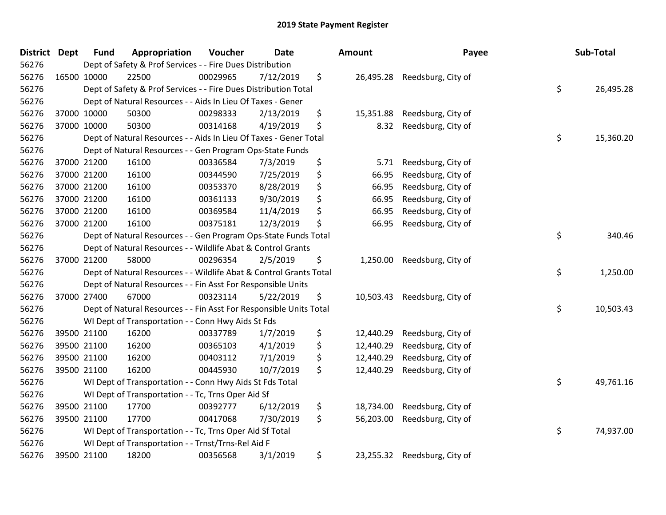| District Dept | <b>Fund</b> | Appropriation                                                      | Voucher  | <b>Date</b> | Amount          | Payee                        | Sub-Total       |
|---------------|-------------|--------------------------------------------------------------------|----------|-------------|-----------------|------------------------------|-----------------|
| 56276         |             | Dept of Safety & Prof Services - - Fire Dues Distribution          |          |             |                 |                              |                 |
| 56276         | 16500 10000 | 22500                                                              | 00029965 | 7/12/2019   | \$              | 26,495.28 Reedsburg, City of |                 |
| 56276         |             | Dept of Safety & Prof Services - - Fire Dues Distribution Total    |          |             |                 |                              | \$<br>26,495.28 |
| 56276         |             | Dept of Natural Resources - - Aids In Lieu Of Taxes - Gener        |          |             |                 |                              |                 |
| 56276         | 37000 10000 | 50300                                                              | 00298333 | 2/13/2019   | \$<br>15,351.88 | Reedsburg, City of           |                 |
| 56276         | 37000 10000 | 50300                                                              | 00314168 | 4/19/2019   | \$<br>8.32      | Reedsburg, City of           |                 |
| 56276         |             | Dept of Natural Resources - - Aids In Lieu Of Taxes - Gener Total  |          |             |                 |                              | \$<br>15,360.20 |
| 56276         |             | Dept of Natural Resources - - Gen Program Ops-State Funds          |          |             |                 |                              |                 |
| 56276         | 37000 21200 | 16100                                                              | 00336584 | 7/3/2019    | \$<br>5.71      | Reedsburg, City of           |                 |
| 56276         | 37000 21200 | 16100                                                              | 00344590 | 7/25/2019   | \$<br>66.95     | Reedsburg, City of           |                 |
| 56276         | 37000 21200 | 16100                                                              | 00353370 | 8/28/2019   | \$<br>66.95     | Reedsburg, City of           |                 |
| 56276         | 37000 21200 | 16100                                                              | 00361133 | 9/30/2019   | \$<br>66.95     | Reedsburg, City of           |                 |
| 56276         | 37000 21200 | 16100                                                              | 00369584 | 11/4/2019   | \$<br>66.95     | Reedsburg, City of           |                 |
| 56276         | 37000 21200 | 16100                                                              | 00375181 | 12/3/2019   | \$<br>66.95     | Reedsburg, City of           |                 |
| 56276         |             | Dept of Natural Resources - - Gen Program Ops-State Funds Total    |          |             |                 |                              | \$<br>340.46    |
| 56276         |             | Dept of Natural Resources - - Wildlife Abat & Control Grants       |          |             |                 |                              |                 |
| 56276         | 37000 21200 | 58000                                                              | 00296354 | 2/5/2019    | \$<br>1,250.00  | Reedsburg, City of           |                 |
| 56276         |             | Dept of Natural Resources - - Wildlife Abat & Control Grants Total |          |             |                 |                              | \$<br>1,250.00  |
| 56276         |             | Dept of Natural Resources - - Fin Asst For Responsible Units       |          |             |                 |                              |                 |
| 56276         | 37000 27400 | 67000                                                              | 00323114 | 5/22/2019   | \$<br>10,503.43 | Reedsburg, City of           |                 |
| 56276         |             | Dept of Natural Resources - - Fin Asst For Responsible Units Total |          |             |                 |                              | \$<br>10,503.43 |
| 56276         |             | WI Dept of Transportation - - Conn Hwy Aids St Fds                 |          |             |                 |                              |                 |
| 56276         | 39500 21100 | 16200                                                              | 00337789 | 1/7/2019    | \$<br>12,440.29 | Reedsburg, City of           |                 |
| 56276         | 39500 21100 | 16200                                                              | 00365103 | 4/1/2019    | \$<br>12,440.29 | Reedsburg, City of           |                 |
| 56276         | 39500 21100 | 16200                                                              | 00403112 | 7/1/2019    | \$<br>12,440.29 | Reedsburg, City of           |                 |
| 56276         | 39500 21100 | 16200                                                              | 00445930 | 10/7/2019   | \$<br>12,440.29 | Reedsburg, City of           |                 |
| 56276         |             | WI Dept of Transportation - - Conn Hwy Aids St Fds Total           |          |             |                 |                              | \$<br>49,761.16 |
| 56276         |             | WI Dept of Transportation - - Tc, Trns Oper Aid Sf                 |          |             |                 |                              |                 |
| 56276         | 39500 21100 | 17700                                                              | 00392777 | 6/12/2019   | \$<br>18,734.00 | Reedsburg, City of           |                 |
| 56276         | 39500 21100 | 17700                                                              | 00417068 | 7/30/2019   | \$<br>56,203.00 | Reedsburg, City of           |                 |
| 56276         |             | WI Dept of Transportation - - Tc, Trns Oper Aid Sf Total           |          |             |                 |                              | \$<br>74,937.00 |
| 56276         |             | WI Dept of Transportation - - Trnst/Trns-Rel Aid F                 |          |             |                 |                              |                 |
| 56276         | 39500 21100 | 18200                                                              | 00356568 | 3/1/2019    | \$<br>23,255.32 | Reedsburg, City of           |                 |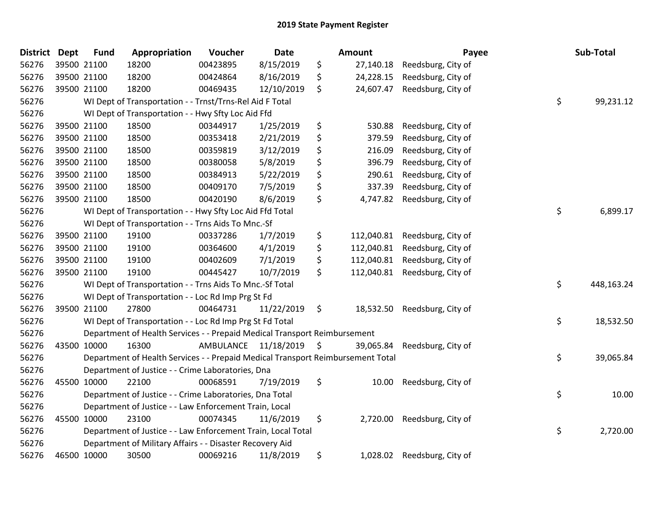| <b>District</b> | <b>Dept</b> | <b>Fund</b>                                                                           | Appropriation                                            | Voucher   | <b>Date</b>   |     | Amount     | Payee              |       | Sub-Total  |  |
|-----------------|-------------|---------------------------------------------------------------------------------------|----------------------------------------------------------|-----------|---------------|-----|------------|--------------------|-------|------------|--|
| 56276           | 39500 21100 |                                                                                       | 18200                                                    | 00423895  | 8/15/2019     | \$  | 27,140.18  | Reedsburg, City of |       |            |  |
| 56276           |             | 39500 21100                                                                           | 18200                                                    | 00424864  | 8/16/2019     | \$  | 24,228.15  | Reedsburg, City of |       |            |  |
| 56276           | 39500 21100 |                                                                                       | 18200                                                    | 00469435  | 12/10/2019    | \$  | 24,607.47  | Reedsburg, City of |       |            |  |
| 56276           |             |                                                                                       | WI Dept of Transportation - - Trnst/Trns-Rel Aid F Total |           |               |     |            |                    | \$    | 99,231.12  |  |
| 56276           |             |                                                                                       | WI Dept of Transportation - - Hwy Sfty Loc Aid Ffd       |           |               |     |            |                    |       |            |  |
| 56276           |             | 39500 21100                                                                           | 18500                                                    | 00344917  | 1/25/2019     | \$  | 530.88     | Reedsburg, City of |       |            |  |
| 56276           |             | 39500 21100                                                                           | 18500                                                    | 00353418  | 2/21/2019     | \$  | 379.59     | Reedsburg, City of |       |            |  |
| 56276           |             | 39500 21100                                                                           | 18500                                                    | 00359819  | 3/12/2019     | \$  | 216.09     | Reedsburg, City of |       |            |  |
| 56276           |             | 39500 21100                                                                           | 18500                                                    | 00380058  | 5/8/2019      | \$  | 396.79     | Reedsburg, City of |       |            |  |
| 56276           |             | 39500 21100                                                                           | 18500                                                    | 00384913  | 5/22/2019     | \$  | 290.61     | Reedsburg, City of |       |            |  |
| 56276           | 39500 21100 |                                                                                       | 18500                                                    | 00409170  | 7/5/2019      | \$  | 337.39     | Reedsburg, City of |       |            |  |
| 56276           | 39500 21100 |                                                                                       | 18500                                                    | 00420190  | 8/6/2019      | \$  | 4,747.82   | Reedsburg, City of |       |            |  |
| 56276           |             |                                                                                       | WI Dept of Transportation - - Hwy Sfty Loc Aid Ffd Total |           |               |     |            |                    | \$    | 6,899.17   |  |
| 56276           |             |                                                                                       | WI Dept of Transportation - - Trns Aids To Mnc.-Sf       |           |               |     |            |                    |       |            |  |
| 56276           |             | 39500 21100                                                                           | 19100                                                    | 00337286  | 1/7/2019      | \$  | 112,040.81 | Reedsburg, City of |       |            |  |
| 56276           |             | 39500 21100                                                                           | 19100                                                    | 00364600  | 4/1/2019      | \$  | 112,040.81 | Reedsburg, City of |       |            |  |
| 56276           |             | 39500 21100                                                                           | 19100                                                    | 00402609  | 7/1/2019      | \$  | 112,040.81 | Reedsburg, City of |       |            |  |
| 56276           | 39500 21100 |                                                                                       | 19100                                                    | 00445427  | 10/7/2019     | \$. | 112,040.81 | Reedsburg, City of |       |            |  |
| 56276           |             | \$<br>WI Dept of Transportation - - Trns Aids To Mnc.-Sf Total                        |                                                          |           |               |     |            |                    |       | 448,163.24 |  |
| 56276           |             | WI Dept of Transportation - - Loc Rd Imp Prg St Fd                                    |                                                          |           |               |     |            |                    |       |            |  |
| 56276           |             | 39500 21100                                                                           | 27800                                                    | 00464731  | 11/22/2019    | \$  | 18,532.50  | Reedsburg, City of |       |            |  |
| 56276           |             | \$<br>WI Dept of Transportation - - Loc Rd Imp Prg St Fd Total                        |                                                          |           |               |     |            |                    |       | 18,532.50  |  |
| 56276           |             | Department of Health Services - - Prepaid Medical Transport Reimbursement             |                                                          |           |               |     |            |                    |       |            |  |
| 56276           | 43500 10000 |                                                                                       | 16300                                                    | AMBULANCE | 11/18/2019 \$ |     | 39,065.84  | Reedsburg, City of |       |            |  |
| 56276           |             | \$<br>Department of Health Services - - Prepaid Medical Transport Reimbursement Total |                                                          |           |               |     |            |                    |       | 39,065.84  |  |
| 56276           |             | Department of Justice - - Crime Laboratories, Dna                                     |                                                          |           |               |     |            |                    |       |            |  |
| 56276           |             | 45500 10000                                                                           | 22100                                                    | 00068591  | 7/19/2019     | \$  | 10.00      | Reedsburg, City of |       |            |  |
| 56276           |             | \$<br>Department of Justice - - Crime Laboratories, Dna Total                         |                                                          |           |               |     |            |                    | 10.00 |            |  |
| 56276           |             | Department of Justice - - Law Enforcement Train, Local                                |                                                          |           |               |     |            |                    |       |            |  |
| 56276           | 45500 10000 |                                                                                       | 23100                                                    | 00074345  | 11/6/2019     | \$  | 2,720.00   | Reedsburg, City of |       |            |  |
| 56276           |             | \$<br>Department of Justice - - Law Enforcement Train, Local Total                    |                                                          |           |               |     |            |                    |       | 2,720.00   |  |
| 56276           |             | Department of Military Affairs - - Disaster Recovery Aid                              |                                                          |           |               |     |            |                    |       |            |  |
| 56276           | 46500 10000 |                                                                                       | 30500                                                    | 00069216  | 11/8/2019     | \$  | 1,028.02   | Reedsburg, City of |       |            |  |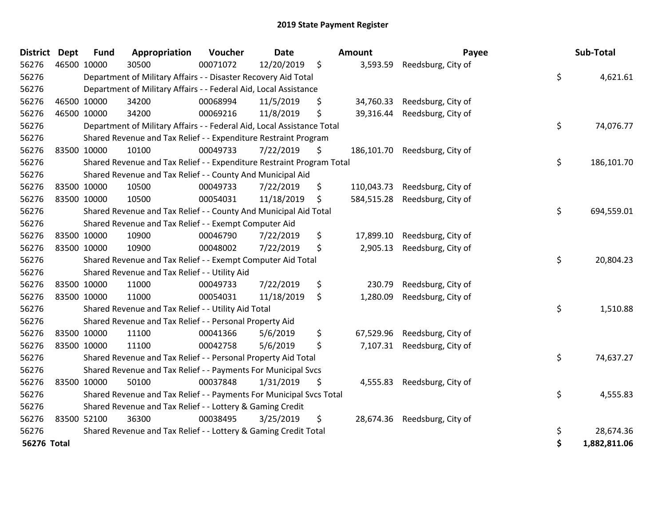| <b>District</b> | <b>Dept</b> | <b>Fund</b>                                                                  | Appropriation                                                    | Voucher  | <b>Date</b> |    | Amount     | Payee              |          | Sub-Total    |
|-----------------|-------------|------------------------------------------------------------------------------|------------------------------------------------------------------|----------|-------------|----|------------|--------------------|----------|--------------|
| 56276           | 46500 10000 |                                                                              | 30500                                                            | 00071072 | 12/20/2019  | \$ | 3,593.59   | Reedsburg, City of |          |              |
| 56276           |             | \$<br>Department of Military Affairs - - Disaster Recovery Aid Total         |                                                                  |          |             |    |            |                    |          | 4,621.61     |
| 56276           |             | Department of Military Affairs - - Federal Aid, Local Assistance             |                                                                  |          |             |    |            |                    |          |              |
| 56276           |             | 46500 10000                                                                  | 34200                                                            | 00068994 | 11/5/2019   | \$ | 34,760.33  | Reedsburg, City of |          |              |
| 56276           |             | 46500 10000                                                                  | 34200                                                            | 00069216 | 11/8/2019   | \$ | 39,316.44  | Reedsburg, City of |          |              |
| 56276           |             | \$<br>Department of Military Affairs - - Federal Aid, Local Assistance Total |                                                                  |          |             |    |            |                    |          |              |
| 56276           |             | Shared Revenue and Tax Relief - - Expenditure Restraint Program              |                                                                  |          |             |    |            |                    |          |              |
| 56276           |             | 83500 10000                                                                  | 10100                                                            | 00049733 | 7/22/2019   | \$ | 186,101.70 | Reedsburg, City of |          |              |
| 56276           |             | \$<br>Shared Revenue and Tax Relief - - Expenditure Restraint Program Total  |                                                                  |          |             |    |            |                    |          | 186,101.70   |
| 56276           |             |                                                                              | Shared Revenue and Tax Relief - - County And Municipal Aid       |          |             |    |            |                    |          |              |
| 56276           |             | 83500 10000                                                                  | 10500                                                            | 00049733 | 7/22/2019   | \$ | 110,043.73 | Reedsburg, City of |          |              |
| 56276           |             | 83500 10000                                                                  | 10500                                                            | 00054031 | 11/18/2019  | \$ | 584,515.28 | Reedsburg, City of |          |              |
| 56276           |             |                                                                              | Shared Revenue and Tax Relief - - County And Municipal Aid Total |          |             |    |            |                    | \$       | 694,559.01   |
| 56276           |             |                                                                              | Shared Revenue and Tax Relief - - Exempt Computer Aid            |          |             |    |            |                    |          |              |
| 56276           |             | 83500 10000                                                                  | 10900                                                            | 00046790 | 7/22/2019   | \$ | 17,899.10  | Reedsburg, City of |          |              |
| 56276           |             | 83500 10000                                                                  | 10900                                                            | 00048002 | 7/22/2019   | \$ | 2,905.13   | Reedsburg, City of |          |              |
| 56276           |             |                                                                              | Shared Revenue and Tax Relief - - Exempt Computer Aid Total      |          |             |    |            |                    | \$       | 20,804.23    |
| 56276           |             |                                                                              | Shared Revenue and Tax Relief - - Utility Aid                    |          |             |    |            |                    |          |              |
| 56276           |             | 83500 10000                                                                  | 11000                                                            | 00049733 | 7/22/2019   | \$ | 230.79     | Reedsburg, City of |          |              |
| 56276           |             | 83500 10000                                                                  | 11000                                                            | 00054031 | 11/18/2019  | \$ | 1,280.09   | Reedsburg, City of |          |              |
| 56276           |             | \$<br>Shared Revenue and Tax Relief - - Utility Aid Total                    |                                                                  |          |             |    |            |                    |          | 1,510.88     |
| 56276           |             | Shared Revenue and Tax Relief - - Personal Property Aid                      |                                                                  |          |             |    |            |                    |          |              |
| 56276           |             | 83500 10000                                                                  | 11100                                                            | 00041366 | 5/6/2019    | \$ | 67,529.96  | Reedsburg, City of |          |              |
| 56276           |             | 83500 10000                                                                  | 11100                                                            | 00042758 | 5/6/2019    | \$ | 7,107.31   | Reedsburg, City of |          |              |
| 56276           |             | Shared Revenue and Tax Relief - - Personal Property Aid Total                |                                                                  |          |             |    |            |                    | \$       | 74,637.27    |
| 56276           |             | Shared Revenue and Tax Relief - - Payments For Municipal Svcs                |                                                                  |          |             |    |            |                    |          |              |
| 56276           |             | 83500 10000                                                                  | 50100                                                            | 00037848 | 1/31/2019   | \$ | 4,555.83   | Reedsburg, City of |          |              |
| 56276           |             | \$<br>Shared Revenue and Tax Relief - - Payments For Municipal Svcs Total    |                                                                  |          |             |    |            |                    | 4,555.83 |              |
| 56276           |             | Shared Revenue and Tax Relief - - Lottery & Gaming Credit                    |                                                                  |          |             |    |            |                    |          |              |
| 56276           |             | 83500 52100                                                                  | 36300                                                            | 00038495 | 3/25/2019   | \$ | 28,674.36  | Reedsburg, City of |          |              |
| 56276           |             |                                                                              | Shared Revenue and Tax Relief - - Lottery & Gaming Credit Total  |          |             |    |            |                    | \$       | 28,674.36    |
| 56276 Total     |             |                                                                              |                                                                  |          |             |    |            |                    | \$       | 1,882,811.06 |